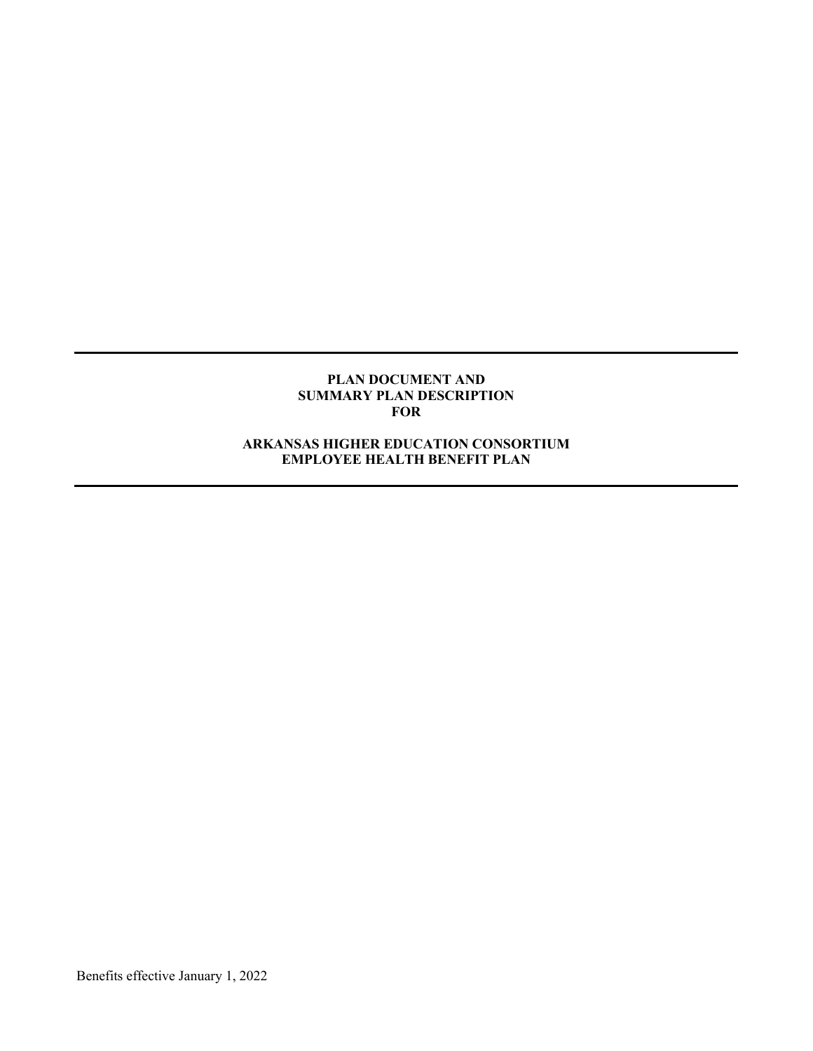#### **PLAN DOCUMENT AND SUMMARY PLAN DESCRIPTION FOR**

## **ARKANSAS HIGHER EDUCATION CONSORTIUM EMPLOYEE HEALTH BENEFIT PLAN**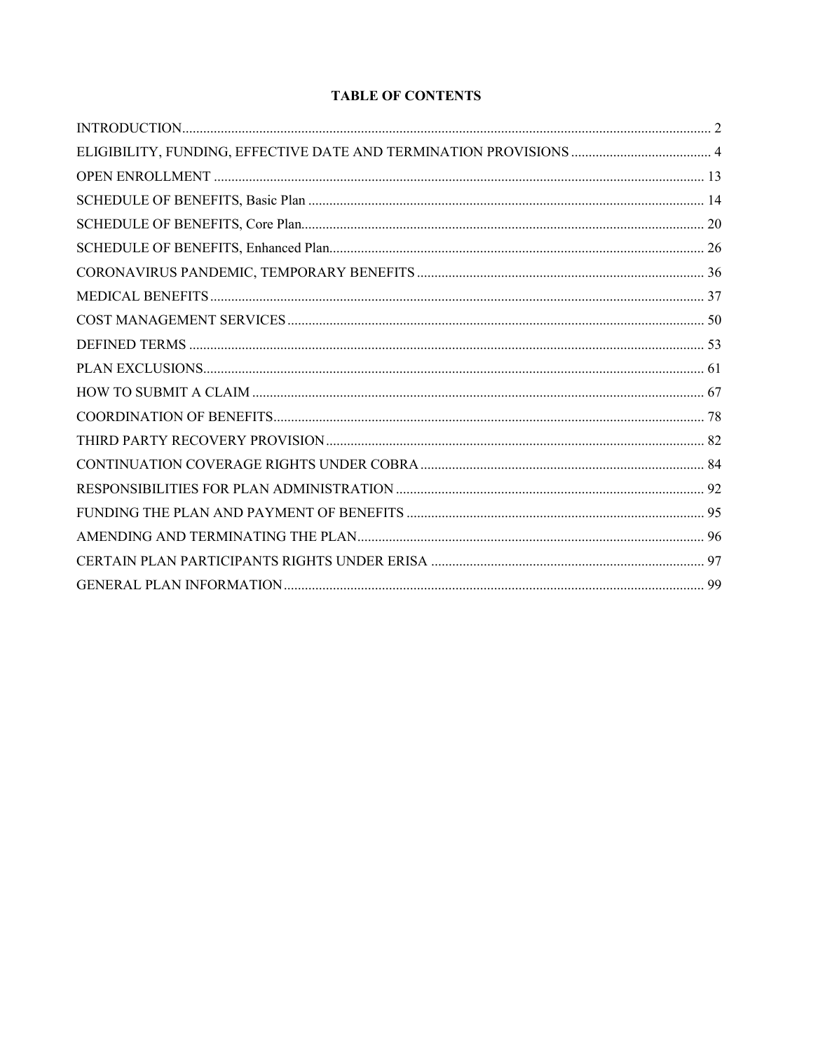# **TABLE OF CONTENTS**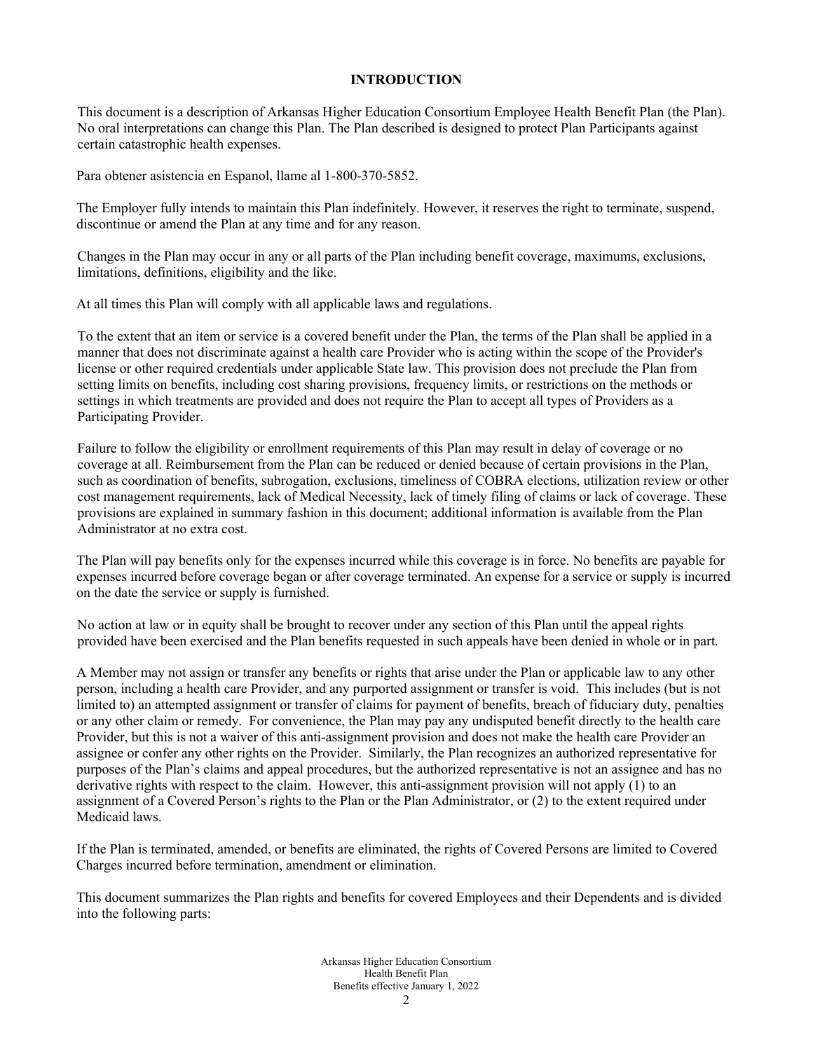### **INTRODUCTION**

This document is a description of Arkansas Higher Education Consortium Employee Health Benefit Plan (the Plan). No oral interpretations can change this Plan. The Plan described is designed to protect Plan Participants against certain catastrophic health expenses.

Para obtener asistencia en Espanol, llame al 1-800-370-5852.

The Employer fully intends to maintain this Plan indefinitely. However, it reserves the right to terminate, suspend, discontinue or amend the Plan at any time and for any reason.

Changes in the Plan may occur in any or all parts of the Plan including benefit coverage, maximums, exclusions, limitations, definitions, eligibility and the like.

At all times this Plan will comply with all applicable laws and regulations.

To the extent that an item or service is a covered benefit under the Plan, the terms of the Plan shall be applied in a manner that does not discriminate against a health care Provider who is acting within the scope of the Provider's license or other required credentials under applicable State law. This provision does not preclude the Plan from setting limits on benefits, including cost sharing provisions, frequency limits, or restrictions on the methods or settings in which treatments are provided and does not require the Plan to accept all types of Providers as a Participating Provider.

Failure to follow the eligibility or enrollment requirements of this Plan may result in delay of coverage or no coverage at all. Reimbursement from the Plan can be reduced or denied because of certain provisions in the Plan, such as coordination of benefits, subrogation, exclusions, timeliness of COBRA elections, utilization review or other cost management requirements, lack of Medical Necessity, lack of timely filing of claims or lack of coverage. These provisions are explained in summary fashion in this document; additional information is available from the Plan Administrator at no extra cost.

The Plan will pay benefits only for the expenses incurred while this coverage is in force. No benefits are payable for expenses incurred before coverage began or after coverage terminated. An expense for a service or supply is incurred on the date the service or supply is furnished.

No action at law or in equity shall be brought to recover under any section of this Plan until the appeal rights provided have been exercised and the Plan benefits requested in such appeals have been denied in whole or in part.

A Member may not assign or transfer any benefits or rights that arise under the Plan or applicable law to any other person, including a health care Provider, and any purported assignment or transfer is void. This includes (but is not limited to) an attempted assignment or transfer of claims for payment of benefits, breach of fiduciary duty, penalties or any other claim or remedy. For convenience, the Plan may pay any undisputed benefit directly to the health care Provider, but this is not a waiver of this anti-assignment provision and does not make the health care Provider an assignee or confer any other rights on the Provider. Similarly, the Plan recognizes an authorized representative for purposes of the Plan's claims and appeal procedures, but the authorized representative is not an assignee and has no derivative rights with respect to the claim. However, this anti-assignment provision will not apply (1) to an assignment of a Covered Person's rights to the Plan or the Plan Administrator, or (2) to the extent required under Medicaid laws.

If the Plan is terminated, amended, or benefits are eliminated, the rights of Covered Persons are limited to Covered Charges incurred before termination, amendment or elimination.

This document summarizes the Plan rights and benefits for covered Employees and their Dependents and is divided into the following parts: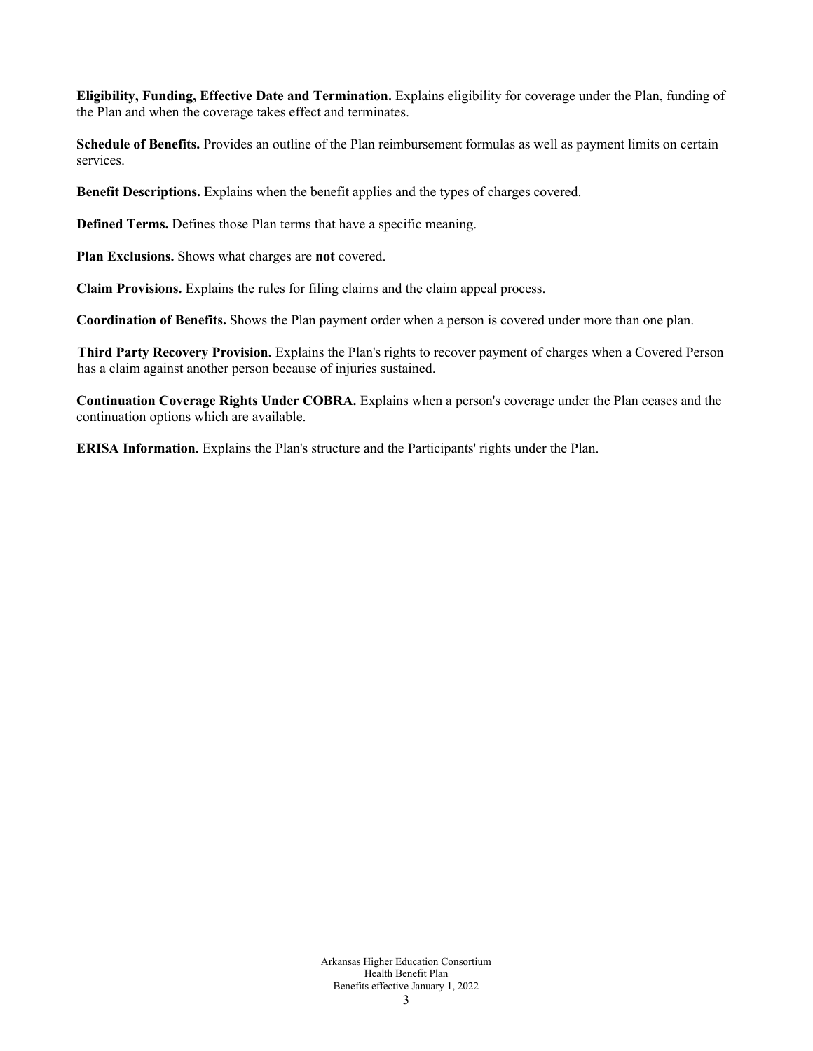**Eligibility, Funding, Effective Date and Termination.** Explains eligibility for coverage under the Plan, funding of the Plan and when the coverage takes effect and terminates.

**Schedule of Benefits.** Provides an outline of the Plan reimbursement formulas as well as payment limits on certain services.

**Benefit Descriptions.** Explains when the benefit applies and the types of charges covered.

**Defined Terms.** Defines those Plan terms that have a specific meaning.

**Plan Exclusions.** Shows what charges are **not** covered.

**Claim Provisions.** Explains the rules for filing claims and the claim appeal process.

**Coordination of Benefits.** Shows the Plan payment order when a person is covered under more than one plan.

**Third Party Recovery Provision.** Explains the Plan's rights to recover payment of charges when a Covered Person has a claim against another person because of injuries sustained.

**Continuation Coverage Rights Under COBRA.** Explains when a person's coverage under the Plan ceases and the continuation options which are available.

**ERISA Information.** Explains the Plan's structure and the Participants' rights under the Plan.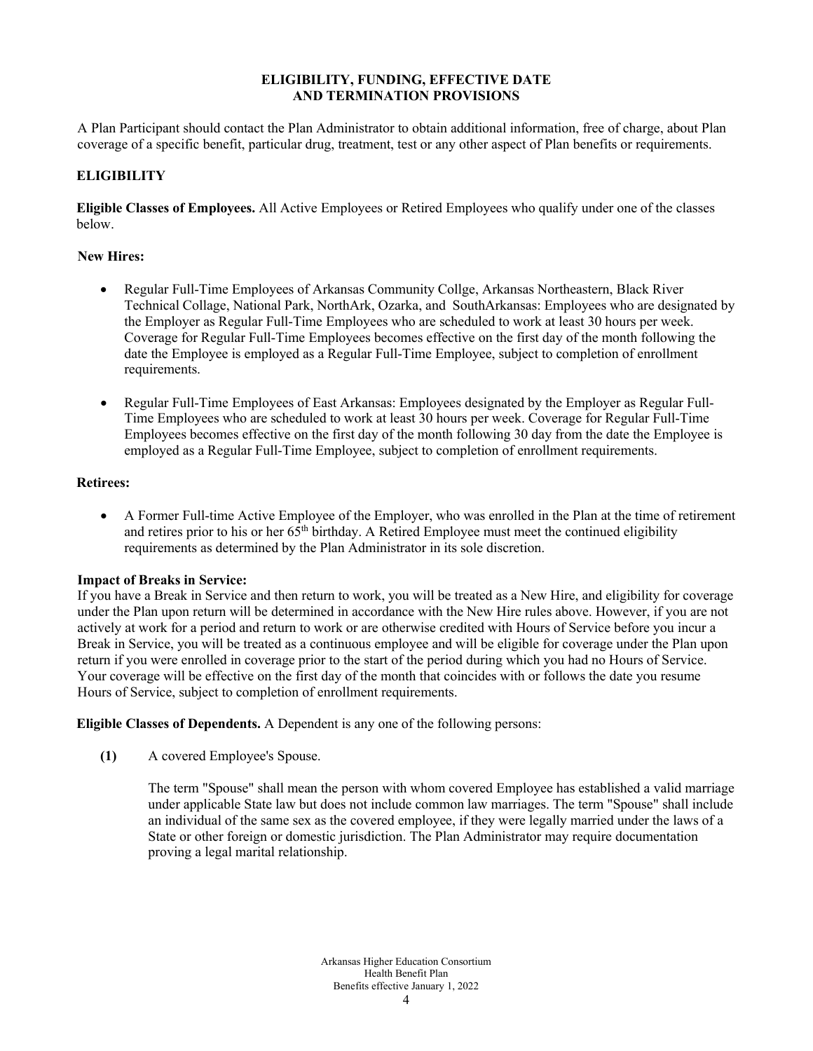## **ELIGIBILITY, FUNDING, EFFECTIVE DATE AND TERMINATION PROVISIONS**

A Plan Participant should contact the Plan Administrator to obtain additional information, free of charge, about Plan coverage of a specific benefit, particular drug, treatment, test or any other aspect of Plan benefits or requirements.

# **ELIGIBILITY**

**Eligible Classes of Employees.** All Active Employees or Retired Employees who qualify under one of the classes below.

## **New Hires:**

- Regular Full-Time Employees of Arkansas Community Collge, Arkansas Northeastern, Black River Technical Collage, National Park, NorthArk, Ozarka, and SouthArkansas: Employees who are designated by the Employer as Regular Full-Time Employees who are scheduled to work at least 30 hours per week. Coverage for Regular Full-Time Employees becomes effective on the first day of the month following the date the Employee is employed as a Regular Full-Time Employee, subject to completion of enrollment requirements.
- Regular Full-Time Employees of East Arkansas: Employees designated by the Employer as Regular Full-Time Employees who are scheduled to work at least 30 hours per week. Coverage for Regular Full-Time Employees becomes effective on the first day of the month following 30 day from the date the Employee is employed as a Regular Full-Time Employee, subject to completion of enrollment requirements.

### **Retirees:**

• A Former Full-time Active Employee of the Employer, who was enrolled in the Plan at the time of retirement and retires prior to his or her 65th birthday. A Retired Employee must meet the continued eligibility requirements as determined by the Plan Administrator in its sole discretion.

## **Impact of Breaks in Service:**

If you have a Break in Service and then return to work, you will be treated as a New Hire, and eligibility for coverage under the Plan upon return will be determined in accordance with the New Hire rules above. However, if you are not actively at work for a period and return to work or are otherwise credited with Hours of Service before you incur a Break in Service, you will be treated as a continuous employee and will be eligible for coverage under the Plan upon return if you were enrolled in coverage prior to the start of the period during which you had no Hours of Service. Your coverage will be effective on the first day of the month that coincides with or follows the date you resume Hours of Service, subject to completion of enrollment requirements.

**Eligible Classes of Dependents.** A Dependent is any one of the following persons:

**(1)** A covered Employee's Spouse.

The term "Spouse" shall mean the person with whom covered Employee has established a valid marriage under applicable State law but does not include common law marriages. The term "Spouse" shall include an individual of the same sex as the covered employee, if they were legally married under the laws of a State or other foreign or domestic jurisdiction. The Plan Administrator may require documentation proving a legal marital relationship.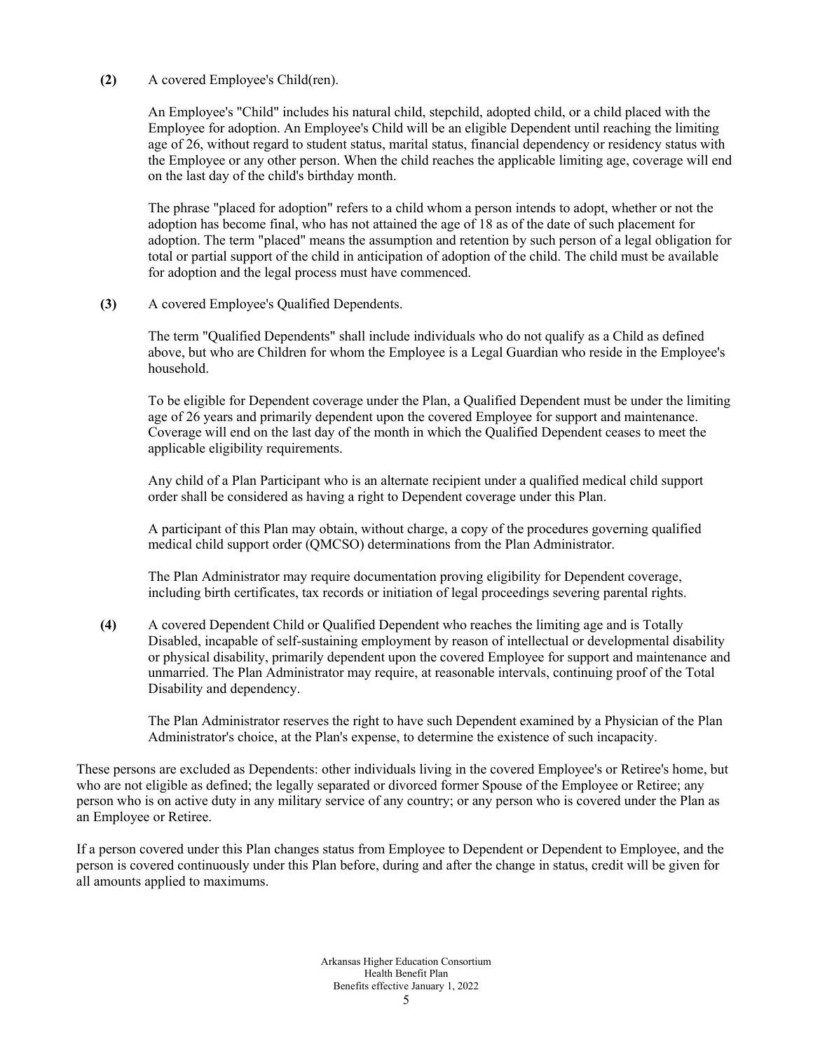### **(2)** A covered Employee's Child(ren).

An Employee's "Child" includes his natural child, stepchild, adopted child, or a child placed with the Employee for adoption. An Employee's Child will be an eligible Dependent until reaching the limiting age of 26, without regard to student status, marital status, financial dependency or residency status with the Employee or any other person. When the child reaches the applicable limiting age, coverage will end on the last day of the child's birthday month.

The phrase "placed for adoption" refers to a child whom a person intends to adopt, whether or not the adoption has become final, who has not attained the age of 18 as of the date of such placement for adoption. The term "placed" means the assumption and retention by such person of a legal obligation for total or partial support of the child in anticipation of adoption of the child. The child must be available for adoption and the legal process must have commenced.

### **(3)** A covered Employee's Qualified Dependents.

The term "Qualified Dependents" shall include individuals who do not qualify as a Child as defined above, but who are Children for whom the Employee is a Legal Guardian who reside in the Employee's household.

To be eligible for Dependent coverage under the Plan, a Qualified Dependent must be under the limiting age of 26 years and primarily dependent upon the covered Employee for support and maintenance. Coverage will end on the last day of the month in which the Qualified Dependent ceases to meet the applicable eligibility requirements.

Any child of a Plan Participant who is an alternate recipient under a qualified medical child support order shall be considered as having a right to Dependent coverage under this Plan.

A participant of this Plan may obtain, without charge, a copy of the procedures governing qualified medical child support order (QMCSO) determinations from the Plan Administrator.

The Plan Administrator may require documentation proving eligibility for Dependent coverage, including birth certificates, tax records or initiation of legal proceedings severing parental rights.

**(4)** A covered Dependent Child or Qualified Dependent who reaches the limiting age and is Totally Disabled, incapable of self-sustaining employment by reason of intellectual or developmental disability or physical disability, primarily dependent upon the covered Employee for support and maintenance and unmarried. The Plan Administrator may require, at reasonable intervals, continuing proof of the Total Disability and dependency.

The Plan Administrator reserves the right to have such Dependent examined by a Physician of the Plan Administrator's choice, at the Plan's expense, to determine the existence of such incapacity.

These persons are excluded as Dependents: other individuals living in the covered Employee's or Retiree's home, but who are not eligible as defined; the legally separated or divorced former Spouse of the Employee or Retiree; any person who is on active duty in any military service of any country; or any person who is covered under the Plan as an Employee or Retiree.

If a person covered under this Plan changes status from Employee to Dependent or Dependent to Employee, and the person is covered continuously under this Plan before, during and after the change in status, credit will be given for all amounts applied to maximums.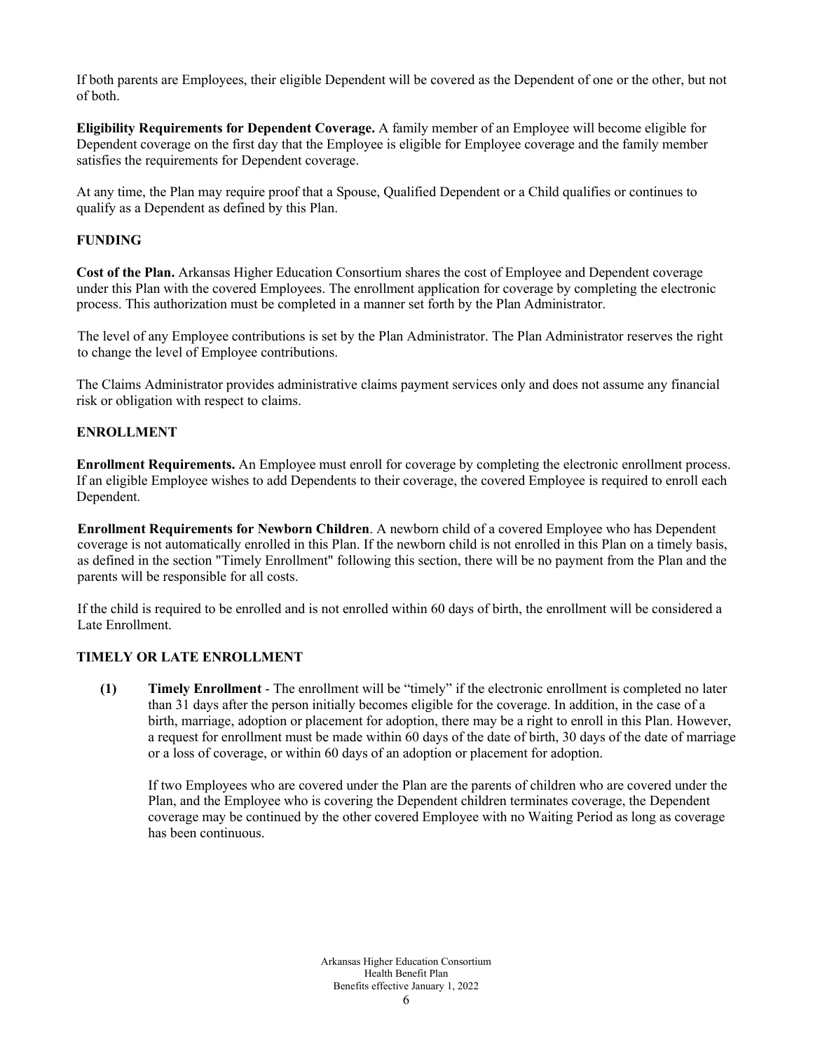If both parents are Employees, their eligible Dependent will be covered as the Dependent of one or the other, but not of both.

**Eligibility Requirements for Dependent Coverage.** A family member of an Employee will become eligible for Dependent coverage on the first day that the Employee is eligible for Employee coverage and the family member satisfies the requirements for Dependent coverage.

At any time, the Plan may require proof that a Spouse, Qualified Dependent or a Child qualifies or continues to qualify as a Dependent as defined by this Plan.

## **FUNDING**

**Cost of the Plan.** Arkansas Higher Education Consortium shares the cost of Employee and Dependent coverage under this Plan with the covered Employees. The enrollment application for coverage by completing the electronic process. This authorization must be completed in a manner set forth by the Plan Administrator.

The level of any Employee contributions is set by the Plan Administrator. The Plan Administrator reserves the right to change the level of Employee contributions.

The Claims Administrator provides administrative claims payment services only and does not assume any financial risk or obligation with respect to claims.

## **ENROLLMENT**

**Enrollment Requirements.** An Employee must enroll for coverage by completing the electronic enrollment process. If an eligible Employee wishes to add Dependents to their coverage, the covered Employee is required to enroll each Dependent.

**Enrollment Requirements for Newborn Children**. A newborn child of a covered Employee who has Dependent coverage is not automatically enrolled in this Plan. If the newborn child is not enrolled in this Plan on a timely basis, as defined in the section "Timely Enrollment" following this section, there will be no payment from the Plan and the parents will be responsible for all costs.

If the child is required to be enrolled and is not enrolled within 60 days of birth, the enrollment will be considered a Late Enrollment.

### **TIMELY OR LATE ENROLLMENT**

**(1) Timely Enrollment** - The enrollment will be "timely" if the electronic enrollment is completed no later than 31 days after the person initially becomes eligible for the coverage. In addition, in the case of a birth, marriage, adoption or placement for adoption, there may be a right to enroll in this Plan. However, a request for enrollment must be made within 60 days of the date of birth, 30 days of the date of marriage or a loss of coverage, or within 60 days of an adoption or placement for adoption.

If two Employees who are covered under the Plan are the parents of children who are covered under the Plan, and the Employee who is covering the Dependent children terminates coverage, the Dependent coverage may be continued by the other covered Employee with no Waiting Period as long as coverage has been continuous.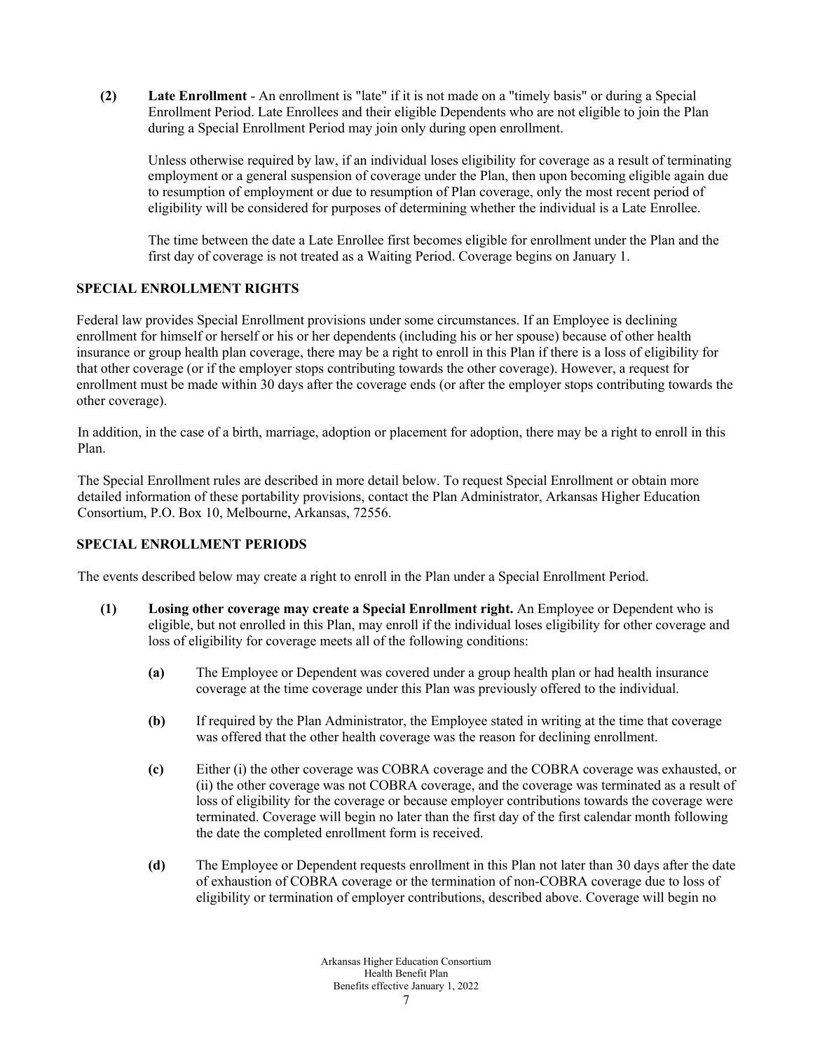**(2) Late Enrollment** - An enrollment is "late" if it is not made on a "timely basis" or during a Special Enrollment Period. Late Enrollees and their eligible Dependents who are not eligible to join the Plan during a Special Enrollment Period may join only during open enrollment.

Unless otherwise required by law, if an individual loses eligibility for coverage as a result of terminating employment or a general suspension of coverage under the Plan, then upon becoming eligible again due to resumption of employment or due to resumption of Plan coverage, only the most recent period of eligibility will be considered for purposes of determining whether the individual is a Late Enrollee.

The time between the date a Late Enrollee first becomes eligible for enrollment under the Plan and the first day of coverage is not treated as a Waiting Period. Coverage begins on January 1.

# **SPECIAL ENROLLMENT RIGHTS**

Federal law provides Special Enrollment provisions under some circumstances. If an Employee is declining enrollment for himself or herself or his or her dependents (including his or her spouse) because of other health insurance or group health plan coverage, there may be a right to enroll in this Plan if there is a loss of eligibility for that other coverage (or if the employer stops contributing towards the other coverage). However, a request for enrollment must be made within 30 days after the coverage ends (or after the employer stops contributing towards the other coverage).

In addition, in the case of a birth, marriage, adoption or placement for adoption, there may be a right to enroll in this Plan.

The Special Enrollment rules are described in more detail below. To request Special Enrollment or obtain more detailed information of these portability provisions, contact the Plan Administrator, Arkansas Higher Education Consortium, P.O. Box 10, Melbourne, Arkansas, 72556.

## **SPECIAL ENROLLMENT PERIODS**

The events described below may create a right to enroll in the Plan under a Special Enrollment Period.

- **(1) Losing other coverage may create a Special Enrollment right.** An Employee or Dependent who is eligible, but not enrolled in this Plan, may enroll if the individual loses eligibility for other coverage and loss of eligibility for coverage meets all of the following conditions:
	- **(a)** The Employee or Dependent was covered under a group health plan or had health insurance coverage at the time coverage under this Plan was previously offered to the individual.
	- **(b)** If required by the Plan Administrator, the Employee stated in writing at the time that coverage was offered that the other health coverage was the reason for declining enrollment.
	- **(c)** Either (i) the other coverage was COBRA coverage and the COBRA coverage was exhausted, or (ii) the other coverage was not COBRA coverage, and the coverage was terminated as a result of loss of eligibility for the coverage or because employer contributions towards the coverage were terminated. Coverage will begin no later than the first day of the first calendar month following the date the completed enrollment form is received.
	- **(d)** The Employee or Dependent requests enrollment in this Plan not later than 30 days after the date of exhaustion of COBRA coverage or the termination of non-COBRA coverage due to loss of eligibility or termination of employer contributions, described above. Coverage will begin no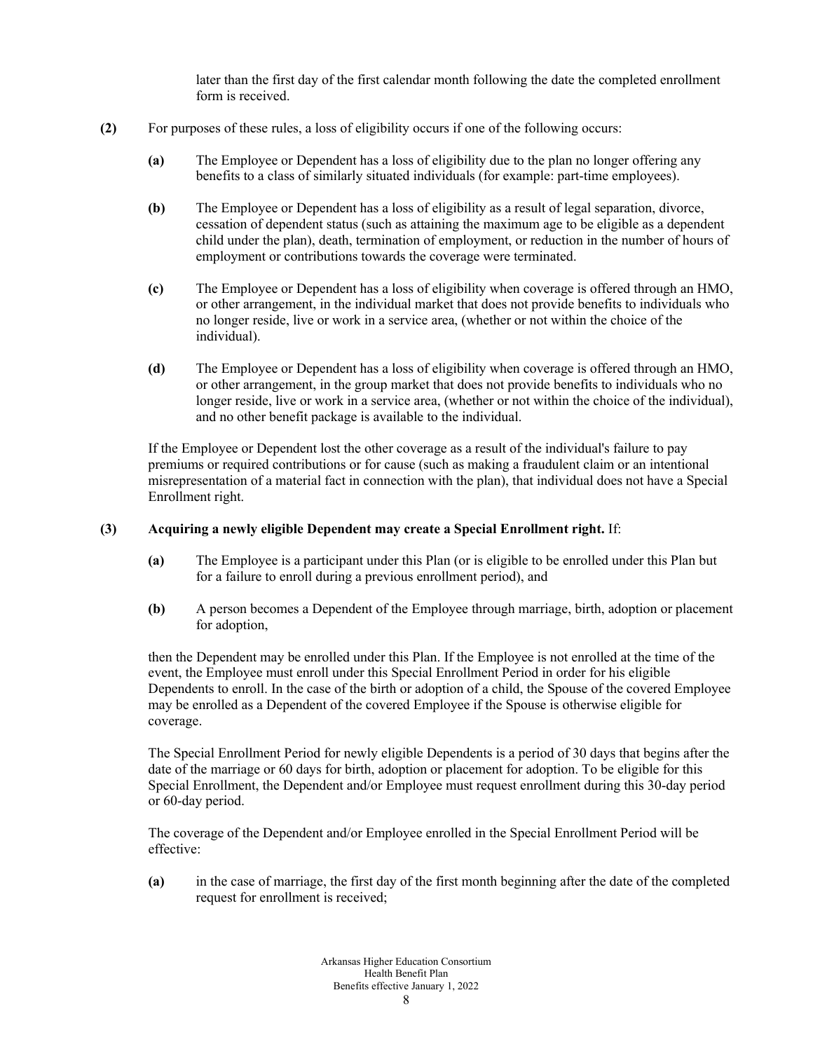later than the first day of the first calendar month following the date the completed enrollment form is received.

- **(2)** For purposes of these rules, a loss of eligibility occurs if one of the following occurs:
	- **(a)** The Employee or Dependent has a loss of eligibility due to the plan no longer offering any benefits to a class of similarly situated individuals (for example: part-time employees).
	- **(b)** The Employee or Dependent has a loss of eligibility as a result of legal separation, divorce, cessation of dependent status (such as attaining the maximum age to be eligible as a dependent child under the plan), death, termination of employment, or reduction in the number of hours of employment or contributions towards the coverage were terminated.
	- **(c)** The Employee or Dependent has a loss of eligibility when coverage is offered through an HMO, or other arrangement, in the individual market that does not provide benefits to individuals who no longer reside, live or work in a service area, (whether or not within the choice of the individual).
	- **(d)** The Employee or Dependent has a loss of eligibility when coverage is offered through an HMO, or other arrangement, in the group market that does not provide benefits to individuals who no longer reside, live or work in a service area, (whether or not within the choice of the individual), and no other benefit package is available to the individual.

If the Employee or Dependent lost the other coverage as a result of the individual's failure to pay premiums or required contributions or for cause (such as making a fraudulent claim or an intentional misrepresentation of a material fact in connection with the plan), that individual does not have a Special Enrollment right.

### **(3) Acquiring a newly eligible Dependent may create a Special Enrollment right.** If:

- **(a)** The Employee is a participant under this Plan (or is eligible to be enrolled under this Plan but for a failure to enroll during a previous enrollment period), and
- **(b)** A person becomes a Dependent of the Employee through marriage, birth, adoption or placement for adoption,

then the Dependent may be enrolled under this Plan. If the Employee is not enrolled at the time of the event, the Employee must enroll under this Special Enrollment Period in order for his eligible Dependents to enroll. In the case of the birth or adoption of a child, the Spouse of the covered Employee may be enrolled as a Dependent of the covered Employee if the Spouse is otherwise eligible for coverage.

The Special Enrollment Period for newly eligible Dependents is a period of 30 days that begins after the date of the marriage or 60 days for birth, adoption or placement for adoption. To be eligible for this Special Enrollment, the Dependent and/or Employee must request enrollment during this 30-day period or 60-day period.

The coverage of the Dependent and/or Employee enrolled in the Special Enrollment Period will be effective:

**(a)** in the case of marriage, the first day of the first month beginning after the date of the completed request for enrollment is received;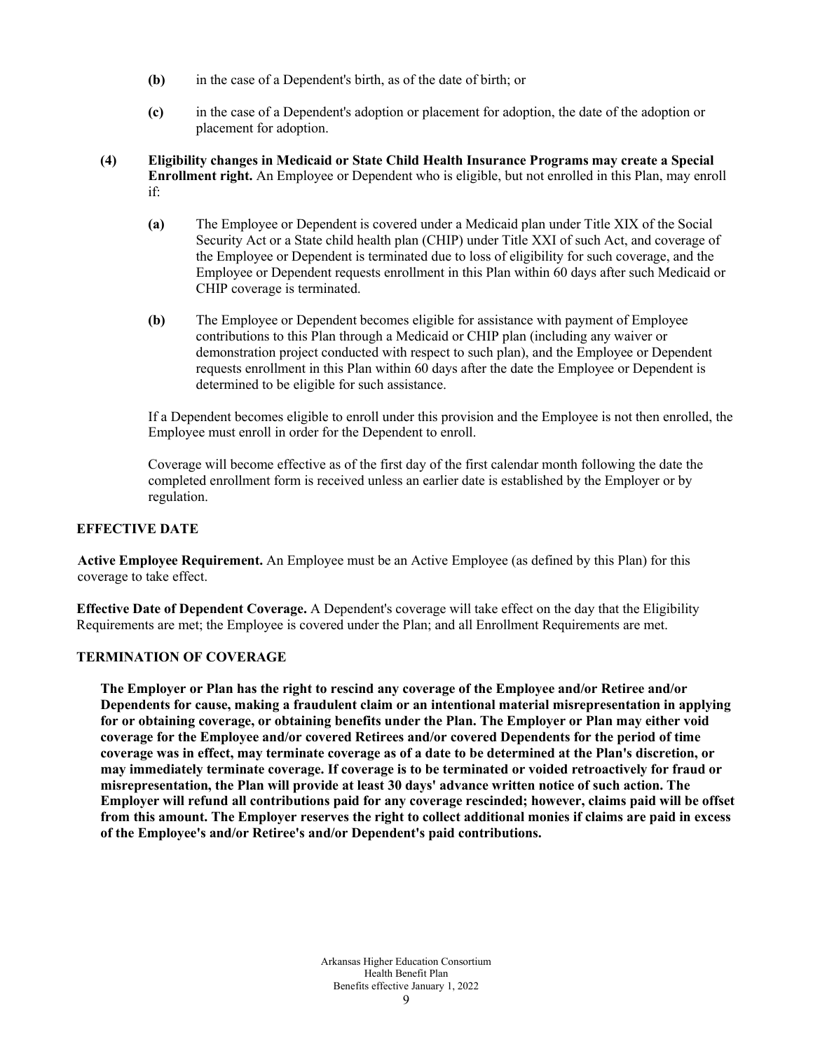- **(b)** in the case of a Dependent's birth, as of the date of birth; or
- **(c)** in the case of a Dependent's adoption or placement for adoption, the date of the adoption or placement for adoption.
- **(4) Eligibility changes in Medicaid or State Child Health Insurance Programs may create a Special Enrollment right.** An Employee or Dependent who is eligible, but not enrolled in this Plan, may enroll if:
	- **(a)** The Employee or Dependent is covered under a Medicaid plan under Title XIX of the Social Security Act or a State child health plan (CHIP) under Title XXI of such Act, and coverage of the Employee or Dependent is terminated due to loss of eligibility for such coverage, and the Employee or Dependent requests enrollment in this Plan within 60 days after such Medicaid or CHIP coverage is terminated.
	- **(b)** The Employee or Dependent becomes eligible for assistance with payment of Employee contributions to this Plan through a Medicaid or CHIP plan (including any waiver or demonstration project conducted with respect to such plan), and the Employee or Dependent requests enrollment in this Plan within 60 days after the date the Employee or Dependent is determined to be eligible for such assistance.

If a Dependent becomes eligible to enroll under this provision and the Employee is not then enrolled, the Employee must enroll in order for the Dependent to enroll.

Coverage will become effective as of the first day of the first calendar month following the date the completed enrollment form is received unless an earlier date is established by the Employer or by regulation.

## **EFFECTIVE DATE**

**Active Employee Requirement.** An Employee must be an Active Employee (as defined by this Plan) for this coverage to take effect.

**Effective Date of Dependent Coverage.** A Dependent's coverage will take effect on the day that the Eligibility Requirements are met; the Employee is covered under the Plan; and all Enrollment Requirements are met.

## **TERMINATION OF COVERAGE**

**The Employer or Plan has the right to rescind any coverage of the Employee and/or Retiree and/or Dependents for cause, making a fraudulent claim or an intentional material misrepresentation in applying for or obtaining coverage, or obtaining benefits under the Plan. The Employer or Plan may either void coverage for the Employee and/or covered Retirees and/or covered Dependents for the period of time coverage was in effect, may terminate coverage as of a date to be determined at the Plan's discretion, or may immediately terminate coverage. If coverage is to be terminated or voided retroactively for fraud or misrepresentation, the Plan will provide at least 30 days' advance written notice of such action. The Employer will refund all contributions paid for any coverage rescinded; however, claims paid will be offset from this amount. The Employer reserves the right to collect additional monies if claims are paid in excess of the Employee's and/or Retiree's and/or Dependent's paid contributions.**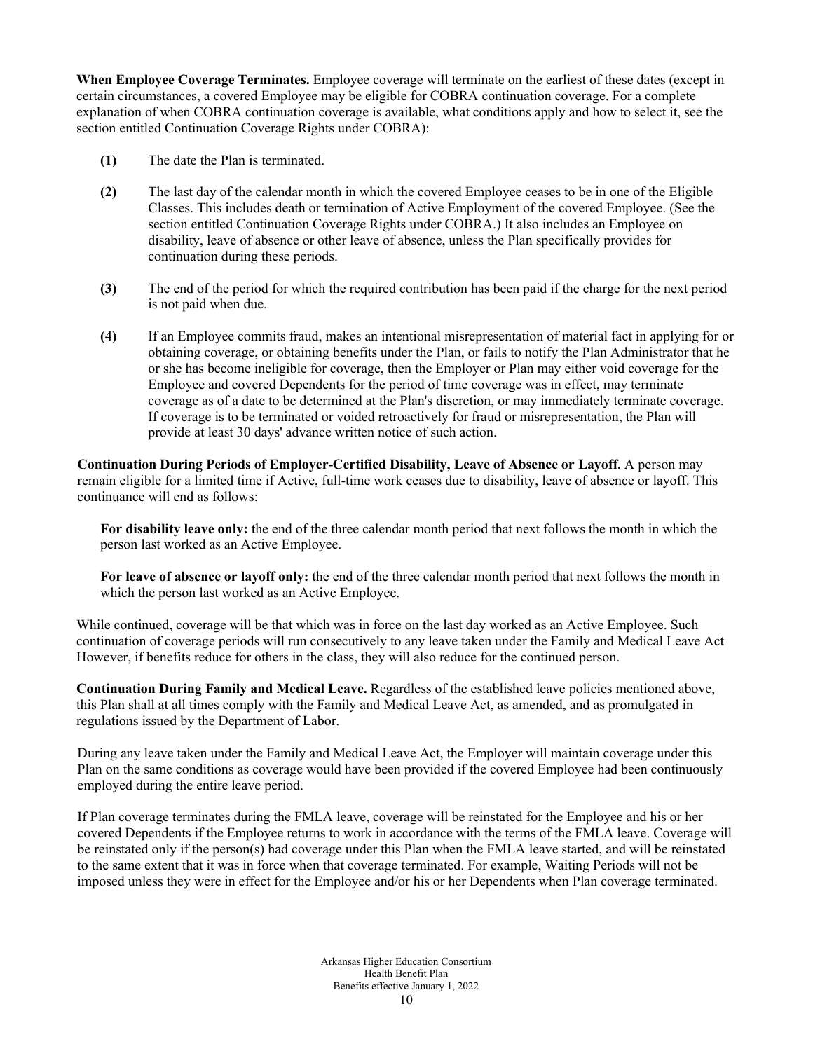**When Employee Coverage Terminates.** Employee coverage will terminate on the earliest of these dates (except in certain circumstances, a covered Employee may be eligible for COBRA continuation coverage. For a complete explanation of when COBRA continuation coverage is available, what conditions apply and how to select it, see the section entitled Continuation Coverage Rights under COBRA):

- **(1)** The date the Plan is terminated.
- **(2)** The last day of the calendar month in which the covered Employee ceases to be in one of the Eligible Classes. This includes death or termination of Active Employment of the covered Employee. (See the section entitled Continuation Coverage Rights under COBRA.) It also includes an Employee on disability, leave of absence or other leave of absence, unless the Plan specifically provides for continuation during these periods.
- **(3)** The end of the period for which the required contribution has been paid if the charge for the next period is not paid when due.
- **(4)** If an Employee commits fraud, makes an intentional misrepresentation of material fact in applying for or obtaining coverage, or obtaining benefits under the Plan, or fails to notify the Plan Administrator that he or she has become ineligible for coverage, then the Employer or Plan may either void coverage for the Employee and covered Dependents for the period of time coverage was in effect, may terminate coverage as of a date to be determined at the Plan's discretion, or may immediately terminate coverage. If coverage is to be terminated or voided retroactively for fraud or misrepresentation, the Plan will provide at least 30 days' advance written notice of such action.

**Continuation During Periods of Employer-Certified Disability, Leave of Absence or Layoff.** A person may remain eligible for a limited time if Active, full-time work ceases due to disability, leave of absence or layoff. This continuance will end as follows:

**For disability leave only:** the end of the three calendar month period that next follows the month in which the person last worked as an Active Employee.

**For leave of absence or layoff only:** the end of the three calendar month period that next follows the month in which the person last worked as an Active Employee.

While continued, coverage will be that which was in force on the last day worked as an Active Employee. Such continuation of coverage periods will run consecutively to any leave taken under the Family and Medical Leave Act However, if benefits reduce for others in the class, they will also reduce for the continued person.

**Continuation During Family and Medical Leave.** Regardless of the established leave policies mentioned above, this Plan shall at all times comply with the Family and Medical Leave Act, as amended, and as promulgated in regulations issued by the Department of Labor.

During any leave taken under the Family and Medical Leave Act, the Employer will maintain coverage under this Plan on the same conditions as coverage would have been provided if the covered Employee had been continuously employed during the entire leave period.

If Plan coverage terminates during the FMLA leave, coverage will be reinstated for the Employee and his or her covered Dependents if the Employee returns to work in accordance with the terms of the FMLA leave. Coverage will be reinstated only if the person(s) had coverage under this Plan when the FMLA leave started, and will be reinstated to the same extent that it was in force when that coverage terminated. For example, Waiting Periods will not be imposed unless they were in effect for the Employee and/or his or her Dependents when Plan coverage terminated.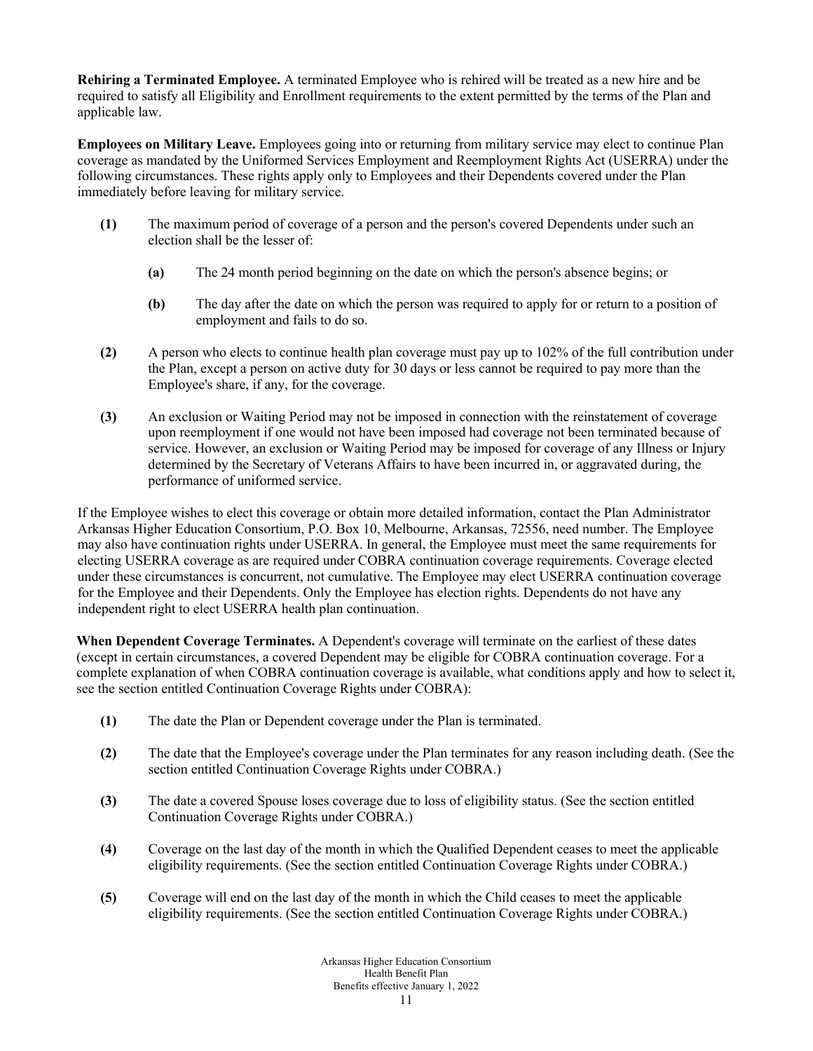**Rehiring a Terminated Employee.** A terminated Employee who is rehired will be treated as a new hire and be required to satisfy all Eligibility and Enrollment requirements to the extent permitted by the terms of the Plan and applicable law.

**Employees on Military Leave.** Employees going into or returning from military service may elect to continue Plan coverage as mandated by the Uniformed Services Employment and Reemployment Rights Act (USERRA) under the following circumstances. These rights apply only to Employees and their Dependents covered under the Plan immediately before leaving for military service.

- **(1)** The maximum period of coverage of a person and the person's covered Dependents under such an election shall be the lesser of:
	- **(a)** The 24 month period beginning on the date on which the person's absence begins; or
	- **(b)** The day after the date on which the person was required to apply for or return to a position of employment and fails to do so.
- **(2)** A person who elects to continue health plan coverage must pay up to 102% of the full contribution under the Plan, except a person on active duty for 30 days or less cannot be required to pay more than the Employee's share, if any, for the coverage.
- **(3)** An exclusion or Waiting Period may not be imposed in connection with the reinstatement of coverage upon reemployment if one would not have been imposed had coverage not been terminated because of service. However, an exclusion or Waiting Period may be imposed for coverage of any Illness or Injury determined by the Secretary of Veterans Affairs to have been incurred in, or aggravated during, the performance of uniformed service.

If the Employee wishes to elect this coverage or obtain more detailed information, contact the Plan Administrator Arkansas Higher Education Consortium, P.O. Box 10, Melbourne, Arkansas, 72556, need number. The Employee may also have continuation rights under USERRA. In general, the Employee must meet the same requirements for electing USERRA coverage as are required under COBRA continuation coverage requirements. Coverage elected under these circumstances is concurrent, not cumulative. The Employee may elect USERRA continuation coverage for the Employee and their Dependents. Only the Employee has election rights. Dependents do not have any independent right to elect USERRA health plan continuation.

**When Dependent Coverage Terminates.** A Dependent's coverage will terminate on the earliest of these dates (except in certain circumstances, a covered Dependent may be eligible for COBRA continuation coverage. For a complete explanation of when COBRA continuation coverage is available, what conditions apply and how to select it, see the section entitled Continuation Coverage Rights under COBRA):

- **(1)** The date the Plan or Dependent coverage under the Plan is terminated.
- **(2)** The date that the Employee's coverage under the Plan terminates for any reason including death. (See the section entitled Continuation Coverage Rights under COBRA.)
- **(3)** The date a covered Spouse loses coverage due to loss of eligibility status. (See the section entitled Continuation Coverage Rights under COBRA.)
- **(4)** Coverage on the last day of the month in which the Qualified Dependent ceases to meet the applicable eligibility requirements. (See the section entitled Continuation Coverage Rights under COBRA.)
- **(5)** Coverage will end on the last day of the month in which the Child ceases to meet the applicable eligibility requirements. (See the section entitled Continuation Coverage Rights under COBRA.)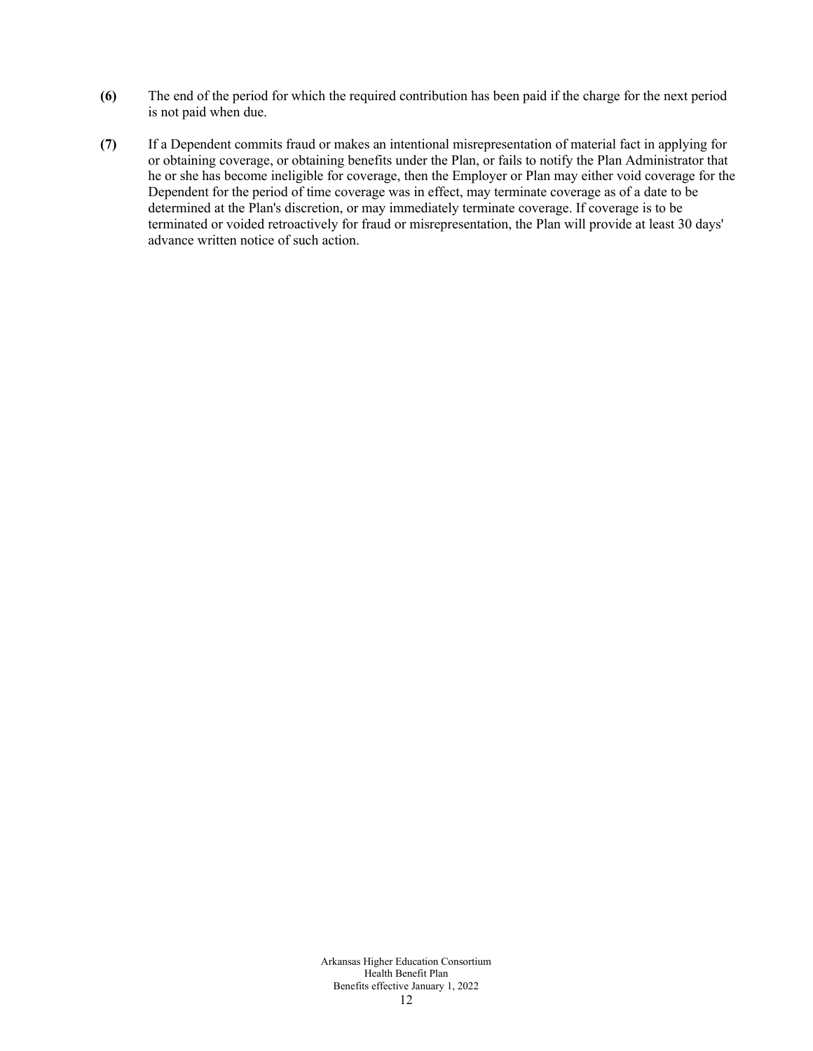- **(6)** The end of the period for which the required contribution has been paid if the charge for the next period is not paid when due.
- **(7)** If a Dependent commits fraud or makes an intentional misrepresentation of material fact in applying for or obtaining coverage, or obtaining benefits under the Plan, or fails to notify the Plan Administrator that he or she has become ineligible for coverage, then the Employer or Plan may either void coverage for the Dependent for the period of time coverage was in effect, may terminate coverage as of a date to be determined at the Plan's discretion, or may immediately terminate coverage. If coverage is to be terminated or voided retroactively for fraud or misrepresentation, the Plan will provide at least 30 days' advance written notice of such action.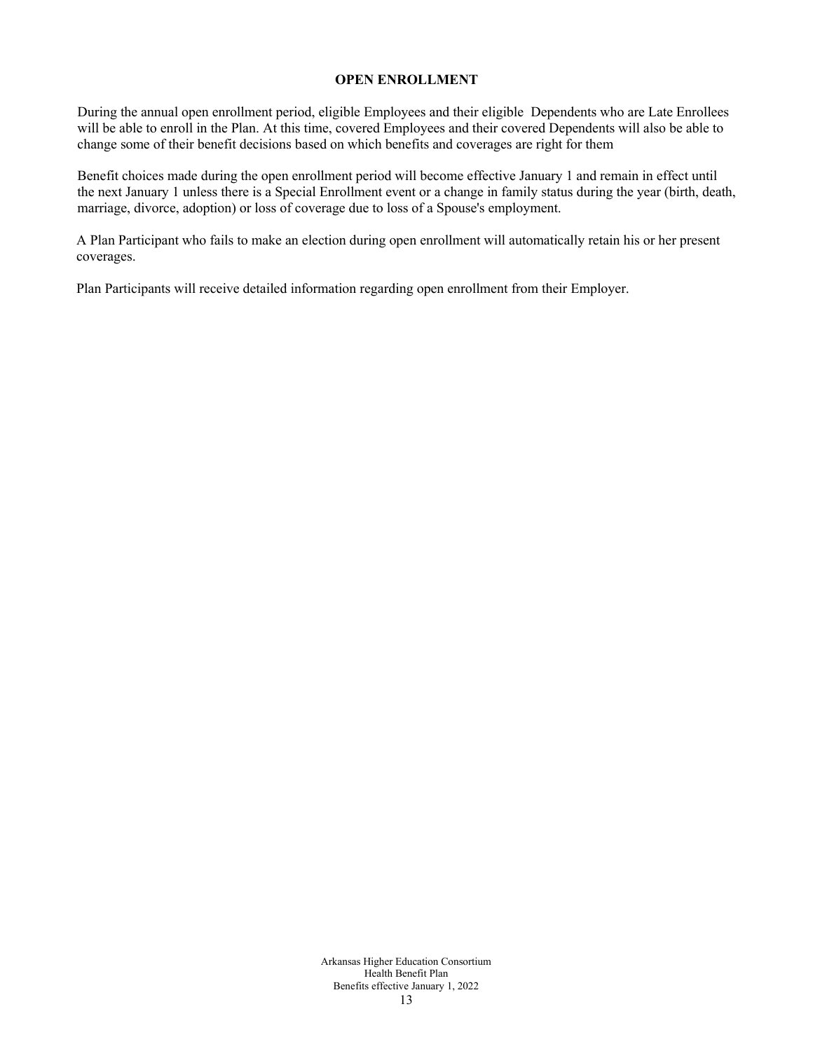### **OPEN ENROLLMENT**

During the annual open enrollment period, eligible Employees and their eligible Dependents who are Late Enrollees will be able to enroll in the Plan. At this time, covered Employees and their covered Dependents will also be able to change some of their benefit decisions based on which benefits and coverages are right for them

Benefit choices made during the open enrollment period will become effective January 1 and remain in effect until the next January 1 unless there is a Special Enrollment event or a change in family status during the year (birth, death, marriage, divorce, adoption) or loss of coverage due to loss of a Spouse's employment.

A Plan Participant who fails to make an election during open enrollment will automatically retain his or her present coverages.

Plan Participants will receive detailed information regarding open enrollment from their Employer.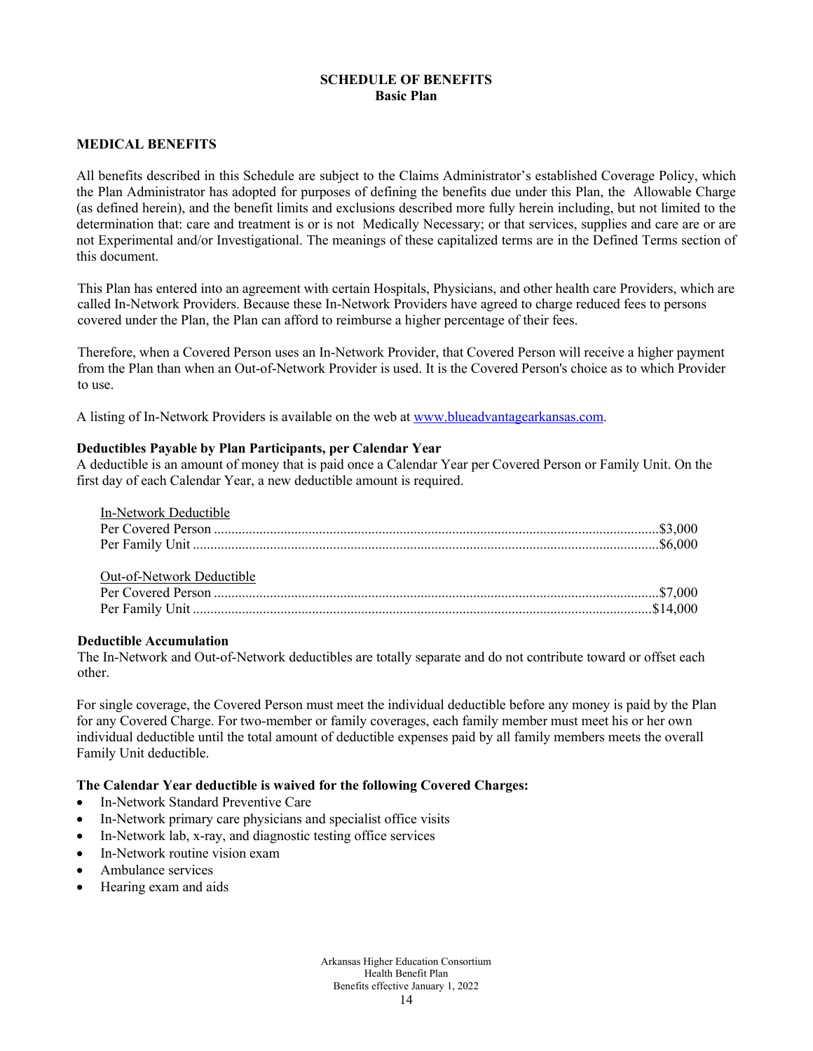## **SCHEDULE OF BENEFITS Basic Plan**

### **MEDICAL BENEFITS**

All benefits described in this Schedule are subject to the Claims Administrator's established Coverage Policy, which the Plan Administrator has adopted for purposes of defining the benefits due under this Plan, the Allowable Charge (as defined herein), and the benefit limits and exclusions described more fully herein including, but not limited to the determination that: care and treatment is or is not Medically Necessary; or that services, supplies and care are or are not Experimental and/or Investigational. The meanings of these capitalized terms are in the Defined Terms section of this document.

This Plan has entered into an agreement with certain Hospitals, Physicians, and other health care Providers, which are called In-Network Providers. Because these In-Network Providers have agreed to charge reduced fees to persons covered under the Plan, the Plan can afford to reimburse a higher percentage of their fees.

Therefore, when a Covered Person uses an In-Network Provider, that Covered Person will receive a higher payment from the Plan than when an Out-of-Network Provider is used. It is the Covered Person's choice as to which Provider to use.

A listing of In-Network Providers is available on the web a[t www.blueadvantagearkansas.com.](http://www.blueadvantagearkansas.com/)

### **Deductibles Payable by Plan Participants, per Calendar Year**

A deductible is an amount of money that is paid once a Calendar Year per Covered Person or Family Unit. On the first day of each Calendar Year, a new deductible amount is required.

| In-Network Deductible     |  |
|---------------------------|--|
|                           |  |
|                           |  |
|                           |  |
| Out-of-Network Deductible |  |
|                           |  |
|                           |  |

#### **Deductible Accumulation**

The In-Network and Out-of-Network deductibles are totally separate and do not contribute toward or offset each other.

For single coverage, the Covered Person must meet the individual deductible before any money is paid by the Plan for any Covered Charge. For two-member or family coverages, each family member must meet his or her own individual deductible until the total amount of deductible expenses paid by all family members meets the overall Family Unit deductible.

### **The Calendar Year deductible is waived for the following Covered Charges:**

- In-Network Standard Preventive Care
- In-Network primary care physicians and specialist office visits
- In-Network lab, x-ray, and diagnostic testing office services
- In-Network routine vision exam
- Ambulance services
- Hearing exam and aids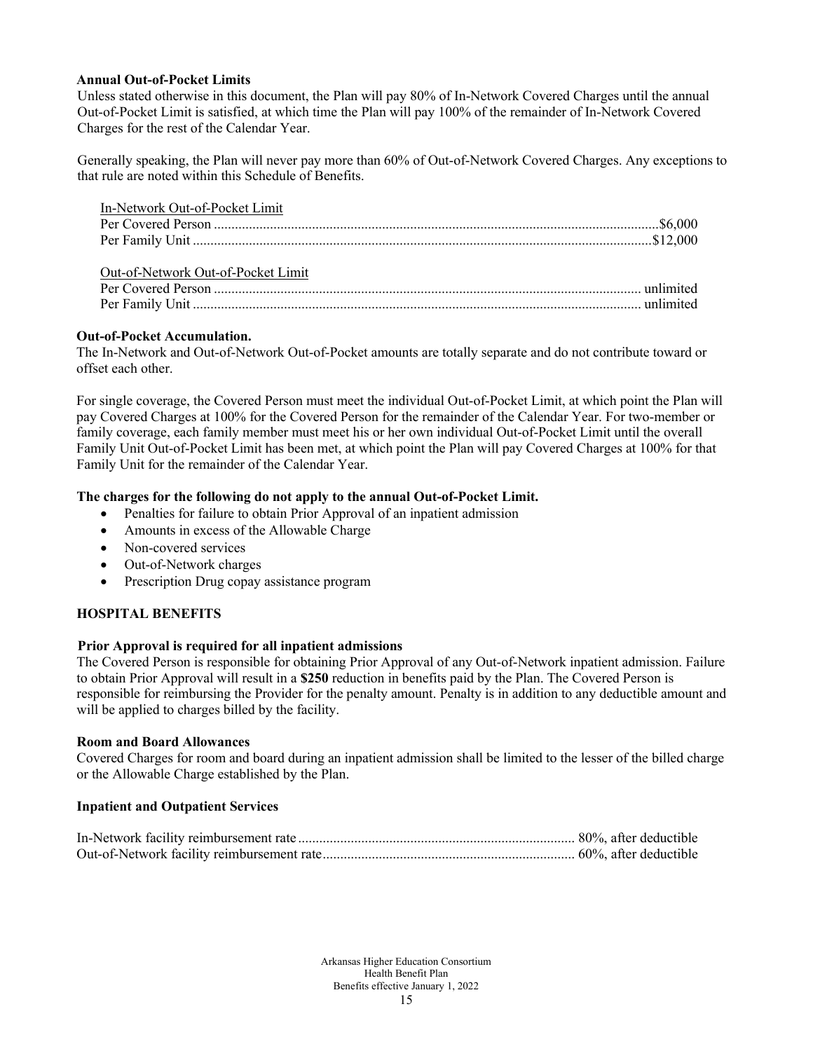### **Annual Out-of-Pocket Limits**

Unless stated otherwise in this document, the Plan will pay 80% of In-Network Covered Charges until the annual Out-of-Pocket Limit is satisfied, at which time the Plan will pay 100% of the remainder of In-Network Covered Charges for the rest of the Calendar Year.

Generally speaking, the Plan will never pay more than 60% of Out-of-Network Covered Charges. Any exceptions to that rule are noted within this Schedule of Benefits.

| In-Network Out-of-Pocket Limit     |  |
|------------------------------------|--|
|                                    |  |
|                                    |  |
| Out-of-Network Out-of-Pocket Limit |  |
|                                    |  |
|                                    |  |

### **Out-of-Pocket Accumulation.**

The In-Network and Out-of-Network Out-of-Pocket amounts are totally separate and do not contribute toward or offset each other.

For single coverage, the Covered Person must meet the individual Out-of-Pocket Limit, at which point the Plan will pay Covered Charges at 100% for the Covered Person for the remainder of the Calendar Year. For two-member or family coverage, each family member must meet his or her own individual Out-of-Pocket Limit until the overall Family Unit Out-of-Pocket Limit has been met, at which point the Plan will pay Covered Charges at 100% for that Family Unit for the remainder of the Calendar Year.

### **The charges for the following do not apply to the annual Out-of-Pocket Limit.**

- Penalties for failure to obtain Prior Approval of an inpatient admission
- Amounts in excess of the Allowable Charge
- Non-covered services
- Out-of-Network charges
- Prescription Drug copay assistance program

## **HOSPITAL BENEFITS**

#### **Prior Approval is required for all inpatient admissions**

The Covered Person is responsible for obtaining Prior Approval of any Out-of-Network inpatient admission. Failure to obtain Prior Approval will result in a **\$250** reduction in benefits paid by the Plan. The Covered Person is responsible for reimbursing the Provider for the penalty amount. Penalty is in addition to any deductible amount and will be applied to charges billed by the facility.

#### **Room and Board Allowances**

Covered Charges for room and board during an inpatient admission shall be limited to the lesser of the billed charge or the Allowable Charge established by the Plan.

#### **Inpatient and Outpatient Services**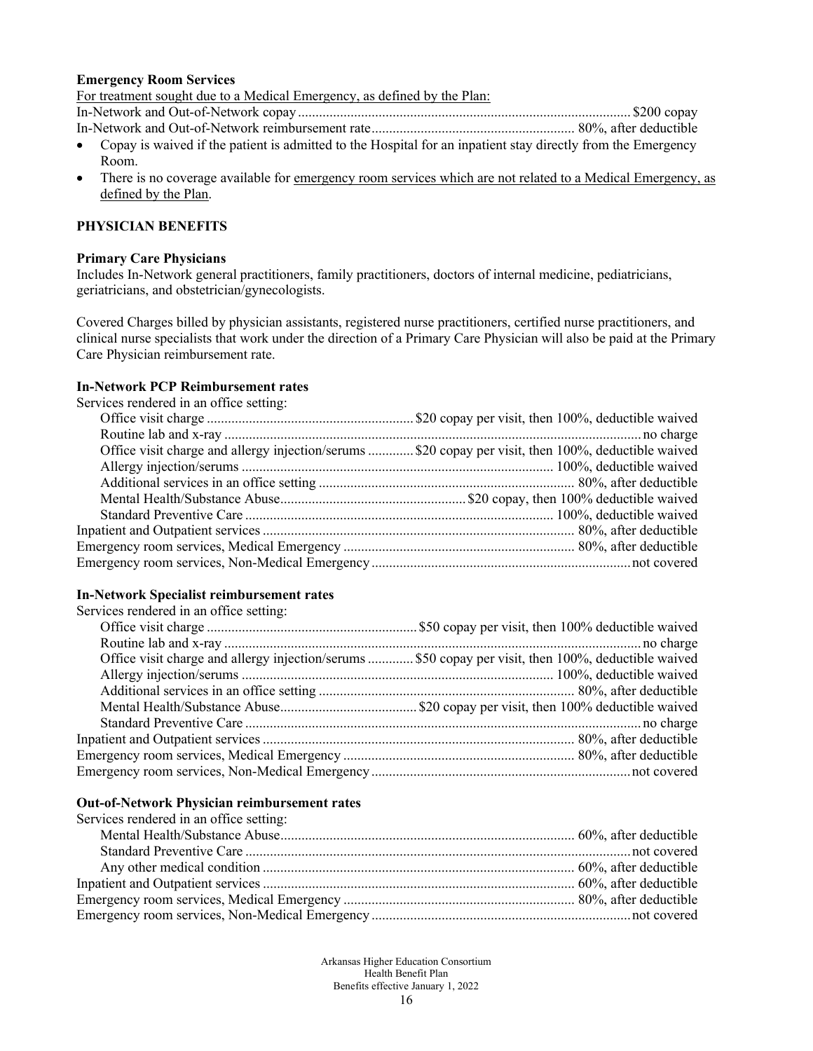#### **Emergency Room Services**

For treatment sought due to a Medical Emergency, as defined by the Plan:

In-Network and Out-of-Network copay............................................................................................... \$200 copay

- In-Network and Out-of-Network reimbursement rate.......................................................... 80%, after deductible
- Copay is waived if the patient is admitted to the Hospital for an inpatient stay directly from the Emergency Room.
- There is no coverage available for <u>emergency room services which are not related to a Medical Emergency, as</u> defined by the Plan.

## **PHYSICIAN BENEFITS**

#### **Primary Care Physicians**

Includes In-Network general practitioners, family practitioners, doctors of internal medicine, pediatricians, geriatricians, and obstetrician/gynecologists.

Covered Charges billed by physician assistants, registered nurse practitioners, certified nurse practitioners, and clinical nurse specialists that work under the direction of a Primary Care Physician will also be paid at the Primary Care Physician reimbursement rate.

## **In-Network PCP Reimbursement rates**

Services rendered in an office setting:

| Office visit charge and allergy injection/serums \$20 copay per visit, then 100%, deductible waived |
|-----------------------------------------------------------------------------------------------------|
|                                                                                                     |
|                                                                                                     |
|                                                                                                     |
|                                                                                                     |
|                                                                                                     |
|                                                                                                     |
|                                                                                                     |
|                                                                                                     |

### **In-Network Specialist reimbursement rates**

Services rendered in an office setting:

| Office visit charge and allergy injection/serums  \$50 copay per visit, then 100%, deductible waived |
|------------------------------------------------------------------------------------------------------|
|                                                                                                      |
|                                                                                                      |
|                                                                                                      |
|                                                                                                      |
|                                                                                                      |
|                                                                                                      |
|                                                                                                      |
|                                                                                                      |

#### **Out-of-Network Physician reimbursement rates**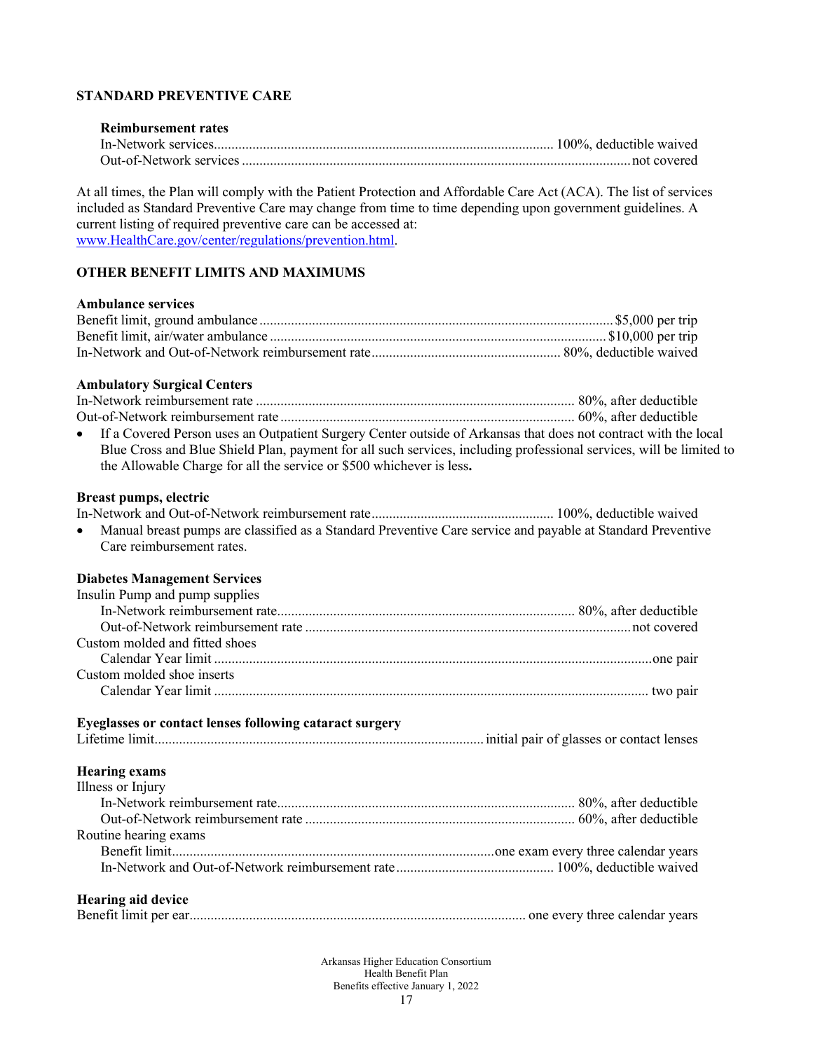## **STANDARD PREVENTIVE CARE**

# **Reimbursement rates**

At all times, the Plan will comply with the Patient Protection and Affordable Care Act (ACA). The list of services included as Standard Preventive Care may change from time to time depending upon government guidelines. A current listing of required preventive care can be accessed at: [www.HealthCare.gov/center/regulations/prevention.html.](http://www.healthcare.gov/center/regulations/prevention.html)

## **OTHER BENEFIT LIMITS AND MAXIMUMS**

### **Ambulance services**

### **Ambulatory Surgical Centers**

| • If a Covered Person uses an Outpatient Surgery Center outside of Arkansas that does not contract with the local   |  |
|---------------------------------------------------------------------------------------------------------------------|--|
| Blue Cross and Blue Shield Plan, payment for all such services, including professional services, will be limited to |  |
| the Allowable Charge for all the service or \$500 whichever is less.                                                |  |

### **Breast pumps, electric**

| • Manual breast pumps are classified as a Standard Preventive Care service and payable at Standard Preventive |  |
|---------------------------------------------------------------------------------------------------------------|--|
| Care reimbursement rates.                                                                                     |  |

## **Diabetes Management Services**

| Insulin Pump and pump supplies |  |
|--------------------------------|--|
|                                |  |
|                                |  |
| Custom molded and fitted shoes |  |
|                                |  |
| Custom molded shoe inserts     |  |
|                                |  |

## **Eyeglasses or contact lenses following cataract surgery**

### **Hearing exams**

| Illness or Injury     |  |
|-----------------------|--|
|                       |  |
|                       |  |
| Routine hearing exams |  |
|                       |  |
|                       |  |
|                       |  |

# **Hearing aid device**

|--|--|--|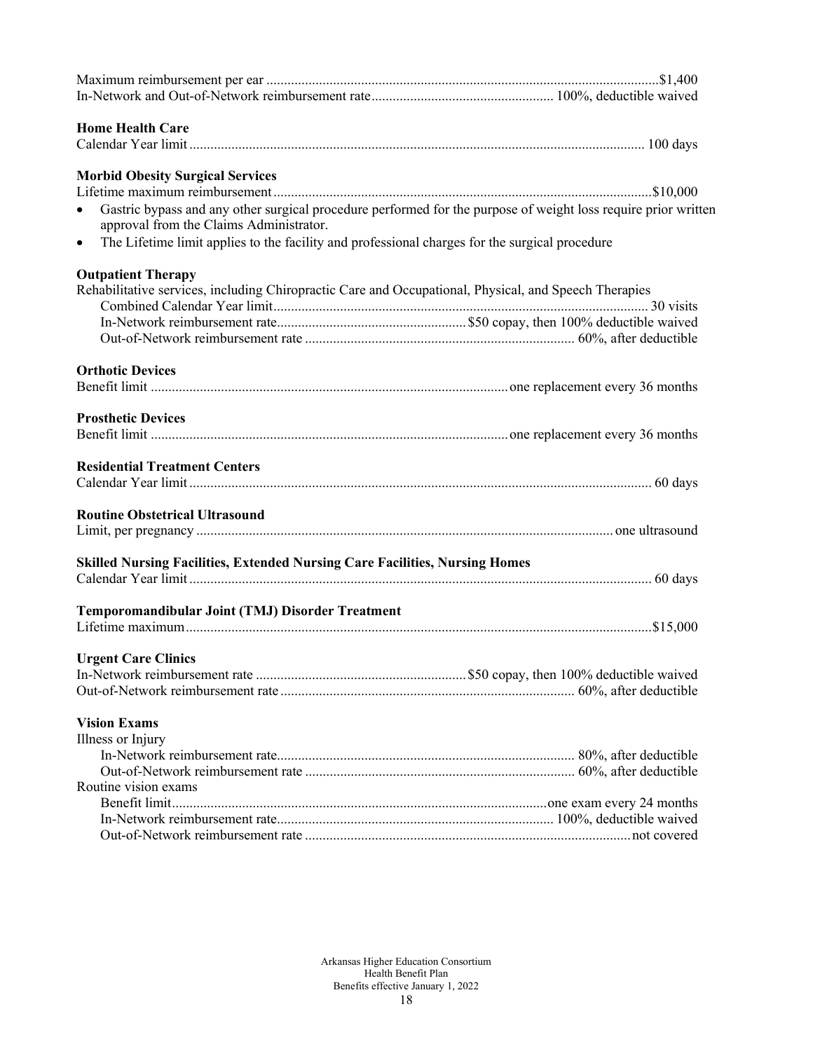| <b>Home Health Care</b>                                                                                                                                                |  |
|------------------------------------------------------------------------------------------------------------------------------------------------------------------------|--|
|                                                                                                                                                                        |  |
| <b>Morbid Obesity Surgical Services</b>                                                                                                                                |  |
|                                                                                                                                                                        |  |
| Gastric bypass and any other surgical procedure performed for the purpose of weight loss require prior written<br>$\bullet$<br>approval from the Claims Administrator. |  |
| The Lifetime limit applies to the facility and professional charges for the surgical procedure<br>$\bullet$                                                            |  |
| <b>Outpatient Therapy</b>                                                                                                                                              |  |
| Rehabilitative services, including Chiropractic Care and Occupational, Physical, and Speech Therapies                                                                  |  |
|                                                                                                                                                                        |  |
|                                                                                                                                                                        |  |
|                                                                                                                                                                        |  |
| <b>Orthotic Devices</b>                                                                                                                                                |  |
|                                                                                                                                                                        |  |
|                                                                                                                                                                        |  |
| <b>Prosthetic Devices</b>                                                                                                                                              |  |
|                                                                                                                                                                        |  |
| <b>Residential Treatment Centers</b>                                                                                                                                   |  |
|                                                                                                                                                                        |  |
| <b>Routine Obstetrical Ultrasound</b>                                                                                                                                  |  |
|                                                                                                                                                                        |  |
| Skilled Nursing Facilities, Extended Nursing Care Facilities, Nursing Homes                                                                                            |  |
|                                                                                                                                                                        |  |
|                                                                                                                                                                        |  |
| Temporomandibular Joint (TMJ) Disorder Treatment                                                                                                                       |  |
|                                                                                                                                                                        |  |
| <b>Urgent Care Clinics</b>                                                                                                                                             |  |
|                                                                                                                                                                        |  |
|                                                                                                                                                                        |  |
|                                                                                                                                                                        |  |
| <b>Vision Exams</b>                                                                                                                                                    |  |
| Illness or Injury                                                                                                                                                      |  |
|                                                                                                                                                                        |  |
| Routine vision exams                                                                                                                                                   |  |
|                                                                                                                                                                        |  |
|                                                                                                                                                                        |  |
|                                                                                                                                                                        |  |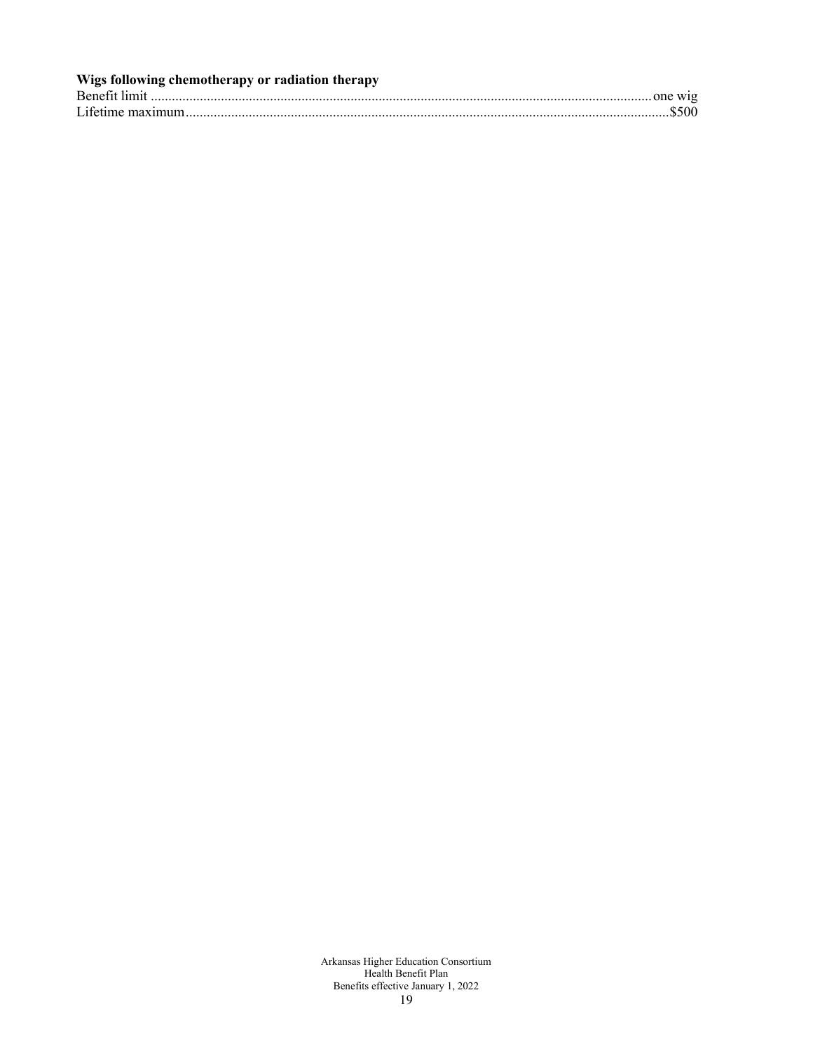| Wigs following chemotherapy or radiation therapy |  |
|--------------------------------------------------|--|
|                                                  |  |
|                                                  |  |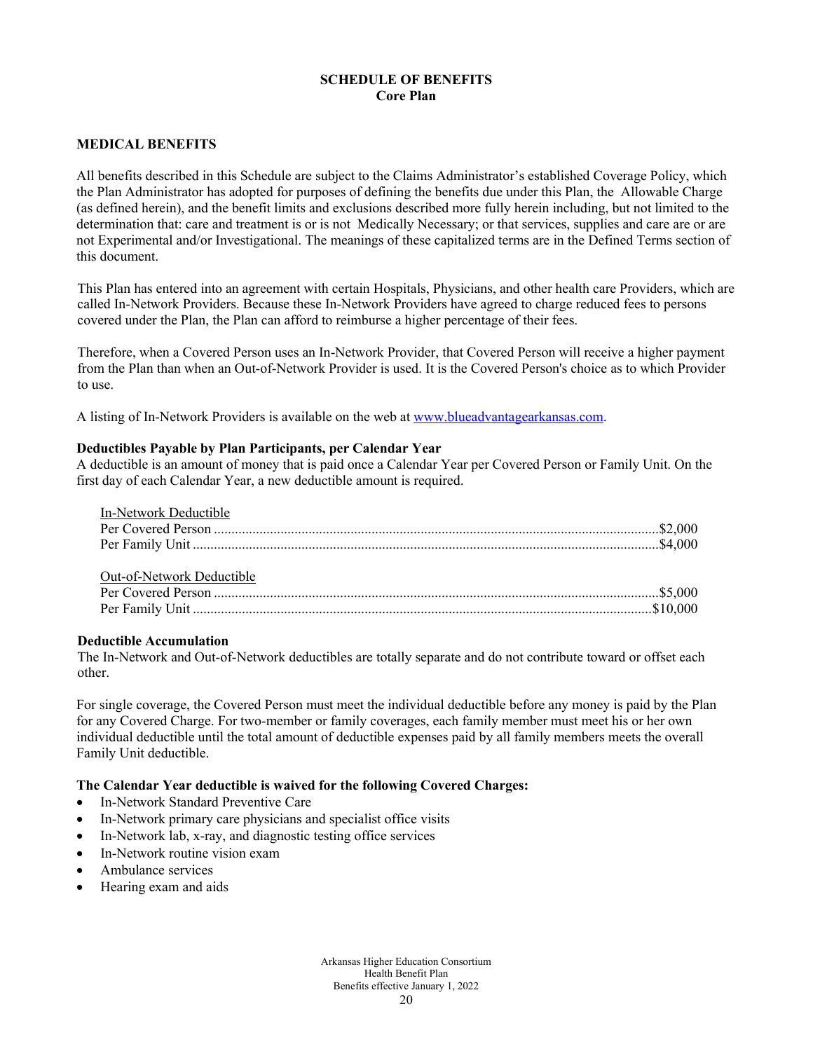## **SCHEDULE OF BENEFITS Core Plan**

### **MEDICAL BENEFITS**

All benefits described in this Schedule are subject to the Claims Administrator's established Coverage Policy, which the Plan Administrator has adopted for purposes of defining the benefits due under this Plan, the Allowable Charge (as defined herein), and the benefit limits and exclusions described more fully herein including, but not limited to the determination that: care and treatment is or is not Medically Necessary; or that services, supplies and care are or are not Experimental and/or Investigational. The meanings of these capitalized terms are in the Defined Terms section of this document.

This Plan has entered into an agreement with certain Hospitals, Physicians, and other health care Providers, which are called In-Network Providers. Because these In-Network Providers have agreed to charge reduced fees to persons covered under the Plan, the Plan can afford to reimburse a higher percentage of their fees.

Therefore, when a Covered Person uses an In-Network Provider, that Covered Person will receive a higher payment from the Plan than when an Out-of-Network Provider is used. It is the Covered Person's choice as to which Provider to use.

A listing of In-Network Providers is available on the web a[t www.blueadvantagearkansas.com.](http://www.blueadvantagearkansas.com/)

### **Deductibles Payable by Plan Participants, per Calendar Year**

A deductible is an amount of money that is paid once a Calendar Year per Covered Person or Family Unit. On the first day of each Calendar Year, a new deductible amount is required.

| In-Network Deductible     |  |
|---------------------------|--|
|                           |  |
|                           |  |
|                           |  |
| Out-of-Network Deductible |  |
|                           |  |
|                           |  |

#### **Deductible Accumulation**

The In-Network and Out-of-Network deductibles are totally separate and do not contribute toward or offset each other.

For single coverage, the Covered Person must meet the individual deductible before any money is paid by the Plan for any Covered Charge. For two-member or family coverages, each family member must meet his or her own individual deductible until the total amount of deductible expenses paid by all family members meets the overall Family Unit deductible.

### **The Calendar Year deductible is waived for the following Covered Charges:**

- In-Network Standard Preventive Care
- In-Network primary care physicians and specialist office visits
- In-Network lab, x-ray, and diagnostic testing office services
- In-Network routine vision exam
- Ambulance services
- Hearing exam and aids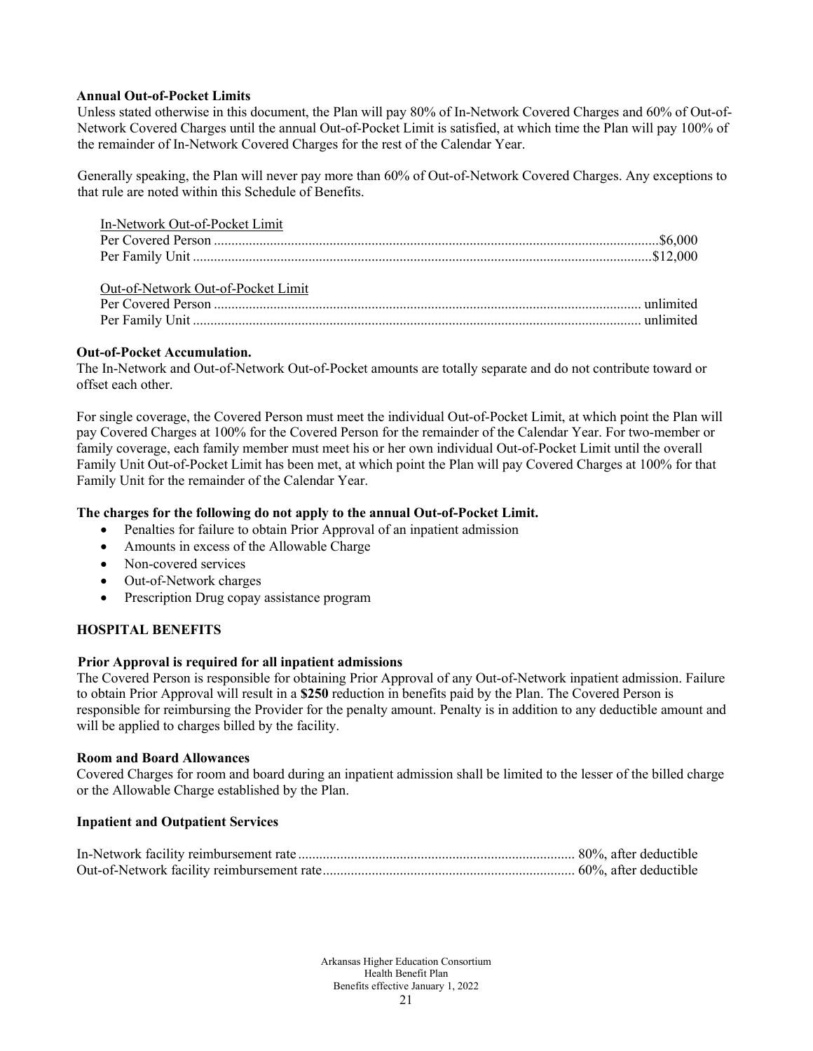### **Annual Out-of-Pocket Limits**

Unless stated otherwise in this document, the Plan will pay 80% of In-Network Covered Charges and 60% of Out-of-Network Covered Charges until the annual Out-of-Pocket Limit is satisfied, at which time the Plan will pay 100% of the remainder of In-Network Covered Charges for the rest of the Calendar Year.

Generally speaking, the Plan will never pay more than 60% of Out-of-Network Covered Charges. Any exceptions to that rule are noted within this Schedule of Benefits.

| In-Network Out-of-Pocket Limit     |  |
|------------------------------------|--|
|                                    |  |
|                                    |  |
| Out-of-Network Out-of-Pocket Limit |  |
|                                    |  |
|                                    |  |

## **Out-of-Pocket Accumulation.**

The In-Network and Out-of-Network Out-of-Pocket amounts are totally separate and do not contribute toward or offset each other.

For single coverage, the Covered Person must meet the individual Out-of-Pocket Limit, at which point the Plan will pay Covered Charges at 100% for the Covered Person for the remainder of the Calendar Year. For two-member or family coverage, each family member must meet his or her own individual Out-of-Pocket Limit until the overall Family Unit Out-of-Pocket Limit has been met, at which point the Plan will pay Covered Charges at 100% for that Family Unit for the remainder of the Calendar Year.

### **The charges for the following do not apply to the annual Out-of-Pocket Limit.**

- Penalties for failure to obtain Prior Approval of an inpatient admission
- Amounts in excess of the Allowable Charge
- Non-covered services
- Out-of-Network charges
- Prescription Drug copay assistance program

## **HOSPITAL BENEFITS**

#### **Prior Approval is required for all inpatient admissions**

The Covered Person is responsible for obtaining Prior Approval of any Out-of-Network inpatient admission. Failure to obtain Prior Approval will result in a **\$250** reduction in benefits paid by the Plan. The Covered Person is responsible for reimbursing the Provider for the penalty amount. Penalty is in addition to any deductible amount and will be applied to charges billed by the facility.

#### **Room and Board Allowances**

Covered Charges for room and board during an inpatient admission shall be limited to the lesser of the billed charge or the Allowable Charge established by the Plan.

#### **Inpatient and Outpatient Services**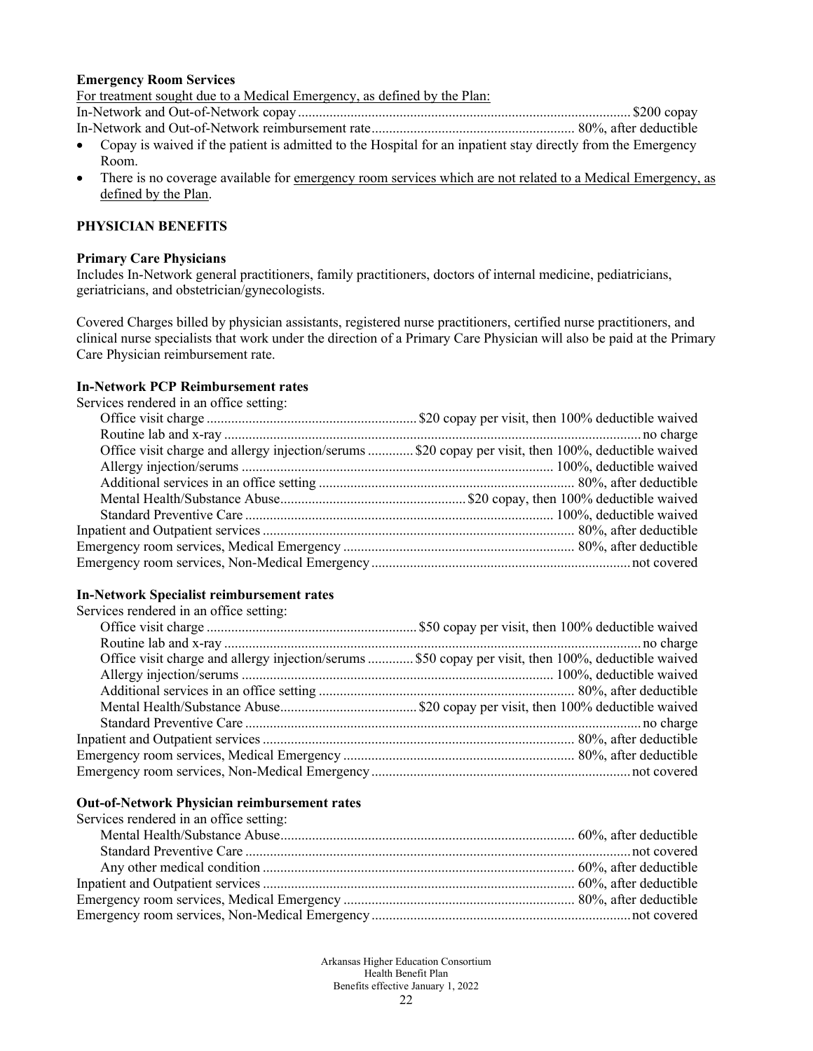#### **Emergency Room Services**

For treatment sought due to a Medical Emergency, as defined by the Plan:

In-Network and Out-of-Network copay............................................................................................... \$200 copay

- In-Network and Out-of-Network reimbursement rate.......................................................... 80%, after deductible
- Copay is waived if the patient is admitted to the Hospital for an inpatient stay directly from the Emergency Room.
- There is no coverage available for <u>emergency room services which are not related to a Medical Emergency, as</u> defined by the Plan.

## **PHYSICIAN BENEFITS**

#### **Primary Care Physicians**

Includes In-Network general practitioners, family practitioners, doctors of internal medicine, pediatricians, geriatricians, and obstetrician/gynecologists.

Covered Charges billed by physician assistants, registered nurse practitioners, certified nurse practitioners, and clinical nurse specialists that work under the direction of a Primary Care Physician will also be paid at the Primary Care Physician reimbursement rate.

## **In-Network PCP Reimbursement rates**

Services rendered in an office setting:

| Office visit charge and allergy injection/serums  \$20 copay per visit, then 100%, deductible waived |
|------------------------------------------------------------------------------------------------------|
|                                                                                                      |
|                                                                                                      |
|                                                                                                      |
|                                                                                                      |
|                                                                                                      |
|                                                                                                      |
|                                                                                                      |
|                                                                                                      |

### **In-Network Specialist reimbursement rates**

Services rendered in an office setting:

| Office visit charge and allergy injection/serums  \$50 copay per visit, then 100%, deductible waived |  |
|------------------------------------------------------------------------------------------------------|--|
|                                                                                                      |  |
|                                                                                                      |  |
|                                                                                                      |  |
|                                                                                                      |  |
|                                                                                                      |  |
|                                                                                                      |  |
|                                                                                                      |  |

#### **Out-of-Network Physician reimbursement rates**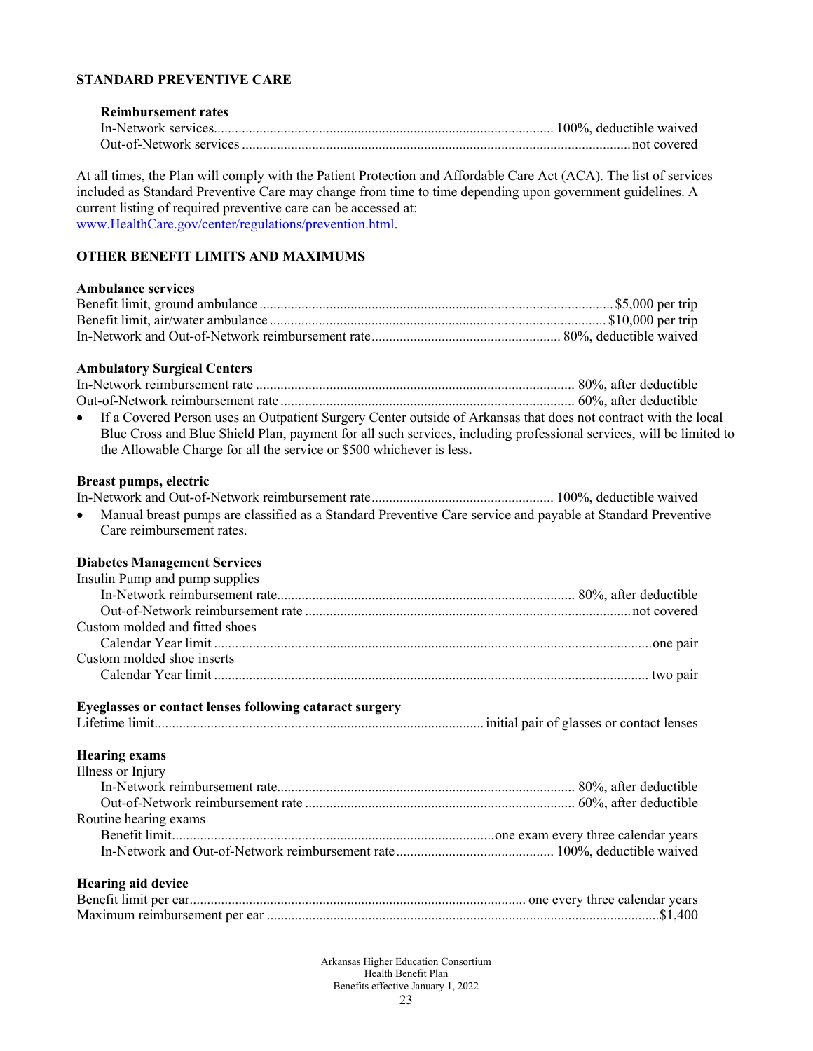## **STANDARD PREVENTIVE CARE**

### **Reimbursement rates** In-Network services................................................................................................. 100%, deductible waived Out-of-Network services...............................................................................................................not covered

At all times, the Plan will comply with the Patient Protection and Affordable Care Act (ACA). The list of services included as Standard Preventive Care may change from time to time depending upon government guidelines. A current listing of required preventive care can be accessed at: [www.HealthCare.gov/center/regulations/prevention.html.](http://www.healthcare.gov/center/regulations/prevention.html)

# **OTHER BENEFIT LIMITS AND MAXIMUMS**

#### **Ambulance services**

#### **Ambulatory Surgical Centers**

| • If a Covered Person uses an Outpatient Surgery Center outside of Arkansas that does not contract with the local   |  |
|---------------------------------------------------------------------------------------------------------------------|--|
| Blue Cross and Blue Shield Plan, payment for all such services, including professional services, will be limited to |  |
| the Allowable Charge for all the service or \$500 whichever is less.                                                |  |

#### **Breast pumps, electric**

In-Network and Out-of-Network reimbursement rate.................................................... 100%, deductible waived • Manual breast pumps are classified as a Standard Preventive Care service and payable at Standard Preventive

Care reimbursement rates.

#### **Diabetes Management Services**

#### **Eyeglasses or contact lenses following cataract surgery**

Lifetime limit..............................................................................................initial pair of glasses or contact lenses

### **Hearing exams**

| Illness or Injury     |  |
|-----------------------|--|
|                       |  |
|                       |  |
| Routine hearing exams |  |
|                       |  |
|                       |  |

### **Hearing aid device**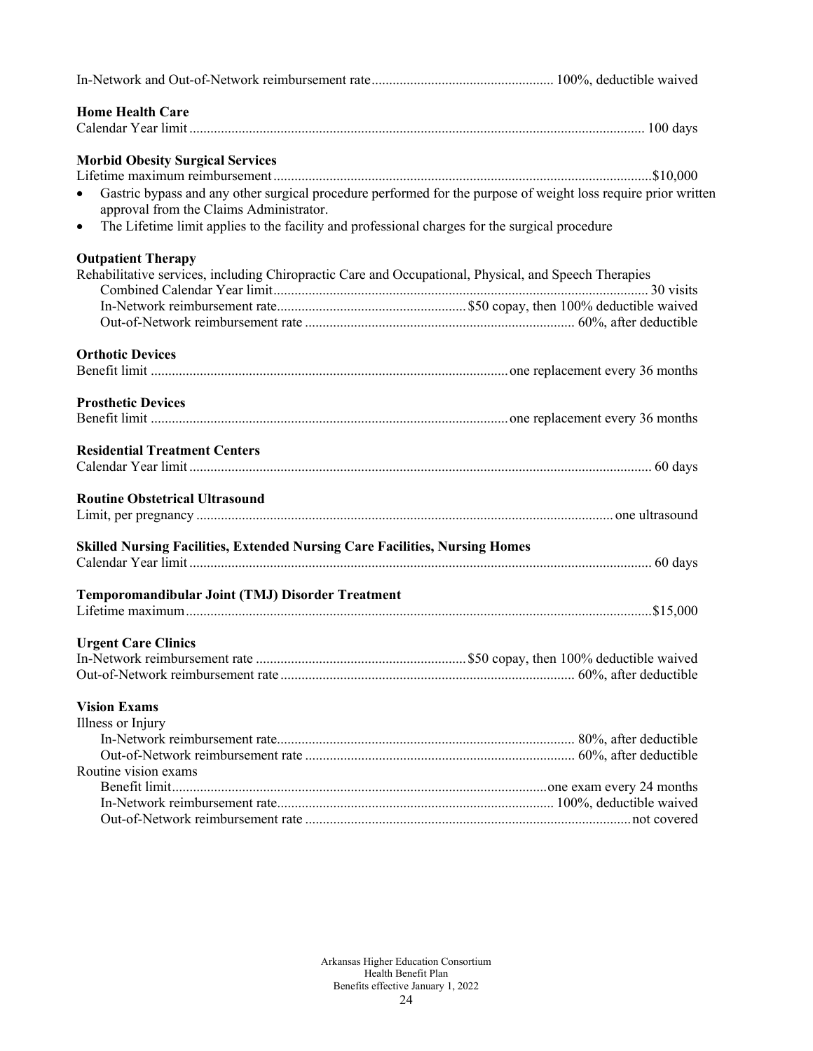| <b>Home Health Care</b>                                                                                                                                                |  |
|------------------------------------------------------------------------------------------------------------------------------------------------------------------------|--|
|                                                                                                                                                                        |  |
| <b>Morbid Obesity Surgical Services</b>                                                                                                                                |  |
|                                                                                                                                                                        |  |
| Gastric bypass and any other surgical procedure performed for the purpose of weight loss require prior written<br>$\bullet$<br>approval from the Claims Administrator. |  |
| The Lifetime limit applies to the facility and professional charges for the surgical procedure<br>$\bullet$                                                            |  |
| <b>Outpatient Therapy</b>                                                                                                                                              |  |
| Rehabilitative services, including Chiropractic Care and Occupational, Physical, and Speech Therapies                                                                  |  |
|                                                                                                                                                                        |  |
|                                                                                                                                                                        |  |
|                                                                                                                                                                        |  |
| <b>Orthotic Devices</b>                                                                                                                                                |  |
|                                                                                                                                                                        |  |
|                                                                                                                                                                        |  |
| <b>Prosthetic Devices</b>                                                                                                                                              |  |
|                                                                                                                                                                        |  |
| <b>Residential Treatment Centers</b>                                                                                                                                   |  |
|                                                                                                                                                                        |  |
| <b>Routine Obstetrical Ultrasound</b>                                                                                                                                  |  |
|                                                                                                                                                                        |  |
|                                                                                                                                                                        |  |
| Skilled Nursing Facilities, Extended Nursing Care Facilities, Nursing Homes                                                                                            |  |
|                                                                                                                                                                        |  |
| Temporomandibular Joint (TMJ) Disorder Treatment                                                                                                                       |  |
|                                                                                                                                                                        |  |
|                                                                                                                                                                        |  |
| <b>Urgent Care Clinics</b>                                                                                                                                             |  |
|                                                                                                                                                                        |  |
|                                                                                                                                                                        |  |
| <b>Vision Exams</b>                                                                                                                                                    |  |
| Illness or Injury                                                                                                                                                      |  |
|                                                                                                                                                                        |  |
|                                                                                                                                                                        |  |
| Routine vision exams                                                                                                                                                   |  |
|                                                                                                                                                                        |  |
|                                                                                                                                                                        |  |
|                                                                                                                                                                        |  |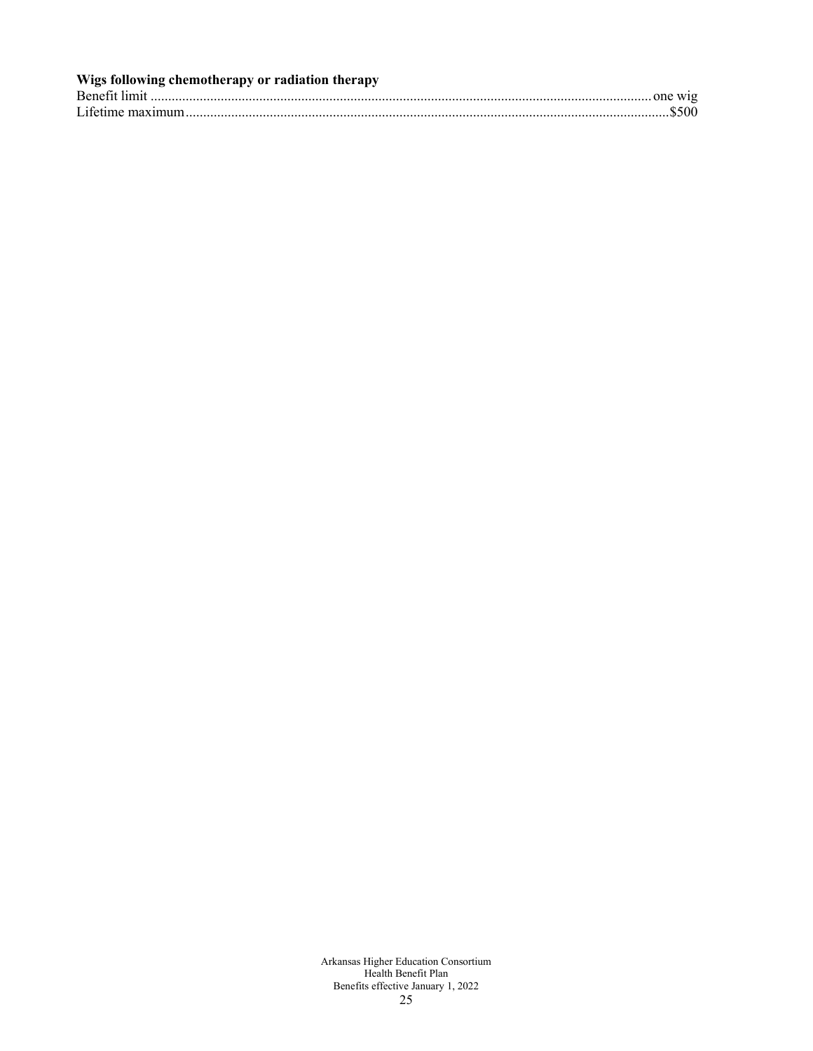| Wigs following chemotherapy or radiation therapy |  |
|--------------------------------------------------|--|
|                                                  |  |
|                                                  |  |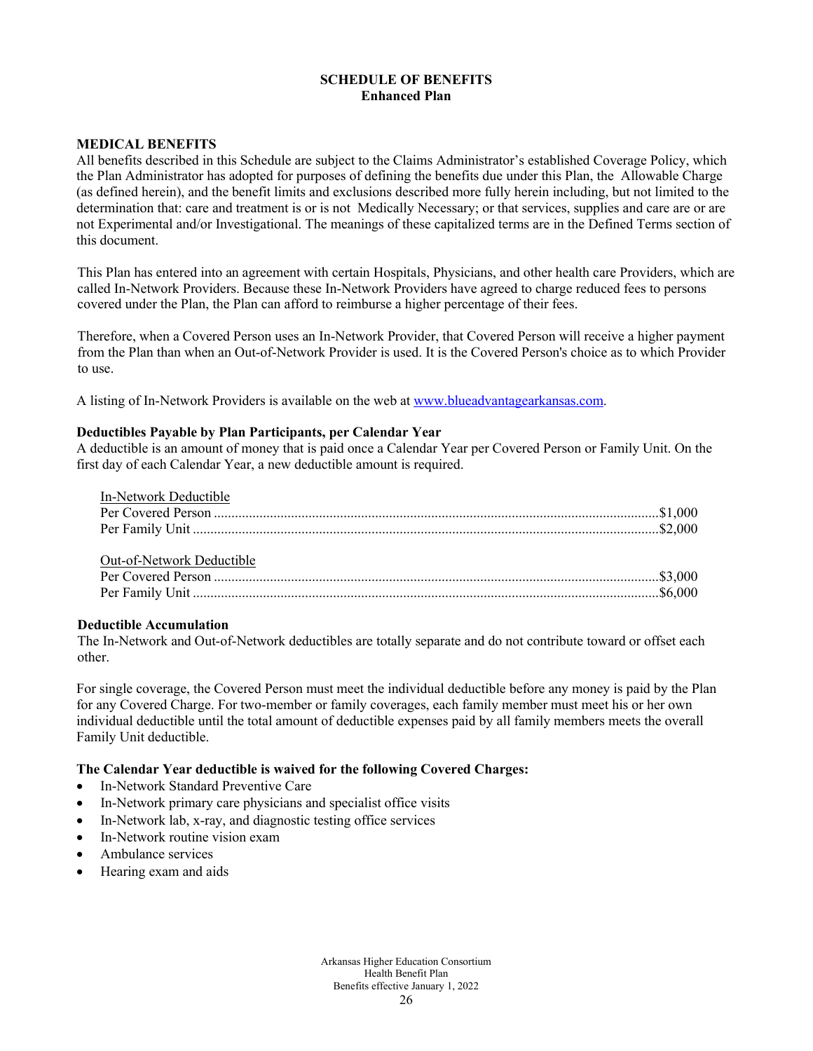## **SCHEDULE OF BENEFITS Enhanced Plan**

### **MEDICAL BENEFITS**

All benefits described in this Schedule are subject to the Claims Administrator's established Coverage Policy, which the Plan Administrator has adopted for purposes of defining the benefits due under this Plan, the Allowable Charge (as defined herein), and the benefit limits and exclusions described more fully herein including, but not limited to the determination that: care and treatment is or is not Medically Necessary; or that services, supplies and care are or are not Experimental and/or Investigational. The meanings of these capitalized terms are in the Defined Terms section of this document.

This Plan has entered into an agreement with certain Hospitals, Physicians, and other health care Providers, which are called In-Network Providers. Because these In-Network Providers have agreed to charge reduced fees to persons covered under the Plan, the Plan can afford to reimburse a higher percentage of their fees.

Therefore, when a Covered Person uses an In-Network Provider, that Covered Person will receive a higher payment from the Plan than when an Out-of-Network Provider is used. It is the Covered Person's choice as to which Provider to use.

A listing of In-Network Providers is available on the web a[t www.blueadvantagearkansas.com.](http://www.blueadvantagearkansas.com/)

#### **Deductibles Payable by Plan Participants, per Calendar Year**

A deductible is an amount of money that is paid once a Calendar Year per Covered Person or Family Unit. On the first day of each Calendar Year, a new deductible amount is required.

| In-Network Deductible     |  |
|---------------------------|--|
|                           |  |
|                           |  |
|                           |  |
| Out-of-Network Deductible |  |
|                           |  |
|                           |  |
|                           |  |

#### **Deductible Accumulation**

The In-Network and Out-of-Network deductibles are totally separate and do not contribute toward or offset each other.

For single coverage, the Covered Person must meet the individual deductible before any money is paid by the Plan for any Covered Charge. For two-member or family coverages, each family member must meet his or her own individual deductible until the total amount of deductible expenses paid by all family members meets the overall Family Unit deductible.

#### **The Calendar Year deductible is waived for the following Covered Charges:**

- In-Network Standard Preventive Care
- In-Network primary care physicians and specialist office visits
- In-Network lab, x-ray, and diagnostic testing office services
- In-Network routine vision exam
- Ambulance services
- Hearing exam and aids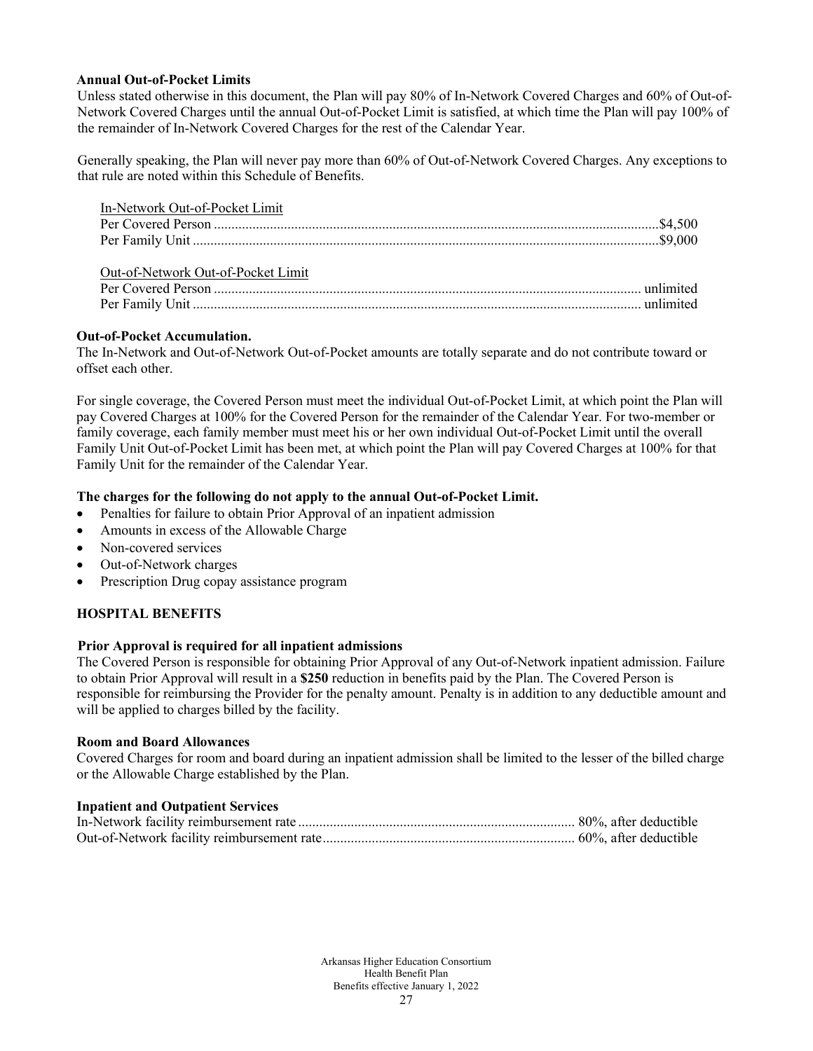### **Annual Out-of-Pocket Limits**

Unless stated otherwise in this document, the Plan will pay 80% of In-Network Covered Charges and 60% of Out-of-Network Covered Charges until the annual Out-of-Pocket Limit is satisfied, at which time the Plan will pay 100% of the remainder of In-Network Covered Charges for the rest of the Calendar Year.

Generally speaking, the Plan will never pay more than 60% of Out-of-Network Covered Charges. Any exceptions to that rule are noted within this Schedule of Benefits.

| In-Network Out-of-Pocket Limit     |  |
|------------------------------------|--|
|                                    |  |
|                                    |  |
|                                    |  |
| Out-of-Network Out-of-Pocket Limit |  |
|                                    |  |
|                                    |  |

### **Out-of-Pocket Accumulation.**

The In-Network and Out-of-Network Out-of-Pocket amounts are totally separate and do not contribute toward or offset each other.

For single coverage, the Covered Person must meet the individual Out-of-Pocket Limit, at which point the Plan will pay Covered Charges at 100% for the Covered Person for the remainder of the Calendar Year. For two-member or family coverage, each family member must meet his or her own individual Out-of-Pocket Limit until the overall Family Unit Out-of-Pocket Limit has been met, at which point the Plan will pay Covered Charges at 100% for that Family Unit for the remainder of the Calendar Year.

### **The charges for the following do not apply to the annual Out-of-Pocket Limit.**

- Penalties for failure to obtain Prior Approval of an inpatient admission
- Amounts in excess of the Allowable Charge
- Non-covered services
- Out-of-Network charges
- Prescription Drug copay assistance program

## **HOSPITAL BENEFITS**

#### **Prior Approval is required for all inpatient admissions**

The Covered Person is responsible for obtaining Prior Approval of any Out-of-Network inpatient admission. Failure to obtain Prior Approval will result in a **\$250** reduction in benefits paid by the Plan. The Covered Person is responsible for reimbursing the Provider for the penalty amount. Penalty is in addition to any deductible amount and will be applied to charges billed by the facility.

#### **Room and Board Allowances**

Covered Charges for room and board during an inpatient admission shall be limited to the lesser of the billed charge or the Allowable Charge established by the Plan.

#### **Inpatient and Outpatient Services**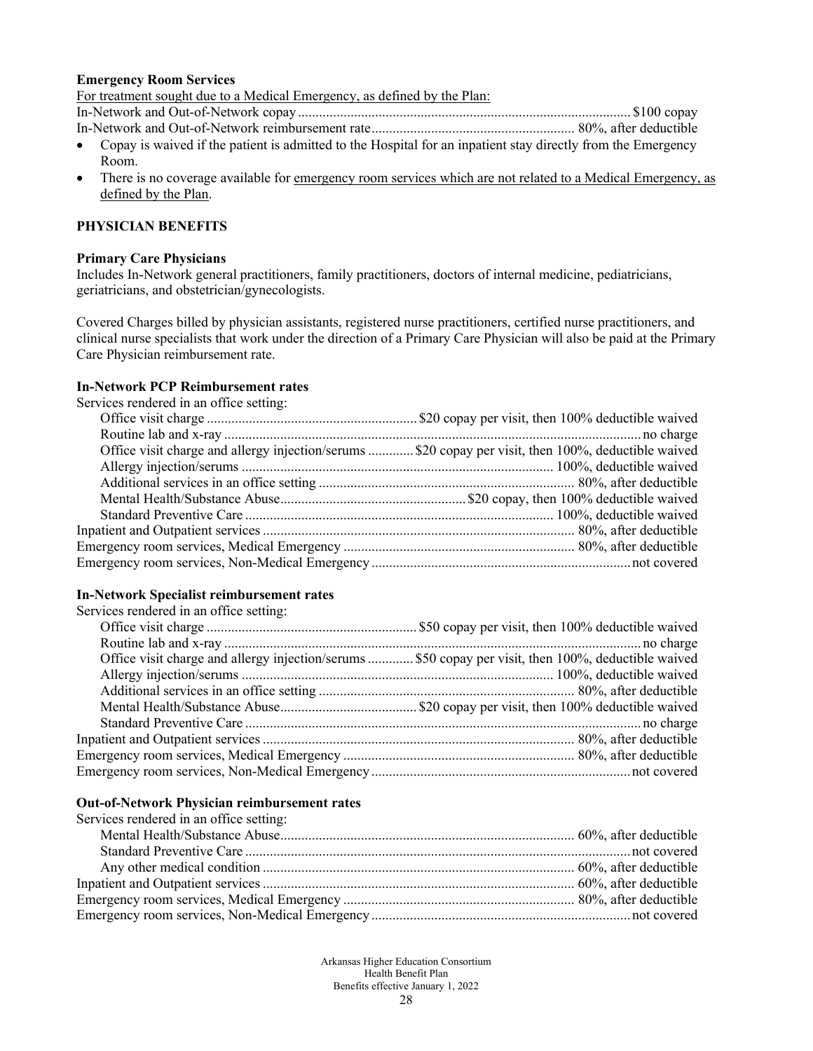#### **Emergency Room Services**

For treatment sought due to a Medical Emergency, as defined by the Plan:

In-Network and Out-of-Network copay............................................................................................... \$100 copay

- In-Network and Out-of-Network reimbursement rate.......................................................... 80%, after deductible
- Copay is waived if the patient is admitted to the Hospital for an inpatient stay directly from the Emergency Room.
- There is no coverage available for <u>emergency room services which are not related to a Medical Emergency, as</u> defined by the Plan.

## **PHYSICIAN BENEFITS**

#### **Primary Care Physicians**

Includes In-Network general practitioners, family practitioners, doctors of internal medicine, pediatricians, geriatricians, and obstetrician/gynecologists.

Covered Charges billed by physician assistants, registered nurse practitioners, certified nurse practitioners, and clinical nurse specialists that work under the direction of a Primary Care Physician will also be paid at the Primary Care Physician reimbursement rate.

## **In-Network PCP Reimbursement rates**

Services rendered in an office setting:

| Office visit charge and allergy injection/serums \$20 copay per visit, then 100%, deductible waived |
|-----------------------------------------------------------------------------------------------------|
|                                                                                                     |
|                                                                                                     |
|                                                                                                     |
|                                                                                                     |
|                                                                                                     |
|                                                                                                     |
|                                                                                                     |
|                                                                                                     |

### **In-Network Specialist reimbursement rates**

Services rendered in an office setting:

| Office visit charge and allergy injection/serums  \$50 copay per visit, then 100%, deductible waived |  |
|------------------------------------------------------------------------------------------------------|--|
|                                                                                                      |  |
|                                                                                                      |  |
|                                                                                                      |  |
|                                                                                                      |  |
|                                                                                                      |  |
|                                                                                                      |  |
|                                                                                                      |  |

#### **Out-of-Network Physician reimbursement rates**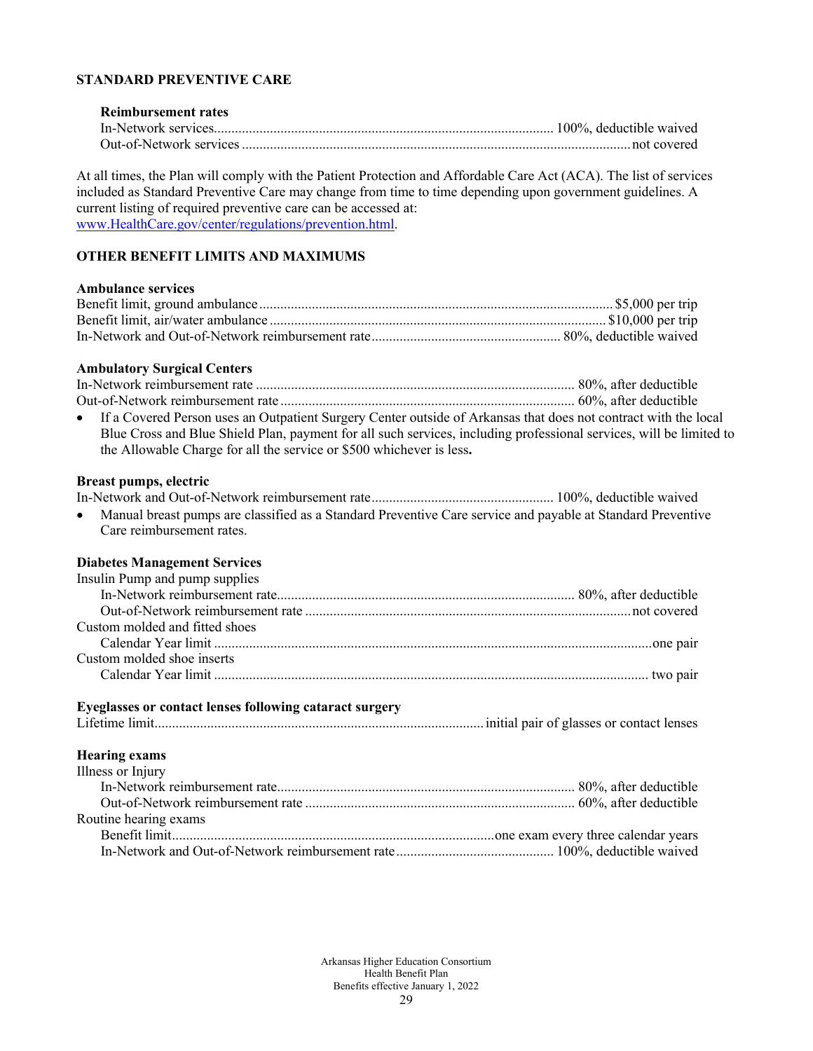## **STANDARD PREVENTIVE CARE**

### **Reimbursement rates** In-Network services................................................................................................. 100%, deductible waived Out-of-Network services...............................................................................................................not covered

At all times, the Plan will comply with the Patient Protection and Affordable Care Act (ACA). The list of services included as Standard Preventive Care may change from time to time depending upon government guidelines. A current listing of required preventive care can be accessed at: [www.HealthCare.gov/center/regulations/prevention.html.](http://www.healthcare.gov/center/regulations/prevention.html)

# **OTHER BENEFIT LIMITS AND MAXIMUMS**

#### **Ambulance services**

#### **Ambulatory Surgical Centers**

| • If a Covered Person uses an Outpatient Surgery Center outside of Arkansas that does not contract with the local   |  |
|---------------------------------------------------------------------------------------------------------------------|--|
| Blue Cross and Blue Shield Plan, payment for all such services, including professional services, will be limited to |  |
| the Allowable Charge for all the service or \$500 whichever is less.                                                |  |

#### **Breast pumps, electric**

In-Network and Out-of-Network reimbursement rate.................................................... 100%, deductible waived • Manual breast pumps are classified as a Standard Preventive Care service and payable at Standard Preventive

Care reimbursement rates.

#### **Diabetes Management Services**

#### **Eyeglasses or contact lenses following cataract surgery**

Lifetime limit..............................................................................................initial pair of glasses or contact lenses

### **Hearing exams**

| Illness or Injury     |  |
|-----------------------|--|
|                       |  |
|                       |  |
| Routine hearing exams |  |
|                       |  |
|                       |  |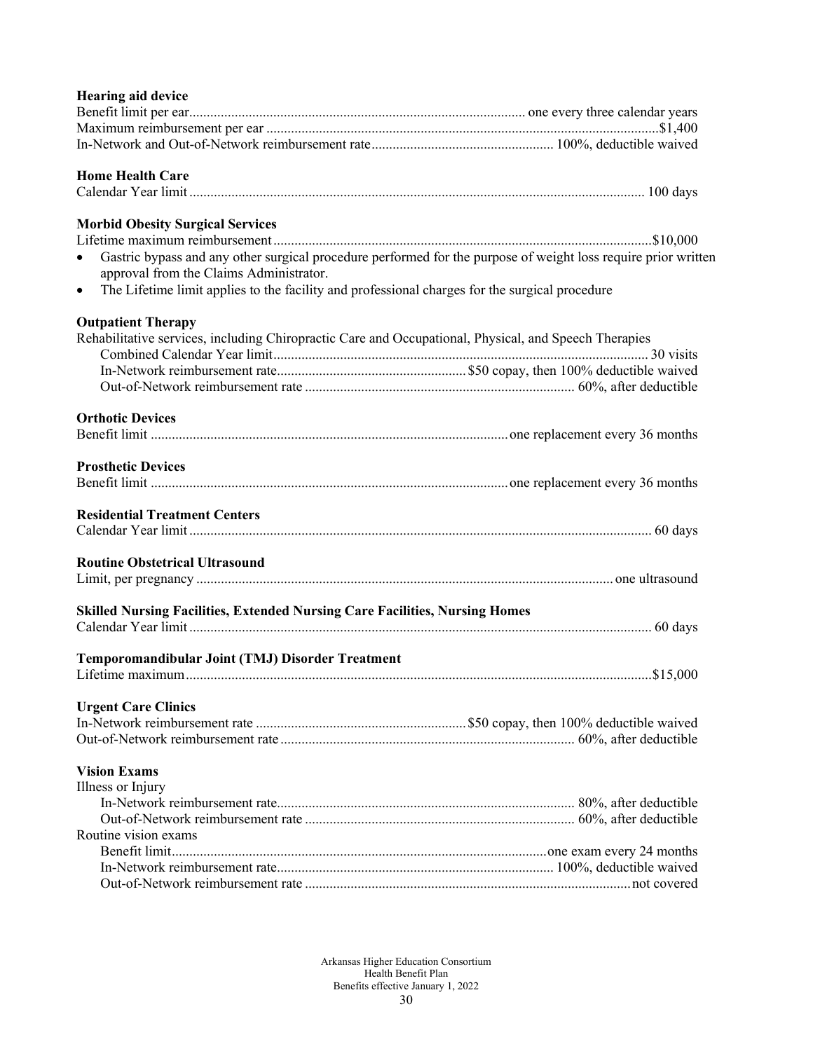# **Hearing aid device**

| <b>Home Health Care</b>                                                                                                                                                |  |
|------------------------------------------------------------------------------------------------------------------------------------------------------------------------|--|
|                                                                                                                                                                        |  |
| <b>Morbid Obesity Surgical Services</b>                                                                                                                                |  |
|                                                                                                                                                                        |  |
| Gastric bypass and any other surgical procedure performed for the purpose of weight loss require prior written<br>$\bullet$<br>approval from the Claims Administrator. |  |
| The Lifetime limit applies to the facility and professional charges for the surgical procedure<br>$\bullet$                                                            |  |
| <b>Outpatient Therapy</b>                                                                                                                                              |  |
| Rehabilitative services, including Chiropractic Care and Occupational, Physical, and Speech Therapies                                                                  |  |
|                                                                                                                                                                        |  |
|                                                                                                                                                                        |  |
|                                                                                                                                                                        |  |
| <b>Orthotic Devices</b>                                                                                                                                                |  |
|                                                                                                                                                                        |  |
| <b>Prosthetic Devices</b>                                                                                                                                              |  |
|                                                                                                                                                                        |  |
| <b>Residential Treatment Centers</b>                                                                                                                                   |  |
|                                                                                                                                                                        |  |
| <b>Routine Obstetrical Ultrasound</b>                                                                                                                                  |  |
|                                                                                                                                                                        |  |
| Skilled Nursing Facilities, Extended Nursing Care Facilities, Nursing Homes                                                                                            |  |
|                                                                                                                                                                        |  |
| Temporomandibular Joint (TMJ) Disorder Treatment                                                                                                                       |  |
|                                                                                                                                                                        |  |
| <b>Urgent Care Clinics</b>                                                                                                                                             |  |
|                                                                                                                                                                        |  |
|                                                                                                                                                                        |  |
|                                                                                                                                                                        |  |
| <b>Vision Exams</b><br>Illness or Injury                                                                                                                               |  |
|                                                                                                                                                                        |  |
|                                                                                                                                                                        |  |
|                                                                                                                                                                        |  |
| Routine vision exams                                                                                                                                                   |  |
|                                                                                                                                                                        |  |
|                                                                                                                                                                        |  |
|                                                                                                                                                                        |  |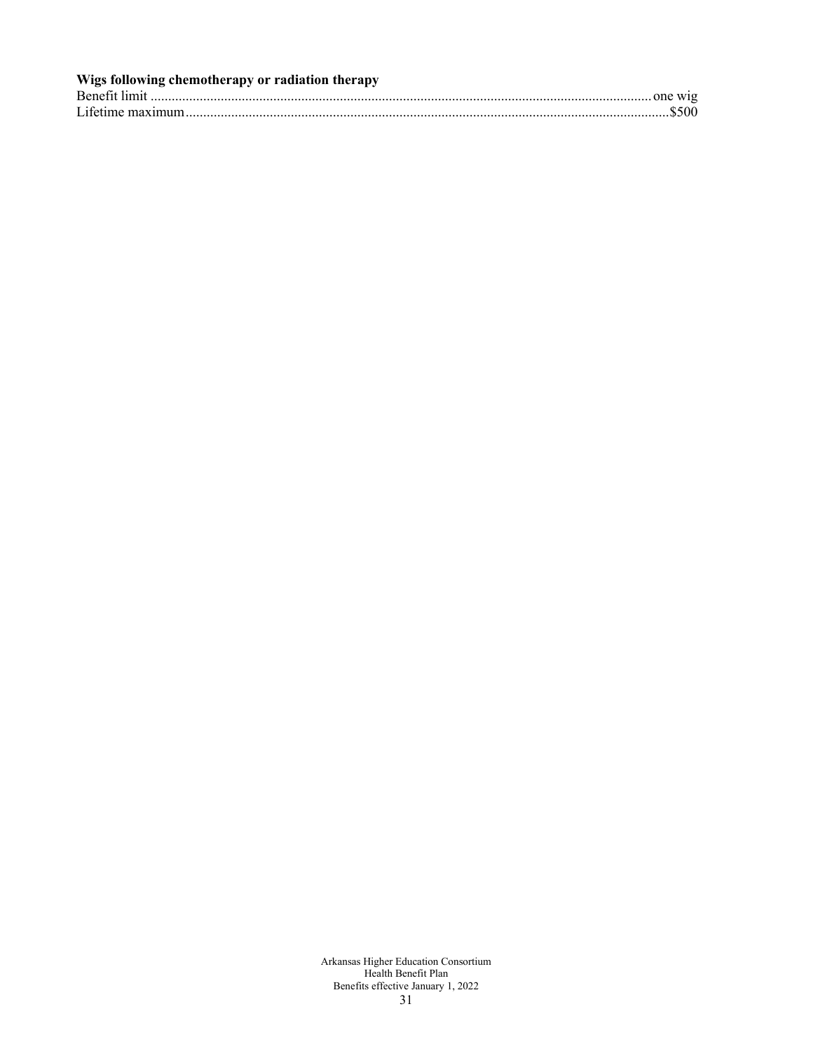| Wigs following chemotherapy or radiation therapy |  |
|--------------------------------------------------|--|
|                                                  |  |
|                                                  |  |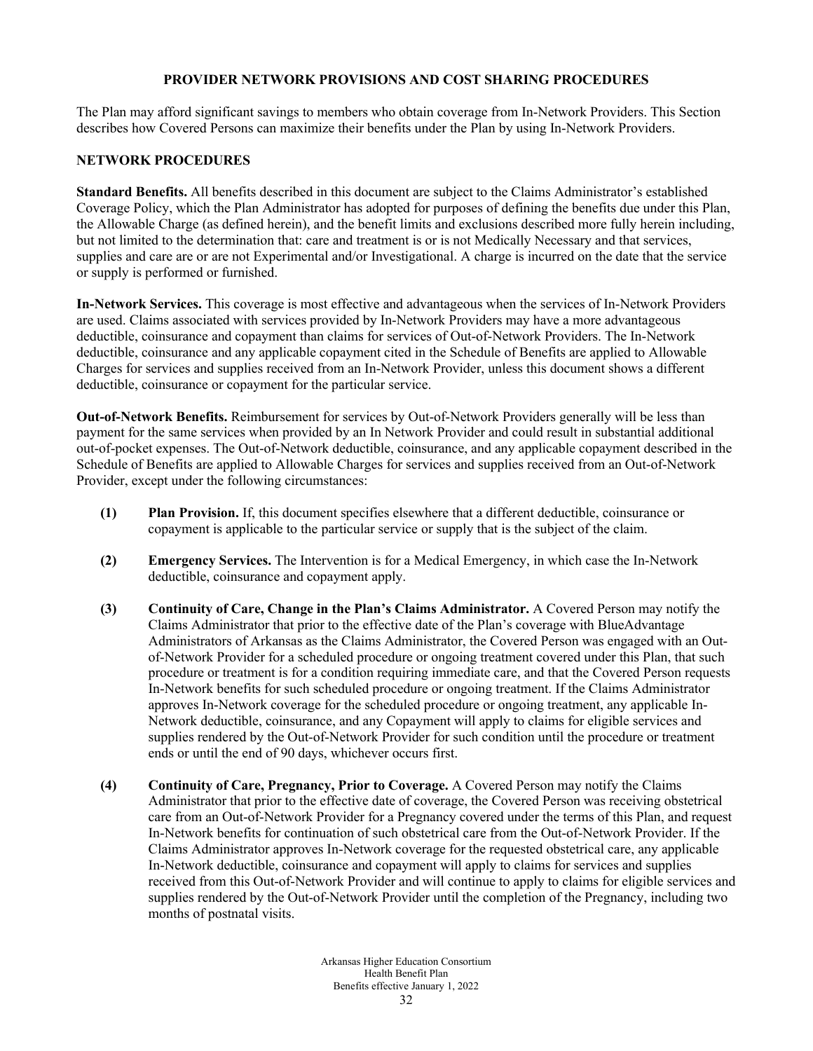### **PROVIDER NETWORK PROVISIONS AND COST SHARING PROCEDURES**

The Plan may afford significant savings to members who obtain coverage from In-Network Providers. This Section describes how Covered Persons can maximize their benefits under the Plan by using In-Network Providers.

## **NETWORK PROCEDURES**

**Standard Benefits.** All benefits described in this document are subject to the Claims Administrator's established Coverage Policy, which the Plan Administrator has adopted for purposes of defining the benefits due under this Plan, the Allowable Charge (as defined herein), and the benefit limits and exclusions described more fully herein including, but not limited to the determination that: care and treatment is or is not Medically Necessary and that services, supplies and care are or are not Experimental and/or Investigational. A charge is incurred on the date that the service or supply is performed or furnished.

**In-Network Services.** This coverage is most effective and advantageous when the services of In-Network Providers are used. Claims associated with services provided by In-Network Providers may have a more advantageous deductible, coinsurance and copayment than claims for services of Out-of-Network Providers. The In-Network deductible, coinsurance and any applicable copayment cited in the Schedule of Benefits are applied to Allowable Charges for services and supplies received from an In-Network Provider, unless this document shows a different deductible, coinsurance or copayment for the particular service.

**Out-of-Network Benefits.** Reimbursement for services by Out-of-Network Providers generally will be less than payment for the same services when provided by an In Network Provider and could result in substantial additional out-of-pocket expenses. The Out-of-Network deductible, coinsurance, and any applicable copayment described in the Schedule of Benefits are applied to Allowable Charges for services and supplies received from an Out-of-Network Provider, except under the following circumstances:

- **(1) Plan Provision.** If, this document specifies elsewhere that a different deductible, coinsurance or copayment is applicable to the particular service or supply that is the subject of the claim.
- **(2) Emergency Services.** The Intervention is for a Medical Emergency, in which case the In-Network deductible, coinsurance and copayment apply.
- **(3) Continuity of Care, Change in the Plan's Claims Administrator.** A Covered Person may notify the Claims Administrator that prior to the effective date of the Plan's coverage with BlueAdvantage Administrators of Arkansas as the Claims Administrator, the Covered Person was engaged with an Outof-Network Provider for a scheduled procedure or ongoing treatment covered under this Plan, that such procedure or treatment is for a condition requiring immediate care, and that the Covered Person requests In-Network benefits for such scheduled procedure or ongoing treatment. If the Claims Administrator approves In-Network coverage for the scheduled procedure or ongoing treatment, any applicable In-Network deductible, coinsurance, and any Copayment will apply to claims for eligible services and supplies rendered by the Out-of-Network Provider for such condition until the procedure or treatment ends or until the end of 90 days, whichever occurs first.
- **(4) Continuity of Care, Pregnancy, Prior to Coverage.** A Covered Person may notify the Claims Administrator that prior to the effective date of coverage, the Covered Person was receiving obstetrical care from an Out-of-Network Provider for a Pregnancy covered under the terms of this Plan, and request In-Network benefits for continuation of such obstetrical care from the Out-of-Network Provider. If the Claims Administrator approves In-Network coverage for the requested obstetrical care, any applicable In-Network deductible, coinsurance and copayment will apply to claims for services and supplies received from this Out-of-Network Provider and will continue to apply to claims for eligible services and supplies rendered by the Out-of-Network Provider until the completion of the Pregnancy, including two months of postnatal visits.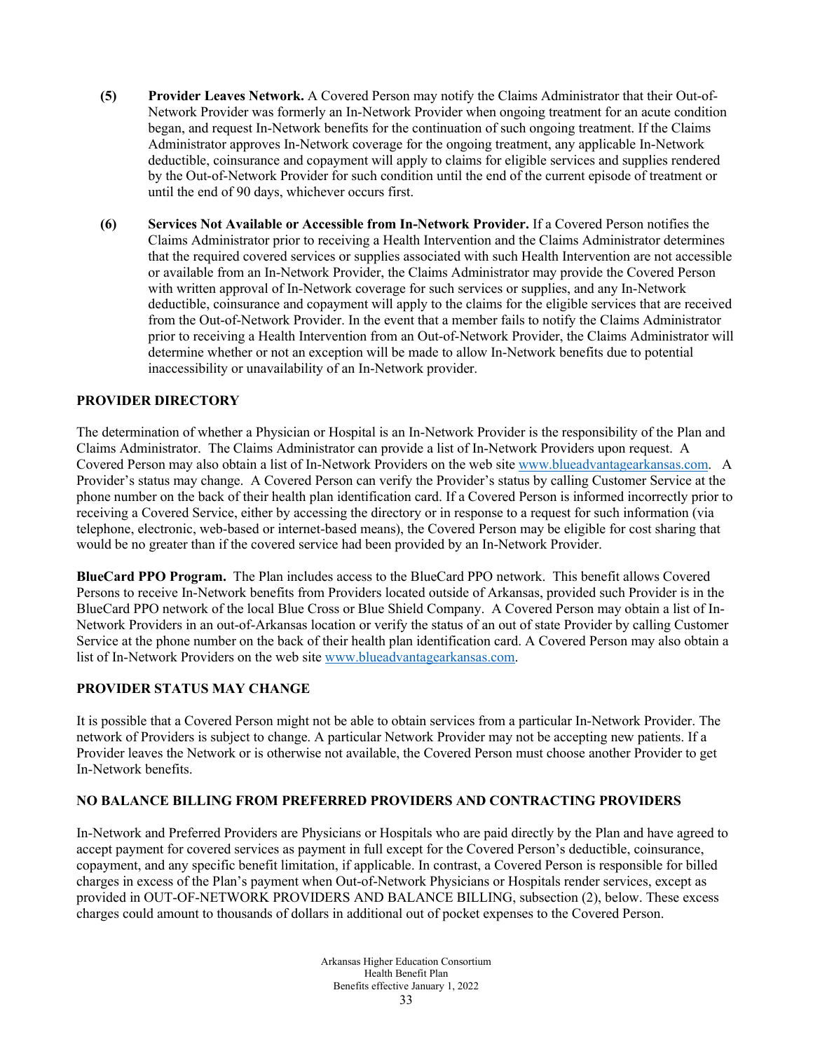- **(5) Provider Leaves Network.** A Covered Person may notify the Claims Administrator that their Out-of-Network Provider was formerly an In-Network Provider when ongoing treatment for an acute condition began, and request In-Network benefits for the continuation of such ongoing treatment. If the Claims Administrator approves In-Network coverage for the ongoing treatment, any applicable In-Network deductible, coinsurance and copayment will apply to claims for eligible services and supplies rendered by the Out-of-Network Provider for such condition until the end of the current episode of treatment or until the end of 90 days, whichever occurs first.
- **(6) Services Not Available or Accessible from In-Network Provider.** If a Covered Person notifies the Claims Administrator prior to receiving a Health Intervention and the Claims Administrator determines that the required covered services or supplies associated with such Health Intervention are not accessible or available from an In-Network Provider, the Claims Administrator may provide the Covered Person with written approval of In-Network coverage for such services or supplies, and any In-Network deductible, coinsurance and copayment will apply to the claims for the eligible services that are received from the Out-of-Network Provider. In the event that a member fails to notify the Claims Administrator prior to receiving a Health Intervention from an Out-of-Network Provider, the Claims Administrator will determine whether or not an exception will be made to allow In-Network benefits due to potential inaccessibility or unavailability of an In-Network provider.

## **PROVIDER DIRECTORY**

The determination of whether a Physician or Hospital is an In-Network Provider is the responsibility of the Plan and Claims Administrator. The Claims Administrator can provide a list of In-Network Providers upon request. A Covered Person may also obtain a list of In-Network Providers on the web sit[e www.blueadvantagearkansas.com.](http://www.blueadvantagearkansas.com/) A Provider's status may change. A Covered Person can verify the Provider's status by calling Customer Service at the phone number on the back of their health plan identification card. If a Covered Person is informed incorrectly prior to receiving a Covered Service, either by accessing the directory or in response to a request for such information (via telephone, electronic, web-based or internet-based means), the Covered Person may be eligible for cost sharing that would be no greater than if the covered service had been provided by an In-Network Provider.

**BlueCard PPO Program.** The Plan includes access to the BlueCard PPO network. This benefit allows Covered Persons to receive In-Network benefits from Providers located outside of Arkansas, provided such Provider is in the BlueCard PPO network of the local Blue Cross or Blue Shield Company. A Covered Person may obtain a list of In-Network Providers in an out-of-Arkansas location or verify the status of an out of state Provider by calling Customer Service at the phone number on the back of their health plan identification card. A Covered Person may also obtain a list of In-Network Providers on the web site [www.blueadvantagearkansas.com.](http://www.blueadvantagearkansas.com/)

## **PROVIDER STATUS MAY CHANGE**

It is possible that a Covered Person might not be able to obtain services from a particular In-Network Provider. The network of Providers is subject to change. A particular Network Provider may not be accepting new patients. If a Provider leaves the Network or is otherwise not available, the Covered Person must choose another Provider to get In-Network benefits.

## **NO BALANCE BILLING FROM PREFERRED PROVIDERS AND CONTRACTING PROVIDERS**

In-Network and Preferred Providers are Physicians or Hospitals who are paid directly by the Plan and have agreed to accept payment for covered services as payment in full except for the Covered Person's deductible, coinsurance, copayment, and any specific benefit limitation, if applicable. In contrast, a Covered Person is responsible for billed charges in excess of the Plan's payment when Out-of-Network Physicians or Hospitals render services, except as provided in OUT-OF-NETWORK PROVIDERS AND BALANCE BILLING, subsection (2), below. These excess charges could amount to thousands of dollars in additional out of pocket expenses to the Covered Person.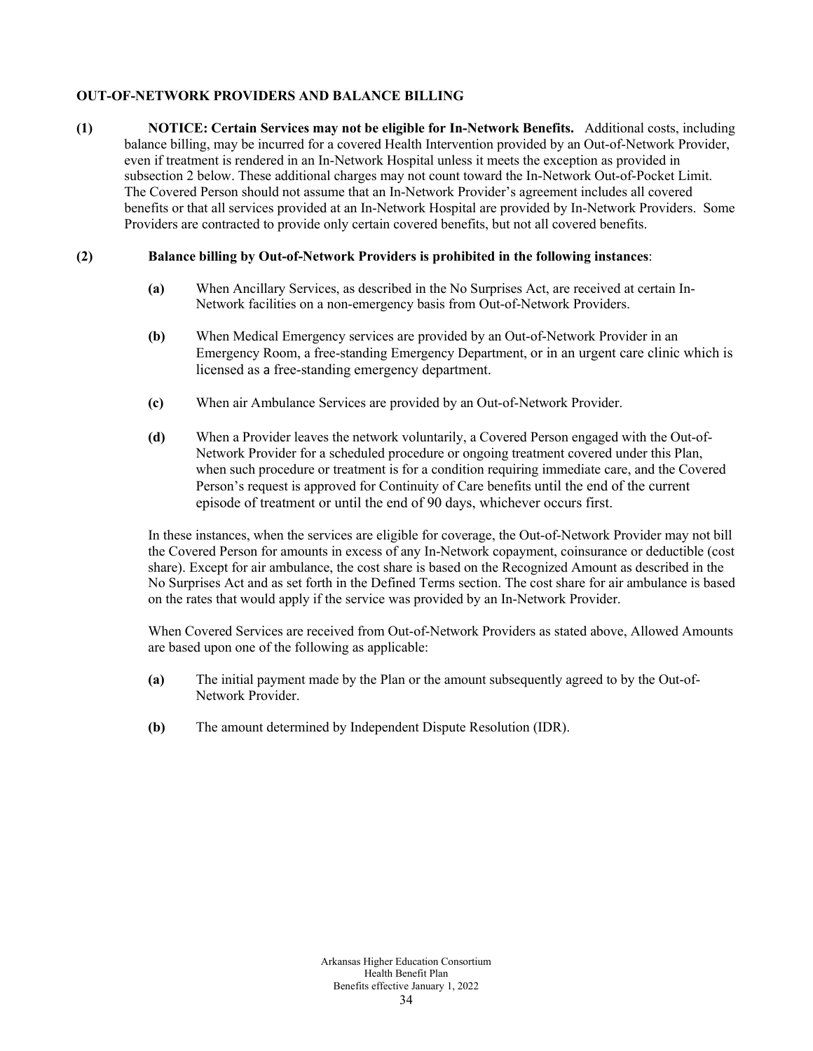## **OUT-OF-NETWORK PROVIDERS AND BALANCE BILLING**

**(1) NOTICE: Certain Services may not be eligible for In-Network Benefits.** Additional costs, including balance billing, may be incurred for a covered Health Intervention provided by an Out-of-Network Provider, even if treatment is rendered in an In-Network Hospital unless it meets the exception as provided in subsection 2 below. These additional charges may not count toward the In-Network Out-of-Pocket Limit. The Covered Person should not assume that an In-Network Provider's agreement includes all covered benefits or that all services provided at an In-Network Hospital are provided by In-Network Providers. Some Providers are contracted to provide only certain covered benefits, but not all covered benefits.

## **(2) Balance billing by Out-of-Network Providers is prohibited in the following instances**:

- **(a)** When Ancillary Services, as described in the No Surprises Act, are received at certain In-Network facilities on a non-emergency basis from Out-of-Network Providers.
- **(b)** When Medical Emergency services are provided by an Out-of-Network Provider in an Emergency Room, a free-standing Emergency Department, or in an urgent care clinic which is licensed as a free-standing emergency department.
- **(c)** When air Ambulance Services are provided by an Out-of-Network Provider.
- **(d)** When a Provider leaves the network voluntarily, a Covered Person engaged with the Out-of-Network Provider for a scheduled procedure or ongoing treatment covered under this Plan, when such procedure or treatment is for a condition requiring immediate care, and the Covered Person's request is approved for Continuity of Care benefits until the end of the current episode of treatment or until the end of 90 days, whichever occurs first.

In these instances, when the services are eligible for coverage, the Out-of-Network Provider may not bill the Covered Person for amounts in excess of any In-Network copayment, coinsurance or deductible (cost share). Except for air ambulance, the cost share is based on the Recognized Amount as described in the No Surprises Act and as set forth in the Defined Terms section. The cost share for air ambulance is based on the rates that would apply if the service was provided by an In-Network Provider.

When Covered Services are received from Out-of-Network Providers as stated above, Allowed Amounts are based upon one of the following as applicable:

- **(a)** The initial payment made by the Plan or the amount subsequently agreed to by the Out-of-Network Provider.
- **(b)** The amount determined by Independent Dispute Resolution (IDR).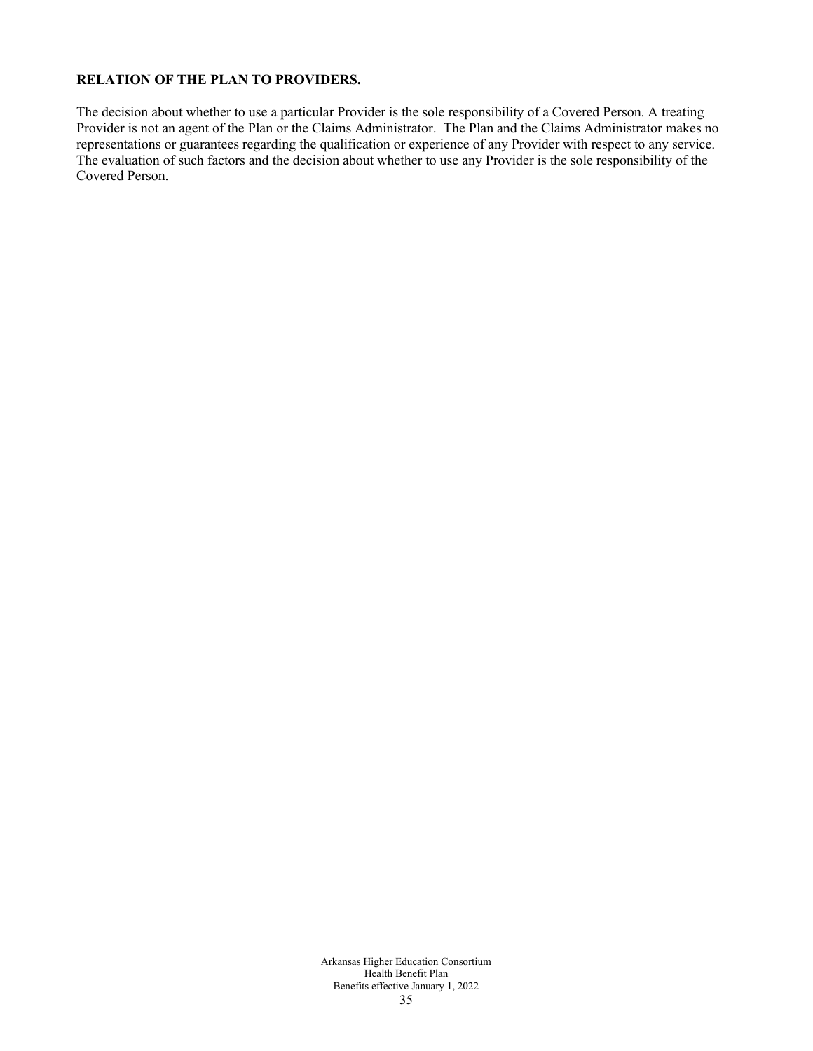## **RELATION OF THE PLAN TO PROVIDERS.**

The decision about whether to use a particular Provider is the sole responsibility of a Covered Person. A treating Provider is not an agent of the Plan or the Claims Administrator. The Plan and the Claims Administrator makes no representations or guarantees regarding the qualification or experience of any Provider with respect to any service. The evaluation of such factors and the decision about whether to use any Provider is the sole responsibility of the Covered Person.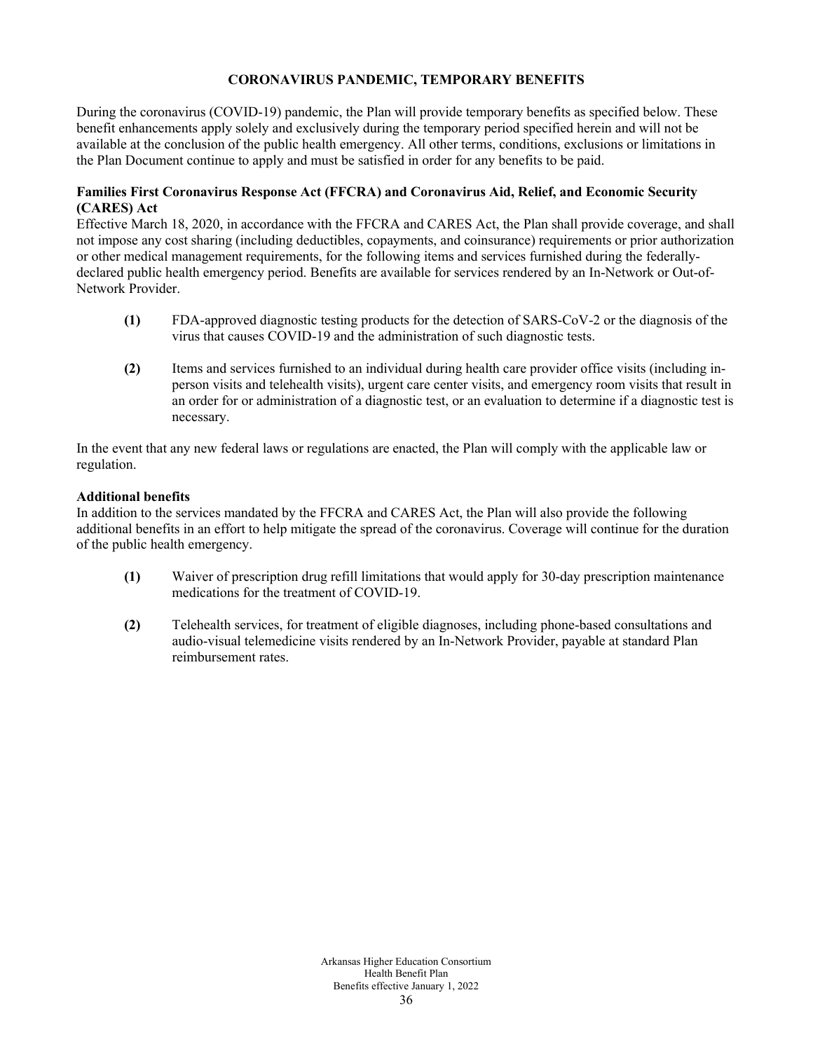# **CORONAVIRUS PANDEMIC, TEMPORARY BENEFITS**

During the coronavirus (COVID-19) pandemic, the Plan will provide temporary benefits as specified below. These benefit enhancements apply solely and exclusively during the temporary period specified herein and will not be available at the conclusion of the public health emergency. All other terms, conditions, exclusions or limitations in the Plan Document continue to apply and must be satisfied in order for any benefits to be paid.

# **Families First Coronavirus Response Act (FFCRA) and Coronavirus Aid, Relief, and Economic Security (CARES) Act**

Effective March 18, 2020, in accordance with the FFCRA and CARES Act, the Plan shall provide coverage, and shall not impose any cost sharing (including deductibles, copayments, and coinsurance) requirements or prior authorization or other medical management requirements, for the following items and services furnished during the federallydeclared public health emergency period. Benefits are available for services rendered by an In-Network or Out-of-Network Provider.

- **(1)** FDA-approved diagnostic testing products for the detection of SARS-CoV-2 or the diagnosis of the virus that causes COVID-19 and the administration of such diagnostic tests.
- **(2)** Items and services furnished to an individual during health care provider office visits (including inperson visits and telehealth visits), urgent care center visits, and emergency room visits that result in an order for or administration of a diagnostic test, or an evaluation to determine if a diagnostic test is necessary.

In the event that any new federal laws or regulations are enacted, the Plan will comply with the applicable law or regulation.

# **Additional benefits**

In addition to the services mandated by the FFCRA and CARES Act, the Plan will also provide the following additional benefits in an effort to help mitigate the spread of the coronavirus. Coverage will continue for the duration of the public health emergency.

- **(1)** Waiver of prescription drug refill limitations that would apply for 30-day prescription maintenance medications for the treatment of COVID-19.
- **(2)** Telehealth services, for treatment of eligible diagnoses, including phone-based consultations and audio-visual telemedicine visits rendered by an In-Network Provider, payable at standard Plan reimbursement rates.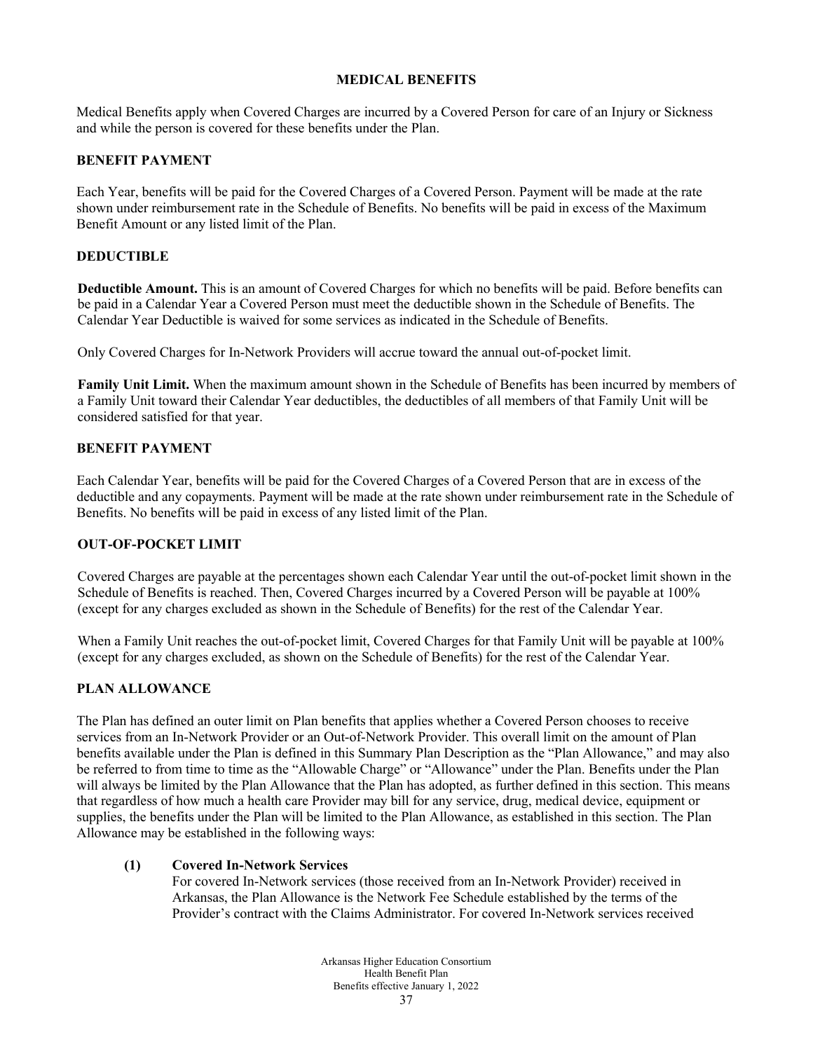# **MEDICAL BENEFITS**

Medical Benefits apply when Covered Charges are incurred by a Covered Person for care of an Injury or Sickness and while the person is covered for these benefits under the Plan.

# **BENEFIT PAYMENT**

Each Year, benefits will be paid for the Covered Charges of a Covered Person. Payment will be made at the rate shown under reimbursement rate in the Schedule of Benefits. No benefits will be paid in excess of the Maximum Benefit Amount or any listed limit of the Plan.

# **DEDUCTIBLE**

**Deductible Amount.** This is an amount of Covered Charges for which no benefits will be paid. Before benefits can be paid in a Calendar Year a Covered Person must meet the deductible shown in the Schedule of Benefits. The Calendar Year Deductible is waived for some services as indicated in the Schedule of Benefits.

Only Covered Charges for In-Network Providers will accrue toward the annual out-of-pocket limit.

**Family Unit Limit.** When the maximum amount shown in the Schedule of Benefits has been incurred by members of a Family Unit toward their Calendar Year deductibles, the deductibles of all members of that Family Unit will be considered satisfied for that year.

# **BENEFIT PAYMENT**

Each Calendar Year, benefits will be paid for the Covered Charges of a Covered Person that are in excess of the deductible and any copayments. Payment will be made at the rate shown under reimbursement rate in the Schedule of Benefits. No benefits will be paid in excess of any listed limit of the Plan.

#### **OUT-OF-POCKET LIMIT**

Covered Charges are payable at the percentages shown each Calendar Year until the out-of-pocket limit shown in the Schedule of Benefits is reached. Then, Covered Charges incurred by a Covered Person will be payable at 100% (except for any charges excluded as shown in the Schedule of Benefits) for the rest of the Calendar Year.

When a Family Unit reaches the out-of-pocket limit, Covered Charges for that Family Unit will be payable at 100% (except for any charges excluded, as shown on the Schedule of Benefits) for the rest of the Calendar Year.

# **PLAN ALLOWANCE**

The Plan has defined an outer limit on Plan benefits that applies whether a Covered Person chooses to receive services from an In-Network Provider or an Out-of-Network Provider. This overall limit on the amount of Plan benefits available under the Plan is defined in this Summary Plan Description as the "Plan Allowance," and may also be referred to from time to time as the "Allowable Charge" or "Allowance" under the Plan. Benefits under the Plan will always be limited by the Plan Allowance that the Plan has adopted, as further defined in this section. This means that regardless of how much a health care Provider may bill for any service, drug, medical device, equipment or supplies, the benefits under the Plan will be limited to the Plan Allowance, as established in this section. The Plan Allowance may be established in the following ways:

#### **(1) Covered In-Network Services**

For covered In-Network services (those received from an In-Network Provider) received in Arkansas, the Plan Allowance is the Network Fee Schedule established by the terms of the Provider's contract with the Claims Administrator. For covered In-Network services received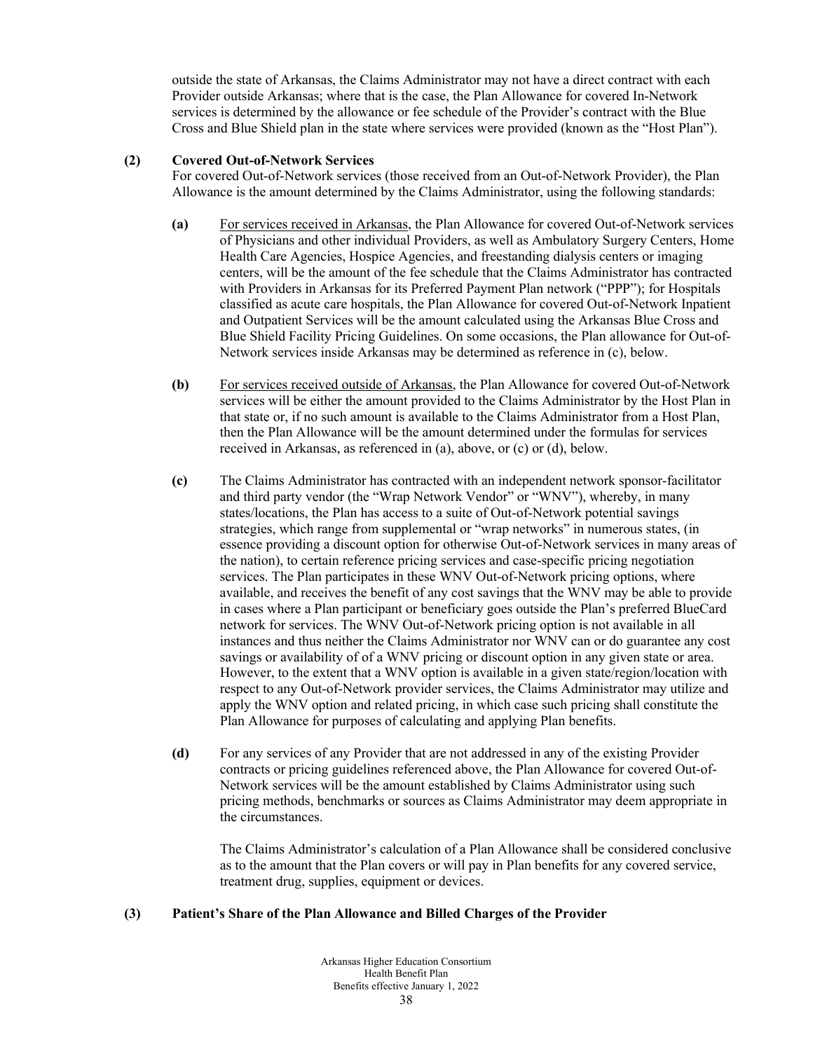outside the state of Arkansas, the Claims Administrator may not have a direct contract with each Provider outside Arkansas; where that is the case, the Plan Allowance for covered In-Network services is determined by the allowance or fee schedule of the Provider's contract with the Blue Cross and Blue Shield plan in the state where services were provided (known as the "Host Plan").

# **(2) Covered Out-of-Network Services**

For covered Out-of-Network services (those received from an Out-of-Network Provider), the Plan Allowance is the amount determined by the Claims Administrator, using the following standards:

- **(a)** For services received in Arkansas, the Plan Allowance for covered Out-of-Network services of Physicians and other individual Providers, as well as Ambulatory Surgery Centers, Home Health Care Agencies, Hospice Agencies, and freestanding dialysis centers or imaging centers, will be the amount of the fee schedule that the Claims Administrator has contracted with Providers in Arkansas for its Preferred Payment Plan network ("PPP"); for Hospitals classified as acute care hospitals, the Plan Allowance for covered Out-of-Network Inpatient and Outpatient Services will be the amount calculated using the Arkansas Blue Cross and Blue Shield Facility Pricing Guidelines. On some occasions, the Plan allowance for Out-of-Network services inside Arkansas may be determined as reference in (c), below.
- **(b)** For services received outside of Arkansas, the Plan Allowance for covered Out-of-Network services will be either the amount provided to the Claims Administrator by the Host Plan in that state or, if no such amount is available to the Claims Administrator from a Host Plan, then the Plan Allowance will be the amount determined under the formulas for services received in Arkansas, as referenced in (a), above, or (c) or (d), below.
- **(c)** The Claims Administrator has contracted with an independent network sponsor-facilitator and third party vendor (the "Wrap Network Vendor" or "WNV"), whereby, in many states/locations, the Plan has access to a suite of Out-of-Network potential savings strategies, which range from supplemental or "wrap networks" in numerous states, (in essence providing a discount option for otherwise Out-of-Network services in many areas of the nation), to certain reference pricing services and case-specific pricing negotiation services. The Plan participates in these WNV Out-of-Network pricing options, where available, and receives the benefit of any cost savings that the WNV may be able to provide in cases where a Plan participant or beneficiary goes outside the Plan's preferred BlueCard network for services. The WNV Out-of-Network pricing option is not available in all instances and thus neither the Claims Administrator nor WNV can or do guarantee any cost savings or availability of of a WNV pricing or discount option in any given state or area. However, to the extent that a WNV option is available in a given state/region/location with respect to any Out-of-Network provider services, the Claims Administrator may utilize and apply the WNV option and related pricing, in which case such pricing shall constitute the Plan Allowance for purposes of calculating and applying Plan benefits.
- **(d)** For any services of any Provider that are not addressed in any of the existing Provider contracts or pricing guidelines referenced above, the Plan Allowance for covered Out-of-Network services will be the amount established by Claims Administrator using such pricing methods, benchmarks or sources as Claims Administrator may deem appropriate in the circumstances.

The Claims Administrator's calculation of a Plan Allowance shall be considered conclusive as to the amount that the Plan covers or will pay in Plan benefits for any covered service, treatment drug, supplies, equipment or devices.

# **(3) Patient's Share of the Plan Allowance and Billed Charges of the Provider**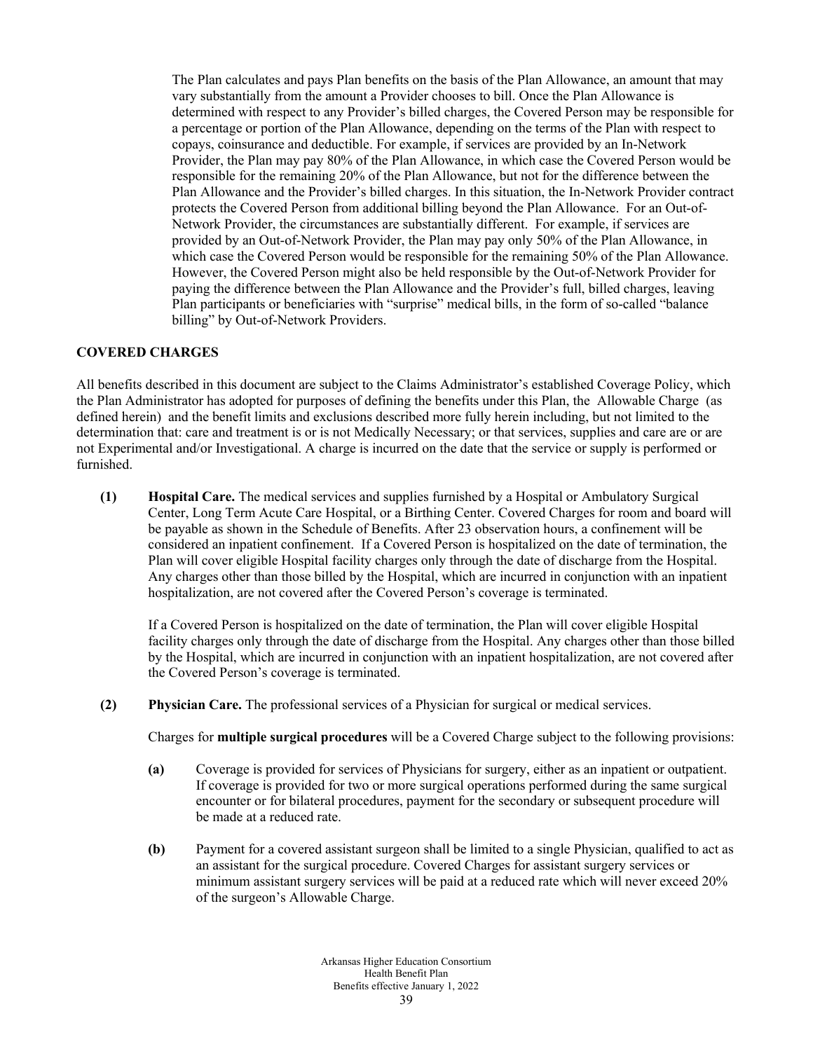The Plan calculates and pays Plan benefits on the basis of the Plan Allowance, an amount that may vary substantially from the amount a Provider chooses to bill. Once the Plan Allowance is determined with respect to any Provider's billed charges, the Covered Person may be responsible for a percentage or portion of the Plan Allowance, depending on the terms of the Plan with respect to copays, coinsurance and deductible. For example, if services are provided by an In-Network Provider, the Plan may pay 80% of the Plan Allowance, in which case the Covered Person would be responsible for the remaining 20% of the Plan Allowance, but not for the difference between the Plan Allowance and the Provider's billed charges. In this situation, the In-Network Provider contract protects the Covered Person from additional billing beyond the Plan Allowance. For an Out-of-Network Provider, the circumstances are substantially different. For example, if services are provided by an Out-of-Network Provider, the Plan may pay only 50% of the Plan Allowance, in which case the Covered Person would be responsible for the remaining 50% of the Plan Allowance. However, the Covered Person might also be held responsible by the Out-of-Network Provider for paying the difference between the Plan Allowance and the Provider's full, billed charges, leaving Plan participants or beneficiaries with "surprise" medical bills, in the form of so-called "balance billing" by Out-of-Network Providers.

### **COVERED CHARGES**

All benefits described in this document are subject to the Claims Administrator's established Coverage Policy, which the Plan Administrator has adopted for purposes of defining the benefits under this Plan, the Allowable Charge (as defined herein) and the benefit limits and exclusions described more fully herein including, but not limited to the determination that: care and treatment is or is not Medically Necessary; or that services, supplies and care are or are not Experimental and/or Investigational. A charge is incurred on the date that the service or supply is performed or furnished.

**(1) Hospital Care.** The medical services and supplies furnished by a Hospital or Ambulatory Surgical Center, Long Term Acute Care Hospital, or a Birthing Center. Covered Charges for room and board will be payable as shown in the Schedule of Benefits. After 23 observation hours, a confinement will be considered an inpatient confinement. If a Covered Person is hospitalized on the date of termination, the Plan will cover eligible Hospital facility charges only through the date of discharge from the Hospital. Any charges other than those billed by the Hospital, which are incurred in conjunction with an inpatient hospitalization, are not covered after the Covered Person's coverage is terminated.

If a Covered Person is hospitalized on the date of termination, the Plan will cover eligible Hospital facility charges only through the date of discharge from the Hospital. Any charges other than those billed by the Hospital, which are incurred in conjunction with an inpatient hospitalization, are not covered after the Covered Person's coverage is terminated.

**(2) Physician Care.** The professional services of a Physician for surgical or medical services.

Charges for **multiple surgical procedures** will be a Covered Charge subject to the following provisions:

- **(a)** Coverage is provided for services of Physicians for surgery, either as an inpatient or outpatient. If coverage is provided for two or more surgical operations performed during the same surgical encounter or for bilateral procedures, payment for the secondary or subsequent procedure will be made at a reduced rate.
- **(b)** Payment for a covered assistant surgeon shall be limited to a single Physician, qualified to act as an assistant for the surgical procedure. Covered Charges for assistant surgery services or minimum assistant surgery services will be paid at a reduced rate which will never exceed 20% of the surgeon's Allowable Charge.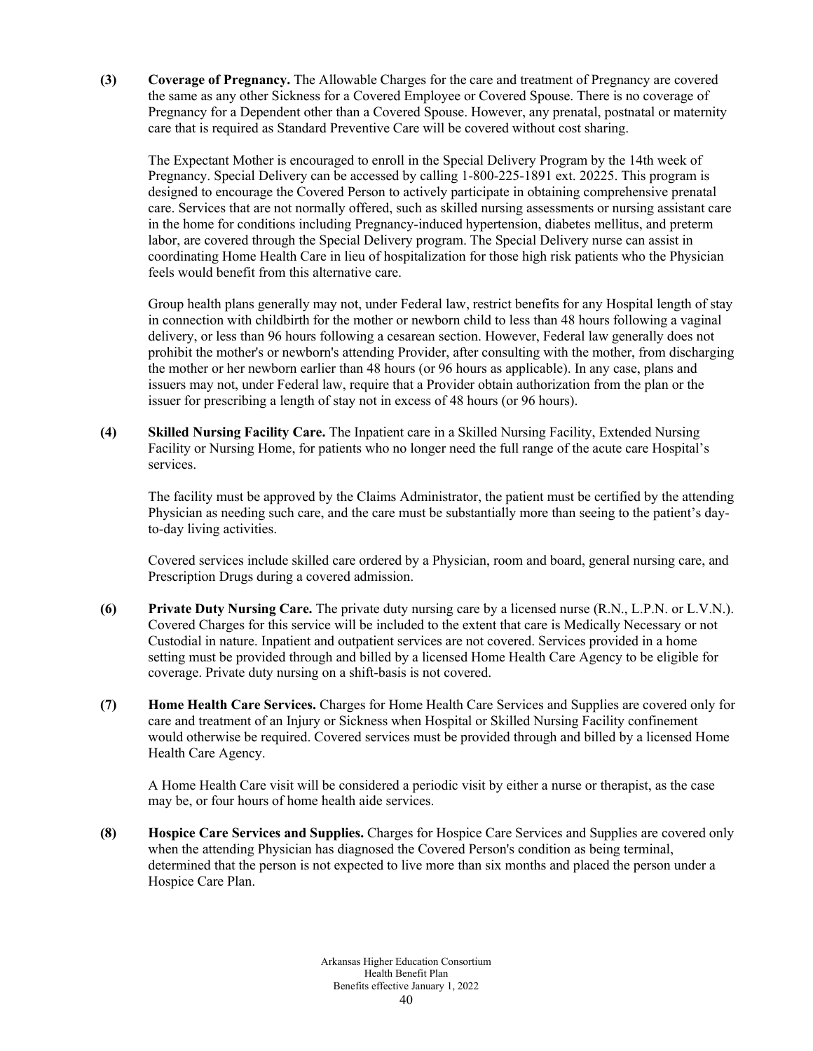**(3) Coverage of Pregnancy.** The Allowable Charges for the care and treatment of Pregnancy are covered the same as any other Sickness for a Covered Employee or Covered Spouse. There is no coverage of Pregnancy for a Dependent other than a Covered Spouse. However, any prenatal, postnatal or maternity care that is required as Standard Preventive Care will be covered without cost sharing.

The Expectant Mother is encouraged to enroll in the Special Delivery Program by the 14th week of Pregnancy. Special Delivery can be accessed by calling 1-800-225-1891 ext. 20225. This program is designed to encourage the Covered Person to actively participate in obtaining comprehensive prenatal care. Services that are not normally offered, such as skilled nursing assessments or nursing assistant care in the home for conditions including Pregnancy-induced hypertension, diabetes mellitus, and preterm labor, are covered through the Special Delivery program. The Special Delivery nurse can assist in coordinating Home Health Care in lieu of hospitalization for those high risk patients who the Physician feels would benefit from this alternative care.

Group health plans generally may not, under Federal law, restrict benefits for any Hospital length of stay in connection with childbirth for the mother or newborn child to less than 48 hours following a vaginal delivery, or less than 96 hours following a cesarean section. However, Federal law generally does not prohibit the mother's or newborn's attending Provider, after consulting with the mother, from discharging the mother or her newborn earlier than 48 hours (or 96 hours as applicable). In any case, plans and issuers may not, under Federal law, require that a Provider obtain authorization from the plan or the issuer for prescribing a length of stay not in excess of 48 hours (or 96 hours).

**(4) Skilled Nursing Facility Care.** The Inpatient care in a Skilled Nursing Facility, Extended Nursing Facility or Nursing Home, for patients who no longer need the full range of the acute care Hospital's services.

The facility must be approved by the Claims Administrator, the patient must be certified by the attending Physician as needing such care, and the care must be substantially more than seeing to the patient's dayto-day living activities.

Covered services include skilled care ordered by a Physician, room and board, general nursing care, and Prescription Drugs during a covered admission.

- **(6) Private Duty Nursing Care.** The private duty nursing care by a licensed nurse (R.N., L.P.N. or L.V.N.). Covered Charges for this service will be included to the extent that care is Medically Necessary or not Custodial in nature. Inpatient and outpatient services are not covered. Services provided in a home setting must be provided through and billed by a licensed Home Health Care Agency to be eligible for coverage. Private duty nursing on a shift-basis is not covered.
- **(7) Home Health Care Services.** Charges for Home Health Care Services and Supplies are covered only for care and treatment of an Injury or Sickness when Hospital or Skilled Nursing Facility confinement would otherwise be required. Covered services must be provided through and billed by a licensed Home Health Care Agency.

A Home Health Care visit will be considered a periodic visit by either a nurse or therapist, as the case may be, or four hours of home health aide services.

**(8) Hospice Care Services and Supplies.** Charges for Hospice Care Services and Supplies are covered only when the attending Physician has diagnosed the Covered Person's condition as being terminal, determined that the person is not expected to live more than six months and placed the person under a Hospice Care Plan.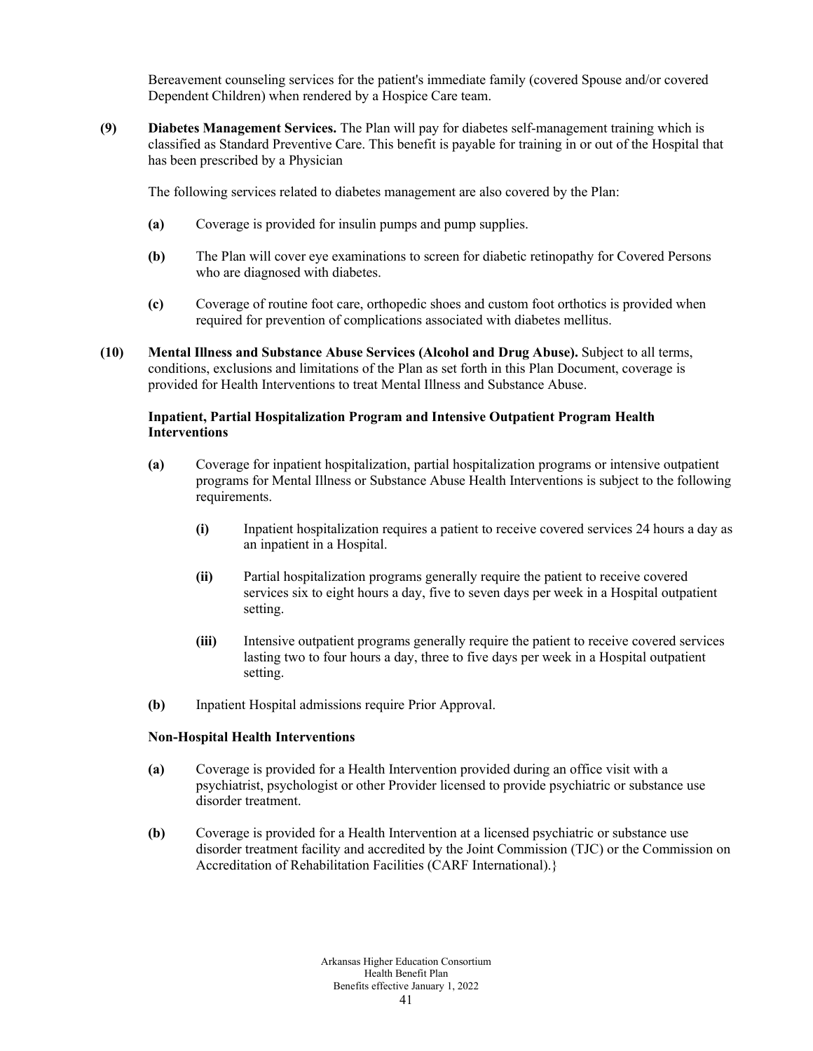Bereavement counseling services for the patient's immediate family (covered Spouse and/or covered Dependent Children) when rendered by a Hospice Care team.

**(9) Diabetes Management Services.** The Plan will pay for diabetes self-management training which is classified as Standard Preventive Care. This benefit is payable for training in or out of the Hospital that has been prescribed by a Physician

The following services related to diabetes management are also covered by the Plan:

- **(a)** Coverage is provided for insulin pumps and pump supplies.
- **(b)** The Plan will cover eye examinations to screen for diabetic retinopathy for Covered Persons who are diagnosed with diabetes.
- **(c)** Coverage of routine foot care, orthopedic shoes and custom foot orthotics is provided when required for prevention of complications associated with diabetes mellitus.
- **(10) Mental Illness and Substance Abuse Services (Alcohol and Drug Abuse).** Subject to all terms, conditions, exclusions and limitations of the Plan as set forth in this Plan Document, coverage is provided for Health Interventions to treat Mental Illness and Substance Abuse.

# **Inpatient, Partial Hospitalization Program and Intensive Outpatient Program Health Interventions**

- **(a)** Coverage for inpatient hospitalization, partial hospitalization programs or intensive outpatient programs for Mental Illness or Substance Abuse Health Interventions is subject to the following requirements.
	- **(i)** Inpatient hospitalization requires a patient to receive covered services 24 hours a day as an inpatient in a Hospital.
	- **(ii)** Partial hospitalization programs generally require the patient to receive covered services six to eight hours a day, five to seven days per week in a Hospital outpatient setting.
	- **(iii)** Intensive outpatient programs generally require the patient to receive covered services lasting two to four hours a day, three to five days per week in a Hospital outpatient setting.
- **(b)** Inpatient Hospital admissions require Prior Approval.

# **Non-Hospital Health Interventions**

- **(a)** Coverage is provided for a Health Intervention provided during an office visit with a psychiatrist, psychologist or other Provider licensed to provide psychiatric or substance use disorder treatment.
- **(b)** Coverage is provided for a Health Intervention at a licensed psychiatric or substance use disorder treatment facility and accredited by the Joint Commission (TJC) or the Commission on Accreditation of Rehabilitation Facilities (CARF International).}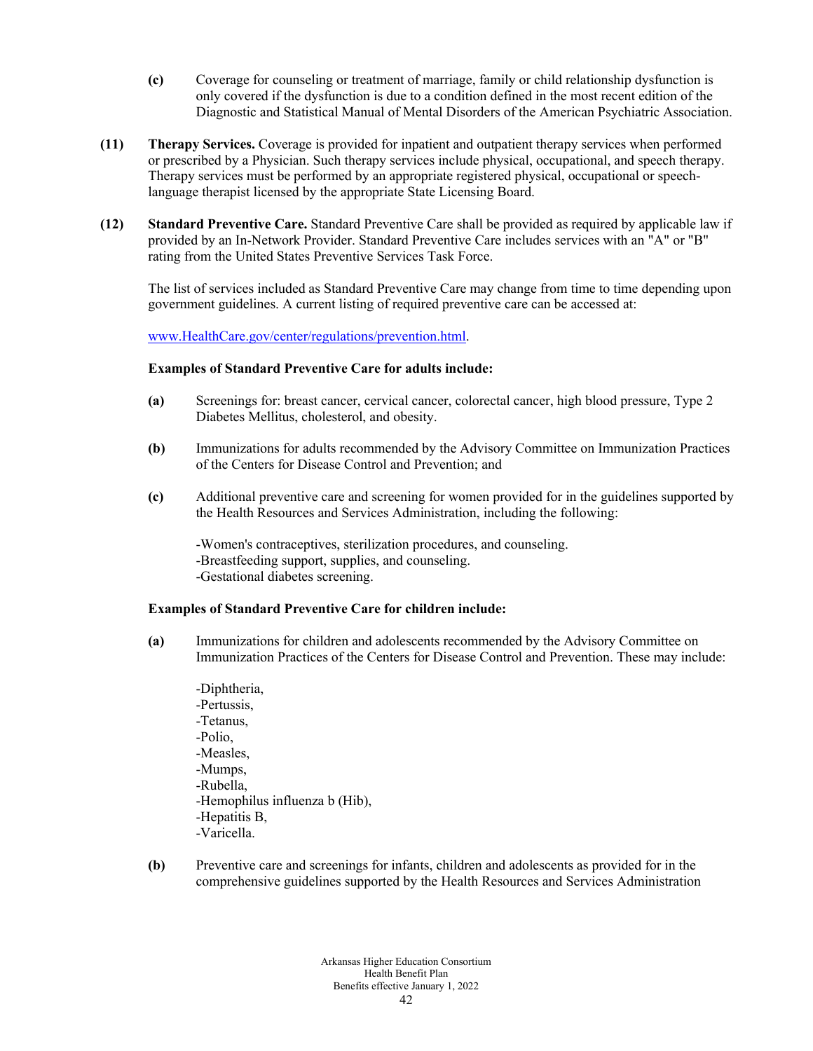- **(c)** Coverage for counseling or treatment of marriage, family or child relationship dysfunction is only covered if the dysfunction is due to a condition defined in the most recent edition of the Diagnostic and Statistical Manual of Mental Disorders of the American Psychiatric Association.
- **(11) Therapy Services.** Coverage is provided for inpatient and outpatient therapy services when performed or prescribed by a Physician. Such therapy services include physical, occupational, and speech therapy. Therapy services must be performed by an appropriate registered physical, occupational or speechlanguage therapist licensed by the appropriate State Licensing Board.
- **(12) Standard Preventive Care.** Standard Preventive Care shall be provided as required by applicable law if provided by an In-Network Provider. Standard Preventive Care includes services with an "A" or "B" rating from the United States Preventive Services Task Force.

The list of services included as Standard Preventive Care may change from time to time depending upon government guidelines. A current listing of required preventive care can be accessed at:

[www.HealthCare.gov/center/regulations/prevention.html.](http://www.healthcare.gov/center/regulations/prevention.html)

#### **Examples of Standard Preventive Care for adults include:**

- **(a)** Screenings for: breast cancer, cervical cancer, colorectal cancer, high blood pressure, Type 2 Diabetes Mellitus, cholesterol, and obesity.
- **(b)** Immunizations for adults recommended by the Advisory Committee on Immunization Practices of the Centers for Disease Control and Prevention; and
- **(c)** Additional preventive care and screening for women provided for in the guidelines supported by the Health Resources and Services Administration, including the following:

-Women's contraceptives, sterilization procedures, and counseling. -Breastfeeding support, supplies, and counseling. -Gestational diabetes screening.

#### **Examples of Standard Preventive Care for children include:**

- **(a)** Immunizations for children and adolescents recommended by the Advisory Committee on Immunization Practices of the Centers for Disease Control and Prevention. These may include:
	- -Diphtheria, -Pertussis, -Tetanus, -Polio, -Measles, -Mumps, -Rubella, -Hemophilus influenza b (Hib), -Hepatitis B, -Varicella.
- **(b)** Preventive care and screenings for infants, children and adolescents as provided for in the comprehensive guidelines supported by the Health Resources and Services Administration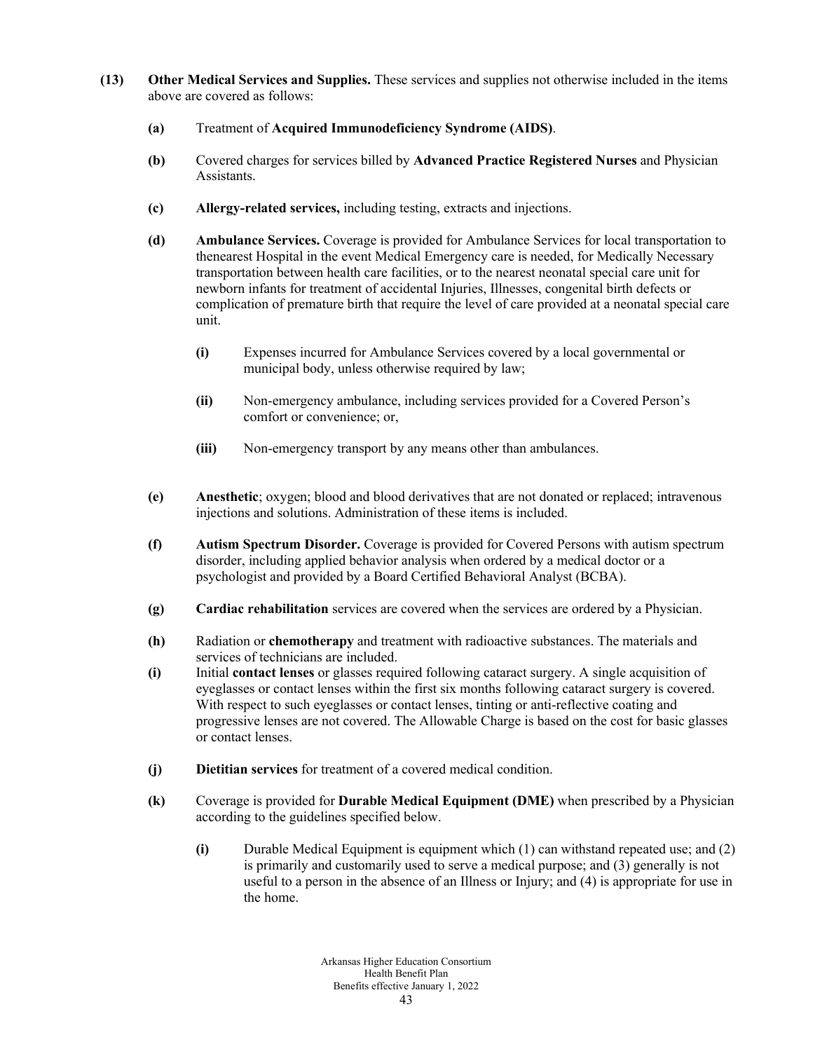- **(13) Other Medical Services and Supplies.** These services and supplies not otherwise included in the items above are covered as follows:
	- **(a)** Treatment of **Acquired Immunodeficiency Syndrome (AIDS)**.
	- **(b)** Covered charges for services billed by **Advanced Practice Registered Nurses** and Physician Assistants.
	- **(c) Allergy-related services,** including testing, extracts and injections.
	- **(d) Ambulance Services.** Coverage is provided for Ambulance Services for local transportation to thenearest Hospital in the event Medical Emergency care is needed, for Medically Necessary transportation between health care facilities, or to the nearest neonatal special care unit for newborn infants for treatment of accidental Injuries, Illnesses, congenital birth defects or complication of premature birth that require the level of care provided at a neonatal special care unit.
		- **(i)** Expenses incurred for Ambulance Services covered by a local governmental or municipal body, unless otherwise required by law;
		- **(ii)** Non-emergency ambulance, including services provided for a Covered Person's comfort or convenience; or,
		- **(iii)** Non-emergency transport by any means other than ambulances.
	- **(e) Anesthetic**; oxygen; blood and blood derivatives that are not donated or replaced; intravenous injections and solutions. Administration of these items is included.
	- **(f) Autism Spectrum Disorder.** Coverage is provided for Covered Persons with autism spectrum disorder, including applied behavior analysis when ordered by a medical doctor or a psychologist and provided by a Board Certified Behavioral Analyst (BCBA).
	- **(g) Cardiac rehabilitation** services are covered when the services are ordered by a Physician.
	- **(h)** Radiation or **chemotherapy** and treatment with radioactive substances. The materials and services of technicians are included.
	- **(i)** Initial **contact lenses** or glasses required following cataract surgery. A single acquisition of eyeglasses or contact lenses within the first six months following cataract surgery is covered. With respect to such eyeglasses or contact lenses, tinting or anti-reflective coating and progressive lenses are not covered. The Allowable Charge is based on the cost for basic glasses or contact lenses.
	- **(j) Dietitian services** for treatment of a covered medical condition.
	- **(k)** Coverage is provided for **Durable Medical Equipment (DME)** when prescribed by a Physician according to the guidelines specified below.
		- **(i)** Durable Medical Equipment is equipment which (1) can withstand repeated use; and (2) is primarily and customarily used to serve a medical purpose; and (3) generally is not useful to a person in the absence of an Illness or Injury; and (4) is appropriate for use in the home.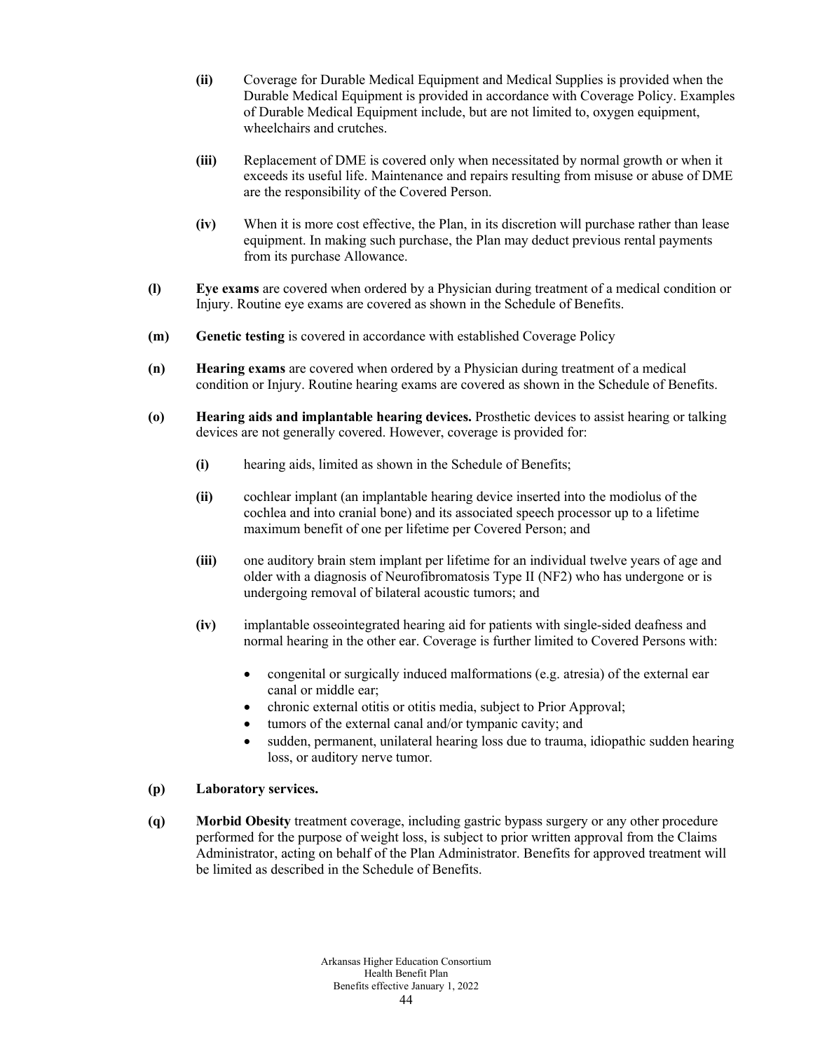- **(ii)** Coverage for Durable Medical Equipment and Medical Supplies is provided when the Durable Medical Equipment is provided in accordance with Coverage Policy. Examples of Durable Medical Equipment include, but are not limited to, oxygen equipment, wheelchairs and crutches.
- **(iii)** Replacement of DME is covered only when necessitated by normal growth or when it exceeds its useful life. Maintenance and repairs resulting from misuse or abuse of DME are the responsibility of the Covered Person.
- **(iv)** When it is more cost effective, the Plan, in its discretion will purchase rather than lease equipment. In making such purchase, the Plan may deduct previous rental payments from its purchase Allowance.
- **(l) Eye exams** are covered when ordered by a Physician during treatment of a medical condition or Injury. Routine eye exams are covered as shown in the Schedule of Benefits.
- **(m) Genetic testing** is covered in accordance with established Coverage Policy
- **(n) Hearing exams** are covered when ordered by a Physician during treatment of a medical condition or Injury. Routine hearing exams are covered as shown in the Schedule of Benefits.
- **(o) Hearing aids and implantable hearing devices.** Prosthetic devices to assist hearing or talking devices are not generally covered. However, coverage is provided for:
	- **(i)** hearing aids, limited as shown in the Schedule of Benefits;
	- **(ii)** cochlear implant (an implantable hearing device inserted into the modiolus of the cochlea and into cranial bone) and its associated speech processor up to a lifetime maximum benefit of one per lifetime per Covered Person; and
	- **(iii)** one auditory brain stem implant per lifetime for an individual twelve years of age and older with a diagnosis of Neurofibromatosis Type II (NF2) who has undergone or is undergoing removal of bilateral acoustic tumors; and
	- **(iv)** implantable osseointegrated hearing aid for patients with single-sided deafness and normal hearing in the other ear. Coverage is further limited to Covered Persons with:
		- congenital or surgically induced malformations (e.g. atresia) of the external ear canal or middle ear;
		- chronic external otitis or otitis media, subject to Prior Approval;
		- tumors of the external canal and/or tympanic cavity; and
		- sudden, permanent, unilateral hearing loss due to trauma, idiopathic sudden hearing loss, or auditory nerve tumor.

#### **(p) Laboratory services.**

**(q) Morbid Obesity** treatment coverage, including gastric bypass surgery or any other procedure performed for the purpose of weight loss, is subject to prior written approval from the Claims Administrator, acting on behalf of the Plan Administrator. Benefits for approved treatment will be limited as described in the Schedule of Benefits.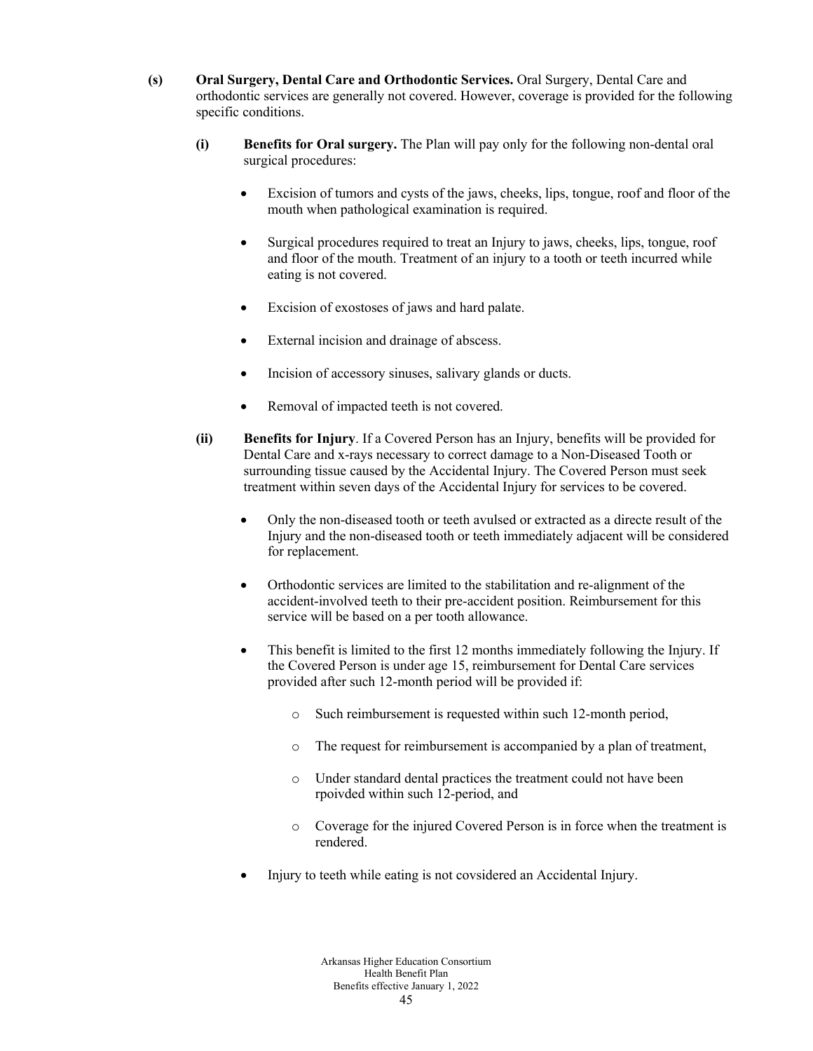- **(s) Oral Surgery, Dental Care and Orthodontic Services.** Oral Surgery, Dental Care and orthodontic services are generally not covered. However, coverage is provided for the following specific conditions.
	- **(i) Benefits for Oral surgery.** The Plan will pay only for the following non-dental oral surgical procedures:
		- Excision of tumors and cysts of the jaws, cheeks, lips, tongue, roof and floor of the mouth when pathological examination is required.
		- Surgical procedures required to treat an Injury to jaws, cheeks, lips, tongue, roof and floor of the mouth. Treatment of an injury to a tooth or teeth incurred while eating is not covered.
		- Excision of exostoses of jaws and hard palate.
		- External incision and drainage of abscess.
		- Incision of accessory sinuses, salivary glands or ducts.
		- Removal of impacted teeth is not covered.
	- **(ii) Benefits for Injury**. If a Covered Person has an Injury, benefits will be provided for Dental Care and x-rays necessary to correct damage to a Non-Diseased Tooth or surrounding tissue caused by the Accidental Injury. The Covered Person must seek treatment within seven days of the Accidental Injury for services to be covered.
		- Only the non-diseased tooth or teeth avulsed or extracted as a directe result of the Injury and the non-diseased tooth or teeth immediately adjacent will be considered for replacement.
		- Orthodontic services are limited to the stabilitation and re-alignment of the accident-involved teeth to their pre-accident position. Reimbursement for this service will be based on a per tooth allowance.
		- This benefit is limited to the first 12 months immediately following the Injury. If the Covered Person is under age 15, reimbursement for Dental Care services provided after such 12-month period will be provided if:
			- o Such reimbursement is requested within such 12-month period,
			- o The request for reimbursement is accompanied by a plan of treatment,
			- o Under standard dental practices the treatment could not have been rpoivded within such 12-period, and
			- o Coverage for the injured Covered Person is in force when the treatment is rendered.
		- Injury to teeth while eating is not covsidered an Accidental Injury.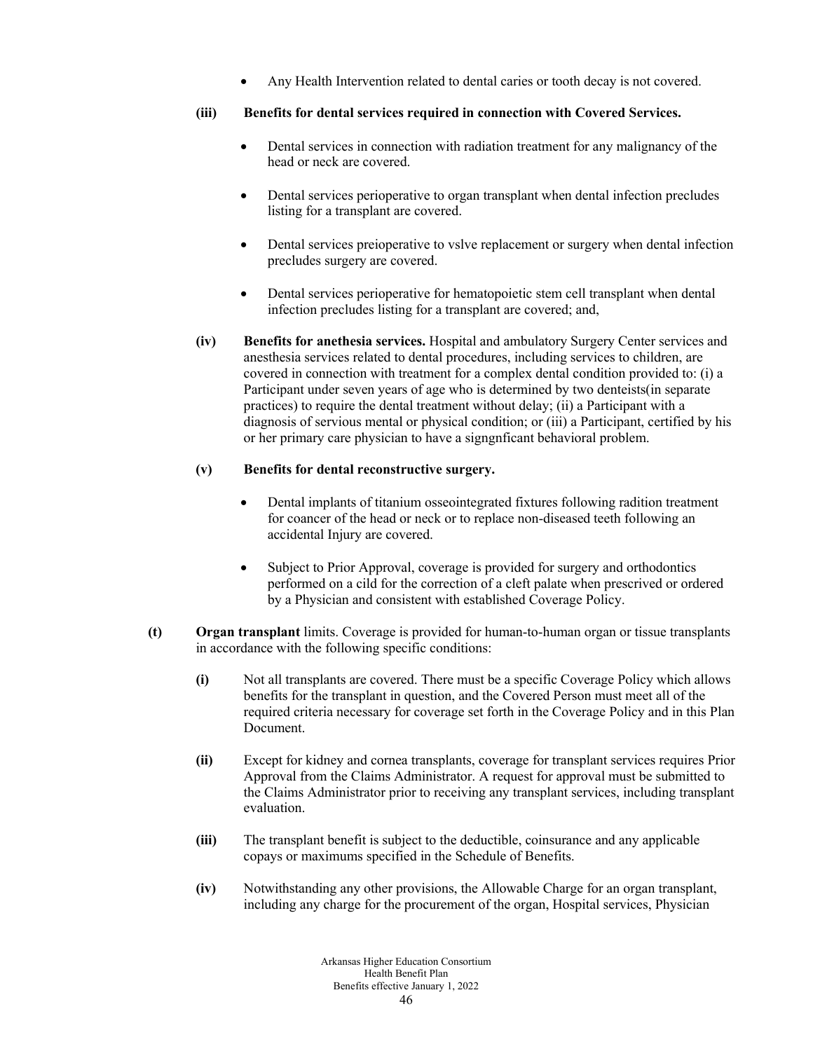Any Health Intervention related to dental caries or tooth decay is not covered.

# **(iii) Benefits for dental services required in connection with Covered Services.**

- Dental services in connection with radiation treatment for any malignancy of the head or neck are covered.
- Dental services perioperative to organ transplant when dental infection precludes listing for a transplant are covered.
- Dental services preioperative to vslve replacement or surgery when dental infection precludes surgery are covered.
- Dental services perioperative for hematopoietic stem cell transplant when dental infection precludes listing for a transplant are covered; and,
- **(iv) Benefits for anethesia services.** Hospital and ambulatory Surgery Center services and anesthesia services related to dental procedures, including services to children, are covered in connection with treatment for a complex dental condition provided to: (i) a Participant under seven years of age who is determined by two denteists(in separate practices) to require the dental treatment without delay; (ii) a Participant with a diagnosis of servious mental or physical condition; or (iii) a Participant, certified by his or her primary care physician to have a signgnficant behavioral problem.

# **(v) Benefits for dental reconstructive surgery.**

- Dental implants of titanium osseointegrated fixtures following radition treatment for coancer of the head or neck or to replace non-diseased teeth following an accidental Injury are covered.
- Subject to Prior Approval, coverage is provided for surgery and orthodontics performed on a cild for the correction of a cleft palate when prescrived or ordered by a Physician and consistent with established Coverage Policy.
- **(t) Organ transplant** limits. Coverage is provided for human-to-human organ or tissue transplants in accordance with the following specific conditions:
	- **(i)** Not all transplants are covered. There must be a specific Coverage Policy which allows benefits for the transplant in question, and the Covered Person must meet all of the required criteria necessary for coverage set forth in the Coverage Policy and in this Plan Document.
	- **(ii)** Except for kidney and cornea transplants, coverage for transplant services requires Prior Approval from the Claims Administrator. A request for approval must be submitted to the Claims Administrator prior to receiving any transplant services, including transplant evaluation.
	- **(iii)** The transplant benefit is subject to the deductible, coinsurance and any applicable copays or maximums specified in the Schedule of Benefits.
	- **(iv)** Notwithstanding any other provisions, the Allowable Charge for an organ transplant, including any charge for the procurement of the organ, Hospital services, Physician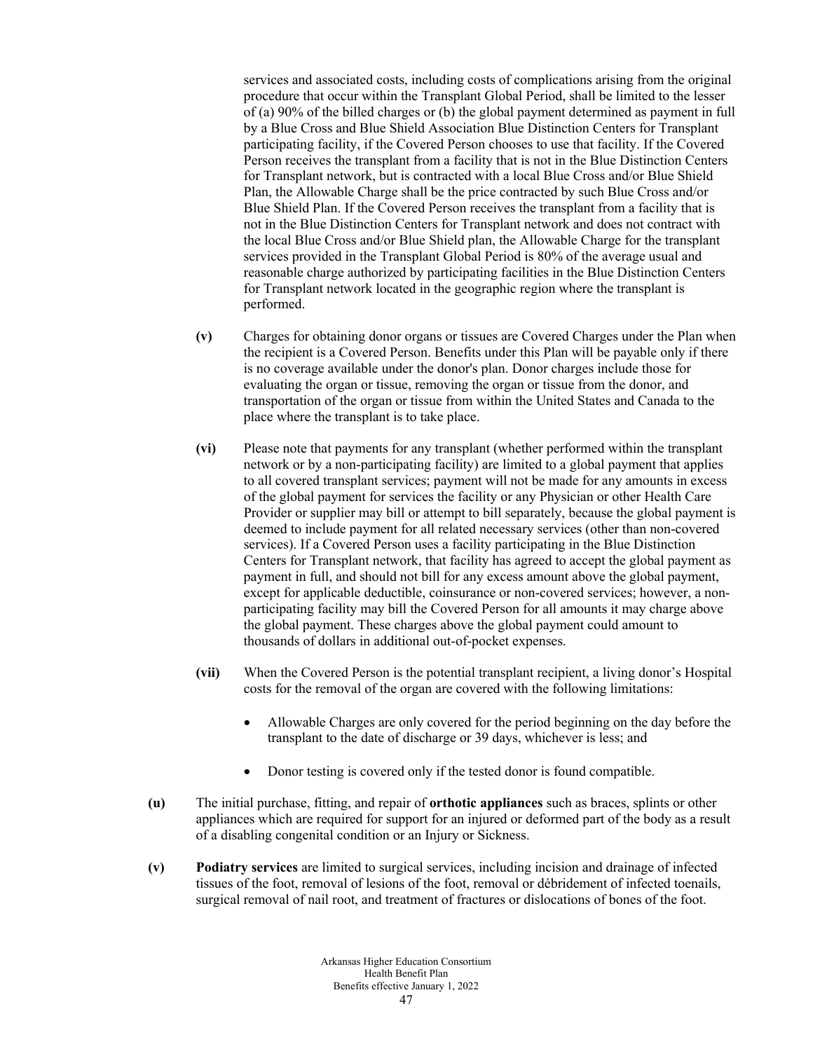services and associated costs, including costs of complications arising from the original procedure that occur within the Transplant Global Period, shall be limited to the lesser of (a) 90% of the billed charges or (b) the global payment determined as payment in full by a Blue Cross and Blue Shield Association Blue Distinction Centers for Transplant participating facility, if the Covered Person chooses to use that facility. If the Covered Person receives the transplant from a facility that is not in the Blue Distinction Centers for Transplant network, but is contracted with a local Blue Cross and/or Blue Shield Plan, the Allowable Charge shall be the price contracted by such Blue Cross and/or Blue Shield Plan. If the Covered Person receives the transplant from a facility that is not in the Blue Distinction Centers for Transplant network and does not contract with the local Blue Cross and/or Blue Shield plan, the Allowable Charge for the transplant services provided in the Transplant Global Period is 80% of the average usual and reasonable charge authorized by participating facilities in the Blue Distinction Centers for Transplant network located in the geographic region where the transplant is performed.

- **(v)** Charges for obtaining donor organs or tissues are Covered Charges under the Plan when the recipient is a Covered Person. Benefits under this Plan will be payable only if there is no coverage available under the donor's plan. Donor charges include those for evaluating the organ or tissue, removing the organ or tissue from the donor, and transportation of the organ or tissue from within the United States and Canada to the place where the transplant is to take place.
- **(vi)** Please note that payments for any transplant (whether performed within the transplant network or by a non-participating facility) are limited to a global payment that applies to all covered transplant services; payment will not be made for any amounts in excess of the global payment for services the facility or any Physician or other Health Care Provider or supplier may bill or attempt to bill separately, because the global payment is deemed to include payment for all related necessary services (other than non-covered services). If a Covered Person uses a facility participating in the Blue Distinction Centers for Transplant network, that facility has agreed to accept the global payment as payment in full, and should not bill for any excess amount above the global payment, except for applicable deductible, coinsurance or non-covered services; however, a nonparticipating facility may bill the Covered Person for all amounts it may charge above the global payment. These charges above the global payment could amount to thousands of dollars in additional out-of-pocket expenses.
- **(vii)** When the Covered Person is the potential transplant recipient, a living donor's Hospital costs for the removal of the organ are covered with the following limitations:
	- Allowable Charges are only covered for the period beginning on the day before the transplant to the date of discharge or 39 days, whichever is less; and
	- Donor testing is covered only if the tested donor is found compatible.
- **(u)** The initial purchase, fitting, and repair of **orthotic appliances** such as braces, splints or other appliances which are required for support for an injured or deformed part of the body as a result of a disabling congenital condition or an Injury or Sickness.
- **(v) Podiatry services** are limited to surgical services, including incision and drainage of infected tissues of the foot, removal of lesions of the foot, removal or débridement of infected toenails, surgical removal of nail root, and treatment of fractures or dislocations of bones of the foot.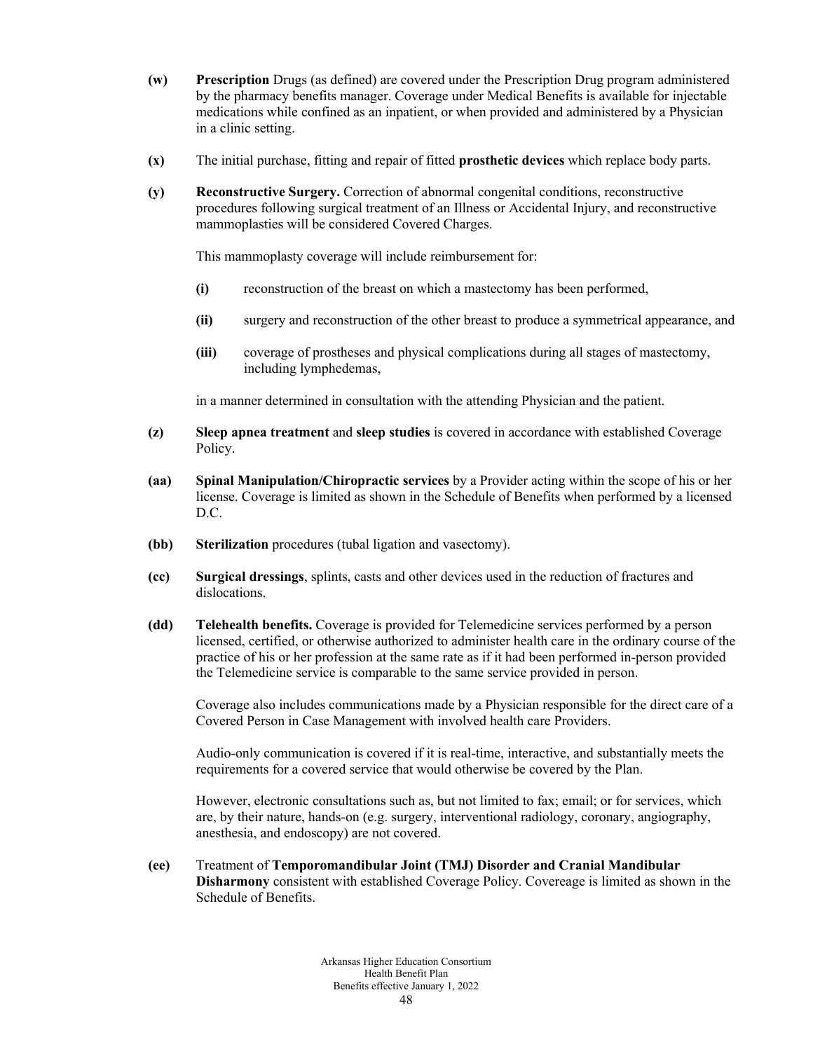- **(w) Prescription** Drugs (as defined) are covered under the Prescription Drug program administered by the pharmacy benefits manager. Coverage under Medical Benefits is available for injectable medications while confined as an inpatient, or when provided and administered by a Physician in a clinic setting.
- **(x)** The initial purchase, fitting and repair of fitted **prosthetic devices** which replace body parts.
- **(y) Reconstructive Surgery.** Correction of abnormal congenital conditions, reconstructive procedures following surgical treatment of an Illness or Accidental Injury, and reconstructive mammoplasties will be considered Covered Charges.

This mammoplasty coverage will include reimbursement for:

- **(i)** reconstruction of the breast on which a mastectomy has been performed,
- **(ii)** surgery and reconstruction of the other breast to produce a symmetrical appearance, and
- **(iii)** coverage of prostheses and physical complications during all stages of mastectomy, including lymphedemas,

in a manner determined in consultation with the attending Physician and the patient.

- **(z) Sleep apnea treatment** and **sleep studies** is covered in accordance with established Coverage Policy.
- **(aa) Spinal Manipulation/Chiropractic services** by a Provider acting within the scope of his or her license. Coverage is limited as shown in the Schedule of Benefits when performed by a licensed D.C.
- **(bb) Sterilization** procedures (tubal ligation and vasectomy).
- **(cc) Surgical dressings**, splints, casts and other devices used in the reduction of fractures and dislocations.
- **(dd) Telehealth benefits.** Coverage is provided for Telemedicine services performed by a person licensed, certified, or otherwise authorized to administer health care in the ordinary course of the practice of his or her profession at the same rate as if it had been performed in-person provided the Telemedicine service is comparable to the same service provided in person.

Coverage also includes communications made by a Physician responsible for the direct care of a Covered Person in Case Management with involved health care Providers.

Audio-only communication is covered if it is real-time, interactive, and substantially meets the requirements for a covered service that would otherwise be covered by the Plan.

However, electronic consultations such as, but not limited to fax; email; or for services, which are, by their nature, hands-on (e.g. surgery, interventional radiology, coronary, angiography, anesthesia, and endoscopy) are not covered.

**(ee)** Treatment of **Temporomandibular Joint (TMJ) Disorder and Cranial Mandibular Disharmony** consistent with established Coverage Policy. Covereage is limited as shown in the Schedule of Benefits.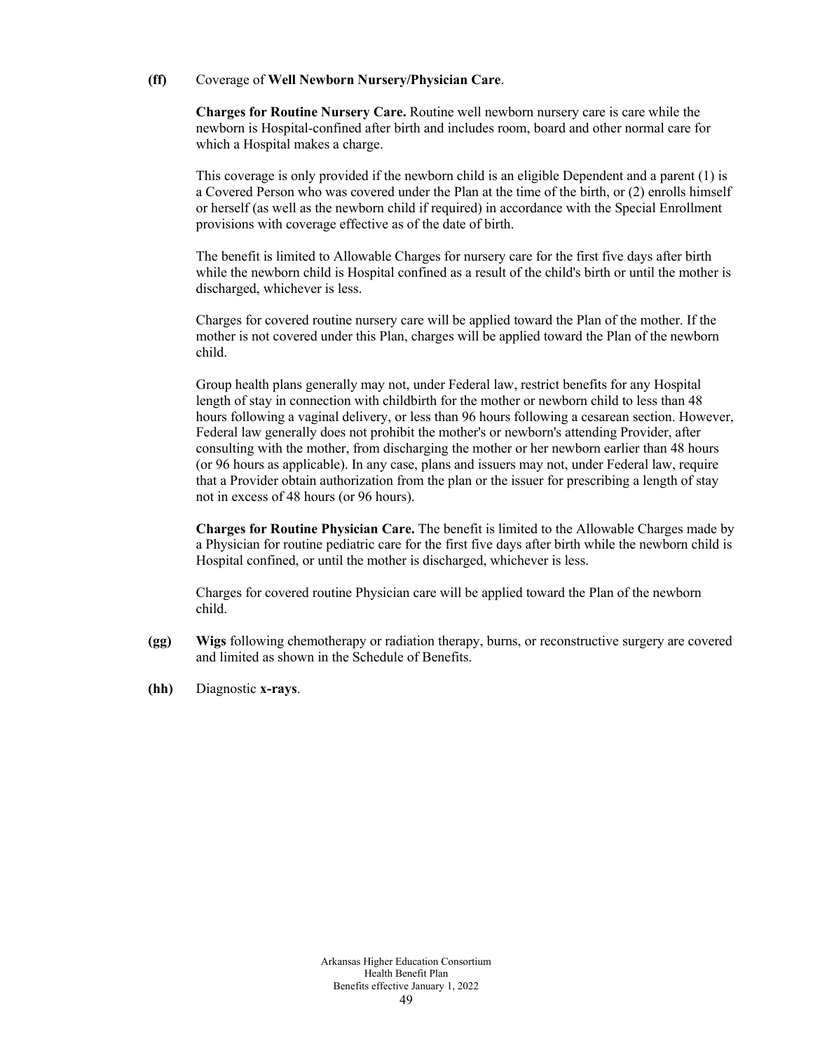### **(ff)** Coverage of **Well Newborn Nursery/Physician Care**.

**Charges for Routine Nursery Care.** Routine well newborn nursery care is care while the newborn is Hospital-confined after birth and includes room, board and other normal care for which a Hospital makes a charge.

This coverage is only provided if the newborn child is an eligible Dependent and a parent (1) is a Covered Person who was covered under the Plan at the time of the birth, or (2) enrolls himself or herself (as well as the newborn child if required) in accordance with the Special Enrollment provisions with coverage effective as of the date of birth.

The benefit is limited to Allowable Charges for nursery care for the first five days after birth while the newborn child is Hospital confined as a result of the child's birth or until the mother is discharged, whichever is less.

Charges for covered routine nursery care will be applied toward the Plan of the mother. If the mother is not covered under this Plan, charges will be applied toward the Plan of the newborn child.

Group health plans generally may not, under Federal law, restrict benefits for any Hospital length of stay in connection with childbirth for the mother or newborn child to less than 48 hours following a vaginal delivery, or less than 96 hours following a cesarean section. However, Federal law generally does not prohibit the mother's or newborn's attending Provider, after consulting with the mother, from discharging the mother or her newborn earlier than 48 hours (or 96 hours as applicable). In any case, plans and issuers may not, under Federal law, require that a Provider obtain authorization from the plan or the issuer for prescribing a length of stay not in excess of 48 hours (or 96 hours).

**Charges for Routine Physician Care.** The benefit is limited to the Allowable Charges made by a Physician for routine pediatric care for the first five days after birth while the newborn child is Hospital confined, or until the mother is discharged, whichever is less.

Charges for covered routine Physician care will be applied toward the Plan of the newborn child.

- **(gg) Wigs** following chemotherapy or radiation therapy, burns, or reconstructive surgery are covered and limited as shown in the Schedule of Benefits.
- **(hh)** Diagnostic **x-rays**.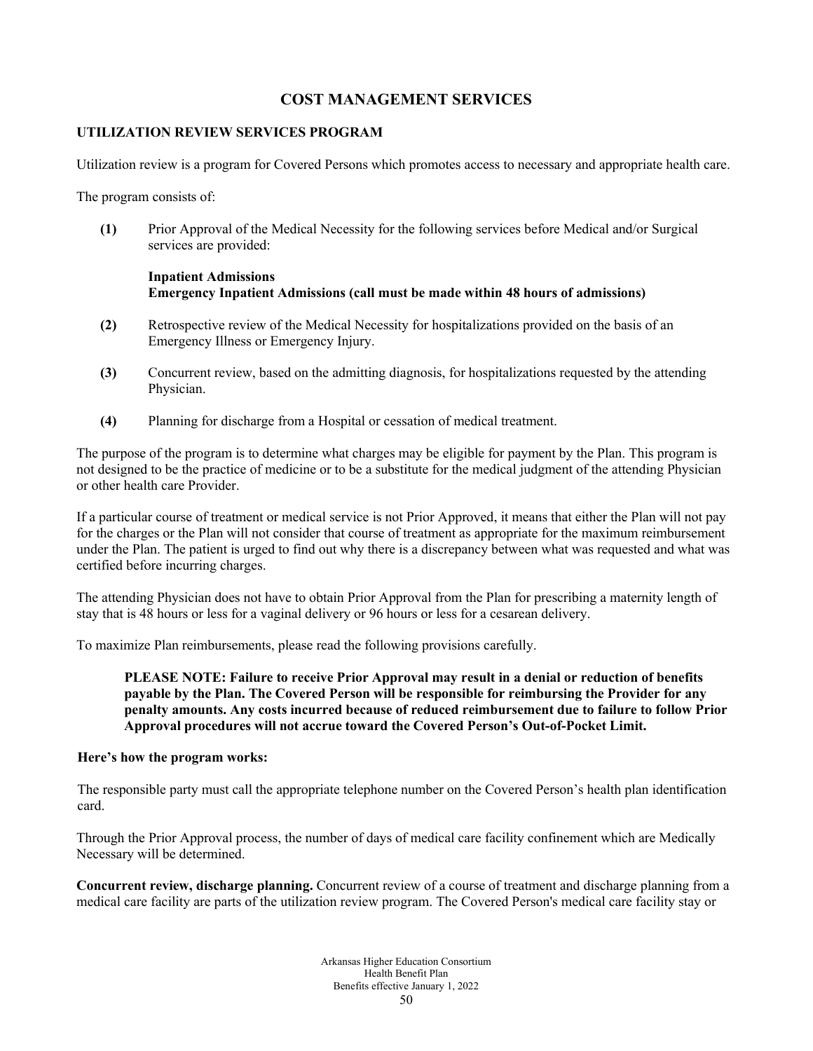# **COST MANAGEMENT SERVICES**

# **UTILIZATION REVIEW SERVICES PROGRAM**

Utilization review is a program for Covered Persons which promotes access to necessary and appropriate health care.

The program consists of:

**(1)** Prior Approval of the Medical Necessity for the following services before Medical and/or Surgical services are provided:

# **Inpatient Admissions Emergency Inpatient Admissions (call must be made within 48 hours of admissions)**

- **(2)** Retrospective review of the Medical Necessity for hospitalizations provided on the basis of an Emergency Illness or Emergency Injury.
- **(3)** Concurrent review, based on the admitting diagnosis, for hospitalizations requested by the attending Physician.
- **(4)** Planning for discharge from a Hospital or cessation of medical treatment.

The purpose of the program is to determine what charges may be eligible for payment by the Plan. This program is not designed to be the practice of medicine or to be a substitute for the medical judgment of the attending Physician or other health care Provider.

If a particular course of treatment or medical service is not Prior Approved, it means that either the Plan will not pay for the charges or the Plan will not consider that course of treatment as appropriate for the maximum reimbursement under the Plan. The patient is urged to find out why there is a discrepancy between what was requested and what was certified before incurring charges.

The attending Physician does not have to obtain Prior Approval from the Plan for prescribing a maternity length of stay that is 48 hours or less for a vaginal delivery or 96 hours or less for a cesarean delivery.

To maximize Plan reimbursements, please read the following provisions carefully.

**PLEASE NOTE: Failure to receive Prior Approval may result in a denial or reduction of benefits payable by the Plan. The Covered Person will be responsible for reimbursing the Provider for any penalty amounts. Any costs incurred because of reduced reimbursement due to failure to follow Prior Approval procedures will not accrue toward the Covered Person's Out-of-Pocket Limit.** 

#### **Here's how the program works:**

The responsible party must call the appropriate telephone number on the Covered Person's health plan identification card.

Through the Prior Approval process, the number of days of medical care facility confinement which are Medically Necessary will be determined.

**Concurrent review, discharge planning.** Concurrent review of a course of treatment and discharge planning from a medical care facility are parts of the utilization review program. The Covered Person's medical care facility stay or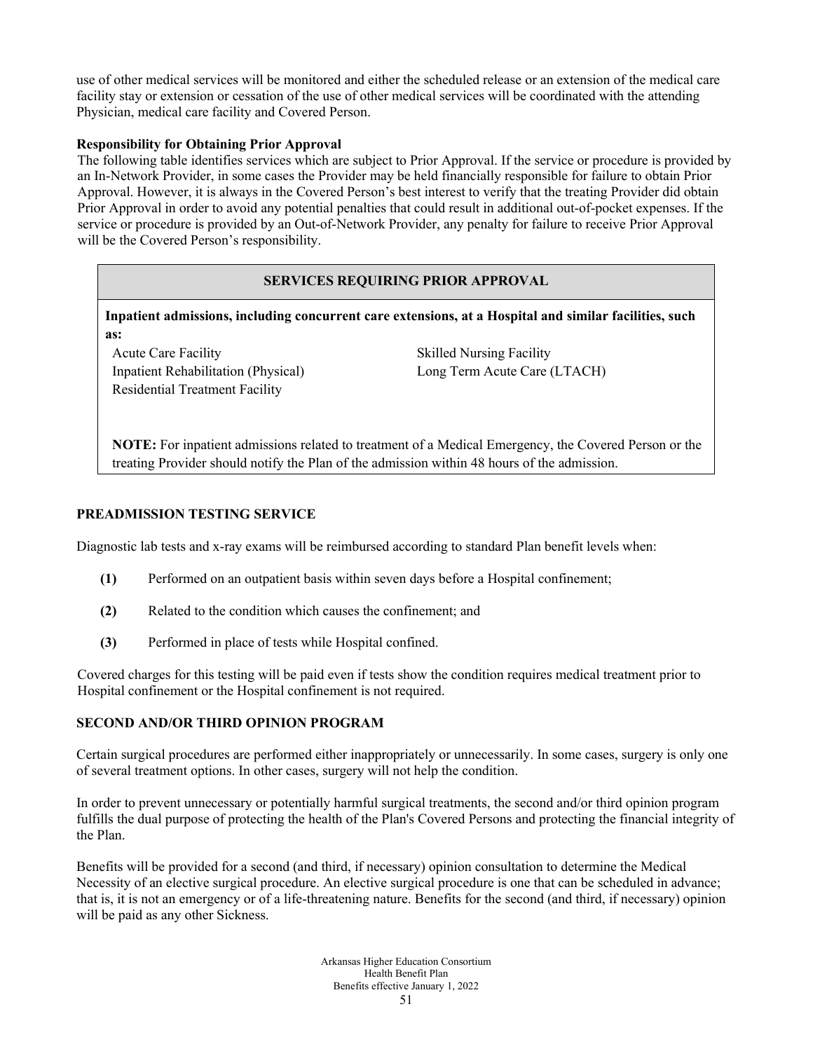use of other medical services will be monitored and either the scheduled release or an extension of the medical care facility stay or extension or cessation of the use of other medical services will be coordinated with the attending Physician, medical care facility and Covered Person.

# **Responsibility for Obtaining Prior Approval**

The following table identifies services which are subject to Prior Approval. If the service or procedure is provided by an In-Network Provider, in some cases the Provider may be held financially responsible for failure to obtain Prior Approval. However, it is always in the Covered Person's best interest to verify that the treating Provider did obtain Prior Approval in order to avoid any potential penalties that could result in additional out-of-pocket expenses. If the service or procedure is provided by an Out-of-Network Provider, any penalty for failure to receive Prior Approval will be the Covered Person's responsibility.

# **SERVICES REQUIRING PRIOR APPROVAL**

**Inpatient admissions, including concurrent care extensions, at a Hospital and similar facilities, such as:**

Acute Care Facility Skilled Nursing Facility Inpatient Rehabilitation (Physical) Long Term Acute Care (LTACH) Residential Treatment Facility

**NOTE:** For inpatient admissions related to treatment of a Medical Emergency, the Covered Person or the treating Provider should notify the Plan of the admission within 48 hours of the admission.

#### **PREADMISSION TESTING SERVICE**

Diagnostic lab tests and x-ray exams will be reimbursed according to standard Plan benefit levels when:

- **(1)** Performed on an outpatient basis within seven days before a Hospital confinement;
- **(2)** Related to the condition which causes the confinement; and
- **(3)** Performed in place of tests while Hospital confined.

Covered charges for this testing will be paid even if tests show the condition requires medical treatment prior to Hospital confinement or the Hospital confinement is not required.

# **SECOND AND/OR THIRD OPINION PROGRAM**

Certain surgical procedures are performed either inappropriately or unnecessarily. In some cases, surgery is only one of several treatment options. In other cases, surgery will not help the condition.

In order to prevent unnecessary or potentially harmful surgical treatments, the second and/or third opinion program fulfills the dual purpose of protecting the health of the Plan's Covered Persons and protecting the financial integrity of the Plan.

Benefits will be provided for a second (and third, if necessary) opinion consultation to determine the Medical Necessity of an elective surgical procedure. An elective surgical procedure is one that can be scheduled in advance; that is, it is not an emergency or of a life-threatening nature. Benefits for the second (and third, if necessary) opinion will be paid as any other Sickness.

> Arkansas Higher Education Consortium Health Benefit Plan Benefits effective January 1, 2022 51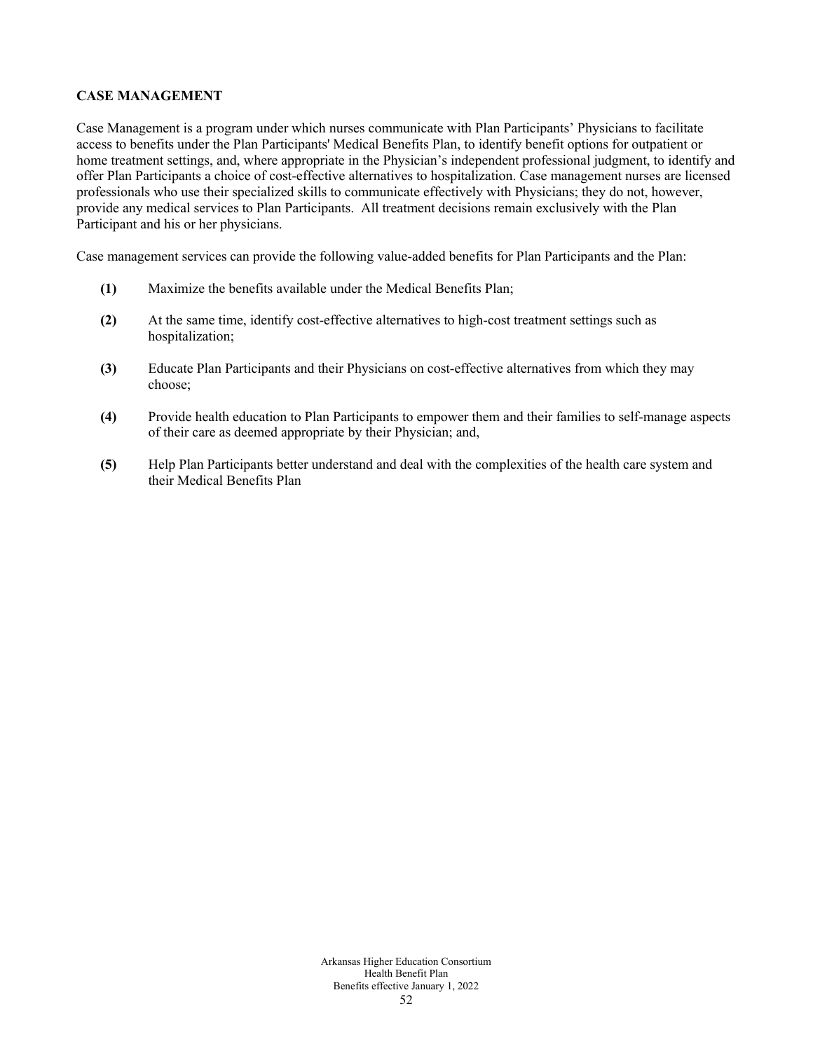# **CASE MANAGEMENT**

Case Management is a program under which nurses communicate with Plan Participants' Physicians to facilitate access to benefits under the Plan Participants' Medical Benefits Plan, to identify benefit options for outpatient or home treatment settings, and, where appropriate in the Physician's independent professional judgment, to identify and offer Plan Participants a choice of cost-effective alternatives to hospitalization. Case management nurses are licensed professionals who use their specialized skills to communicate effectively with Physicians; they do not, however, provide any medical services to Plan Participants. All treatment decisions remain exclusively with the Plan Participant and his or her physicians.

Case management services can provide the following value-added benefits for Plan Participants and the Plan:

- **(1)** Maximize the benefits available under the Medical Benefits Plan;
- **(2)** At the same time, identify cost-effective alternatives to high-cost treatment settings such as hospitalization;
- **(3)** Educate Plan Participants and their Physicians on cost-effective alternatives from which they may choose;
- **(4)** Provide health education to Plan Participants to empower them and their families to self-manage aspects of their care as deemed appropriate by their Physician; and,
- **(5)** Help Plan Participants better understand and deal with the complexities of the health care system and their Medical Benefits Plan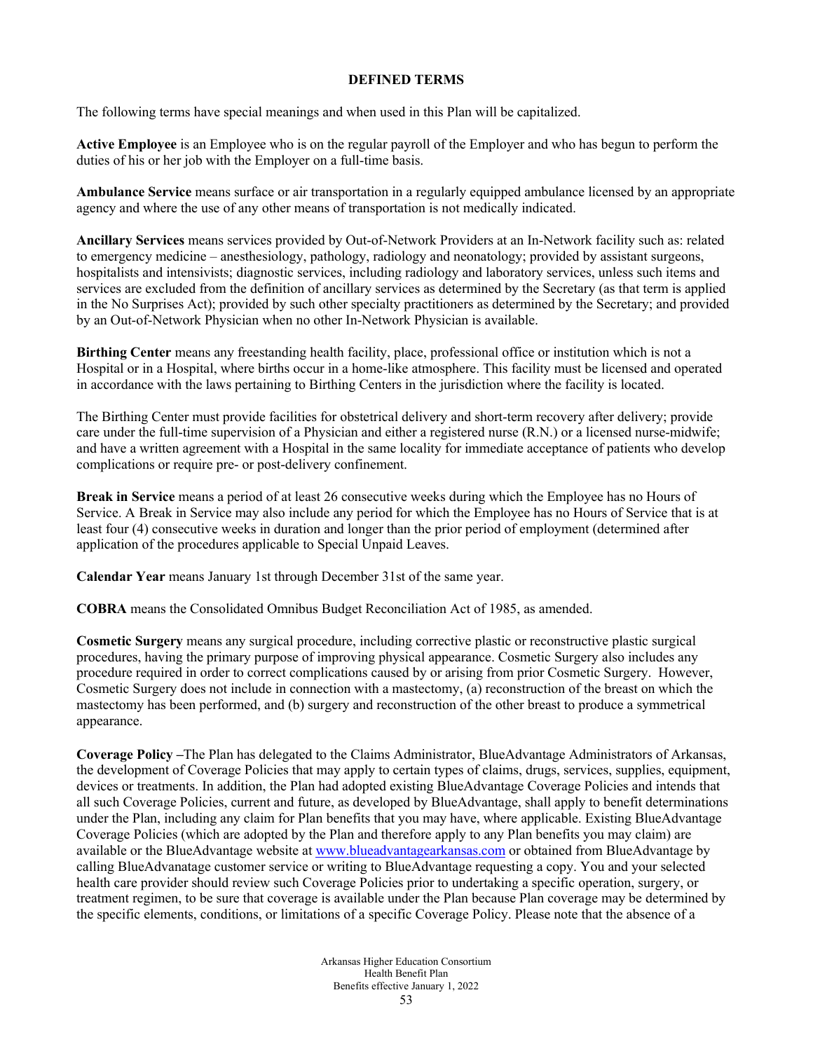### **DEFINED TERMS**

The following terms have special meanings and when used in this Plan will be capitalized.

**Active Employee** is an Employee who is on the regular payroll of the Employer and who has begun to perform the duties of his or her job with the Employer on a full-time basis.

**Ambulance Service** means surface or air transportation in a regularly equipped ambulance licensed by an appropriate agency and where the use of any other means of transportation is not medically indicated.

**Ancillary Services** means services provided by Out-of-Network Providers at an In-Network facility such as: related to emergency medicine – anesthesiology, pathology, radiology and neonatology; provided by assistant surgeons, hospitalists and intensivists; diagnostic services, including radiology and laboratory services, unless such items and services are excluded from the definition of ancillary services as determined by the Secretary (as that term is applied in the No Surprises Act); provided by such other specialty practitioners as determined by the Secretary; and provided by an Out-of-Network Physician when no other In-Network Physician is available.

**Birthing Center** means any freestanding health facility, place, professional office or institution which is not a Hospital or in a Hospital, where births occur in a home-like atmosphere. This facility must be licensed and operated in accordance with the laws pertaining to Birthing Centers in the jurisdiction where the facility is located.

The Birthing Center must provide facilities for obstetrical delivery and short-term recovery after delivery; provide care under the full-time supervision of a Physician and either a registered nurse (R.N.) or a licensed nurse-midwife; and have a written agreement with a Hospital in the same locality for immediate acceptance of patients who develop complications or require pre- or post-delivery confinement.

**Break in Service** means a period of at least 26 consecutive weeks during which the Employee has no Hours of Service. A Break in Service may also include any period for which the Employee has no Hours of Service that is at least four (4) consecutive weeks in duration and longer than the prior period of employment (determined after application of the procedures applicable to Special Unpaid Leaves.

**Calendar Year** means January 1st through December 31st of the same year.

**COBRA** means the Consolidated Omnibus Budget Reconciliation Act of 1985, as amended.

**Cosmetic Surgery** means any surgical procedure, including corrective plastic or reconstructive plastic surgical procedures, having the primary purpose of improving physical appearance. Cosmetic Surgery also includes any procedure required in order to correct complications caused by or arising from prior Cosmetic Surgery. However, Cosmetic Surgery does not include in connection with a mastectomy, (a) reconstruction of the breast on which the mastectomy has been performed, and (b) surgery and reconstruction of the other breast to produce a symmetrical appearance.

**Coverage Policy –**The Plan has delegated to the Claims Administrator, BlueAdvantage Administrators of Arkansas, the development of Coverage Policies that may apply to certain types of claims, drugs, services, supplies, equipment, devices or treatments. In addition, the Plan had adopted existing BlueAdvantage Coverage Policies and intends that all such Coverage Policies, current and future, as developed by BlueAdvantage, shall apply to benefit determinations under the Plan, including any claim for Plan benefits that you may have, where applicable. Existing BlueAdvantage Coverage Policies (which are adopted by the Plan and therefore apply to any Plan benefits you may claim) are available or the BlueAdvantage website at [www.blueadvantagearkansas.com](http://www.blueadvantagearkansas.com/) or obtained from BlueAdvantage by calling BlueAdvanatage customer service or writing to BlueAdvantage requesting a copy. You and your selected health care provider should review such Coverage Policies prior to undertaking a specific operation, surgery, or treatment regimen, to be sure that coverage is available under the Plan because Plan coverage may be determined by the specific elements, conditions, or limitations of a specific Coverage Policy. Please note that the absence of a

> Arkansas Higher Education Consortium Health Benefit Plan Benefits effective January 1, 2022 53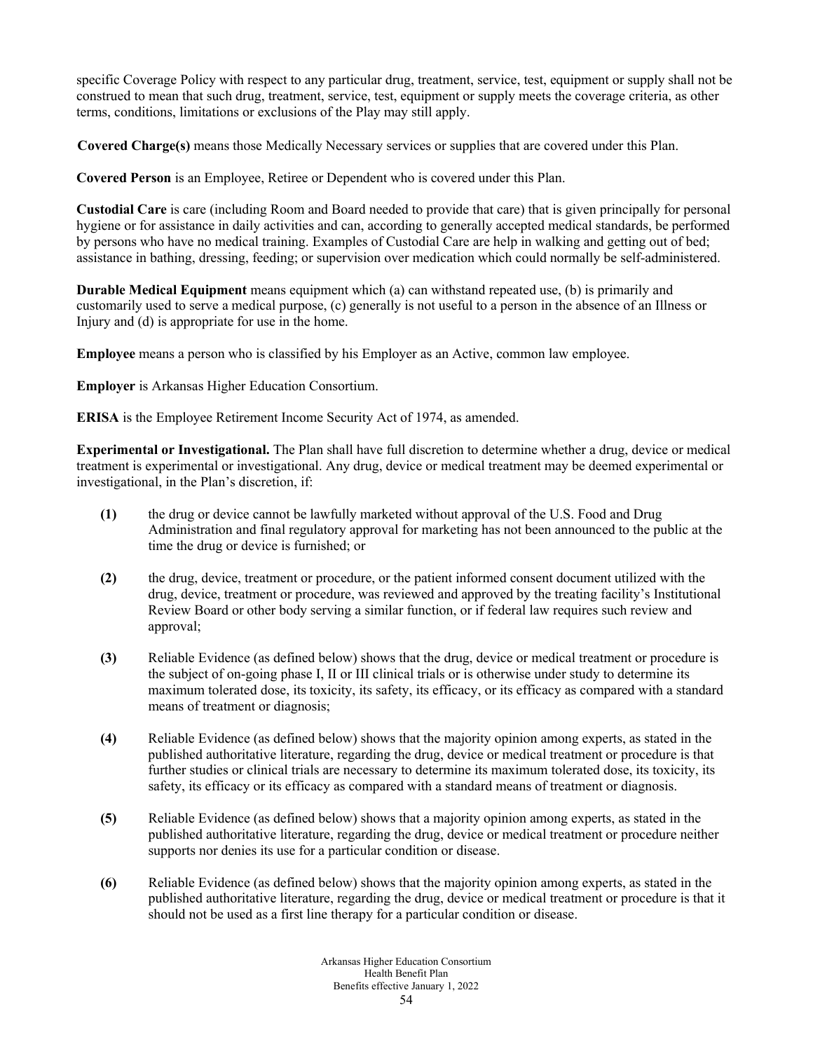specific Coverage Policy with respect to any particular drug, treatment, service, test, equipment or supply shall not be construed to mean that such drug, treatment, service, test, equipment or supply meets the coverage criteria, as other terms, conditions, limitations or exclusions of the Play may still apply.

**Covered Charge(s)** means those Medically Necessary services or supplies that are covered under this Plan.

**Covered Person** is an Employee, Retiree or Dependent who is covered under this Plan.

**Custodial Care** is care (including Room and Board needed to provide that care) that is given principally for personal hygiene or for assistance in daily activities and can, according to generally accepted medical standards, be performed by persons who have no medical training. Examples of Custodial Care are help in walking and getting out of bed; assistance in bathing, dressing, feeding; or supervision over medication which could normally be self-administered.

**Durable Medical Equipment** means equipment which (a) can withstand repeated use, (b) is primarily and customarily used to serve a medical purpose, (c) generally is not useful to a person in the absence of an Illness or Injury and (d) is appropriate for use in the home.

**Employee** means a person who is classified by his Employer as an Active, common law employee.

**Employer** is Arkansas Higher Education Consortium.

**ERISA** is the Employee Retirement Income Security Act of 1974, as amended.

**Experimental or Investigational.** The Plan shall have full discretion to determine whether a drug, device or medical treatment is experimental or investigational. Any drug, device or medical treatment may be deemed experimental or investigational, in the Plan's discretion, if:

- **(1)** the drug or device cannot be lawfully marketed without approval of the U.S. Food and Drug Administration and final regulatory approval for marketing has not been announced to the public at the time the drug or device is furnished; or
- **(2)** the drug, device, treatment or procedure, or the patient informed consent document utilized with the drug, device, treatment or procedure, was reviewed and approved by the treating facility's Institutional Review Board or other body serving a similar function, or if federal law requires such review and approval;
- **(3)** Reliable Evidence (as defined below) shows that the drug, device or medical treatment or procedure is the subject of on-going phase I, II or III clinical trials or is otherwise under study to determine its maximum tolerated dose, its toxicity, its safety, its efficacy, or its efficacy as compared with a standard means of treatment or diagnosis;
- **(4)** Reliable Evidence (as defined below) shows that the majority opinion among experts, as stated in the published authoritative literature, regarding the drug, device or medical treatment or procedure is that further studies or clinical trials are necessary to determine its maximum tolerated dose, its toxicity, its safety, its efficacy or its efficacy as compared with a standard means of treatment or diagnosis.
- **(5)** Reliable Evidence (as defined below) shows that a majority opinion among experts, as stated in the published authoritative literature, regarding the drug, device or medical treatment or procedure neither supports nor denies its use for a particular condition or disease.
- **(6)** Reliable Evidence (as defined below) shows that the majority opinion among experts, as stated in the published authoritative literature, regarding the drug, device or medical treatment or procedure is that it should not be used as a first line therapy for a particular condition or disease.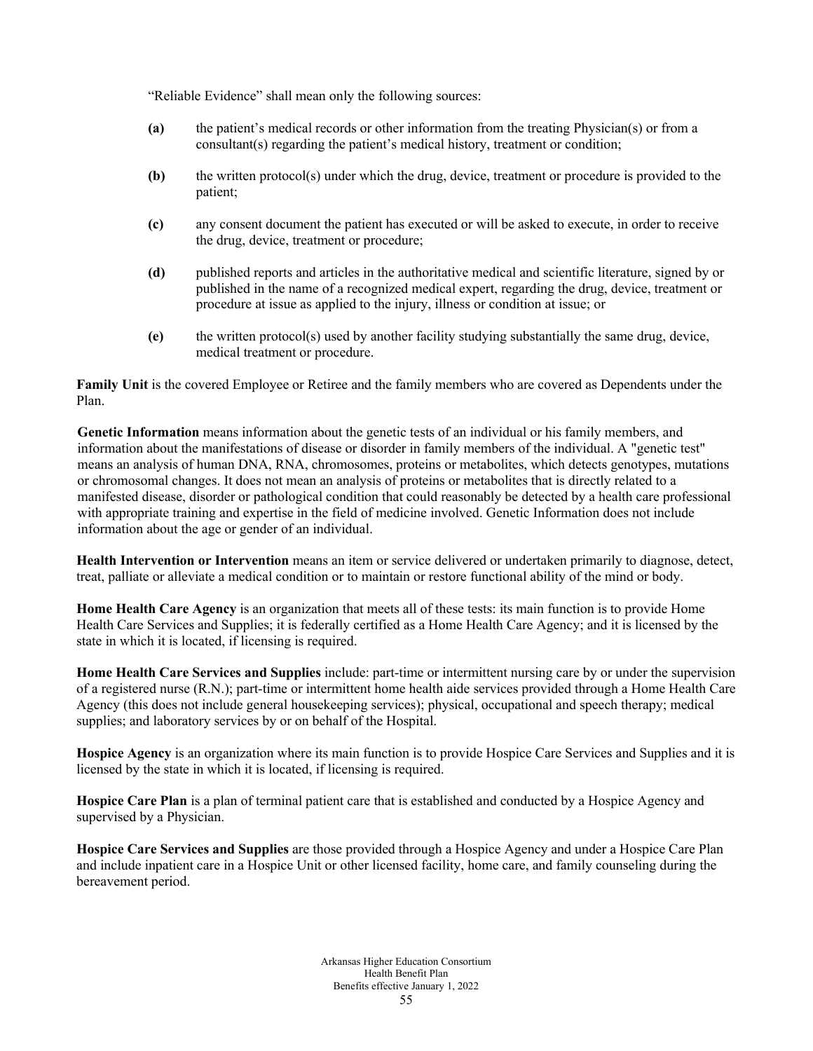"Reliable Evidence" shall mean only the following sources:

- **(a)** the patient's medical records or other information from the treating Physician(s) or from a consultant(s) regarding the patient's medical history, treatment or condition;
- **(b)** the written protocol(s) under which the drug, device, treatment or procedure is provided to the patient;
- **(c)** any consent document the patient has executed or will be asked to execute, in order to receive the drug, device, treatment or procedure;
- **(d)** published reports and articles in the authoritative medical and scientific literature, signed by or published in the name of a recognized medical expert, regarding the drug, device, treatment or procedure at issue as applied to the injury, illness or condition at issue; or
- **(e)** the written protocol(s) used by another facility studying substantially the same drug, device, medical treatment or procedure.

**Family Unit** is the covered Employee or Retiree and the family members who are covered as Dependents under the Plan.

**Genetic Information** means information about the genetic tests of an individual or his family members, and information about the manifestations of disease or disorder in family members of the individual. A "genetic test" means an analysis of human DNA, RNA, chromosomes, proteins or metabolites, which detects genotypes, mutations or chromosomal changes. It does not mean an analysis of proteins or metabolites that is directly related to a manifested disease, disorder or pathological condition that could reasonably be detected by a health care professional with appropriate training and expertise in the field of medicine involved. Genetic Information does not include information about the age or gender of an individual.

**Health Intervention or Intervention** means an item or service delivered or undertaken primarily to diagnose, detect, treat, palliate or alleviate a medical condition or to maintain or restore functional ability of the mind or body.

**Home Health Care Agency** is an organization that meets all of these tests: its main function is to provide Home Health Care Services and Supplies; it is federally certified as a Home Health Care Agency; and it is licensed by the state in which it is located, if licensing is required.

**Home Health Care Services and Supplies** include: part-time or intermittent nursing care by or under the supervision of a registered nurse (R.N.); part-time or intermittent home health aide services provided through a Home Health Care Agency (this does not include general housekeeping services); physical, occupational and speech therapy; medical supplies; and laboratory services by or on behalf of the Hospital.

**Hospice Agency** is an organization where its main function is to provide Hospice Care Services and Supplies and it is licensed by the state in which it is located, if licensing is required.

**Hospice Care Plan** is a plan of terminal patient care that is established and conducted by a Hospice Agency and supervised by a Physician.

**Hospice Care Services and Supplies** are those provided through a Hospice Agency and under a Hospice Care Plan and include inpatient care in a Hospice Unit or other licensed facility, home care, and family counseling during the bereavement period.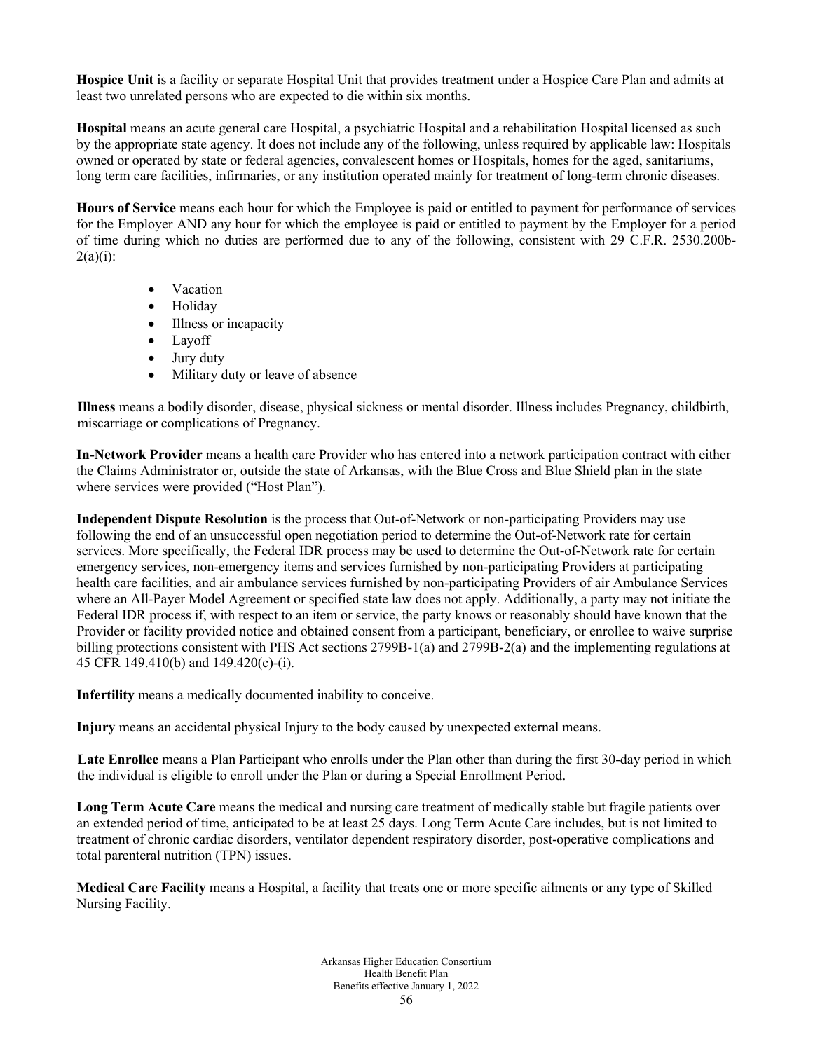**Hospice Unit** is a facility or separate Hospital Unit that provides treatment under a Hospice Care Plan and admits at least two unrelated persons who are expected to die within six months.

**Hospital** means an acute general care Hospital, a psychiatric Hospital and a rehabilitation Hospital licensed as such by the appropriate state agency. It does not include any of the following, unless required by applicable law: Hospitals owned or operated by state or federal agencies, convalescent homes or Hospitals, homes for the aged, sanitariums, long term care facilities, infirmaries, or any institution operated mainly for treatment of long-term chronic diseases.

**Hours of Service** means each hour for which the Employee is paid or entitled to payment for performance of services for the Employer AND any hour for which the employee is paid or entitled to payment by the Employer for a period of time during which no duties are performed due to any of the following, consistent with 29 C.F.R. 2530.200b- $2(a)(i)$ :

- Vacation
- Holiday
- Illness or incapacity
- Layoff
- Jury duty
- Military duty or leave of absence

**Illness** means a bodily disorder, disease, physical sickness or mental disorder. Illness includes Pregnancy, childbirth, miscarriage or complications of Pregnancy.

**In-Network Provider** means a health care Provider who has entered into a network participation contract with either the Claims Administrator or, outside the state of Arkansas, with the Blue Cross and Blue Shield plan in the state where services were provided ("Host Plan").

**Independent Dispute Resolution** is the process that Out-of-Network or non-participating Providers may use following the end of an unsuccessful open negotiation period to determine the Out-of-Network rate for certain services. More specifically, the Federal IDR process may be used to determine the Out-of-Network rate for certain emergency services, non-emergency items and services furnished by non-participating Providers at participating health care facilities, and air ambulance services furnished by non-participating Providers of air Ambulance Services where an All-Payer Model Agreement or specified state law does not apply. Additionally, a party may not initiate the Federal IDR process if, with respect to an item or service, the party knows or reasonably should have known that the Provider or facility provided notice and obtained consent from a participant, beneficiary, or enrollee to waive surprise billing protections consistent with PHS Act sections 2799B-1(a) and 2799B-2(a) and the implementing regulations at 45 CFR 149.410(b) and 149.420(c)-(i).

**Infertility** means a medically documented inability to conceive.

**Injury** means an accidental physical Injury to the body caused by unexpected external means.

**Late Enrollee** means a Plan Participant who enrolls under the Plan other than during the first 30-day period in which the individual is eligible to enroll under the Plan or during a Special Enrollment Period.

**Long Term Acute Care** means the medical and nursing care treatment of medically stable but fragile patients over an extended period of time, anticipated to be at least 25 days. Long Term Acute Care includes, but is not limited to treatment of chronic cardiac disorders, ventilator dependent respiratory disorder, post-operative complications and total parenteral nutrition (TPN) issues.

**Medical Care Facility** means a Hospital, a facility that treats one or more specific ailments or any type of Skilled Nursing Facility.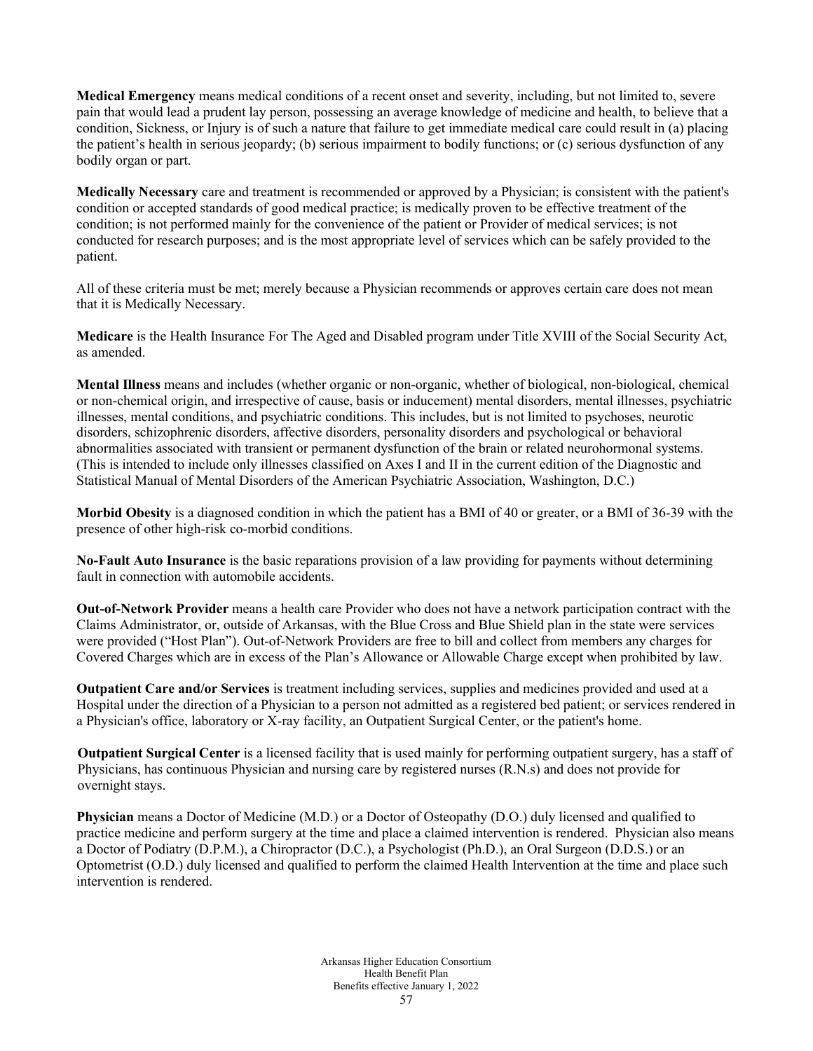**Medical Emergency** means medical conditions of a recent onset and severity, including, but not limited to, severe pain that would lead a prudent lay person, possessing an average knowledge of medicine and health, to believe that a condition, Sickness, or Injury is of such a nature that failure to get immediate medical care could result in (a) placing the patient's health in serious jeopardy; (b) serious impairment to bodily functions; or (c) serious dysfunction of any bodily organ or part.

**Medically Necessary** care and treatment is recommended or approved by a Physician; is consistent with the patient's condition or accepted standards of good medical practice; is medically proven to be effective treatment of the condition; is not performed mainly for the convenience of the patient or Provider of medical services; is not conducted for research purposes; and is the most appropriate level of services which can be safely provided to the patient.

All of these criteria must be met; merely because a Physician recommends or approves certain care does not mean that it is Medically Necessary.

**Medicare** is the Health Insurance For The Aged and Disabled program under Title XVIII of the Social Security Act, as amended.

**Mental Illness** means and includes (whether organic or non-organic, whether of biological, non-biological, chemical or non-chemical origin, and irrespective of cause, basis or inducement) mental disorders, mental illnesses, psychiatric illnesses, mental conditions, and psychiatric conditions. This includes, but is not limited to psychoses, neurotic disorders, schizophrenic disorders, affective disorders, personality disorders and psychological or behavioral abnormalities associated with transient or permanent dysfunction of the brain or related neurohormonal systems. (This is intended to include only illnesses classified on Axes I and II in the current edition of the Diagnostic and Statistical Manual of Mental Disorders of the American Psychiatric Association, Washington, D.C.)

**Morbid Obesity** is a diagnosed condition in which the patient has a BMI of 40 or greater, or a BMI of 36-39 with the presence of other high-risk co-morbid conditions.

**No-Fault Auto Insurance** is the basic reparations provision of a law providing for payments without determining fault in connection with automobile accidents.

**Out-of-Network Provider** means a health care Provider who does not have a network participation contract with the Claims Administrator, or, outside of Arkansas, with the Blue Cross and Blue Shield plan in the state were services were provided ("Host Plan"). Out-of-Network Providers are free to bill and collect from members any charges for Covered Charges which are in excess of the Plan's Allowance or Allowable Charge except when prohibited by law.

**Outpatient Care and/or Services** is treatment including services, supplies and medicines provided and used at a Hospital under the direction of a Physician to a person not admitted as a registered bed patient; or services rendered in a Physician's office, laboratory or X-ray facility, an Outpatient Surgical Center, or the patient's home.

**Outpatient Surgical Center** is a licensed facility that is used mainly for performing outpatient surgery, has a staff of Physicians, has continuous Physician and nursing care by registered nurses (R.N.s) and does not provide for overnight stays.

**Physician** means a Doctor of Medicine (M.D.) or a Doctor of Osteopathy (D.O.) duly licensed and qualified to practice medicine and perform surgery at the time and place a claimed intervention is rendered. Physician also means a Doctor of Podiatry (D.P.M.), a Chiropractor (D.C.), a Psychologist (Ph.D.), an Oral Surgeon (D.D.S.) or an Optometrist (O.D.) duly licensed and qualified to perform the claimed Health Intervention at the time and place such intervention is rendered.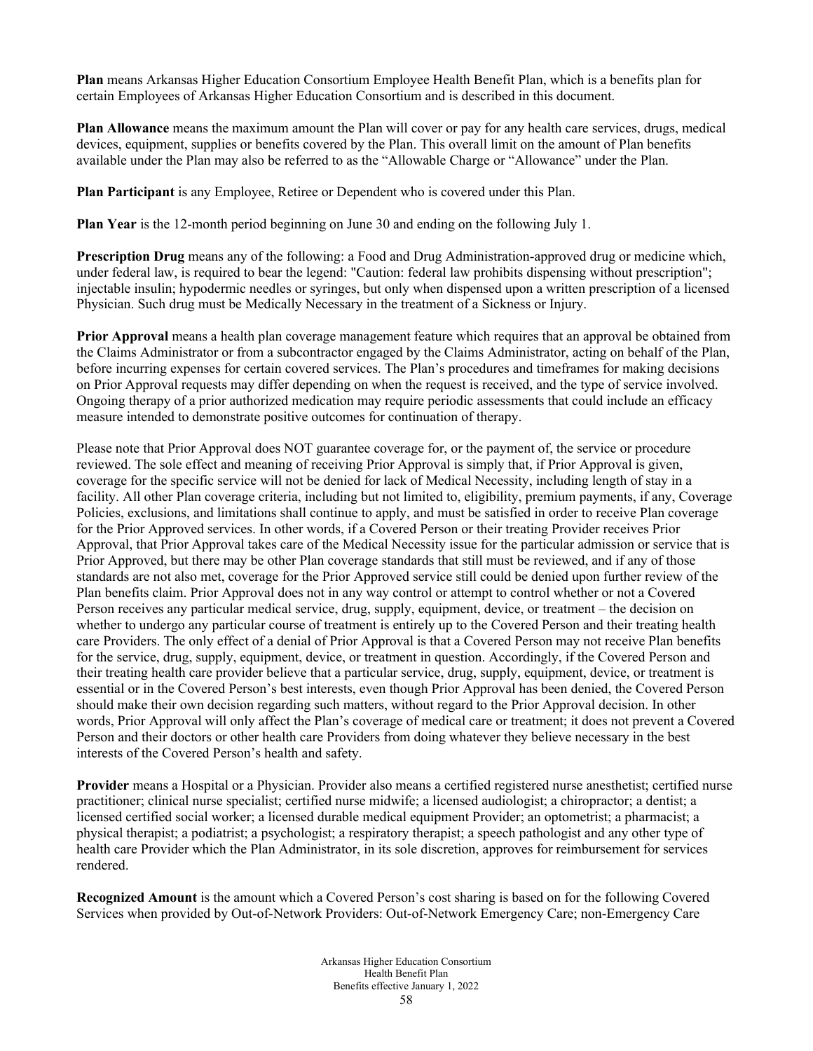**Plan** means Arkansas Higher Education Consortium Employee Health Benefit Plan, which is a benefits plan for certain Employees of Arkansas Higher Education Consortium and is described in this document.

**Plan Allowance** means the maximum amount the Plan will cover or pay for any health care services, drugs, medical devices, equipment, supplies or benefits covered by the Plan. This overall limit on the amount of Plan benefits available under the Plan may also be referred to as the "Allowable Charge or "Allowance" under the Plan.

**Plan Participant** is any Employee, Retiree or Dependent who is covered under this Plan.

**Plan Year** is the 12-month period beginning on June 30 and ending on the following July 1.

**Prescription Drug** means any of the following: a Food and Drug Administration-approved drug or medicine which, under federal law, is required to bear the legend: "Caution: federal law prohibits dispensing without prescription"; injectable insulin; hypodermic needles or syringes, but only when dispensed upon a written prescription of a licensed Physician. Such drug must be Medically Necessary in the treatment of a Sickness or Injury.

**Prior Approval** means a health plan coverage management feature which requires that an approval be obtained from the Claims Administrator or from a subcontractor engaged by the Claims Administrator, acting on behalf of the Plan, before incurring expenses for certain covered services. The Plan's procedures and timeframes for making decisions on Prior Approval requests may differ depending on when the request is received, and the type of service involved. Ongoing therapy of a prior authorized medication may require periodic assessments that could include an efficacy measure intended to demonstrate positive outcomes for continuation of therapy.

Please note that Prior Approval does NOT guarantee coverage for, or the payment of, the service or procedure reviewed. The sole effect and meaning of receiving Prior Approval is simply that, if Prior Approval is given, coverage for the specific service will not be denied for lack of Medical Necessity, including length of stay in a facility. All other Plan coverage criteria, including but not limited to, eligibility, premium payments, if any, Coverage Policies, exclusions, and limitations shall continue to apply, and must be satisfied in order to receive Plan coverage for the Prior Approved services. In other words, if a Covered Person or their treating Provider receives Prior Approval, that Prior Approval takes care of the Medical Necessity issue for the particular admission or service that is Prior Approved, but there may be other Plan coverage standards that still must be reviewed, and if any of those standards are not also met, coverage for the Prior Approved service still could be denied upon further review of the Plan benefits claim. Prior Approval does not in any way control or attempt to control whether or not a Covered Person receives any particular medical service, drug, supply, equipment, device, or treatment – the decision on whether to undergo any particular course of treatment is entirely up to the Covered Person and their treating health care Providers. The only effect of a denial of Prior Approval is that a Covered Person may not receive Plan benefits for the service, drug, supply, equipment, device, or treatment in question. Accordingly, if the Covered Person and their treating health care provider believe that a particular service, drug, supply, equipment, device, or treatment is essential or in the Covered Person's best interests, even though Prior Approval has been denied, the Covered Person should make their own decision regarding such matters, without regard to the Prior Approval decision. In other words, Prior Approval will only affect the Plan's coverage of medical care or treatment; it does not prevent a Covered Person and their doctors or other health care Providers from doing whatever they believe necessary in the best interests of the Covered Person's health and safety.

**Provider** means a Hospital or a Physician. Provider also means a certified registered nurse anesthetist; certified nurse practitioner; clinical nurse specialist; certified nurse midwife; a licensed audiologist; a chiropractor; a dentist; a licensed certified social worker; a licensed durable medical equipment Provider; an optometrist; a pharmacist; a physical therapist; a podiatrist; a psychologist; a respiratory therapist; a speech pathologist and any other type of health care Provider which the Plan Administrator, in its sole discretion, approves for reimbursement for services rendered.

**Recognized Amount** is the amount which a Covered Person's cost sharing is based on for the following Covered Services when provided by Out-of-Network Providers: Out-of-Network Emergency Care; non-Emergency Care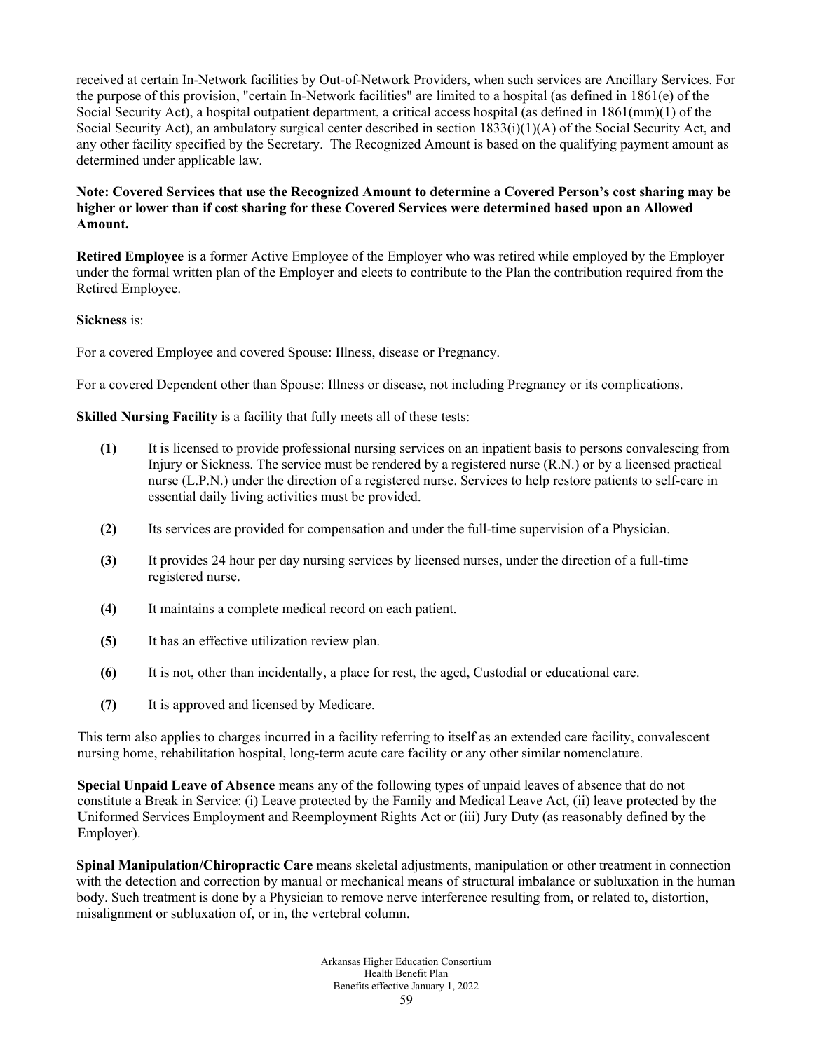received at certain In-Network facilities by Out-of-Network Providers, when such services are Ancillary Services. For the purpose of this provision, "certain In-Network facilities" are limited to a hospital (as defined in 1861(e) of the Social Security Act), a hospital outpatient department, a critical access hospital (as defined in 1861(mm)(1) of the Social Security Act), an ambulatory surgical center described in section 1833(i)(1)(A) of the Social Security Act, and any other facility specified by the Secretary. The Recognized Amount is based on the qualifying payment amount as determined under applicable law.

### **Note: Covered Services that use the Recognized Amount to determine a Covered Person's cost sharing may be higher or lower than if cost sharing for these Covered Services were determined based upon an Allowed Amount.**

**Retired Employee** is a former Active Employee of the Employer who was retired while employed by the Employer under the formal written plan of the Employer and elects to contribute to the Plan the contribution required from the Retired Employee.

### **Sickness** is:

For a covered Employee and covered Spouse: Illness, disease or Pregnancy.

For a covered Dependent other than Spouse: Illness or disease, not including Pregnancy or its complications.

**Skilled Nursing Facility** is a facility that fully meets all of these tests:

- **(1)** It is licensed to provide professional nursing services on an inpatient basis to persons convalescing from Injury or Sickness. The service must be rendered by a registered nurse (R.N.) or by a licensed practical nurse (L.P.N.) under the direction of a registered nurse. Services to help restore patients to self-care in essential daily living activities must be provided.
- **(2)** Its services are provided for compensation and under the full-time supervision of a Physician.
- **(3)** It provides 24 hour per day nursing services by licensed nurses, under the direction of a full-time registered nurse.
- **(4)** It maintains a complete medical record on each patient.
- **(5)** It has an effective utilization review plan.
- **(6)** It is not, other than incidentally, a place for rest, the aged, Custodial or educational care.
- **(7)** It is approved and licensed by Medicare.

This term also applies to charges incurred in a facility referring to itself as an extended care facility, convalescent nursing home, rehabilitation hospital, long-term acute care facility or any other similar nomenclature.

**Special Unpaid Leave of Absence** means any of the following types of unpaid leaves of absence that do not constitute a Break in Service: (i) Leave protected by the Family and Medical Leave Act, (ii) leave protected by the Uniformed Services Employment and Reemployment Rights Act or (iii) Jury Duty (as reasonably defined by the Employer).

**Spinal Manipulation/Chiropractic Care** means skeletal adjustments, manipulation or other treatment in connection with the detection and correction by manual or mechanical means of structural imbalance or subluxation in the human body. Such treatment is done by a Physician to remove nerve interference resulting from, or related to, distortion, misalignment or subluxation of, or in, the vertebral column.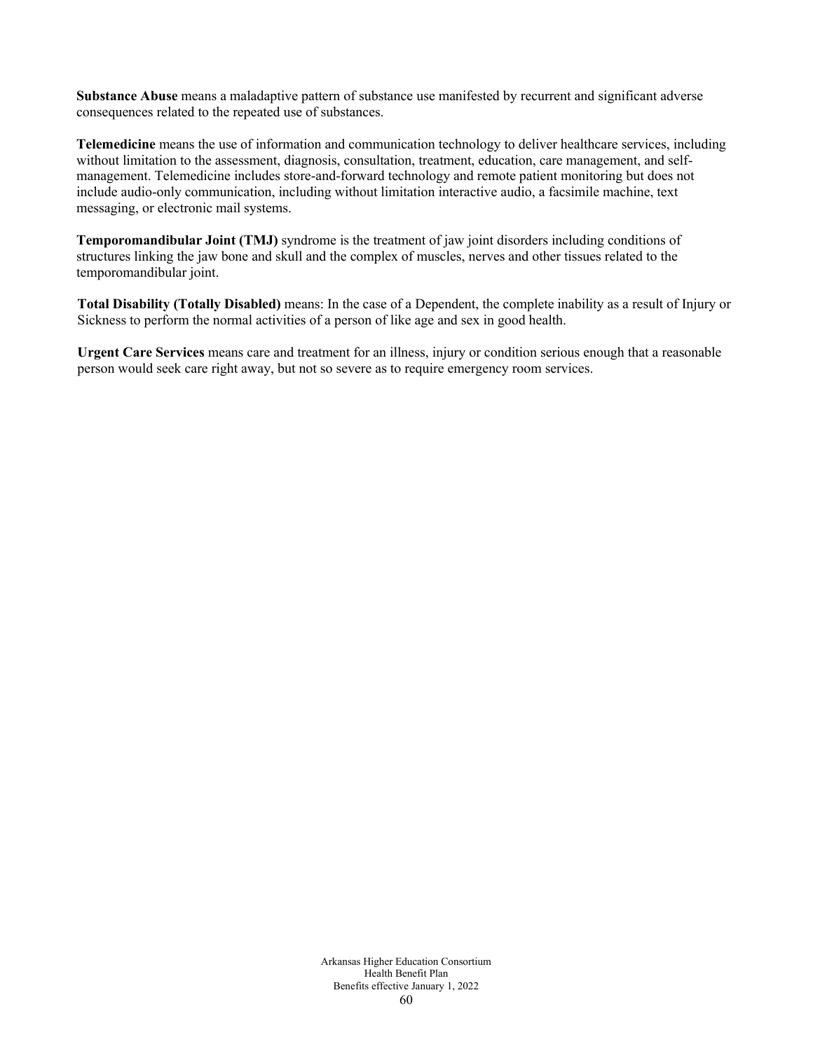**Substance Abuse** means a maladaptive pattern of substance use manifested by recurrent and significant adverse consequences related to the repeated use of substances.

**Telemedicine** means the use of information and communication technology to deliver healthcare services, including without limitation to the assessment, diagnosis, consultation, treatment, education, care management, and selfmanagement. Telemedicine includes store-and-forward technology and remote patient monitoring but does not include audio-only communication, including without limitation interactive audio, a facsimile machine, text messaging, or electronic mail systems.

**Temporomandibular Joint (TMJ)** syndrome is the treatment of jaw joint disorders including conditions of structures linking the jaw bone and skull and the complex of muscles, nerves and other tissues related to the temporomandibular joint.

**Total Disability (Totally Disabled)** means: In the case of a Dependent, the complete inability as a result of Injury or Sickness to perform the normal activities of a person of like age and sex in good health.

**Urgent Care Services** means care and treatment for an illness, injury or condition serious enough that a reasonable person would seek care right away, but not so severe as to require emergency room services.

> Arkansas Higher Education Consortium Health Benefit Plan Benefits effective January 1, 2022 60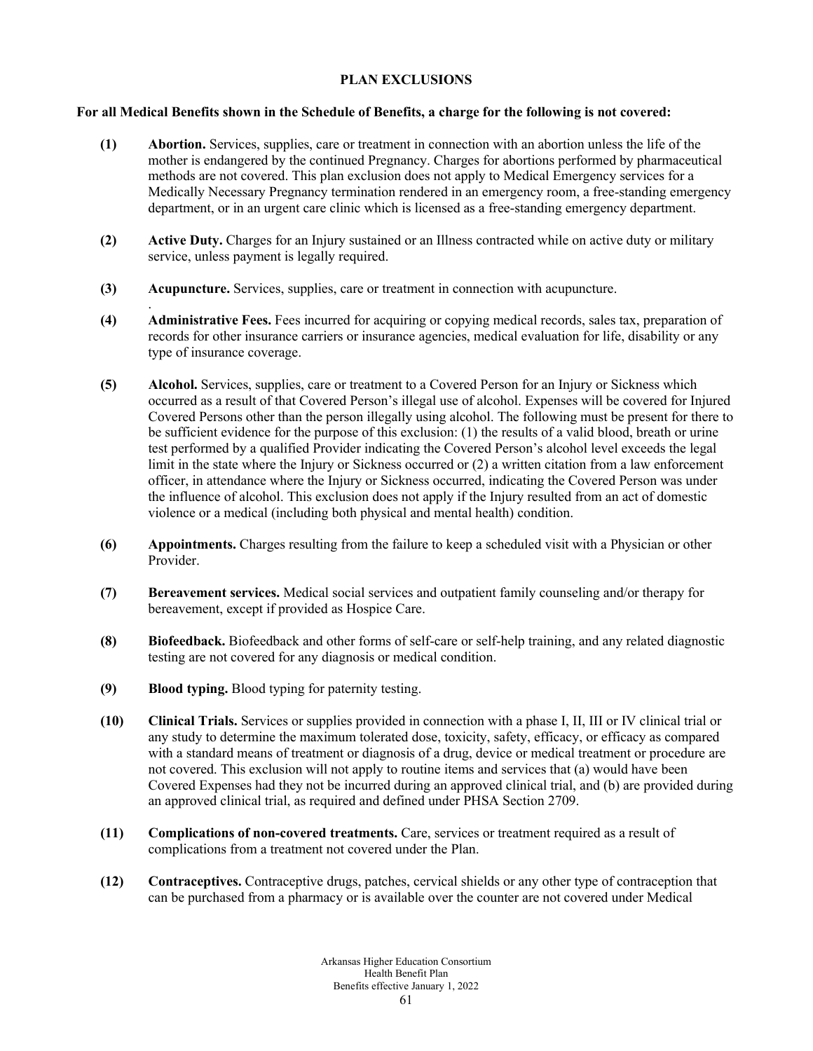# **PLAN EXCLUSIONS**

### **For all Medical Benefits shown in the Schedule of Benefits, a charge for the following is not covered:**

- **(1) Abortion.** Services, supplies, care or treatment in connection with an abortion unless the life of the mother is endangered by the continued Pregnancy. Charges for abortions performed by pharmaceutical methods are not covered. This plan exclusion does not apply to Medical Emergency services for a Medically Necessary Pregnancy termination rendered in an emergency room, a free-standing emergency department, or in an urgent care clinic which is licensed as a free-standing emergency department.
- **(2) Active Duty.** Charges for an Injury sustained or an Illness contracted while on active duty or military service, unless payment is legally required.
- **(3) Acupuncture.** Services, supplies, care or treatment in connection with acupuncture.
- **(4) Administrative Fees.** Fees incurred for acquiring or copying medical records, sales tax, preparation of records for other insurance carriers or insurance agencies, medical evaluation for life, disability or any type of insurance coverage.
- **(5) Alcohol.** Services, supplies, care or treatment to a Covered Person for an Injury or Sickness which occurred as a result of that Covered Person's illegal use of alcohol. Expenses will be covered for Injured Covered Persons other than the person illegally using alcohol. The following must be present for there to be sufficient evidence for the purpose of this exclusion: (1) the results of a valid blood, breath or urine test performed by a qualified Provider indicating the Covered Person's alcohol level exceeds the legal limit in the state where the Injury or Sickness occurred or (2) a written citation from a law enforcement officer, in attendance where the Injury or Sickness occurred, indicating the Covered Person was under the influence of alcohol. This exclusion does not apply if the Injury resulted from an act of domestic violence or a medical (including both physical and mental health) condition.
- **(6) Appointments.** Charges resulting from the failure to keep a scheduled visit with a Physician or other Provider.
- **(7) Bereavement services.** Medical social services and outpatient family counseling and/or therapy for bereavement, except if provided as Hospice Care.
- **(8) Biofeedback.** Biofeedback and other forms of self-care or self-help training, and any related diagnostic testing are not covered for any diagnosis or medical condition.
- **(9) Blood typing.** Blood typing for paternity testing.

.

- **(10) Clinical Trials.** Services or supplies provided in connection with a phase I, II, III or IV clinical trial or any study to determine the maximum tolerated dose, toxicity, safety, efficacy, or efficacy as compared with a standard means of treatment or diagnosis of a drug, device or medical treatment or procedure are not covered. This exclusion will not apply to routine items and services that (a) would have been Covered Expenses had they not be incurred during an approved clinical trial, and (b) are provided during an approved clinical trial, as required and defined under PHSA Section 2709.
- **(11) Complications of non-covered treatments.** Care, services or treatment required as a result of complications from a treatment not covered under the Plan.
- **(12) Contraceptives.** Contraceptive drugs, patches, cervical shields or any other type of contraception that can be purchased from a pharmacy or is available over the counter are not covered under Medical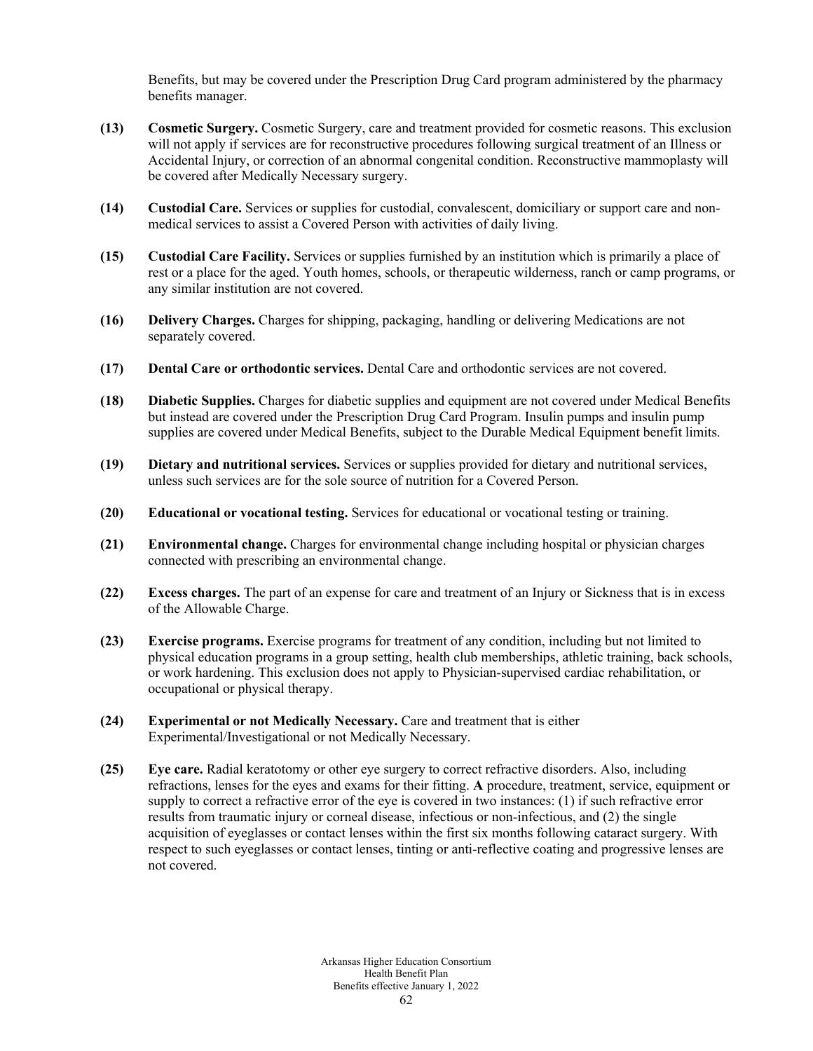Benefits, but may be covered under the Prescription Drug Card program administered by the pharmacy benefits manager.

- **(13) Cosmetic Surgery.** Cosmetic Surgery, care and treatment provided for cosmetic reasons. This exclusion will not apply if services are for reconstructive procedures following surgical treatment of an Illness or Accidental Injury, or correction of an abnormal congenital condition. Reconstructive mammoplasty will be covered after Medically Necessary surgery.
- **(14) Custodial Care.** Services or supplies for custodial, convalescent, domiciliary or support care and nonmedical services to assist a Covered Person with activities of daily living.
- **(15) Custodial Care Facility.** Services or supplies furnished by an institution which is primarily a place of rest or a place for the aged. Youth homes, schools, or therapeutic wilderness, ranch or camp programs, or any similar institution are not covered.
- **(16) Delivery Charges.** Charges for shipping, packaging, handling or delivering Medications are not separately covered.
- **(17) Dental Care or orthodontic services.** Dental Care and orthodontic services are not covered.
- **(18) Diabetic Supplies.** Charges for diabetic supplies and equipment are not covered under Medical Benefits but instead are covered under the Prescription Drug Card Program. Insulin pumps and insulin pump supplies are covered under Medical Benefits, subject to the Durable Medical Equipment benefit limits.
- **(19) Dietary and nutritional services.** Services or supplies provided for dietary and nutritional services, unless such services are for the sole source of nutrition for a Covered Person.
- **(20) Educational or vocational testing.** Services for educational or vocational testing or training.
- **(21) Environmental change.** Charges for environmental change including hospital or physician charges connected with prescribing an environmental change.
- **(22) Excess charges.** The part of an expense for care and treatment of an Injury or Sickness that is in excess of the Allowable Charge.
- **(23) Exercise programs.** Exercise programs for treatment of any condition, including but not limited to physical education programs in a group setting, health club memberships, athletic training, back schools, or work hardening. This exclusion does not apply to Physician-supervised cardiac rehabilitation, or occupational or physical therapy.
- **(24) Experimental or not Medically Necessary.** Care and treatment that is either Experimental/Investigational or not Medically Necessary.
- **(25) Eye care.** Radial keratotomy or other eye surgery to correct refractive disorders. Also, including refractions, lenses for the eyes and exams for their fitting. **A** procedure, treatment, service, equipment or supply to correct a refractive error of the eye is covered in two instances: (1) if such refractive error results from traumatic injury or corneal disease, infectious or non-infectious, and (2) the single acquisition of eyeglasses or contact lenses within the first six months following cataract surgery. With respect to such eyeglasses or contact lenses, tinting or anti-reflective coating and progressive lenses are not covered.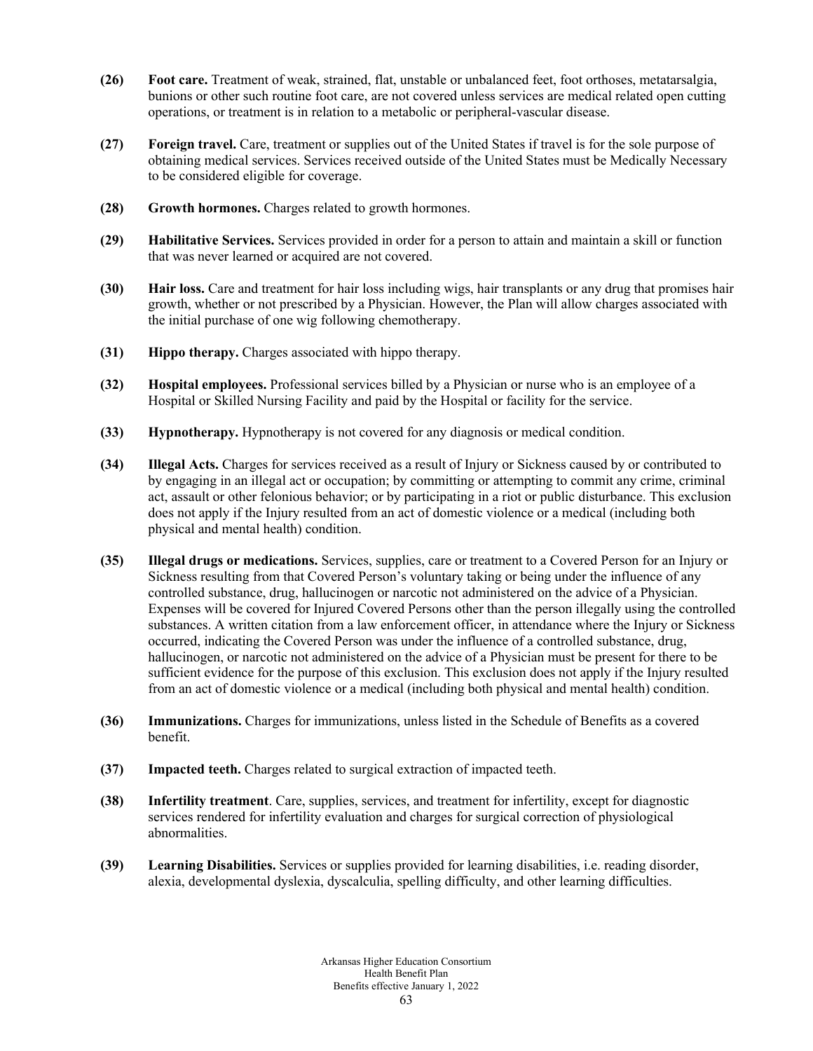- **(26) Foot care.** Treatment of weak, strained, flat, unstable or unbalanced feet, foot orthoses, metatarsalgia, bunions or other such routine foot care, are not covered unless services are medical related open cutting operations, or treatment is in relation to a metabolic or peripheral-vascular disease.
- **(27) Foreign travel.** Care, treatment or supplies out of the United States if travel is for the sole purpose of obtaining medical services. Services received outside of the United States must be Medically Necessary to be considered eligible for coverage.
- **(28) Growth hormones.** Charges related to growth hormones.
- **(29) Habilitative Services.** Services provided in order for a person to attain and maintain a skill or function that was never learned or acquired are not covered.
- **(30) Hair loss.** Care and treatment for hair loss including wigs, hair transplants or any drug that promises hair growth, whether or not prescribed by a Physician. However, the Plan will allow charges associated with the initial purchase of one wig following chemotherapy.
- **(31) Hippo therapy.** Charges associated with hippo therapy.
- **(32) Hospital employees.** Professional services billed by a Physician or nurse who is an employee of a Hospital or Skilled Nursing Facility and paid by the Hospital or facility for the service.
- **(33) Hypnotherapy.** Hypnotherapy is not covered for any diagnosis or medical condition.
- **(34) Illegal Acts.** Charges for services received as a result of Injury or Sickness caused by or contributed to by engaging in an illegal act or occupation; by committing or attempting to commit any crime, criminal act, assault or other felonious behavior; or by participating in a riot or public disturbance. This exclusion does not apply if the Injury resulted from an act of domestic violence or a medical (including both physical and mental health) condition.
- **(35) Illegal drugs or medications.** Services, supplies, care or treatment to a Covered Person for an Injury or Sickness resulting from that Covered Person's voluntary taking or being under the influence of any controlled substance, drug, hallucinogen or narcotic not administered on the advice of a Physician. Expenses will be covered for Injured Covered Persons other than the person illegally using the controlled substances. A written citation from a law enforcement officer, in attendance where the Injury or Sickness occurred, indicating the Covered Person was under the influence of a controlled substance, drug, hallucinogen, or narcotic not administered on the advice of a Physician must be present for there to be sufficient evidence for the purpose of this exclusion. This exclusion does not apply if the Injury resulted from an act of domestic violence or a medical (including both physical and mental health) condition.
- **(36) Immunizations.** Charges for immunizations, unless listed in the Schedule of Benefits as a covered benefit.
- **(37) Impacted teeth.** Charges related to surgical extraction of impacted teeth.
- **(38) Infertility treatment**. Care, supplies, services, and treatment for infertility, except for diagnostic services rendered for infertility evaluation and charges for surgical correction of physiological abnormalities.
- **(39) Learning Disabilities.** Services or supplies provided for learning disabilities, i.e. reading disorder, alexia, developmental dyslexia, dyscalculia, spelling difficulty, and other learning difficulties.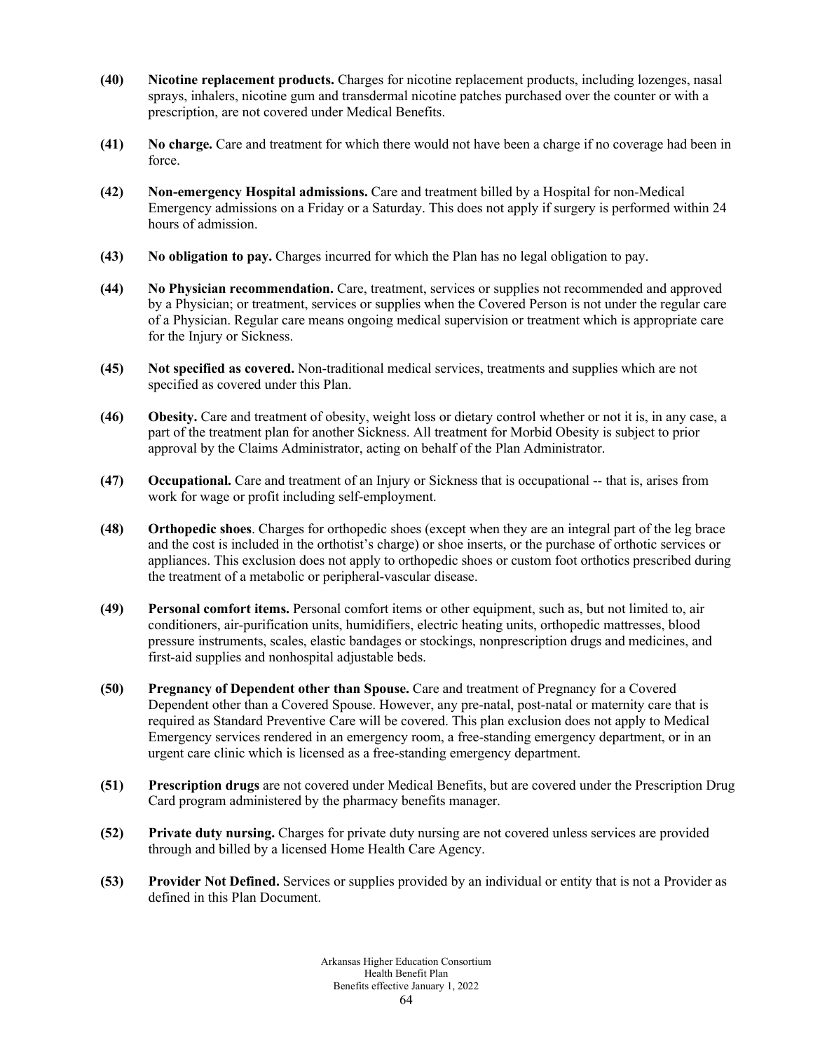- **(40) Nicotine replacement products.** Charges for nicotine replacement products, including lozenges, nasal sprays, inhalers, nicotine gum and transdermal nicotine patches purchased over the counter or with a prescription, are not covered under Medical Benefits.
- **(41) No charge.** Care and treatment for which there would not have been a charge if no coverage had been in force.
- **(42) Non-emergency Hospital admissions.** Care and treatment billed by a Hospital for non-Medical Emergency admissions on a Friday or a Saturday. This does not apply if surgery is performed within 24 hours of admission.
- **(43) No obligation to pay.** Charges incurred for which the Plan has no legal obligation to pay.
- **(44) No Physician recommendation.** Care, treatment, services or supplies not recommended and approved by a Physician; or treatment, services or supplies when the Covered Person is not under the regular care of a Physician. Regular care means ongoing medical supervision or treatment which is appropriate care for the Injury or Sickness.
- **(45) Not specified as covered.** Non-traditional medical services, treatments and supplies which are not specified as covered under this Plan.
- **(46) Obesity.** Care and treatment of obesity, weight loss or dietary control whether or not it is, in any case, a part of the treatment plan for another Sickness. All treatment for Morbid Obesity is subject to prior approval by the Claims Administrator, acting on behalf of the Plan Administrator.
- **(47) Occupational.** Care and treatment of an Injury or Sickness that is occupational -- that is, arises from work for wage or profit including self-employment.
- **(48) Orthopedic shoes**. Charges for orthopedic shoes (except when they are an integral part of the leg brace and the cost is included in the orthotist's charge) or shoe inserts, or the purchase of orthotic services or appliances. This exclusion does not apply to orthopedic shoes or custom foot orthotics prescribed during the treatment of a metabolic or peripheral-vascular disease.
- **(49) Personal comfort items.** Personal comfort items or other equipment, such as, but not limited to, air conditioners, air-purification units, humidifiers, electric heating units, orthopedic mattresses, blood pressure instruments, scales, elastic bandages or stockings, nonprescription drugs and medicines, and first-aid supplies and nonhospital adjustable beds.
- **(50) Pregnancy of Dependent other than Spouse.** Care and treatment of Pregnancy for a Covered Dependent other than a Covered Spouse. However, any pre-natal, post-natal or maternity care that is required as Standard Preventive Care will be covered. This plan exclusion does not apply to Medical Emergency services rendered in an emergency room, a free-standing emergency department, or in an urgent care clinic which is licensed as a free-standing emergency department.
- **(51) Prescription drugs** are not covered under Medical Benefits, but are covered under the Prescription Drug Card program administered by the pharmacy benefits manager.
- **(52) Private duty nursing.** Charges for private duty nursing are not covered unless services are provided through and billed by a licensed Home Health Care Agency.
- **(53) Provider Not Defined.** Services or supplies provided by an individual or entity that is not a Provider as defined in this Plan Document.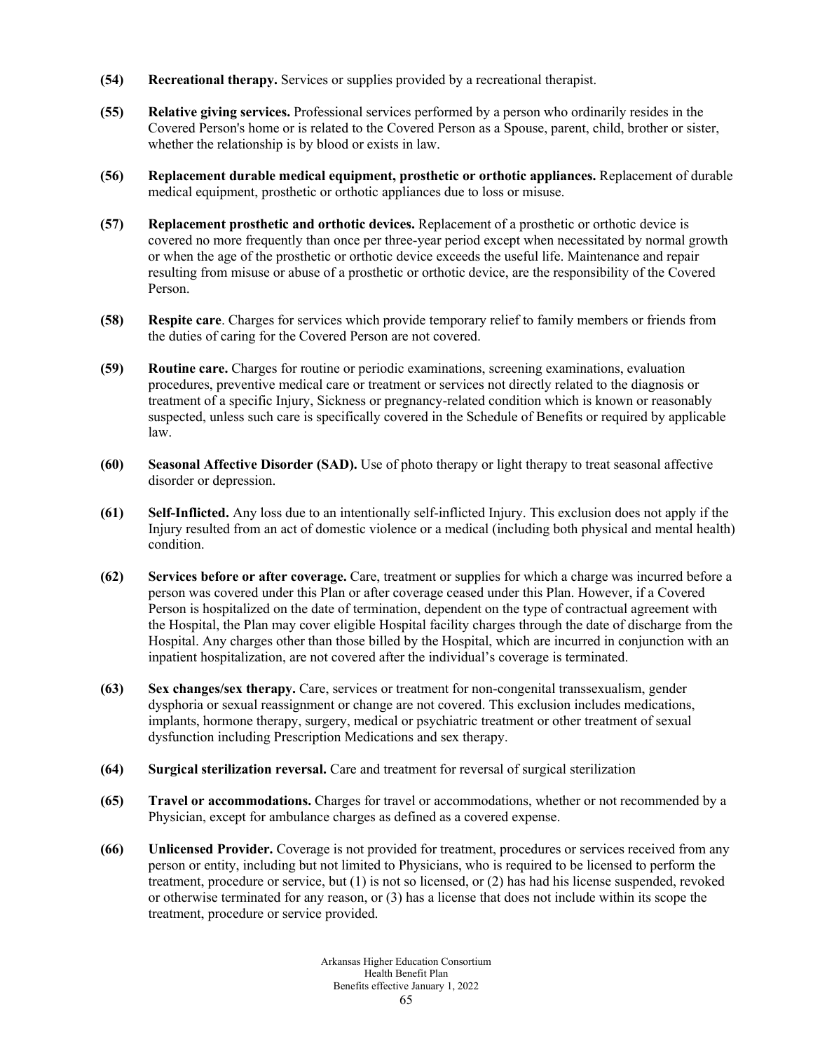- **(54) Recreational therapy.** Services or supplies provided by a recreational therapist.
- **(55) Relative giving services.** Professional services performed by a person who ordinarily resides in the Covered Person's home or is related to the Covered Person as a Spouse, parent, child, brother or sister, whether the relationship is by blood or exists in law.
- **(56) Replacement durable medical equipment, prosthetic or orthotic appliances.** Replacement of durable medical equipment, prosthetic or orthotic appliances due to loss or misuse.
- **(57) Replacement prosthetic and orthotic devices.** Replacement of a prosthetic or orthotic device is covered no more frequently than once per three-year period except when necessitated by normal growth or when the age of the prosthetic or orthotic device exceeds the useful life. Maintenance and repair resulting from misuse or abuse of a prosthetic or orthotic device, are the responsibility of the Covered Person.
- **(58) Respite care**. Charges for services which provide temporary relief to family members or friends from the duties of caring for the Covered Person are not covered.
- **(59) Routine care.** Charges for routine or periodic examinations, screening examinations, evaluation procedures, preventive medical care or treatment or services not directly related to the diagnosis or treatment of a specific Injury, Sickness or pregnancy-related condition which is known or reasonably suspected, unless such care is specifically covered in the Schedule of Benefits or required by applicable law.
- **(60) Seasonal Affective Disorder (SAD).** Use of photo therapy or light therapy to treat seasonal affective disorder or depression.
- **(61) Self-Inflicted.** Any loss due to an intentionally self-inflicted Injury. This exclusion does not apply if the Injury resulted from an act of domestic violence or a medical (including both physical and mental health) condition.
- **(62) Services before or after coverage.** Care, treatment or supplies for which a charge was incurred before a person was covered under this Plan or after coverage ceased under this Plan. However, if a Covered Person is hospitalized on the date of termination, dependent on the type of contractual agreement with the Hospital, the Plan may cover eligible Hospital facility charges through the date of discharge from the Hospital. Any charges other than those billed by the Hospital, which are incurred in conjunction with an inpatient hospitalization, are not covered after the individual's coverage is terminated.
- **(63) Sex changes/sex therapy.** Care, services or treatment for non-congenital transsexualism, gender dysphoria or sexual reassignment or change are not covered. This exclusion includes medications, implants, hormone therapy, surgery, medical or psychiatric treatment or other treatment of sexual dysfunction including Prescription Medications and sex therapy.
- **(64) Surgical sterilization reversal.** Care and treatment for reversal of surgical sterilization
- **(65) Travel or accommodations.** Charges for travel or accommodations, whether or not recommended by a Physician, except for ambulance charges as defined as a covered expense.
- **(66) Unlicensed Provider.** Coverage is not provided for treatment, procedures or services received from any person or entity, including but not limited to Physicians, who is required to be licensed to perform the treatment, procedure or service, but (1) is not so licensed, or (2) has had his license suspended, revoked or otherwise terminated for any reason, or (3) has a license that does not include within its scope the treatment, procedure or service provided.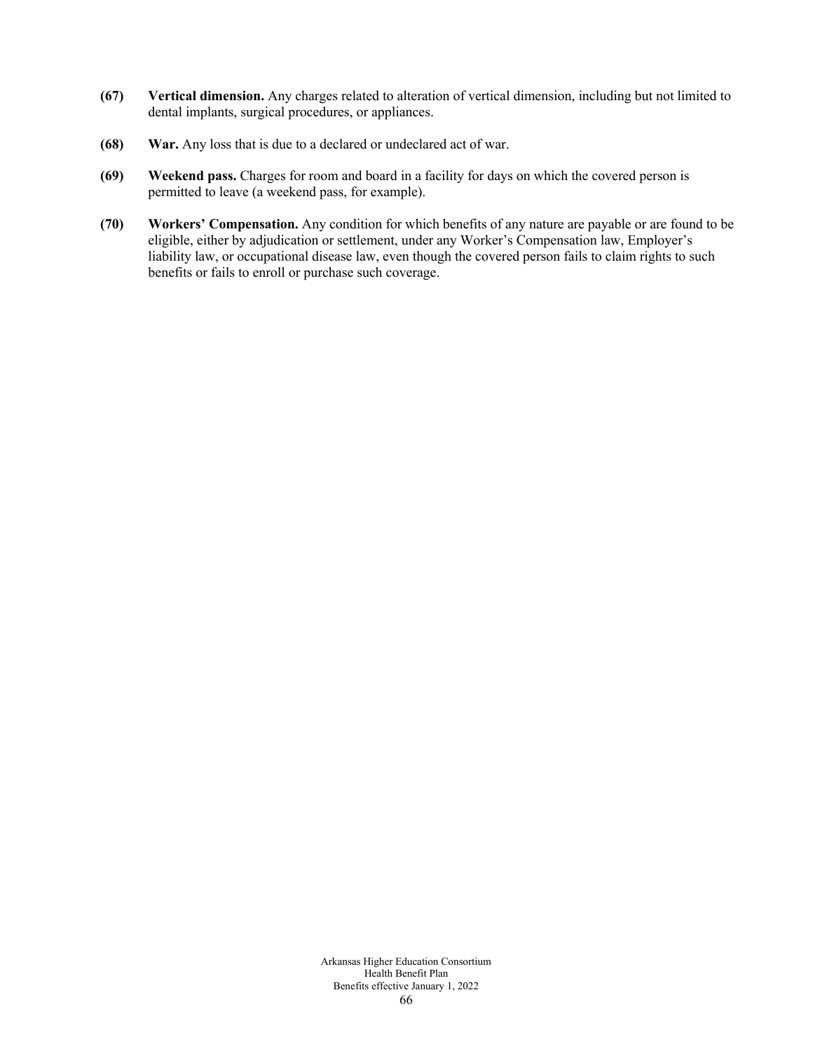- **(67) Vertical dimension.** Any charges related to alteration of vertical dimension, including but not limited to dental implants, surgical procedures, or appliances.
- **(68) War.** Any loss that is due to a declared or undeclared act of war.
- **(69) Weekend pass.** Charges for room and board in a facility for days on which the covered person is permitted to leave (a weekend pass, for example).
- **(70) Workers' Compensation.** Any condition for which benefits of any nature are payable or are found to be eligible, either by adjudication or settlement, under any Worker's Compensation law, Employer's liability law, or occupational disease law, even though the covered person fails to claim rights to such benefits or fails to enroll or purchase such coverage.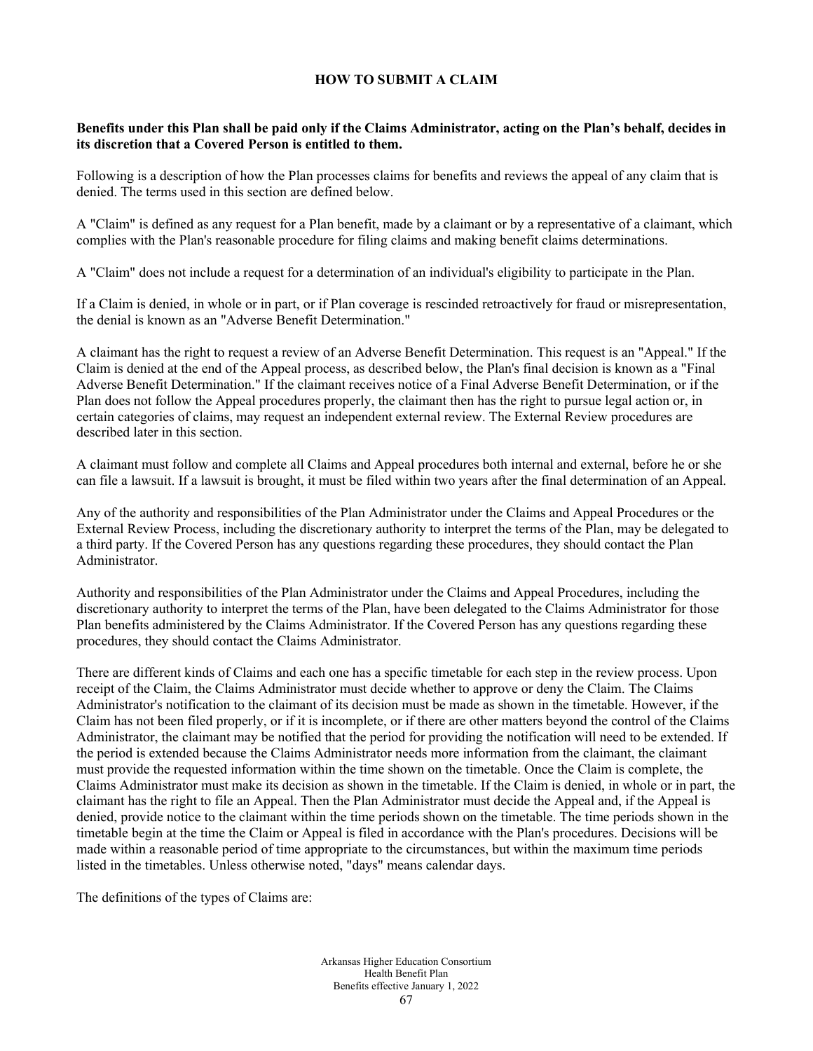# **HOW TO SUBMIT A CLAIM**

### **Benefits under this Plan shall be paid only if the Claims Administrator, acting on the Plan's behalf, decides in its discretion that a Covered Person is entitled to them.**

Following is a description of how the Plan processes claims for benefits and reviews the appeal of any claim that is denied. The terms used in this section are defined below.

A "Claim" is defined as any request for a Plan benefit, made by a claimant or by a representative of a claimant, which complies with the Plan's reasonable procedure for filing claims and making benefit claims determinations.

A "Claim" does not include a request for a determination of an individual's eligibility to participate in the Plan.

If a Claim is denied, in whole or in part, or if Plan coverage is rescinded retroactively for fraud or misrepresentation, the denial is known as an "Adverse Benefit Determination."

A claimant has the right to request a review of an Adverse Benefit Determination. This request is an "Appeal." If the Claim is denied at the end of the Appeal process, as described below, the Plan's final decision is known as a "Final Adverse Benefit Determination." If the claimant receives notice of a Final Adverse Benefit Determination, or if the Plan does not follow the Appeal procedures properly, the claimant then has the right to pursue legal action or, in certain categories of claims, may request an independent external review. The External Review procedures are described later in this section.

A claimant must follow and complete all Claims and Appeal procedures both internal and external, before he or she can file a lawsuit. If a lawsuit is brought, it must be filed within two years after the final determination of an Appeal.

Any of the authority and responsibilities of the Plan Administrator under the Claims and Appeal Procedures or the External Review Process, including the discretionary authority to interpret the terms of the Plan, may be delegated to a third party. If the Covered Person has any questions regarding these procedures, they should contact the Plan Administrator.

Authority and responsibilities of the Plan Administrator under the Claims and Appeal Procedures, including the discretionary authority to interpret the terms of the Plan, have been delegated to the Claims Administrator for those Plan benefits administered by the Claims Administrator. If the Covered Person has any questions regarding these procedures, they should contact the Claims Administrator.

There are different kinds of Claims and each one has a specific timetable for each step in the review process. Upon receipt of the Claim, the Claims Administrator must decide whether to approve or deny the Claim. The Claims Administrator's notification to the claimant of its decision must be made as shown in the timetable. However, if the Claim has not been filed properly, or if it is incomplete, or if there are other matters beyond the control of the Claims Administrator, the claimant may be notified that the period for providing the notification will need to be extended. If the period is extended because the Claims Administrator needs more information from the claimant, the claimant must provide the requested information within the time shown on the timetable. Once the Claim is complete, the Claims Administrator must make its decision as shown in the timetable. If the Claim is denied, in whole or in part, the claimant has the right to file an Appeal. Then the Plan Administrator must decide the Appeal and, if the Appeal is denied, provide notice to the claimant within the time periods shown on the timetable. The time periods shown in the timetable begin at the time the Claim or Appeal is filed in accordance with the Plan's procedures. Decisions will be made within a reasonable period of time appropriate to the circumstances, but within the maximum time periods listed in the timetables. Unless otherwise noted, "days" means calendar days.

The definitions of the types of Claims are: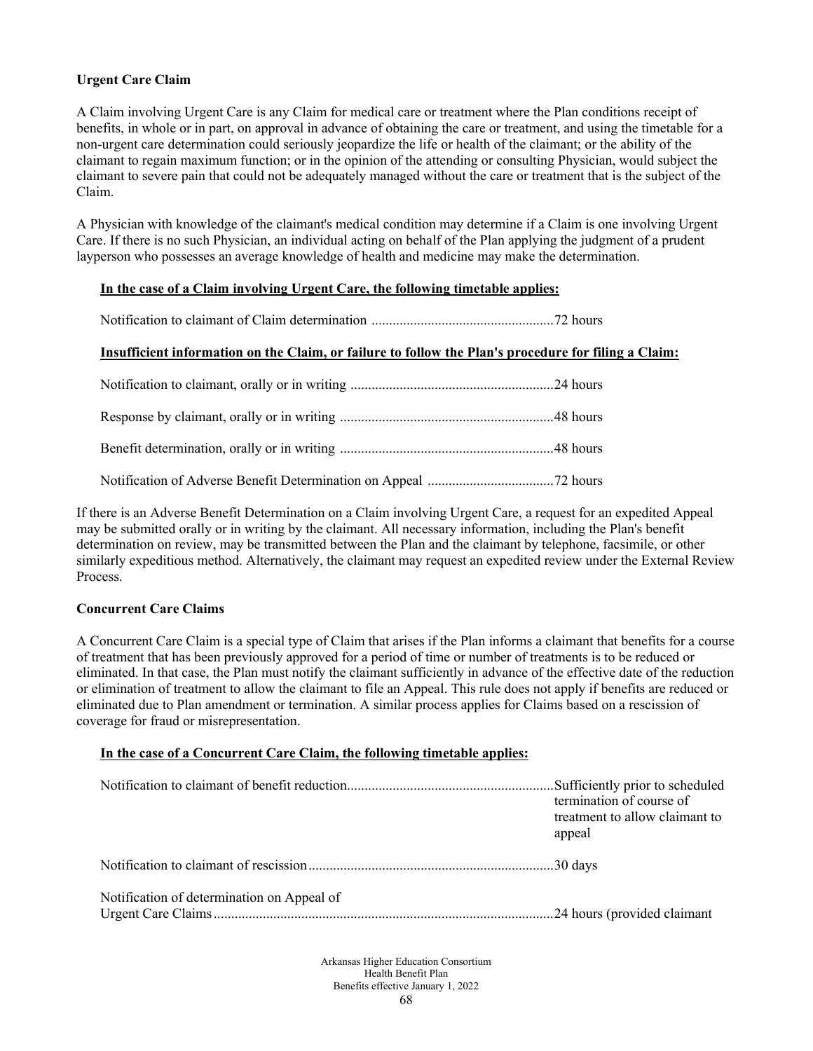# **Urgent Care Claim**

A Claim involving Urgent Care is any Claim for medical care or treatment where the Plan conditions receipt of benefits, in whole or in part, on approval in advance of obtaining the care or treatment, and using the timetable for a non-urgent care determination could seriously jeopardize the life or health of the claimant; or the ability of the claimant to regain maximum function; or in the opinion of the attending or consulting Physician, would subject the claimant to severe pain that could not be adequately managed without the care or treatment that is the subject of the Claim.

A Physician with knowledge of the claimant's medical condition may determine if a Claim is one involving Urgent Care. If there is no such Physician, an individual acting on behalf of the Plan applying the judgment of a prudent layperson who possesses an average knowledge of health and medicine may make the determination.

# **In the case of a Claim involving Urgent Care, the following timetable applies:**

Notification to claimant of Claim determination ....................................................72 hours

### **Insufficient information on the Claim, or failure to follow the Plan's procedure for filing a Claim:**

If there is an Adverse Benefit Determination on a Claim involving Urgent Care, a request for an expedited Appeal may be submitted orally or in writing by the claimant. All necessary information, including the Plan's benefit determination on review, may be transmitted between the Plan and the claimant by telephone, facsimile, or other similarly expeditious method. Alternatively, the claimant may request an expedited review under the External Review Process.

# **Concurrent Care Claims**

A Concurrent Care Claim is a special type of Claim that arises if the Plan informs a claimant that benefits for a course of treatment that has been previously approved for a period of time or number of treatments is to be reduced or eliminated. In that case, the Plan must notify the claimant sufficiently in advance of the effective date of the reduction or elimination of treatment to allow the claimant to file an Appeal. This rule does not apply if benefits are reduced or eliminated due to Plan amendment or termination. A similar process applies for Claims based on a rescission of coverage for fraud or misrepresentation.

# **In the case of a Concurrent Care Claim, the following timetable applies:**

|                                            | Sufficiently prior to scheduled<br>termination of course of<br>treatment to allow claimant to<br>appeal |
|--------------------------------------------|---------------------------------------------------------------------------------------------------------|
|                                            |                                                                                                         |
| Notification of determination on Appeal of |                                                                                                         |

Arkansas Higher Education Consortium Health Benefit Plan Benefits effective January 1, 2022 68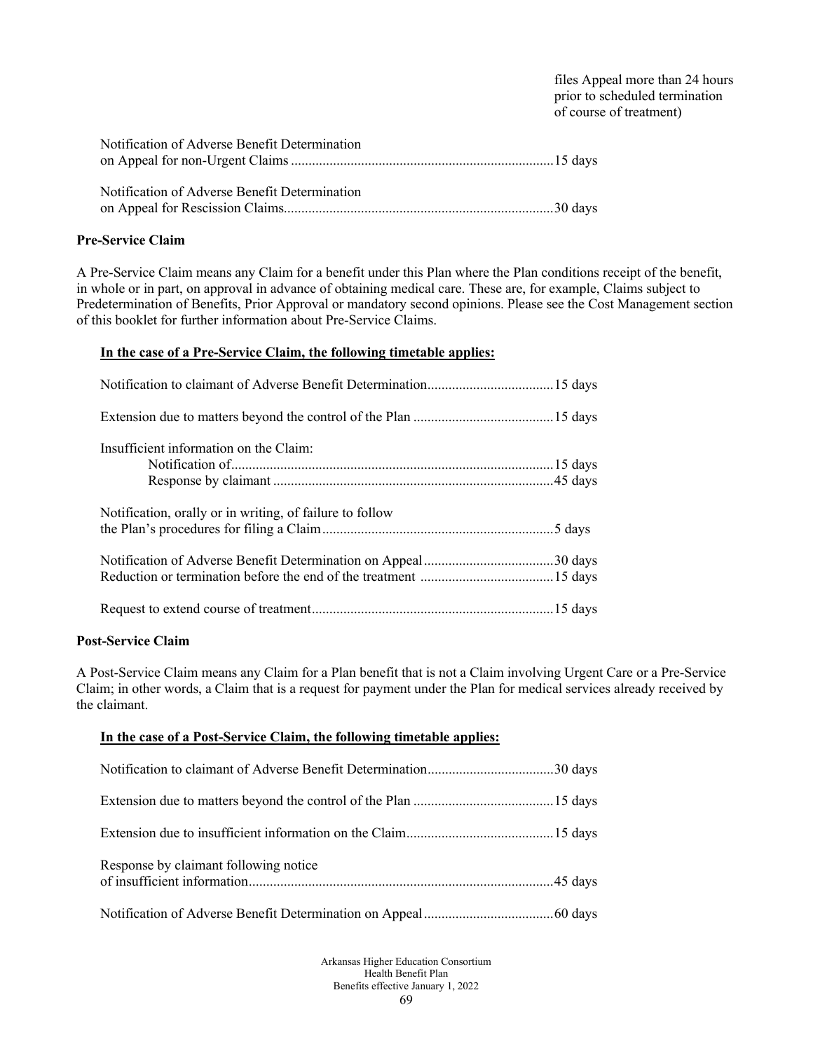files Appeal more than 24 hours prior to scheduled termination of course of treatment)

| Notification of Adverse Benefit Determination |  |
|-----------------------------------------------|--|
| Notification of Adverse Benefit Determination |  |

### **Pre-Service Claim**

A Pre-Service Claim means any Claim for a benefit under this Plan where the Plan conditions receipt of the benefit, in whole or in part, on approval in advance of obtaining medical care. These are, for example, Claims subject to Predetermination of Benefits, Prior Approval or mandatory second opinions. Please see the Cost Management section of this booklet for further information about Pre-Service Claims.

### **In the case of a Pre-Service Claim, the following timetable applies:**

| Insufficient information on the Claim:                   |
|----------------------------------------------------------|
| Notification, orally or in writing, of failure to follow |
|                                                          |
|                                                          |

#### **Post-Service Claim**

A Post-Service Claim means any Claim for a Plan benefit that is not a Claim involving Urgent Care or a Pre-Service Claim; in other words, a Claim that is a request for payment under the Plan for medical services already received by the claimant.

# **In the case of a Post-Service Claim, the following timetable applies:**

| Response by claimant following notice |  |
|---------------------------------------|--|
|                                       |  |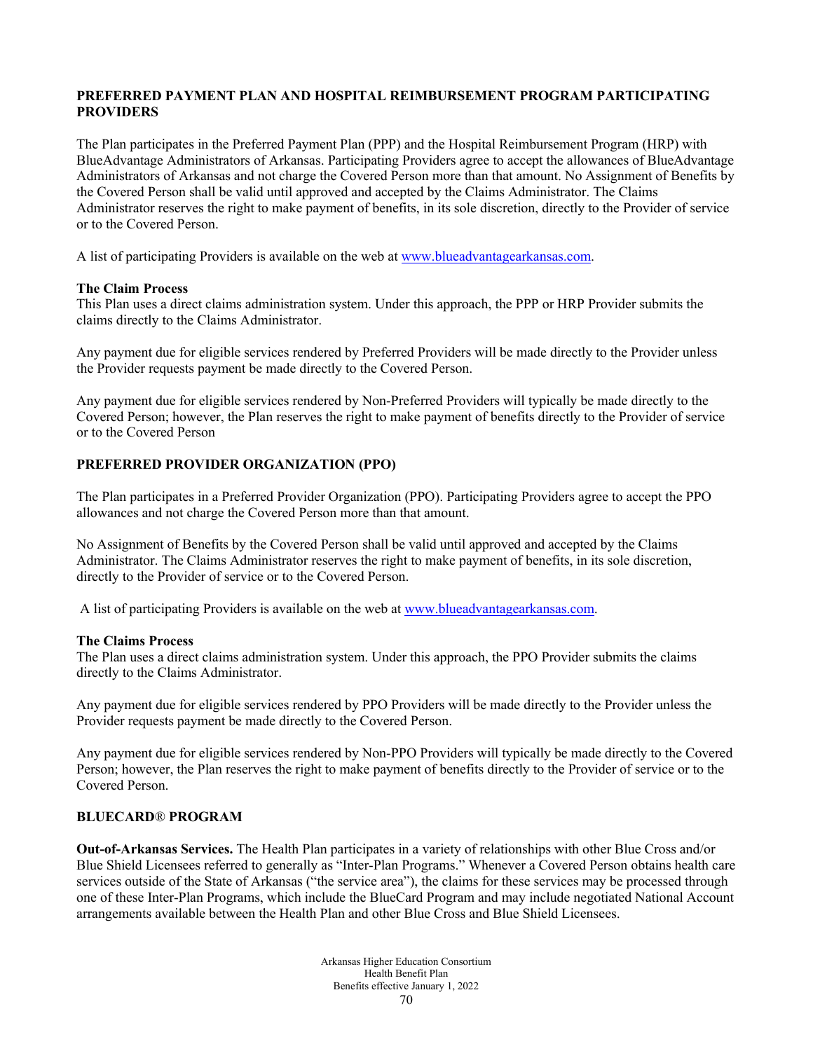# **PREFERRED PAYMENT PLAN AND HOSPITAL REIMBURSEMENT PROGRAM PARTICIPATING PROVIDERS**

The Plan participates in the Preferred Payment Plan (PPP) and the Hospital Reimbursement Program (HRP) with BlueAdvantage Administrators of Arkansas. Participating Providers agree to accept the allowances of BlueAdvantage Administrators of Arkansas and not charge the Covered Person more than that amount. No Assignment of Benefits by the Covered Person shall be valid until approved and accepted by the Claims Administrator. The Claims Administrator reserves the right to make payment of benefits, in its sole discretion, directly to the Provider of service or to the Covered Person.

A list of participating Providers is available on the web at [www.blueadvantagearkansas.com.](http://www.blueadvantagearkansas.com/)

### **The Claim Process**

This Plan uses a direct claims administration system. Under this approach, the PPP or HRP Provider submits the claims directly to the Claims Administrator.

Any payment due for eligible services rendered by Preferred Providers will be made directly to the Provider unless the Provider requests payment be made directly to the Covered Person.

Any payment due for eligible services rendered by Non-Preferred Providers will typically be made directly to the Covered Person; however, the Plan reserves the right to make payment of benefits directly to the Provider of service or to the Covered Person

# **PREFERRED PROVIDER ORGANIZATION (PPO)**

The Plan participates in a Preferred Provider Organization (PPO). Participating Providers agree to accept the PPO allowances and not charge the Covered Person more than that amount.

No Assignment of Benefits by the Covered Person shall be valid until approved and accepted by the Claims Administrator. The Claims Administrator reserves the right to make payment of benefits, in its sole discretion, directly to the Provider of service or to the Covered Person.

A list of participating Providers is available on the web at [www.blueadvantagearkansas.com.](http://www.blueadvantagearkansas.com/)

#### **The Claims Process**

The Plan uses a direct claims administration system. Under this approach, the PPO Provider submits the claims directly to the Claims Administrator.

Any payment due for eligible services rendered by PPO Providers will be made directly to the Provider unless the Provider requests payment be made directly to the Covered Person.

Any payment due for eligible services rendered by Non-PPO Providers will typically be made directly to the Covered Person; however, the Plan reserves the right to make payment of benefits directly to the Provider of service or to the Covered Person.

# **BLUECARD**® **PROGRAM**

**Out-of-Arkansas Services.** The Health Plan participates in a variety of relationships with other Blue Cross and/or Blue Shield Licensees referred to generally as "Inter-Plan Programs." Whenever a Covered Person obtains health care services outside of the State of Arkansas ("the service area"), the claims for these services may be processed through one of these Inter-Plan Programs, which include the BlueCard Program and may include negotiated National Account arrangements available between the Health Plan and other Blue Cross and Blue Shield Licensees.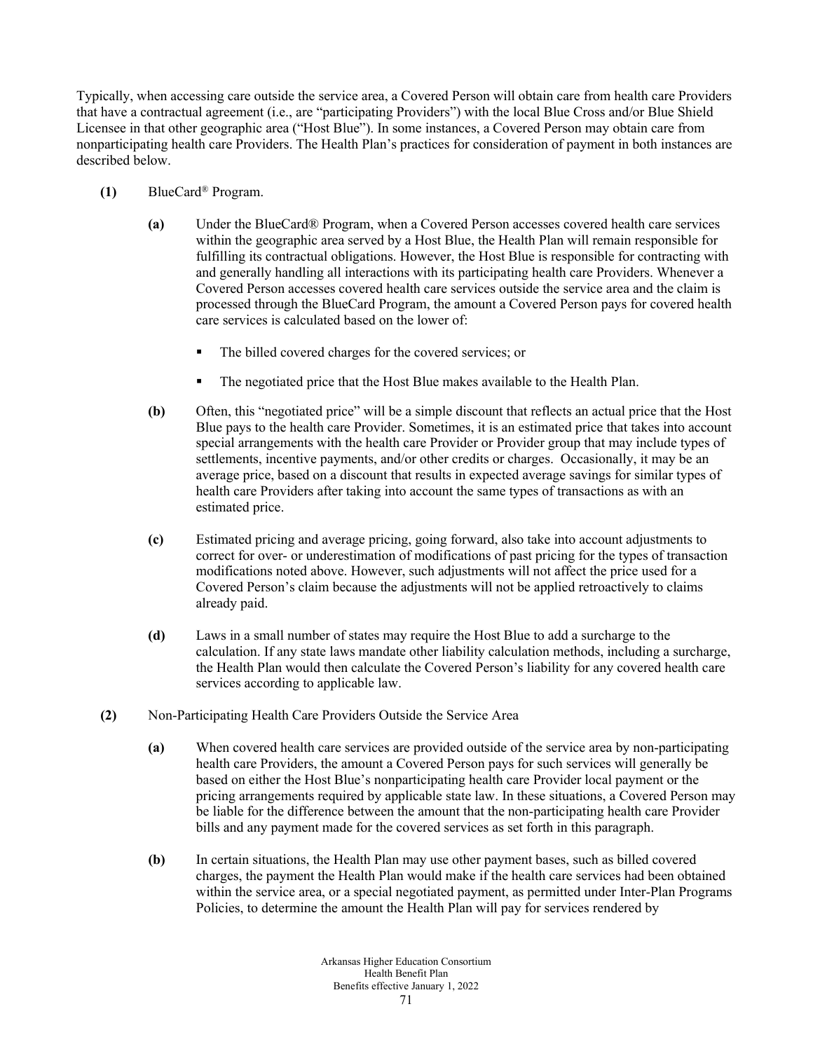Typically, when accessing care outside the service area, a Covered Person will obtain care from health care Providers that have a contractual agreement (i.e., are "participating Providers") with the local Blue Cross and/or Blue Shield Licensee in that other geographic area ("Host Blue"). In some instances, a Covered Person may obtain care from nonparticipating health care Providers. The Health Plan's practices for consideration of payment in both instances are described below.

- **(1)** BlueCard® Program.
	- **(a)** Under the BlueCard® Program, when a Covered Person accesses covered health care services within the geographic area served by a Host Blue, the Health Plan will remain responsible for fulfilling its contractual obligations. However, the Host Blue is responsible for contracting with and generally handling all interactions with its participating health care Providers. Whenever a Covered Person accesses covered health care services outside the service area and the claim is processed through the BlueCard Program, the amount a Covered Person pays for covered health care services is calculated based on the lower of:
		- The billed covered charges for the covered services; or
		- The negotiated price that the Host Blue makes available to the Health Plan.
	- **(b)** Often, this "negotiated price" will be a simple discount that reflects an actual price that the Host Blue pays to the health care Provider. Sometimes, it is an estimated price that takes into account special arrangements with the health care Provider or Provider group that may include types of settlements, incentive payments, and/or other credits or charges. Occasionally, it may be an average price, based on a discount that results in expected average savings for similar types of health care Providers after taking into account the same types of transactions as with an estimated price.
	- **(c)** Estimated pricing and average pricing, going forward, also take into account adjustments to correct for over- or underestimation of modifications of past pricing for the types of transaction modifications noted above. However, such adjustments will not affect the price used for a Covered Person's claim because the adjustments will not be applied retroactively to claims already paid.
	- **(d)** Laws in a small number of states may require the Host Blue to add a surcharge to the calculation. If any state laws mandate other liability calculation methods, including a surcharge, the Health Plan would then calculate the Covered Person's liability for any covered health care services according to applicable law.
- **(2)** Non-Participating Health Care Providers Outside the Service Area
	- **(a)** When covered health care services are provided outside of the service area by non-participating health care Providers, the amount a Covered Person pays for such services will generally be based on either the Host Blue's nonparticipating health care Provider local payment or the pricing arrangements required by applicable state law. In these situations, a Covered Person may be liable for the difference between the amount that the non-participating health care Provider bills and any payment made for the covered services as set forth in this paragraph.
	- **(b)** In certain situations, the Health Plan may use other payment bases, such as billed covered charges, the payment the Health Plan would make if the health care services had been obtained within the service area, or a special negotiated payment, as permitted under Inter-Plan Programs Policies, to determine the amount the Health Plan will pay for services rendered by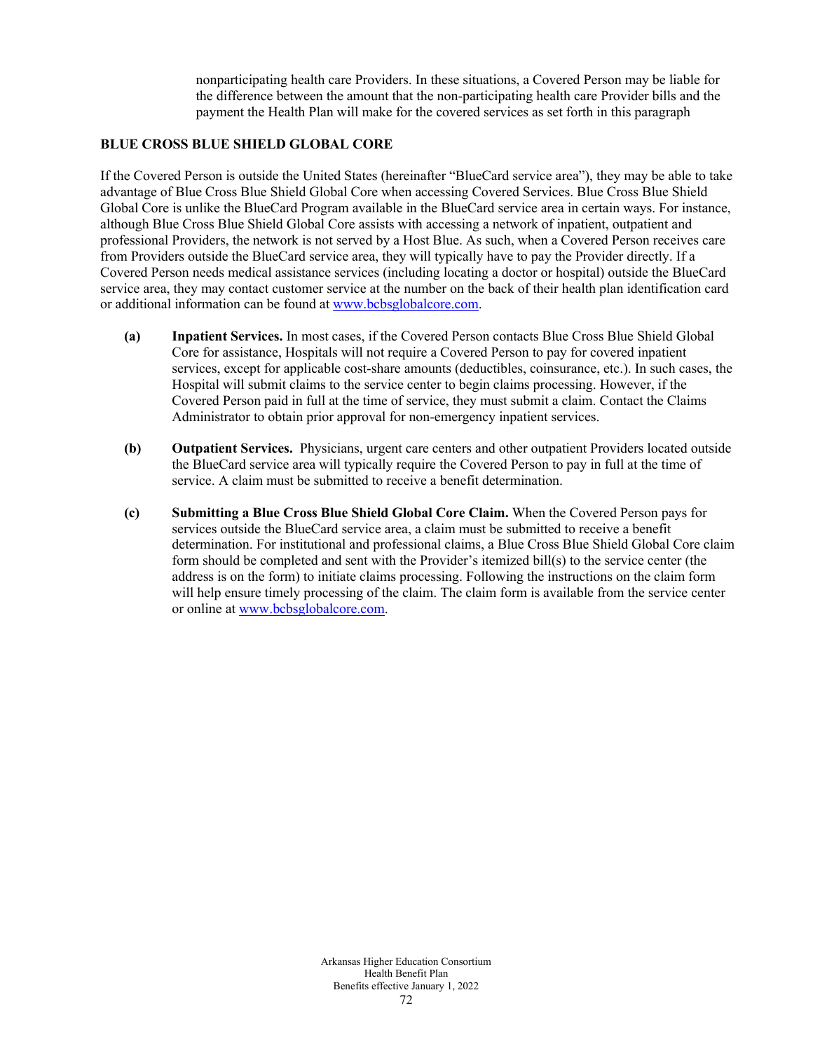nonparticipating health care Providers. In these situations, a Covered Person may be liable for the difference between the amount that the non-participating health care Provider bills and the payment the Health Plan will make for the covered services as set forth in this paragraph

#### **BLUE CROSS BLUE SHIELD GLOBAL CORE**

If the Covered Person is outside the United States (hereinafter "BlueCard service area"), they may be able to take advantage of Blue Cross Blue Shield Global Core when accessing Covered Services. Blue Cross Blue Shield Global Core is unlike the BlueCard Program available in the BlueCard service area in certain ways. For instance, although Blue Cross Blue Shield Global Core assists with accessing a network of inpatient, outpatient and professional Providers, the network is not served by a Host Blue. As such, when a Covered Person receives care from Providers outside the BlueCard service area, they will typically have to pay the Provider directly. If a Covered Person needs medical assistance services (including locating a doctor or hospital) outside the BlueCard service area, they may contact customer service at the number on the back of their health plan identification card or additional information can be found at [www.bcbsglobalcore.com.](http://www.bcbsglobalcore.com/)

- **(a) Inpatient Services.** In most cases, if the Covered Person contacts Blue Cross Blue Shield Global Core for assistance, Hospitals will not require a Covered Person to pay for covered inpatient services, except for applicable cost-share amounts (deductibles, coinsurance, etc.). In such cases, the Hospital will submit claims to the service center to begin claims processing. However, if the Covered Person paid in full at the time of service, they must submit a claim. Contact the Claims Administrator to obtain prior approval for non-emergency inpatient services.
- **(b) Outpatient Services.** Physicians, urgent care centers and other outpatient Providers located outside the BlueCard service area will typically require the Covered Person to pay in full at the time of service. A claim must be submitted to receive a benefit determination.
- **(c) Submitting a Blue Cross Blue Shield Global Core Claim.** When the Covered Person pays for services outside the BlueCard service area, a claim must be submitted to receive a benefit determination. For institutional and professional claims, a Blue Cross Blue Shield Global Core claim form should be completed and sent with the Provider's itemized bill(s) to the service center (the address is on the form) to initiate claims processing. Following the instructions on the claim form will help ensure timely processing of the claim. The claim form is available from the service center or online at [www.bcbsglobalcore.com.](http://www.bcbsglobalcore.com/)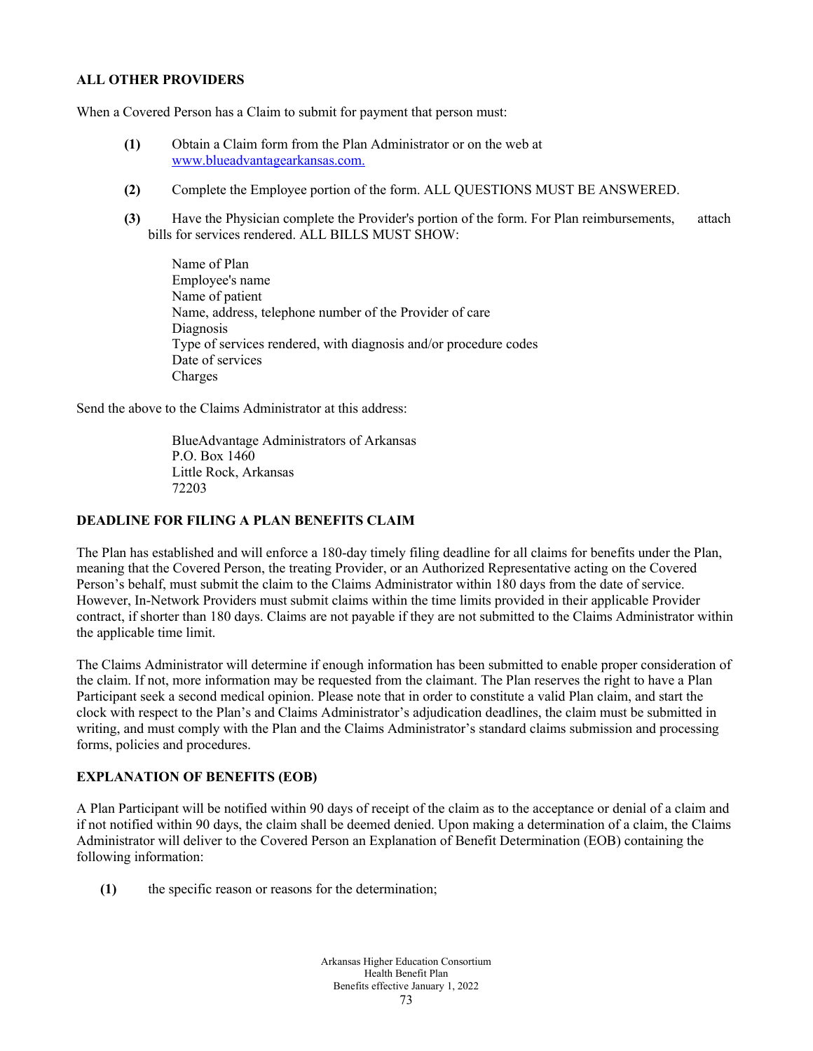#### **ALL OTHER PROVIDERS**

When a Covered Person has a Claim to submit for payment that person must:

- **(1)** Obtain a Claim form from the Plan Administrator or on the web at [www.blueadvantagearkansas.com.](http://www.blueadvantage/)
- **(2)** Complete the Employee portion of the form. ALL QUESTIONS MUST BE ANSWERED.
- **(3)** Have the Physician complete the Provider's portion of the form. For Plan reimbursements, attach bills for services rendered. ALL BILLS MUST SHOW:

Name of Plan Employee's name Name of patient Name, address, telephone number of the Provider of care Diagnosis Type of services rendered, with diagnosis and/or procedure codes Date of services Charges

Send the above to the Claims Administrator at this address:

BlueAdvantage Administrators of Arkansas P.O. Box 1460 Little Rock, Arkansas 72203

# **DEADLINE FOR FILING A PLAN BENEFITS CLAIM**

The Plan has established and will enforce a 180-day timely filing deadline for all claims for benefits under the Plan, meaning that the Covered Person, the treating Provider, or an Authorized Representative acting on the Covered Person's behalf, must submit the claim to the Claims Administrator within 180 days from the date of service. However, In-Network Providers must submit claims within the time limits provided in their applicable Provider contract, if shorter than 180 days. Claims are not payable if they are not submitted to the Claims Administrator within the applicable time limit.

The Claims Administrator will determine if enough information has been submitted to enable proper consideration of the claim. If not, more information may be requested from the claimant. The Plan reserves the right to have a Plan Participant seek a second medical opinion. Please note that in order to constitute a valid Plan claim, and start the clock with respect to the Plan's and Claims Administrator's adjudication deadlines, the claim must be submitted in writing, and must comply with the Plan and the Claims Administrator's standard claims submission and processing forms, policies and procedures.

### **EXPLANATION OF BENEFITS (EOB)**

A Plan Participant will be notified within 90 days of receipt of the claim as to the acceptance or denial of a claim and if not notified within 90 days, the claim shall be deemed denied. Upon making a determination of a claim, the Claims Administrator will deliver to the Covered Person an Explanation of Benefit Determination (EOB) containing the following information:

**(1)** the specific reason or reasons for the determination;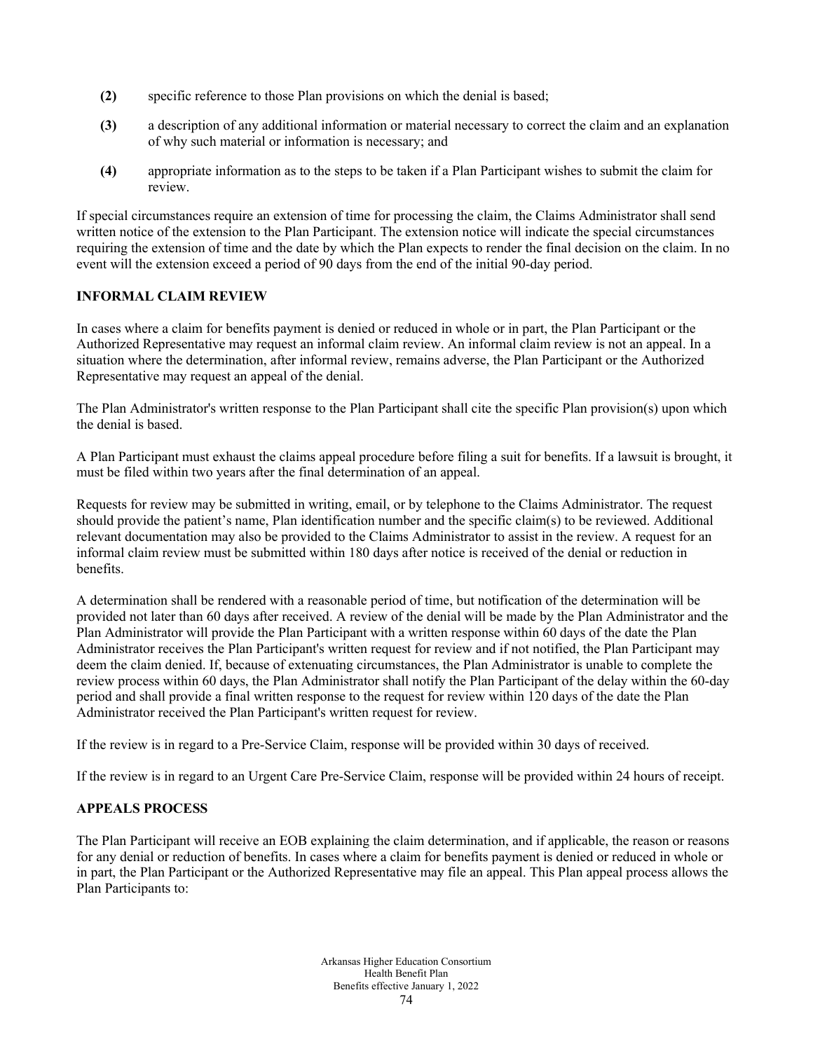- **(2)** specific reference to those Plan provisions on which the denial is based;
- **(3)** a description of any additional information or material necessary to correct the claim and an explanation of why such material or information is necessary; and
- **(4)** appropriate information as to the steps to be taken if a Plan Participant wishes to submit the claim for review.

If special circumstances require an extension of time for processing the claim, the Claims Administrator shall send written notice of the extension to the Plan Participant. The extension notice will indicate the special circumstances requiring the extension of time and the date by which the Plan expects to render the final decision on the claim. In no event will the extension exceed a period of 90 days from the end of the initial 90-day period.

# **INFORMAL CLAIM REVIEW**

In cases where a claim for benefits payment is denied or reduced in whole or in part, the Plan Participant or the Authorized Representative may request an informal claim review. An informal claim review is not an appeal. In a situation where the determination, after informal review, remains adverse, the Plan Participant or the Authorized Representative may request an appeal of the denial.

The Plan Administrator's written response to the Plan Participant shall cite the specific Plan provision(s) upon which the denial is based.

A Plan Participant must exhaust the claims appeal procedure before filing a suit for benefits. If a lawsuit is brought, it must be filed within two years after the final determination of an appeal.

Requests for review may be submitted in writing, email, or by telephone to the Claims Administrator. The request should provide the patient's name, Plan identification number and the specific claim(s) to be reviewed. Additional relevant documentation may also be provided to the Claims Administrator to assist in the review. A request for an informal claim review must be submitted within 180 days after notice is received of the denial or reduction in benefits.

A determination shall be rendered with a reasonable period of time, but notification of the determination will be provided not later than 60 days after received. A review of the denial will be made by the Plan Administrator and the Plan Administrator will provide the Plan Participant with a written response within 60 days of the date the Plan Administrator receives the Plan Participant's written request for review and if not notified, the Plan Participant may deem the claim denied. If, because of extenuating circumstances, the Plan Administrator is unable to complete the review process within 60 days, the Plan Administrator shall notify the Plan Participant of the delay within the 60-day period and shall provide a final written response to the request for review within 120 days of the date the Plan Administrator received the Plan Participant's written request for review.

If the review is in regard to a Pre-Service Claim, response will be provided within 30 days of received.

If the review is in regard to an Urgent Care Pre-Service Claim, response will be provided within 24 hours of receipt.

#### **APPEALS PROCESS**

The Plan Participant will receive an EOB explaining the claim determination, and if applicable, the reason or reasons for any denial or reduction of benefits. In cases where a claim for benefits payment is denied or reduced in whole or in part, the Plan Participant or the Authorized Representative may file an appeal. This Plan appeal process allows the Plan Participants to: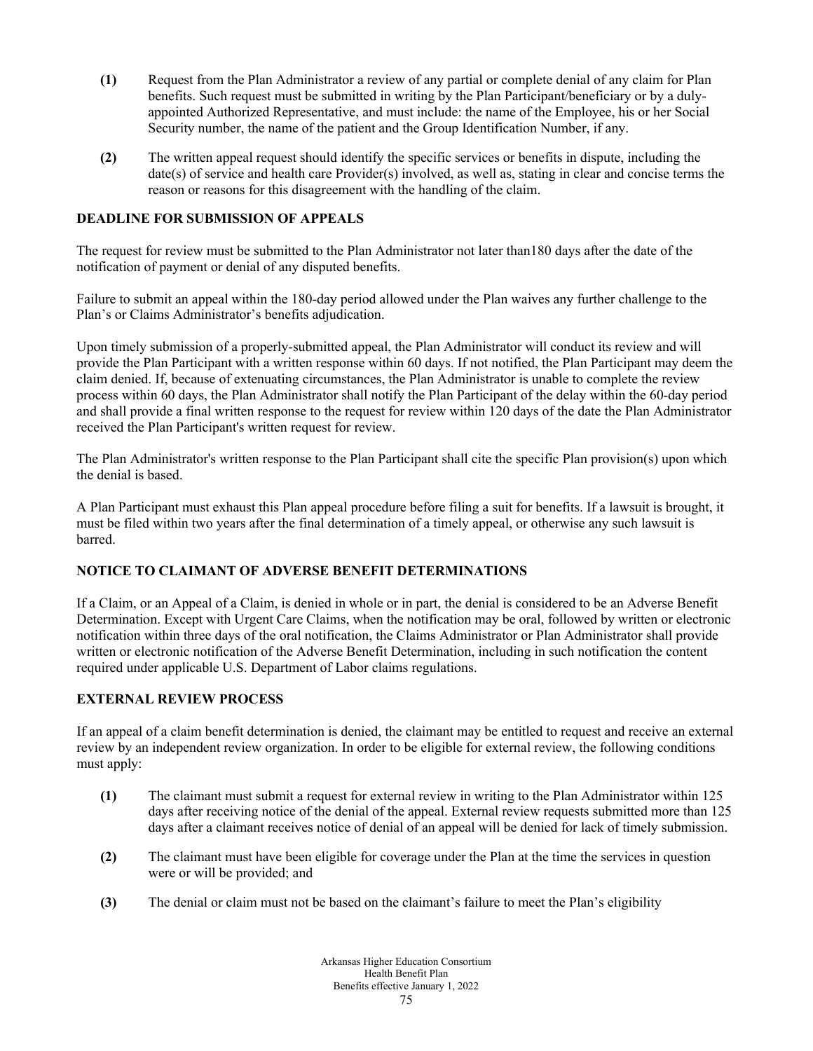- **(1)** Request from the Plan Administrator a review of any partial or complete denial of any claim for Plan benefits. Such request must be submitted in writing by the Plan Participant/beneficiary or by a dulyappointed Authorized Representative, and must include: the name of the Employee, his or her Social Security number, the name of the patient and the Group Identification Number, if any.
- **(2)** The written appeal request should identify the specific services or benefits in dispute, including the date(s) of service and health care Provider(s) involved, as well as, stating in clear and concise terms the reason or reasons for this disagreement with the handling of the claim.

# **DEADLINE FOR SUBMISSION OF APPEALS**

The request for review must be submitted to the Plan Administrator not later than180 days after the date of the notification of payment or denial of any disputed benefits.

Failure to submit an appeal within the 180-day period allowed under the Plan waives any further challenge to the Plan's or Claims Administrator's benefits adjudication.

Upon timely submission of a properly-submitted appeal, the Plan Administrator will conduct its review and will provide the Plan Participant with a written response within 60 days. If not notified, the Plan Participant may deem the claim denied. If, because of extenuating circumstances, the Plan Administrator is unable to complete the review process within 60 days, the Plan Administrator shall notify the Plan Participant of the delay within the 60-day period and shall provide a final written response to the request for review within 120 days of the date the Plan Administrator received the Plan Participant's written request for review.

The Plan Administrator's written response to the Plan Participant shall cite the specific Plan provision(s) upon which the denial is based.

A Plan Participant must exhaust this Plan appeal procedure before filing a suit for benefits. If a lawsuit is brought, it must be filed within two years after the final determination of a timely appeal, or otherwise any such lawsuit is barred.

# **NOTICE TO CLAIMANT OF ADVERSE BENEFIT DETERMINATIONS**

If a Claim, or an Appeal of a Claim, is denied in whole or in part, the denial is considered to be an Adverse Benefit Determination. Except with Urgent Care Claims, when the notification may be oral, followed by written or electronic notification within three days of the oral notification, the Claims Administrator or Plan Administrator shall provide written or electronic notification of the Adverse Benefit Determination, including in such notification the content required under applicable U.S. Department of Labor claims regulations.

# **EXTERNAL REVIEW PROCESS**

If an appeal of a claim benefit determination is denied, the claimant may be entitled to request and receive an external review by an independent review organization. In order to be eligible for external review, the following conditions must apply:

- **(1)** The claimant must submit a request for external review in writing to the Plan Administrator within 125 days after receiving notice of the denial of the appeal. External review requests submitted more than 125 days after a claimant receives notice of denial of an appeal will be denied for lack of timely submission.
- **(2)** The claimant must have been eligible for coverage under the Plan at the time the services in question were or will be provided; and
- **(3)** The denial or claim must not be based on the claimant's failure to meet the Plan's eligibility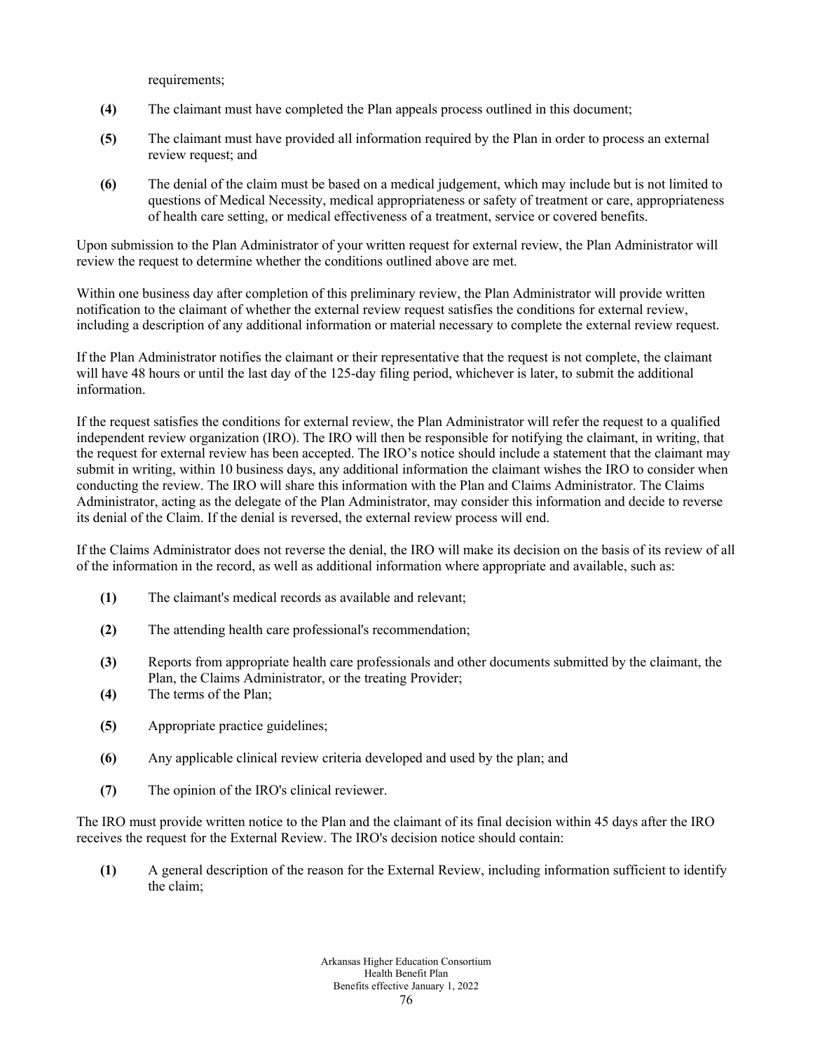requirements;

- **(4)** The claimant must have completed the Plan appeals process outlined in this document;
- **(5)** The claimant must have provided all information required by the Plan in order to process an external review request; and
- **(6)** The denial of the claim must be based on a medical judgement, which may include but is not limited to questions of Medical Necessity, medical appropriateness or safety of treatment or care, appropriateness of health care setting, or medical effectiveness of a treatment, service or covered benefits.

Upon submission to the Plan Administrator of your written request for external review, the Plan Administrator will review the request to determine whether the conditions outlined above are met.

Within one business day after completion of this preliminary review, the Plan Administrator will provide written notification to the claimant of whether the external review request satisfies the conditions for external review, including a description of any additional information or material necessary to complete the external review request.

If the Plan Administrator notifies the claimant or their representative that the request is not complete, the claimant will have 48 hours or until the last day of the 125-day filing period, whichever is later, to submit the additional information.

If the request satisfies the conditions for external review, the Plan Administrator will refer the request to a qualified independent review organization (IRO). The IRO will then be responsible for notifying the claimant, in writing, that the request for external review has been accepted. The IRO's notice should include a statement that the claimant may submit in writing, within 10 business days, any additional information the claimant wishes the IRO to consider when conducting the review. The IRO will share this information with the Plan and Claims Administrator. The Claims Administrator, acting as the delegate of the Plan Administrator, may consider this information and decide to reverse its denial of the Claim. If the denial is reversed, the external review process will end.

If the Claims Administrator does not reverse the denial, the IRO will make its decision on the basis of its review of all of the information in the record, as well as additional information where appropriate and available, such as:

- **(1)** The claimant's medical records as available and relevant;
- **(2)** The attending health care professional's recommendation;
- **(3)** Reports from appropriate health care professionals and other documents submitted by the claimant, the Plan, the Claims Administrator, or the treating Provider;
- **(4)** The terms of the Plan;
- **(5)** Appropriate practice guidelines;
- **(6)** Any applicable clinical review criteria developed and used by the plan; and
- **(7)** The opinion of the IRO's clinical reviewer.

The IRO must provide written notice to the Plan and the claimant of its final decision within 45 days after the IRO receives the request for the External Review. The IRO's decision notice should contain:

**(1)** A general description of the reason for the External Review, including information sufficient to identify the claim;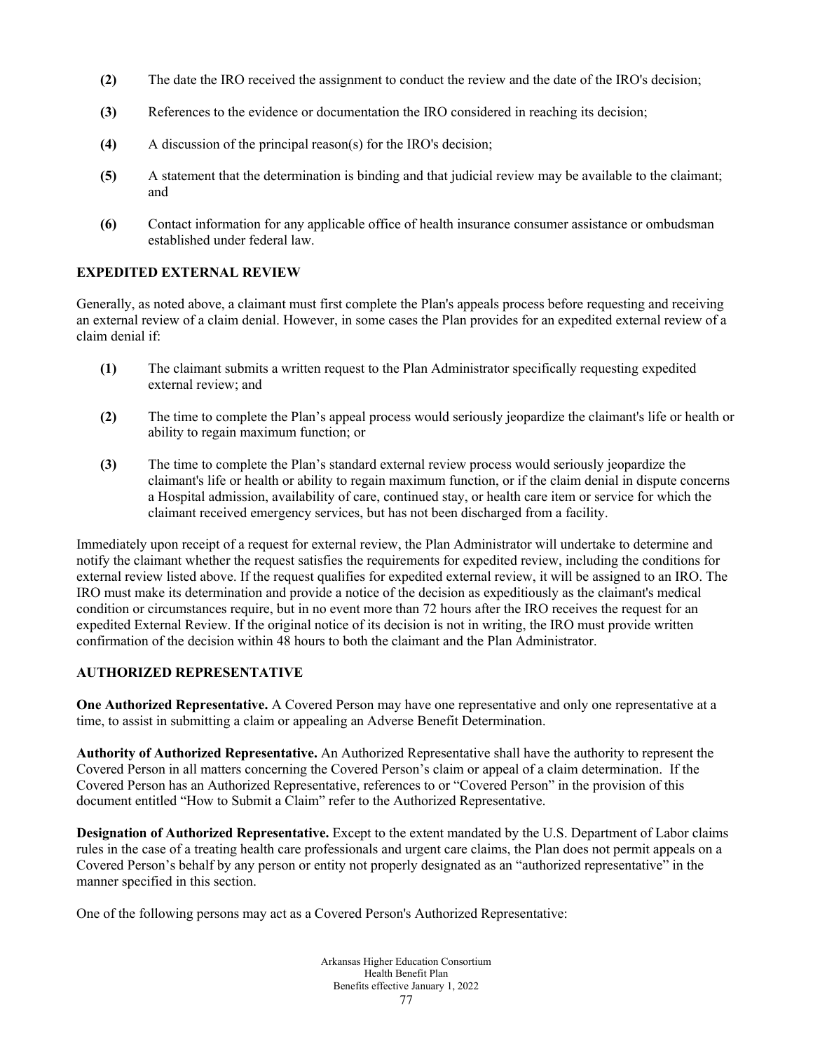- **(2)** The date the IRO received the assignment to conduct the review and the date of the IRO's decision;
- **(3)** References to the evidence or documentation the IRO considered in reaching its decision;
- **(4)** A discussion of the principal reason(s) for the IRO's decision;
- **(5)** A statement that the determination is binding and that judicial review may be available to the claimant; and
- **(6)** Contact information for any applicable office of health insurance consumer assistance or ombudsman established under federal law.

#### **EXPEDITED EXTERNAL REVIEW**

Generally, as noted above, a claimant must first complete the Plan's appeals process before requesting and receiving an external review of a claim denial. However, in some cases the Plan provides for an expedited external review of a claim denial if:

- **(1)** The claimant submits a written request to the Plan Administrator specifically requesting expedited external review; and
- **(2)** The time to complete the Plan's appeal process would seriously jeopardize the claimant's life or health or ability to regain maximum function; or
- **(3)** The time to complete the Plan's standard external review process would seriously jeopardize the claimant's life or health or ability to regain maximum function, or if the claim denial in dispute concerns a Hospital admission, availability of care, continued stay, or health care item or service for which the claimant received emergency services, but has not been discharged from a facility.

Immediately upon receipt of a request for external review, the Plan Administrator will undertake to determine and notify the claimant whether the request satisfies the requirements for expedited review, including the conditions for external review listed above. If the request qualifies for expedited external review, it will be assigned to an IRO. The IRO must make its determination and provide a notice of the decision as expeditiously as the claimant's medical condition or circumstances require, but in no event more than 72 hours after the IRO receives the request for an expedited External Review. If the original notice of its decision is not in writing, the IRO must provide written confirmation of the decision within 48 hours to both the claimant and the Plan Administrator.

#### **AUTHORIZED REPRESENTATIVE**

**One Authorized Representative.** A Covered Person may have one representative and only one representative at a time, to assist in submitting a claim or appealing an Adverse Benefit Determination.

**Authority of Authorized Representative.** An Authorized Representative shall have the authority to represent the Covered Person in all matters concerning the Covered Person's claim or appeal of a claim determination. If the Covered Person has an Authorized Representative, references to or "Covered Person" in the provision of this document entitled "How to Submit a Claim" refer to the Authorized Representative.

**Designation of Authorized Representative.** Except to the extent mandated by the U.S. Department of Labor claims rules in the case of a treating health care professionals and urgent care claims, the Plan does not permit appeals on a Covered Person's behalf by any person or entity not properly designated as an "authorized representative" in the manner specified in this section.

One of the following persons may act as a Covered Person's Authorized Representative: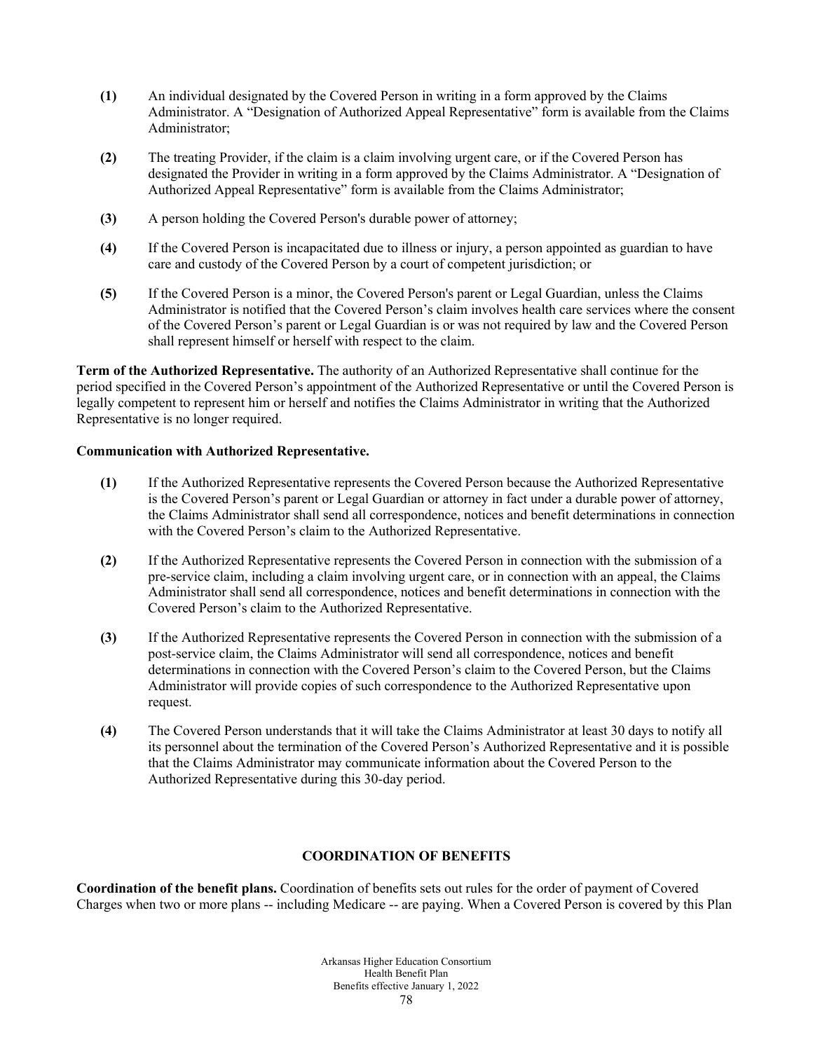- **(1)** An individual designated by the Covered Person in writing in a form approved by the Claims Administrator. A "Designation of Authorized Appeal Representative" form is available from the Claims Administrator;
- **(2)** The treating Provider, if the claim is a claim involving urgent care, or if the Covered Person has designated the Provider in writing in a form approved by the Claims Administrator. A "Designation of Authorized Appeal Representative" form is available from the Claims Administrator;
- **(3)** A person holding the Covered Person's durable power of attorney;
- **(4)** If the Covered Person is incapacitated due to illness or injury, a person appointed as guardian to have care and custody of the Covered Person by a court of competent jurisdiction; or
- **(5)** If the Covered Person is a minor, the Covered Person's parent or Legal Guardian, unless the Claims Administrator is notified that the Covered Person's claim involves health care services where the consent of the Covered Person's parent or Legal Guardian is or was not required by law and the Covered Person shall represent himself or herself with respect to the claim.

**Term of the Authorized Representative.** The authority of an Authorized Representative shall continue for the period specified in the Covered Person's appointment of the Authorized Representative or until the Covered Person is legally competent to represent him or herself and notifies the Claims Administrator in writing that the Authorized Representative is no longer required.

# **Communication with Authorized Representative.**

- **(1)** If the Authorized Representative represents the Covered Person because the Authorized Representative is the Covered Person's parent or Legal Guardian or attorney in fact under a durable power of attorney, the Claims Administrator shall send all correspondence, notices and benefit determinations in connection with the Covered Person's claim to the Authorized Representative.
- **(2)** If the Authorized Representative represents the Covered Person in connection with the submission of a pre-service claim, including a claim involving urgent care, or in connection with an appeal, the Claims Administrator shall send all correspondence, notices and benefit determinations in connection with the Covered Person's claim to the Authorized Representative.
- **(3)** If the Authorized Representative represents the Covered Person in connection with the submission of a post-service claim, the Claims Administrator will send all correspondence, notices and benefit determinations in connection with the Covered Person's claim to the Covered Person, but the Claims Administrator will provide copies of such correspondence to the Authorized Representative upon request.
- **(4)** The Covered Person understands that it will take the Claims Administrator at least 30 days to notify all its personnel about the termination of the Covered Person's Authorized Representative and it is possible that the Claims Administrator may communicate information about the Covered Person to the Authorized Representative during this 30-day period.

# **COORDINATION OF BENEFITS**

**Coordination of the benefit plans.** Coordination of benefits sets out rules for the order of payment of Covered Charges when two or more plans -- including Medicare -- are paying. When a Covered Person is covered by this Plan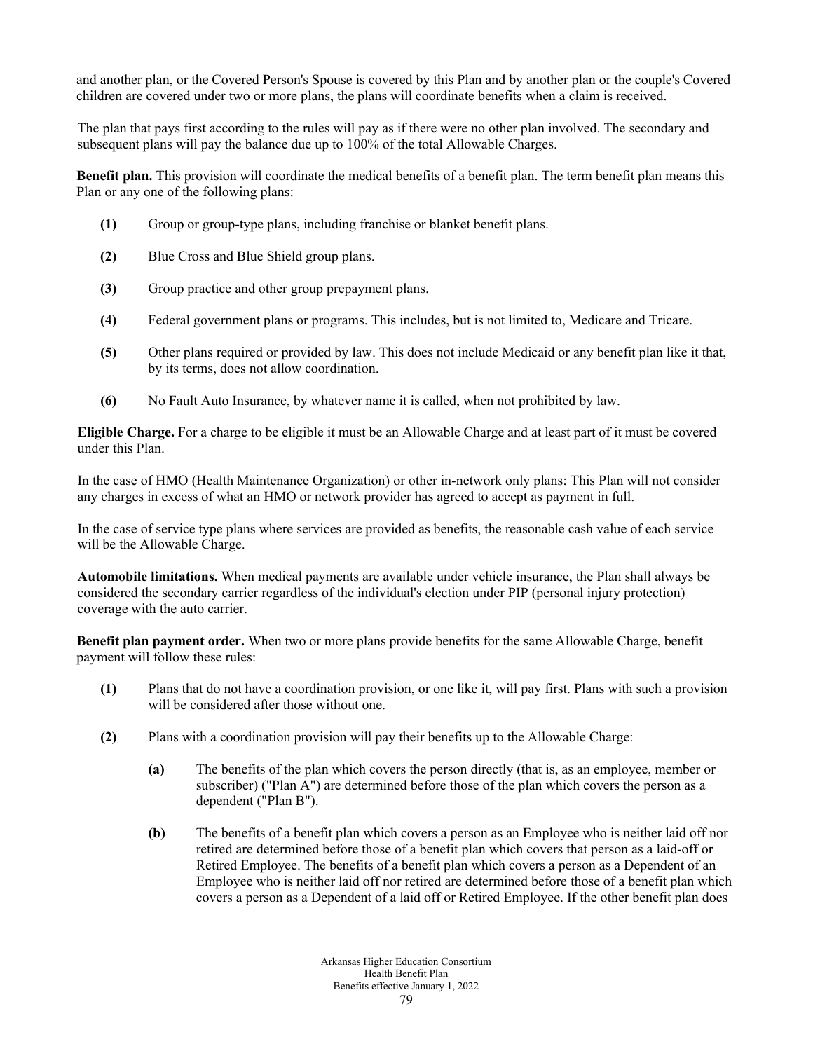and another plan, or the Covered Person's Spouse is covered by this Plan and by another plan or the couple's Covered children are covered under two or more plans, the plans will coordinate benefits when a claim is received.

The plan that pays first according to the rules will pay as if there were no other plan involved. The secondary and subsequent plans will pay the balance due up to 100% of the total Allowable Charges.

**Benefit plan.** This provision will coordinate the medical benefits of a benefit plan. The term benefit plan means this Plan or any one of the following plans:

- **(1)** Group or group-type plans, including franchise or blanket benefit plans.
- **(2)** Blue Cross and Blue Shield group plans.
- **(3)** Group practice and other group prepayment plans.
- **(4)** Federal government plans or programs. This includes, but is not limited to, Medicare and Tricare.
- **(5)** Other plans required or provided by law. This does not include Medicaid or any benefit plan like it that, by its terms, does not allow coordination.
- **(6)** No Fault Auto Insurance, by whatever name it is called, when not prohibited by law.

**Eligible Charge.** For a charge to be eligible it must be an Allowable Charge and at least part of it must be covered under this Plan.

In the case of HMO (Health Maintenance Organization) or other in-network only plans: This Plan will not consider any charges in excess of what an HMO or network provider has agreed to accept as payment in full.

In the case of service type plans where services are provided as benefits, the reasonable cash value of each service will be the Allowable Charge.

**Automobile limitations.** When medical payments are available under vehicle insurance, the Plan shall always be considered the secondary carrier regardless of the individual's election under PIP (personal injury protection) coverage with the auto carrier.

**Benefit plan payment order.** When two or more plans provide benefits for the same Allowable Charge, benefit payment will follow these rules:

- **(1)** Plans that do not have a coordination provision, or one like it, will pay first. Plans with such a provision will be considered after those without one.
- **(2)** Plans with a coordination provision will pay their benefits up to the Allowable Charge:
	- **(a)** The benefits of the plan which covers the person directly (that is, as an employee, member or subscriber) ("Plan A") are determined before those of the plan which covers the person as a dependent ("Plan B").
	- **(b)** The benefits of a benefit plan which covers a person as an Employee who is neither laid off nor retired are determined before those of a benefit plan which covers that person as a laid-off or Retired Employee. The benefits of a benefit plan which covers a person as a Dependent of an Employee who is neither laid off nor retired are determined before those of a benefit plan which covers a person as a Dependent of a laid off or Retired Employee. If the other benefit plan does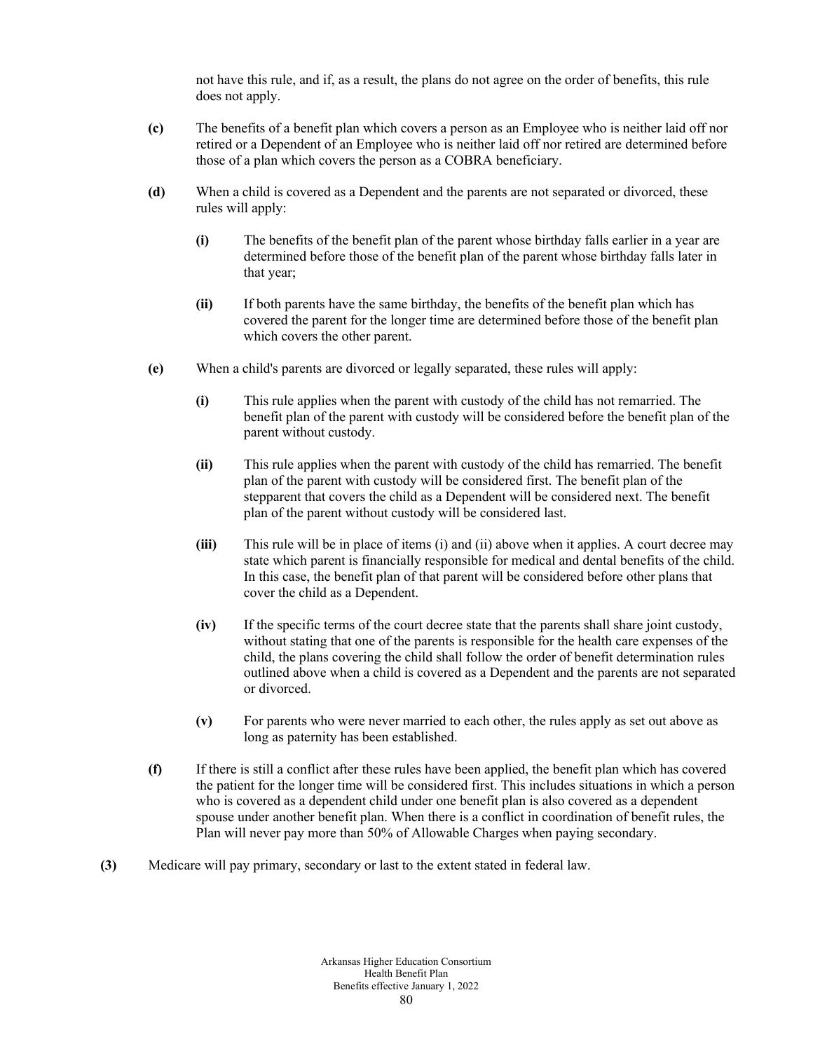not have this rule, and if, as a result, the plans do not agree on the order of benefits, this rule does not apply.

- **(c)** The benefits of a benefit plan which covers a person as an Employee who is neither laid off nor retired or a Dependent of an Employee who is neither laid off nor retired are determined before those of a plan which covers the person as a COBRA beneficiary.
- **(d)** When a child is covered as a Dependent and the parents are not separated or divorced, these rules will apply:
	- **(i)** The benefits of the benefit plan of the parent whose birthday falls earlier in a year are determined before those of the benefit plan of the parent whose birthday falls later in that year;
	- **(ii)** If both parents have the same birthday, the benefits of the benefit plan which has covered the parent for the longer time are determined before those of the benefit plan which covers the other parent.
- **(e)** When a child's parents are divorced or legally separated, these rules will apply:
	- **(i)** This rule applies when the parent with custody of the child has not remarried. The benefit plan of the parent with custody will be considered before the benefit plan of the parent without custody.
	- **(ii)** This rule applies when the parent with custody of the child has remarried. The benefit plan of the parent with custody will be considered first. The benefit plan of the stepparent that covers the child as a Dependent will be considered next. The benefit plan of the parent without custody will be considered last.
	- **(iii)** This rule will be in place of items (i) and (ii) above when it applies. A court decree may state which parent is financially responsible for medical and dental benefits of the child. In this case, the benefit plan of that parent will be considered before other plans that cover the child as a Dependent.
	- **(iv)** If the specific terms of the court decree state that the parents shall share joint custody, without stating that one of the parents is responsible for the health care expenses of the child, the plans covering the child shall follow the order of benefit determination rules outlined above when a child is covered as a Dependent and the parents are not separated or divorced.
	- **(v)** For parents who were never married to each other, the rules apply as set out above as long as paternity has been established.
- **(f)** If there is still a conflict after these rules have been applied, the benefit plan which has covered the patient for the longer time will be considered first. This includes situations in which a person who is covered as a dependent child under one benefit plan is also covered as a dependent spouse under another benefit plan. When there is a conflict in coordination of benefit rules, the Plan will never pay more than 50% of Allowable Charges when paying secondary.
- **(3)** Medicare will pay primary, secondary or last to the extent stated in federal law.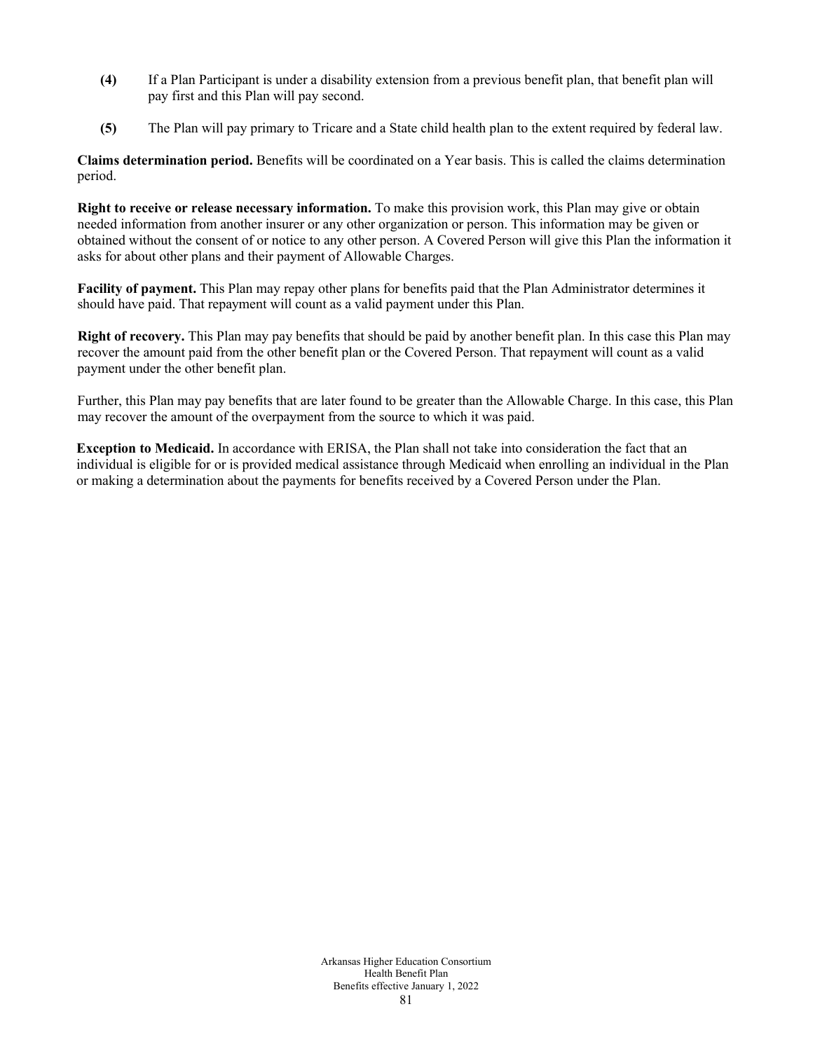- **(4)** If a Plan Participant is under a disability extension from a previous benefit plan, that benefit plan will pay first and this Plan will pay second.
- **(5)** The Plan will pay primary to Tricare and a State child health plan to the extent required by federal law.

**Claims determination period.** Benefits will be coordinated on a Year basis. This is called the claims determination period.

**Right to receive or release necessary information.** To make this provision work, this Plan may give or obtain needed information from another insurer or any other organization or person. This information may be given or obtained without the consent of or notice to any other person. A Covered Person will give this Plan the information it asks for about other plans and their payment of Allowable Charges.

**Facility of payment.** This Plan may repay other plans for benefits paid that the Plan Administrator determines it should have paid. That repayment will count as a valid payment under this Plan.

**Right of recovery.** This Plan may pay benefits that should be paid by another benefit plan. In this case this Plan may recover the amount paid from the other benefit plan or the Covered Person. That repayment will count as a valid payment under the other benefit plan.

Further, this Plan may pay benefits that are later found to be greater than the Allowable Charge. In this case, this Plan may recover the amount of the overpayment from the source to which it was paid.

**Exception to Medicaid.** In accordance with ERISA, the Plan shall not take into consideration the fact that an individual is eligible for or is provided medical assistance through Medicaid when enrolling an individual in the Plan or making a determination about the payments for benefits received by a Covered Person under the Plan.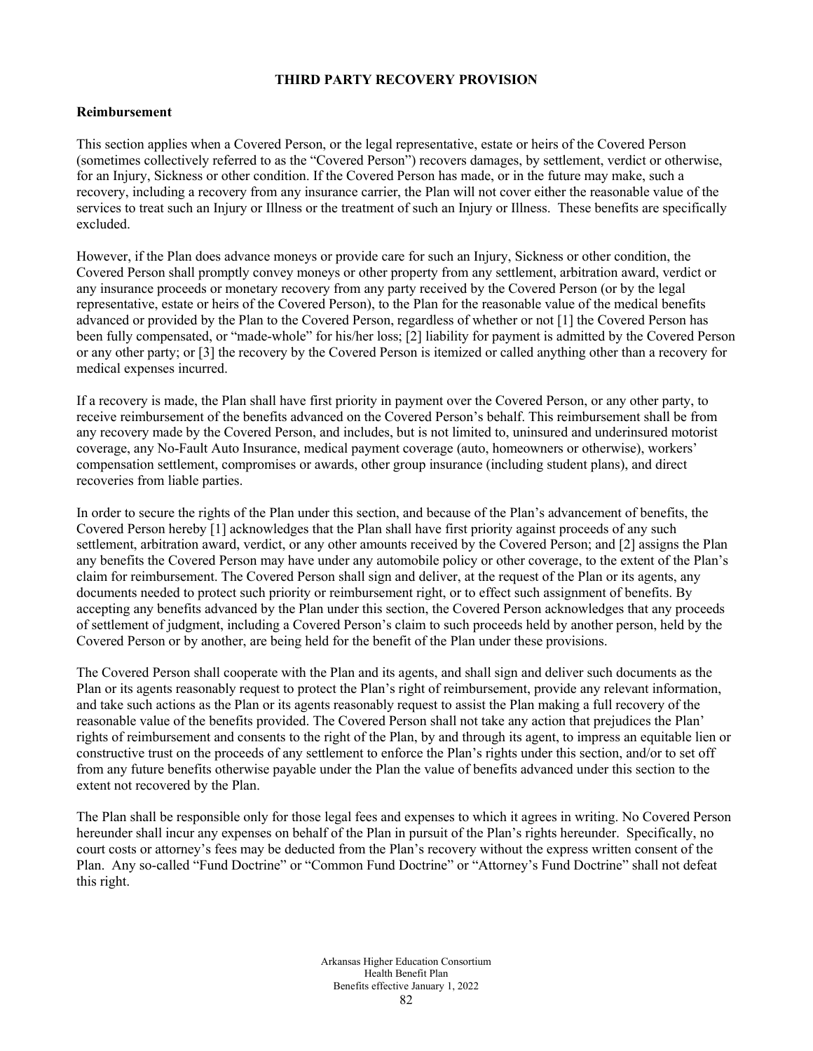# **THIRD PARTY RECOVERY PROVISION**

#### **Reimbursement**

This section applies when a Covered Person, or the legal representative, estate or heirs of the Covered Person (sometimes collectively referred to as the "Covered Person") recovers damages, by settlement, verdict or otherwise, for an Injury, Sickness or other condition. If the Covered Person has made, or in the future may make, such a recovery, including a recovery from any insurance carrier, the Plan will not cover either the reasonable value of the services to treat such an Injury or Illness or the treatment of such an Injury or Illness. These benefits are specifically excluded.

However, if the Plan does advance moneys or provide care for such an Injury, Sickness or other condition, the Covered Person shall promptly convey moneys or other property from any settlement, arbitration award, verdict or any insurance proceeds or monetary recovery from any party received by the Covered Person (or by the legal representative, estate or heirs of the Covered Person), to the Plan for the reasonable value of the medical benefits advanced or provided by the Plan to the Covered Person, regardless of whether or not [1] the Covered Person has been fully compensated, or "made-whole" for his/her loss; [2] liability for payment is admitted by the Covered Person or any other party; or [3] the recovery by the Covered Person is itemized or called anything other than a recovery for medical expenses incurred.

If a recovery is made, the Plan shall have first priority in payment over the Covered Person, or any other party, to receive reimbursement of the benefits advanced on the Covered Person's behalf. This reimbursement shall be from any recovery made by the Covered Person, and includes, but is not limited to, uninsured and underinsured motorist coverage, any No-Fault Auto Insurance, medical payment coverage (auto, homeowners or otherwise), workers' compensation settlement, compromises or awards, other group insurance (including student plans), and direct recoveries from liable parties.

In order to secure the rights of the Plan under this section, and because of the Plan's advancement of benefits, the Covered Person hereby [1] acknowledges that the Plan shall have first priority against proceeds of any such settlement, arbitration award, verdict, or any other amounts received by the Covered Person; and [2] assigns the Plan any benefits the Covered Person may have under any automobile policy or other coverage, to the extent of the Plan's claim for reimbursement. The Covered Person shall sign and deliver, at the request of the Plan or its agents, any documents needed to protect such priority or reimbursement right, or to effect such assignment of benefits. By accepting any benefits advanced by the Plan under this section, the Covered Person acknowledges that any proceeds of settlement of judgment, including a Covered Person's claim to such proceeds held by another person, held by the Covered Person or by another, are being held for the benefit of the Plan under these provisions.

The Covered Person shall cooperate with the Plan and its agents, and shall sign and deliver such documents as the Plan or its agents reasonably request to protect the Plan's right of reimbursement, provide any relevant information, and take such actions as the Plan or its agents reasonably request to assist the Plan making a full recovery of the reasonable value of the benefits provided. The Covered Person shall not take any action that prejudices the Plan' rights of reimbursement and consents to the right of the Plan, by and through its agent, to impress an equitable lien or constructive trust on the proceeds of any settlement to enforce the Plan's rights under this section, and/or to set off from any future benefits otherwise payable under the Plan the value of benefits advanced under this section to the extent not recovered by the Plan.

The Plan shall be responsible only for those legal fees and expenses to which it agrees in writing. No Covered Person hereunder shall incur any expenses on behalf of the Plan in pursuit of the Plan's rights hereunder. Specifically, no court costs or attorney's fees may be deducted from the Plan's recovery without the express written consent of the Plan. Any so-called "Fund Doctrine" or "Common Fund Doctrine" or "Attorney's Fund Doctrine" shall not defeat this right.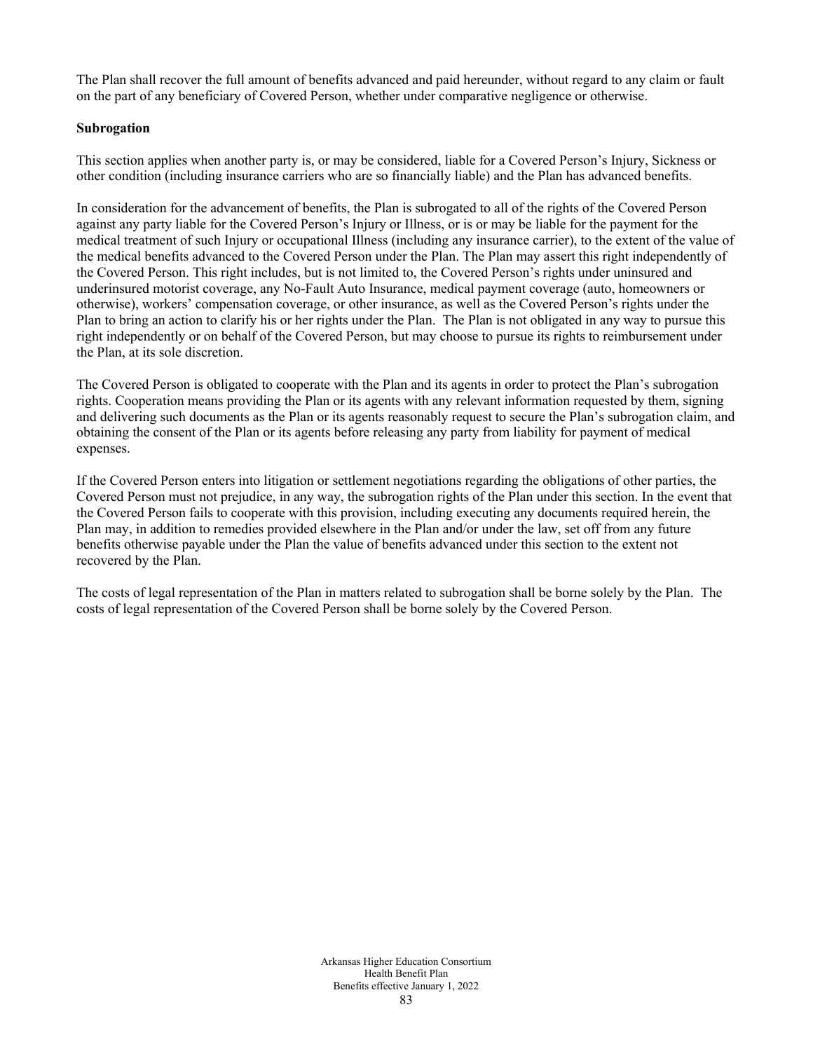The Plan shall recover the full amount of benefits advanced and paid hereunder, without regard to any claim or fault on the part of any beneficiary of Covered Person, whether under comparative negligence or otherwise.

## **Subrogation**

This section applies when another party is, or may be considered, liable for a Covered Person's Injury, Sickness or other condition (including insurance carriers who are so financially liable) and the Plan has advanced benefits.

In consideration for the advancement of benefits, the Plan is subrogated to all of the rights of the Covered Person against any party liable for the Covered Person's Injury or Illness, or is or may be liable for the payment for the medical treatment of such Injury or occupational Illness (including any insurance carrier), to the extent of the value of the medical benefits advanced to the Covered Person under the Plan. The Plan may assert this right independently of the Covered Person. This right includes, but is not limited to, the Covered Person's rights under uninsured and underinsured motorist coverage, any No-Fault Auto Insurance, medical payment coverage (auto, homeowners or otherwise), workers' compensation coverage, or other insurance, as well as the Covered Person's rights under the Plan to bring an action to clarify his or her rights under the Plan. The Plan is not obligated in any way to pursue this right independently or on behalf of the Covered Person, but may choose to pursue its rights to reimbursement under the Plan, at its sole discretion.

The Covered Person is obligated to cooperate with the Plan and its agents in order to protect the Plan's subrogation rights. Cooperation means providing the Plan or its agents with any relevant information requested by them, signing and delivering such documents as the Plan or its agents reasonably request to secure the Plan's subrogation claim, and obtaining the consent of the Plan or its agents before releasing any party from liability for payment of medical expenses.

If the Covered Person enters into litigation or settlement negotiations regarding the obligations of other parties, the Covered Person must not prejudice, in any way, the subrogation rights of the Plan under this section. In the event that the Covered Person fails to cooperate with this provision, including executing any documents required herein, the Plan may, in addition to remedies provided elsewhere in the Plan and/or under the law, set off from any future benefits otherwise payable under the Plan the value of benefits advanced under this section to the extent not recovered by the Plan.

The costs of legal representation of the Plan in matters related to subrogation shall be borne solely by the Plan. The costs of legal representation of the Covered Person shall be borne solely by the Covered Person.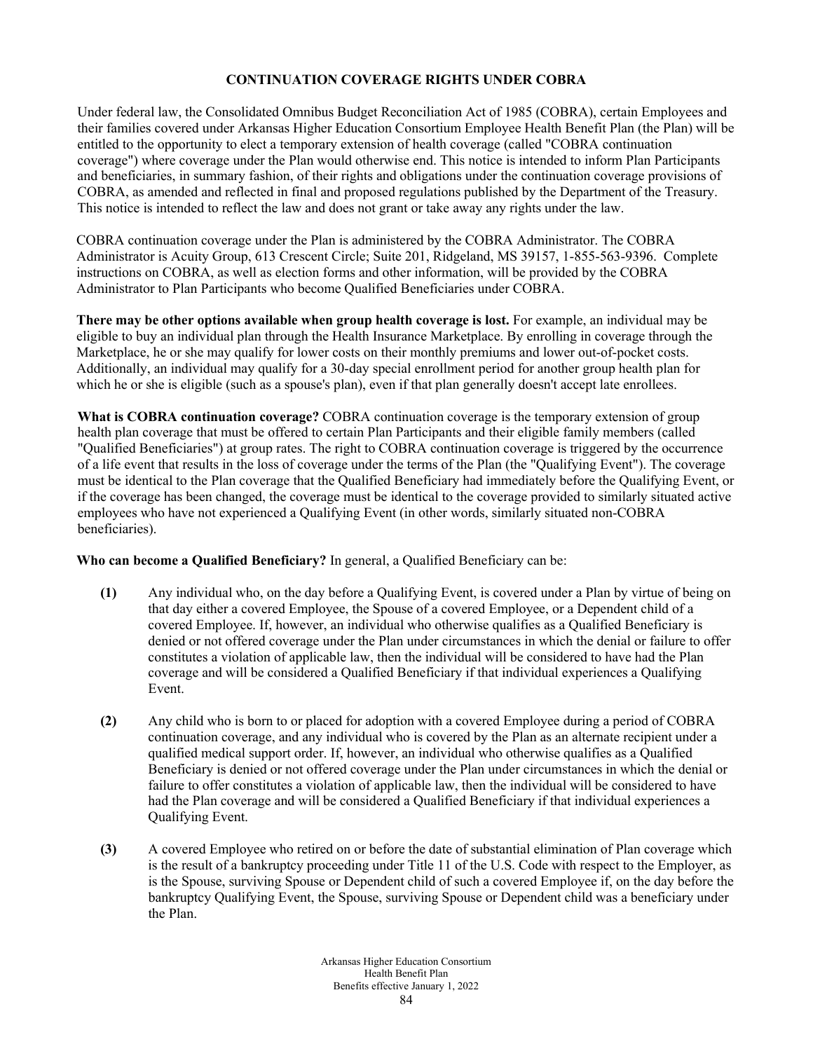# **CONTINUATION COVERAGE RIGHTS UNDER COBRA**

Under federal law, the Consolidated Omnibus Budget Reconciliation Act of 1985 (COBRA), certain Employees and their families covered under Arkansas Higher Education Consortium Employee Health Benefit Plan (the Plan) will be entitled to the opportunity to elect a temporary extension of health coverage (called "COBRA continuation coverage") where coverage under the Plan would otherwise end. This notice is intended to inform Plan Participants and beneficiaries, in summary fashion, of their rights and obligations under the continuation coverage provisions of COBRA, as amended and reflected in final and proposed regulations published by the Department of the Treasury. This notice is intended to reflect the law and does not grant or take away any rights under the law.

COBRA continuation coverage under the Plan is administered by the COBRA Administrator. The COBRA Administrator is Acuity Group, 613 Crescent Circle; Suite 201, Ridgeland, MS 39157, 1-855-563-9396. Complete instructions on COBRA, as well as election forms and other information, will be provided by the COBRA Administrator to Plan Participants who become Qualified Beneficiaries under COBRA.

**There may be other options available when group health coverage is lost.** For example, an individual may be eligible to buy an individual plan through the Health Insurance Marketplace. By enrolling in coverage through the Marketplace, he or she may qualify for lower costs on their monthly premiums and lower out-of-pocket costs. Additionally, an individual may qualify for a 30-day special enrollment period for another group health plan for which he or she is eligible (such as a spouse's plan), even if that plan generally doesn't accept late enrollees.

**What is COBRA continuation coverage?** COBRA continuation coverage is the temporary extension of group health plan coverage that must be offered to certain Plan Participants and their eligible family members (called "Qualified Beneficiaries") at group rates. The right to COBRA continuation coverage is triggered by the occurrence of a life event that results in the loss of coverage under the terms of the Plan (the "Qualifying Event"). The coverage must be identical to the Plan coverage that the Qualified Beneficiary had immediately before the Qualifying Event, or if the coverage has been changed, the coverage must be identical to the coverage provided to similarly situated active employees who have not experienced a Qualifying Event (in other words, similarly situated non-COBRA beneficiaries).

**Who can become a Qualified Beneficiary?** In general, a Qualified Beneficiary can be:

- **(1)** Any individual who, on the day before a Qualifying Event, is covered under a Plan by virtue of being on that day either a covered Employee, the Spouse of a covered Employee, or a Dependent child of a covered Employee. If, however, an individual who otherwise qualifies as a Qualified Beneficiary is denied or not offered coverage under the Plan under circumstances in which the denial or failure to offer constitutes a violation of applicable law, then the individual will be considered to have had the Plan coverage and will be considered a Qualified Beneficiary if that individual experiences a Qualifying Event.
- **(2)** Any child who is born to or placed for adoption with a covered Employee during a period of COBRA continuation coverage, and any individual who is covered by the Plan as an alternate recipient under a qualified medical support order. If, however, an individual who otherwise qualifies as a Qualified Beneficiary is denied or not offered coverage under the Plan under circumstances in which the denial or failure to offer constitutes a violation of applicable law, then the individual will be considered to have had the Plan coverage and will be considered a Qualified Beneficiary if that individual experiences a Qualifying Event.
- **(3)** A covered Employee who retired on or before the date of substantial elimination of Plan coverage which is the result of a bankruptcy proceeding under Title 11 of the U.S. Code with respect to the Employer, as is the Spouse, surviving Spouse or Dependent child of such a covered Employee if, on the day before the bankruptcy Qualifying Event, the Spouse, surviving Spouse or Dependent child was a beneficiary under the Plan.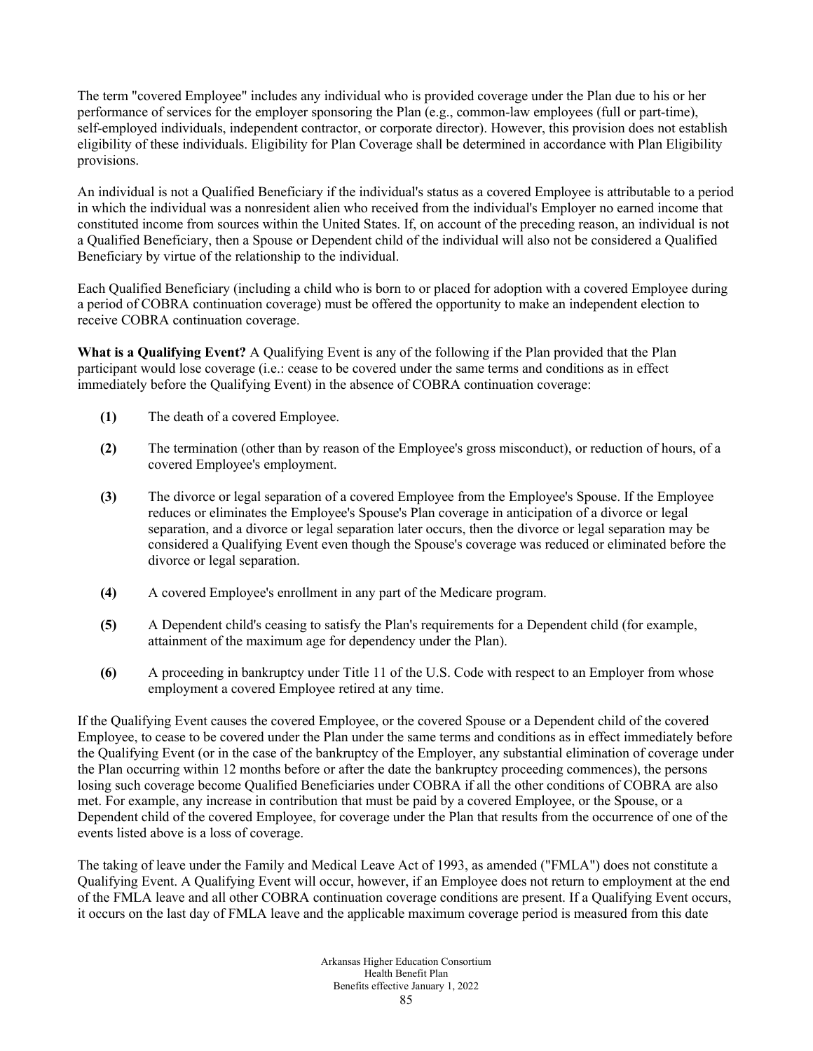The term "covered Employee" includes any individual who is provided coverage under the Plan due to his or her performance of services for the employer sponsoring the Plan (e.g., common-law employees (full or part-time), self-employed individuals, independent contractor, or corporate director). However, this provision does not establish eligibility of these individuals. Eligibility for Plan Coverage shall be determined in accordance with Plan Eligibility provisions.

An individual is not a Qualified Beneficiary if the individual's status as a covered Employee is attributable to a period in which the individual was a nonresident alien who received from the individual's Employer no earned income that constituted income from sources within the United States. If, on account of the preceding reason, an individual is not a Qualified Beneficiary, then a Spouse or Dependent child of the individual will also not be considered a Qualified Beneficiary by virtue of the relationship to the individual.

Each Qualified Beneficiary (including a child who is born to or placed for adoption with a covered Employee during a period of COBRA continuation coverage) must be offered the opportunity to make an independent election to receive COBRA continuation coverage.

**What is a Qualifying Event?** A Qualifying Event is any of the following if the Plan provided that the Plan participant would lose coverage (i.e.: cease to be covered under the same terms and conditions as in effect immediately before the Qualifying Event) in the absence of COBRA continuation coverage:

- **(1)** The death of a covered Employee.
- **(2)** The termination (other than by reason of the Employee's gross misconduct), or reduction of hours, of a covered Employee's employment.
- **(3)** The divorce or legal separation of a covered Employee from the Employee's Spouse. If the Employee reduces or eliminates the Employee's Spouse's Plan coverage in anticipation of a divorce or legal separation, and a divorce or legal separation later occurs, then the divorce or legal separation may be considered a Qualifying Event even though the Spouse's coverage was reduced or eliminated before the divorce or legal separation.
- **(4)** A covered Employee's enrollment in any part of the Medicare program.
- **(5)** A Dependent child's ceasing to satisfy the Plan's requirements for a Dependent child (for example, attainment of the maximum age for dependency under the Plan).
- **(6)** A proceeding in bankruptcy under Title 11 of the U.S. Code with respect to an Employer from whose employment a covered Employee retired at any time.

If the Qualifying Event causes the covered Employee, or the covered Spouse or a Dependent child of the covered Employee, to cease to be covered under the Plan under the same terms and conditions as in effect immediately before the Qualifying Event (or in the case of the bankruptcy of the Employer, any substantial elimination of coverage under the Plan occurring within 12 months before or after the date the bankruptcy proceeding commences), the persons losing such coverage become Qualified Beneficiaries under COBRA if all the other conditions of COBRA are also met. For example, any increase in contribution that must be paid by a covered Employee, or the Spouse, or a Dependent child of the covered Employee, for coverage under the Plan that results from the occurrence of one of the events listed above is a loss of coverage.

The taking of leave under the Family and Medical Leave Act of 1993, as amended ("FMLA") does not constitute a Qualifying Event. A Qualifying Event will occur, however, if an Employee does not return to employment at the end of the FMLA leave and all other COBRA continuation coverage conditions are present. If a Qualifying Event occurs, it occurs on the last day of FMLA leave and the applicable maximum coverage period is measured from this date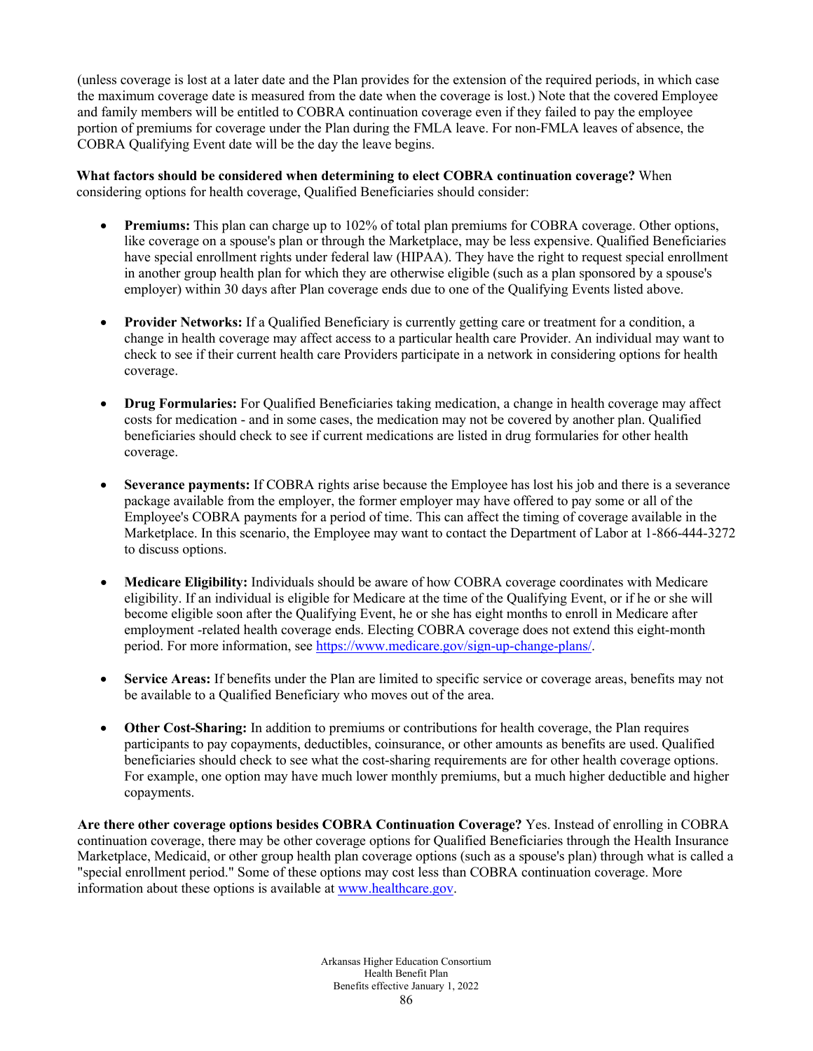(unless coverage is lost at a later date and the Plan provides for the extension of the required periods, in which case the maximum coverage date is measured from the date when the coverage is lost.) Note that the covered Employee and family members will be entitled to COBRA continuation coverage even if they failed to pay the employee portion of premiums for coverage under the Plan during the FMLA leave. For non-FMLA leaves of absence, the COBRA Qualifying Event date will be the day the leave begins.

**What factors should be considered when determining to elect COBRA continuation coverage?** When considering options for health coverage, Qualified Beneficiaries should consider:

- **Premiums:** This plan can charge up to 102% of total plan premiums for COBRA coverage. Other options, like coverage on a spouse's plan or through the Marketplace, may be less expensive. Qualified Beneficiaries have special enrollment rights under federal law (HIPAA). They have the right to request special enrollment in another group health plan for which they are otherwise eligible (such as a plan sponsored by a spouse's employer) within 30 days after Plan coverage ends due to one of the Qualifying Events listed above.
- **Provider Networks:** If a Qualified Beneficiary is currently getting care or treatment for a condition, a change in health coverage may affect access to a particular health care Provider. An individual may want to check to see if their current health care Providers participate in a network in considering options for health coverage.
- **Drug Formularies:** For Qualified Beneficiaries taking medication, a change in health coverage may affect costs for medication - and in some cases, the medication may not be covered by another plan. Qualified beneficiaries should check to see if current medications are listed in drug formularies for other health coverage.
- **Severance payments:** If COBRA rights arise because the Employee has lost his job and there is a severance package available from the employer, the former employer may have offered to pay some or all of the Employee's COBRA payments for a period of time. This can affect the timing of coverage available in the Marketplace. In this scenario, the Employee may want to contact the Department of Labor at 1-866-444-3272 to discuss options.
- **Medicare Eligibility:** Individuals should be aware of how COBRA coverage coordinates with Medicare eligibility. If an individual is eligible for Medicare at the time of the Qualifying Event, or if he or she will become eligible soon after the Qualifying Event, he or she has eight months to enroll in Medicare after employment -related health coverage ends. Electing COBRA coverage does not extend this eight-month period. For more information, see [https://www.medicare.gov/sign-up-change-plans/.](https://www.medicare.gov/sign-up-change-plans/)
- **Service Areas:** If benefits under the Plan are limited to specific service or coverage areas, benefits may not be available to a Qualified Beneficiary who moves out of the area.
- **Other Cost-Sharing:** In addition to premiums or contributions for health coverage, the Plan requires participants to pay copayments, deductibles, coinsurance, or other amounts as benefits are used. Qualified beneficiaries should check to see what the cost-sharing requirements are for other health coverage options. For example, one option may have much lower monthly premiums, but a much higher deductible and higher copayments.

**Are there other coverage options besides COBRA Continuation Coverage?** Yes. Instead of enrolling in COBRA continuation coverage, there may be other coverage options for Qualified Beneficiaries through the Health Insurance Marketplace, Medicaid, or other group health plan coverage options (such as a spouse's plan) through what is called a "special enrollment period." Some of these options may cost less than COBRA continuation coverage. More information about these options is available a[t www.healthcare.gov.](http://www.healthcare.gov/)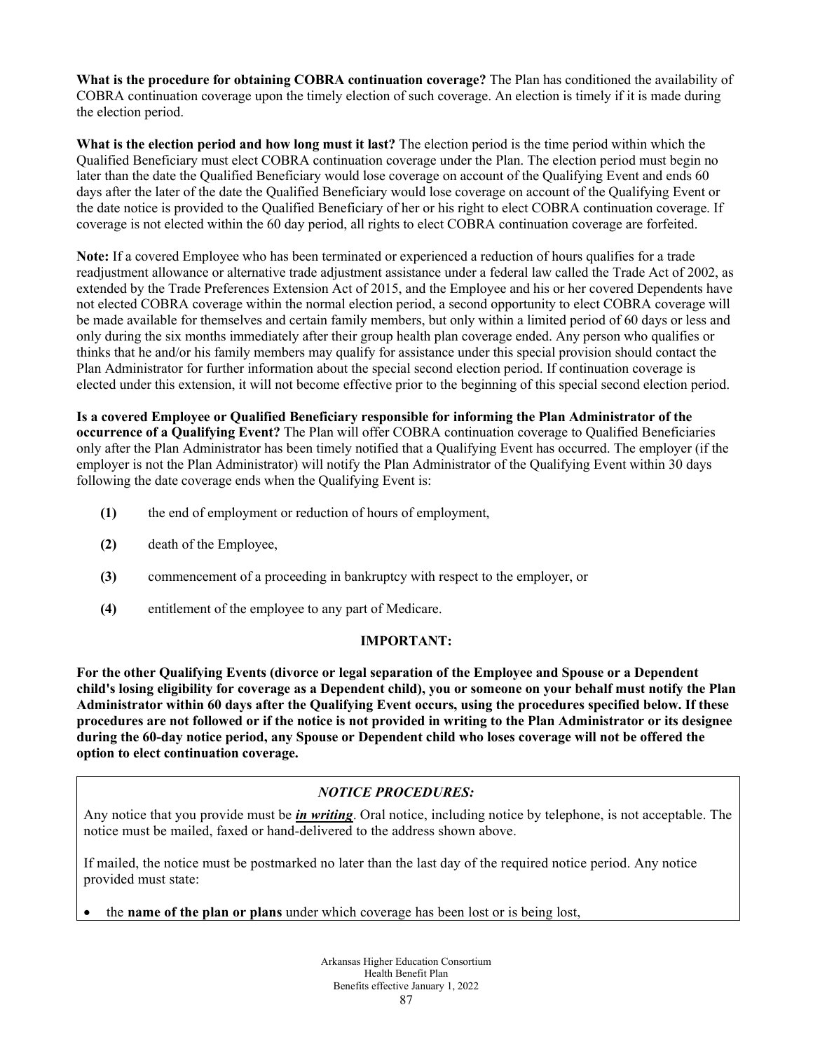**What is the procedure for obtaining COBRA continuation coverage?** The Plan has conditioned the availability of COBRA continuation coverage upon the timely election of such coverage. An election is timely if it is made during the election period.

**What is the election period and how long must it last?** The election period is the time period within which the Qualified Beneficiary must elect COBRA continuation coverage under the Plan. The election period must begin no later than the date the Qualified Beneficiary would lose coverage on account of the Qualifying Event and ends 60 days after the later of the date the Qualified Beneficiary would lose coverage on account of the Qualifying Event or the date notice is provided to the Qualified Beneficiary of her or his right to elect COBRA continuation coverage. If coverage is not elected within the 60 day period, all rights to elect COBRA continuation coverage are forfeited.

**Note:** If a covered Employee who has been terminated or experienced a reduction of hours qualifies for a trade readjustment allowance or alternative trade adjustment assistance under a federal law called the Trade Act of 2002, as extended by the Trade Preferences Extension Act of 2015, and the Employee and his or her covered Dependents have not elected COBRA coverage within the normal election period, a second opportunity to elect COBRA coverage will be made available for themselves and certain family members, but only within a limited period of 60 days or less and only during the six months immediately after their group health plan coverage ended. Any person who qualifies or thinks that he and/or his family members may qualify for assistance under this special provision should contact the Plan Administrator for further information about the special second election period. If continuation coverage is elected under this extension, it will not become effective prior to the beginning of this special second election period.

**Is a covered Employee or Qualified Beneficiary responsible for informing the Plan Administrator of the occurrence of a Qualifying Event?** The Plan will offer COBRA continuation coverage to Qualified Beneficiaries only after the Plan Administrator has been timely notified that a Qualifying Event has occurred. The employer (if the employer is not the Plan Administrator) will notify the Plan Administrator of the Qualifying Event within 30 days following the date coverage ends when the Qualifying Event is:

- **(1)** the end of employment or reduction of hours of employment,
- **(2)** death of the Employee,
- **(3)** commencement of a proceeding in bankruptcy with respect to the employer, or
- **(4)** entitlement of the employee to any part of Medicare.

# **IMPORTANT:**

**For the other Qualifying Events (divorce or legal separation of the Employee and Spouse or a Dependent child's losing eligibility for coverage as a Dependent child), you or someone on your behalf must notify the Plan Administrator within 60 days after the Qualifying Event occurs, using the procedures specified below. If these procedures are not followed or if the notice is not provided in writing to the Plan Administrator or its designee during the 60-day notice period, any Spouse or Dependent child who loses coverage will not be offered the option to elect continuation coverage.** 

# *NOTICE PROCEDURES:*

Any notice that you provide must be *in writing*. Oral notice, including notice by telephone, is not acceptable. The notice must be mailed, faxed or hand-delivered to the address shown above.

If mailed, the notice must be postmarked no later than the last day of the required notice period. Any notice provided must state:

• the **name of the plan or plans** under which coverage has been lost or is being lost,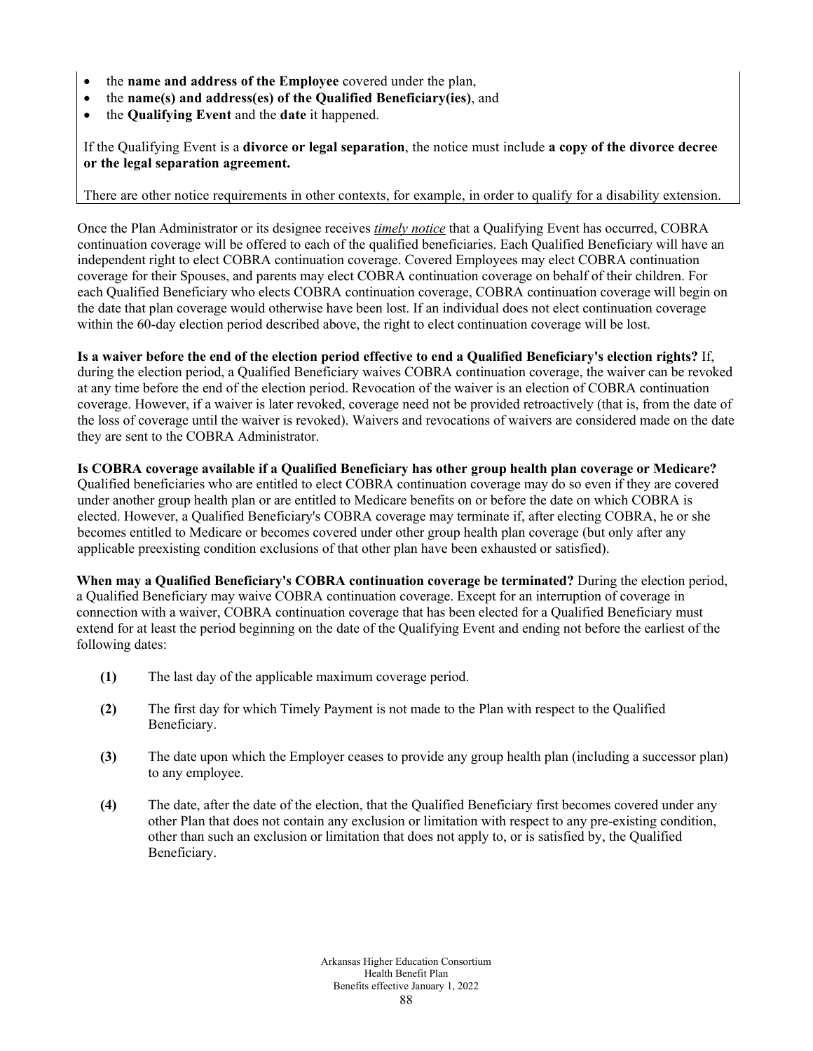- the **name and address of the Employee** covered under the plan,
- the **name(s) and address(es) of the Qualified Beneficiary(ies)**, and
- the **Qualifying Event** and the **date** it happened.

If the Qualifying Event is a **divorce or legal separation**, the notice must include **a copy of the divorce decree or the legal separation agreement.**

#### There are other notice requirements in other contexts, for example, in order to qualify for a disability extension.

Once the Plan Administrator or its designee receives *timely notice* that a Qualifying Event has occurred, COBRA continuation coverage will be offered to each of the qualified beneficiaries. Each Qualified Beneficiary will have an independent right to elect COBRA continuation coverage. Covered Employees may elect COBRA continuation coverage for their Spouses, and parents may elect COBRA continuation coverage on behalf of their children. For each Qualified Beneficiary who elects COBRA continuation coverage, COBRA continuation coverage will begin on the date that plan coverage would otherwise have been lost. If an individual does not elect continuation coverage within the 60-day election period described above, the right to elect continuation coverage will be lost.

**Is a waiver before the end of the election period effective to end a Qualified Beneficiary's election rights?** If, during the election period, a Qualified Beneficiary waives COBRA continuation coverage, the waiver can be revoked at any time before the end of the election period. Revocation of the waiver is an election of COBRA continuation coverage. However, if a waiver is later revoked, coverage need not be provided retroactively (that is, from the date of the loss of coverage until the waiver is revoked). Waivers and revocations of waivers are considered made on the date they are sent to the COBRA Administrator.

**Is COBRA coverage available if a Qualified Beneficiary has other group health plan coverage or Medicare?**  Qualified beneficiaries who are entitled to elect COBRA continuation coverage may do so even if they are covered under another group health plan or are entitled to Medicare benefits on or before the date on which COBRA is elected. However, a Qualified Beneficiary's COBRA coverage may terminate if, after electing COBRA, he or she becomes entitled to Medicare or becomes covered under other group health plan coverage (but only after any applicable preexisting condition exclusions of that other plan have been exhausted or satisfied).

**When may a Qualified Beneficiary's COBRA continuation coverage be terminated?** During the election period, a Qualified Beneficiary may waive COBRA continuation coverage. Except for an interruption of coverage in connection with a waiver, COBRA continuation coverage that has been elected for a Qualified Beneficiary must extend for at least the period beginning on the date of the Qualifying Event and ending not before the earliest of the following dates:

- **(1)** The last day of the applicable maximum coverage period.
- **(2)** The first day for which Timely Payment is not made to the Plan with respect to the Qualified Beneficiary.
- **(3)** The date upon which the Employer ceases to provide any group health plan (including a successor plan) to any employee.
- **(4)** The date, after the date of the election, that the Qualified Beneficiary first becomes covered under any other Plan that does not contain any exclusion or limitation with respect to any pre-existing condition, other than such an exclusion or limitation that does not apply to, or is satisfied by, the Qualified Beneficiary.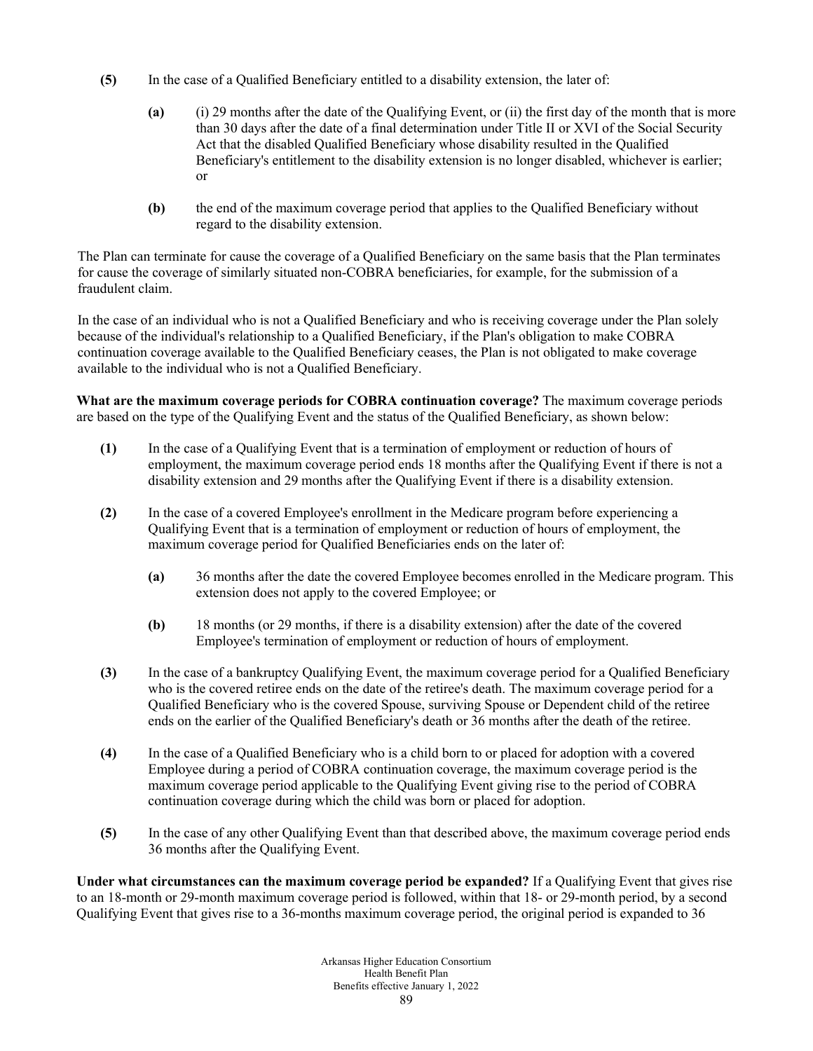- **(5)** In the case of a Qualified Beneficiary entitled to a disability extension, the later of:
	- **(a)** (i) 29 months after the date of the Qualifying Event, or (ii) the first day of the month that is more than 30 days after the date of a final determination under Title II or XVI of the Social Security Act that the disabled Qualified Beneficiary whose disability resulted in the Qualified Beneficiary's entitlement to the disability extension is no longer disabled, whichever is earlier; or
	- **(b)** the end of the maximum coverage period that applies to the Qualified Beneficiary without regard to the disability extension.

The Plan can terminate for cause the coverage of a Qualified Beneficiary on the same basis that the Plan terminates for cause the coverage of similarly situated non-COBRA beneficiaries, for example, for the submission of a fraudulent claim.

In the case of an individual who is not a Qualified Beneficiary and who is receiving coverage under the Plan solely because of the individual's relationship to a Qualified Beneficiary, if the Plan's obligation to make COBRA continuation coverage available to the Qualified Beneficiary ceases, the Plan is not obligated to make coverage available to the individual who is not a Qualified Beneficiary.

**What are the maximum coverage periods for COBRA continuation coverage?** The maximum coverage periods are based on the type of the Qualifying Event and the status of the Qualified Beneficiary, as shown below:

- **(1)** In the case of a Qualifying Event that is a termination of employment or reduction of hours of employment, the maximum coverage period ends 18 months after the Qualifying Event if there is not a disability extension and 29 months after the Qualifying Event if there is a disability extension.
- **(2)** In the case of a covered Employee's enrollment in the Medicare program before experiencing a Qualifying Event that is a termination of employment or reduction of hours of employment, the maximum coverage period for Qualified Beneficiaries ends on the later of:
	- **(a)** 36 months after the date the covered Employee becomes enrolled in the Medicare program. This extension does not apply to the covered Employee; or
	- **(b)** 18 months (or 29 months, if there is a disability extension) after the date of the covered Employee's termination of employment or reduction of hours of employment.
- **(3)** In the case of a bankruptcy Qualifying Event, the maximum coverage period for a Qualified Beneficiary who is the covered retiree ends on the date of the retiree's death. The maximum coverage period for a Qualified Beneficiary who is the covered Spouse, surviving Spouse or Dependent child of the retiree ends on the earlier of the Qualified Beneficiary's death or 36 months after the death of the retiree.
- **(4)** In the case of a Qualified Beneficiary who is a child born to or placed for adoption with a covered Employee during a period of COBRA continuation coverage, the maximum coverage period is the maximum coverage period applicable to the Qualifying Event giving rise to the period of COBRA continuation coverage during which the child was born or placed for adoption.
- **(5)** In the case of any other Qualifying Event than that described above, the maximum coverage period ends 36 months after the Qualifying Event.

**Under what circumstances can the maximum coverage period be expanded?** If a Qualifying Event that gives rise to an 18-month or 29-month maximum coverage period is followed, within that 18- or 29-month period, by a second Qualifying Event that gives rise to a 36-months maximum coverage period, the original period is expanded to 36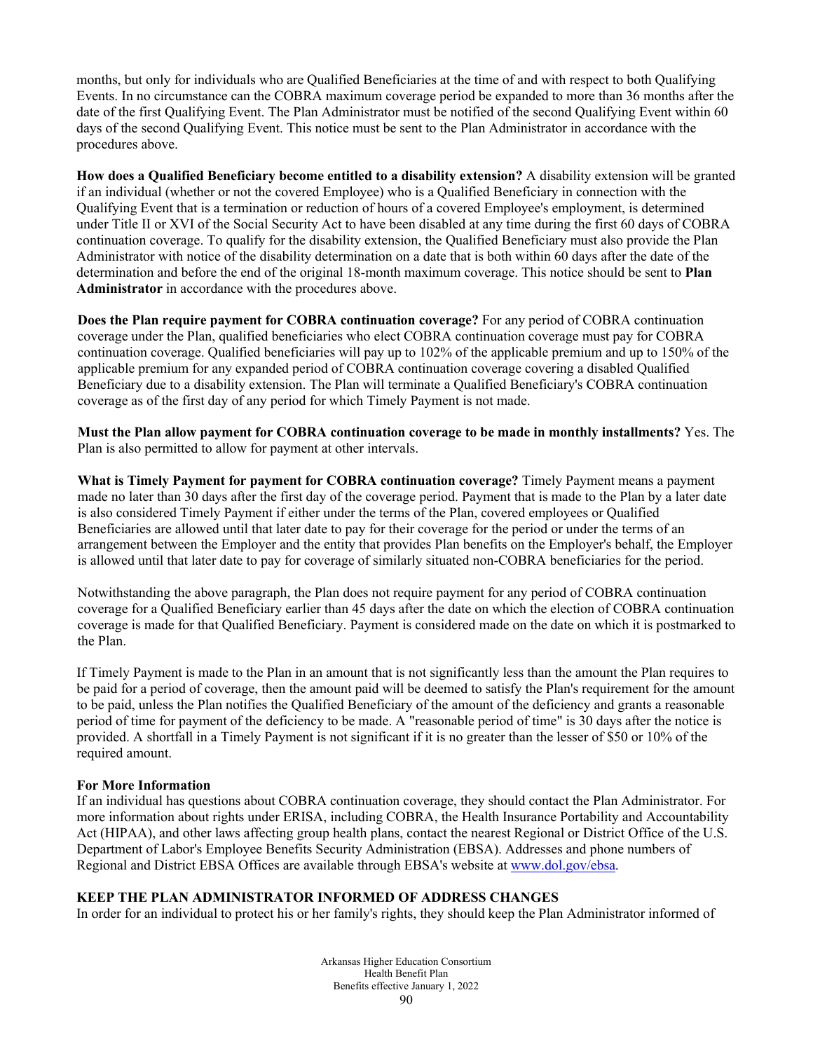months, but only for individuals who are Qualified Beneficiaries at the time of and with respect to both Qualifying Events. In no circumstance can the COBRA maximum coverage period be expanded to more than 36 months after the date of the first Qualifying Event. The Plan Administrator must be notified of the second Qualifying Event within 60 days of the second Qualifying Event. This notice must be sent to the Plan Administrator in accordance with the procedures above.

**How does a Qualified Beneficiary become entitled to a disability extension?** A disability extension will be granted if an individual (whether or not the covered Employee) who is a Qualified Beneficiary in connection with the Qualifying Event that is a termination or reduction of hours of a covered Employee's employment, is determined under Title II or XVI of the Social Security Act to have been disabled at any time during the first 60 days of COBRA continuation coverage. To qualify for the disability extension, the Qualified Beneficiary must also provide the Plan Administrator with notice of the disability determination on a date that is both within 60 days after the date of the determination and before the end of the original 18-month maximum coverage. This notice should be sent to **Plan Administrator** in accordance with the procedures above.

**Does the Plan require payment for COBRA continuation coverage?** For any period of COBRA continuation coverage under the Plan, qualified beneficiaries who elect COBRA continuation coverage must pay for COBRA continuation coverage. Qualified beneficiaries will pay up to 102% of the applicable premium and up to 150% of the applicable premium for any expanded period of COBRA continuation coverage covering a disabled Qualified Beneficiary due to a disability extension. The Plan will terminate a Qualified Beneficiary's COBRA continuation coverage as of the first day of any period for which Timely Payment is not made.

**Must the Plan allow payment for COBRA continuation coverage to be made in monthly installments?** Yes. The Plan is also permitted to allow for payment at other intervals.

**What is Timely Payment for payment for COBRA continuation coverage?** Timely Payment means a payment made no later than 30 days after the first day of the coverage period. Payment that is made to the Plan by a later date is also considered Timely Payment if either under the terms of the Plan, covered employees or Qualified Beneficiaries are allowed until that later date to pay for their coverage for the period or under the terms of an arrangement between the Employer and the entity that provides Plan benefits on the Employer's behalf, the Employer is allowed until that later date to pay for coverage of similarly situated non-COBRA beneficiaries for the period.

Notwithstanding the above paragraph, the Plan does not require payment for any period of COBRA continuation coverage for a Qualified Beneficiary earlier than 45 days after the date on which the election of COBRA continuation coverage is made for that Qualified Beneficiary. Payment is considered made on the date on which it is postmarked to the Plan.

If Timely Payment is made to the Plan in an amount that is not significantly less than the amount the Plan requires to be paid for a period of coverage, then the amount paid will be deemed to satisfy the Plan's requirement for the amount to be paid, unless the Plan notifies the Qualified Beneficiary of the amount of the deficiency and grants a reasonable period of time for payment of the deficiency to be made. A "reasonable period of time" is 30 days after the notice is provided. A shortfall in a Timely Payment is not significant if it is no greater than the lesser of \$50 or 10% of the required amount.

# **For More Information**

If an individual has questions about COBRA continuation coverage, they should contact the Plan Administrator. For more information about rights under ERISA, including COBRA, the Health Insurance Portability and Accountability Act (HIPAA), and other laws affecting group health plans, contact the nearest Regional or District Office of the U.S. Department of Labor's Employee Benefits Security Administration (EBSA). Addresses and phone numbers of Regional and District EBSA Offices are available through EBSA's website a[t www.dol.gov/ebsa.](http://www.dol.gov/ebsa)

# **KEEP THE PLAN ADMINISTRATOR INFORMED OF ADDRESS CHANGES**

In order for an individual to protect his or her family's rights, they should keep the Plan Administrator informed of

Arkansas Higher Education Consortium Health Benefit Plan Benefits effective January 1, 2022 90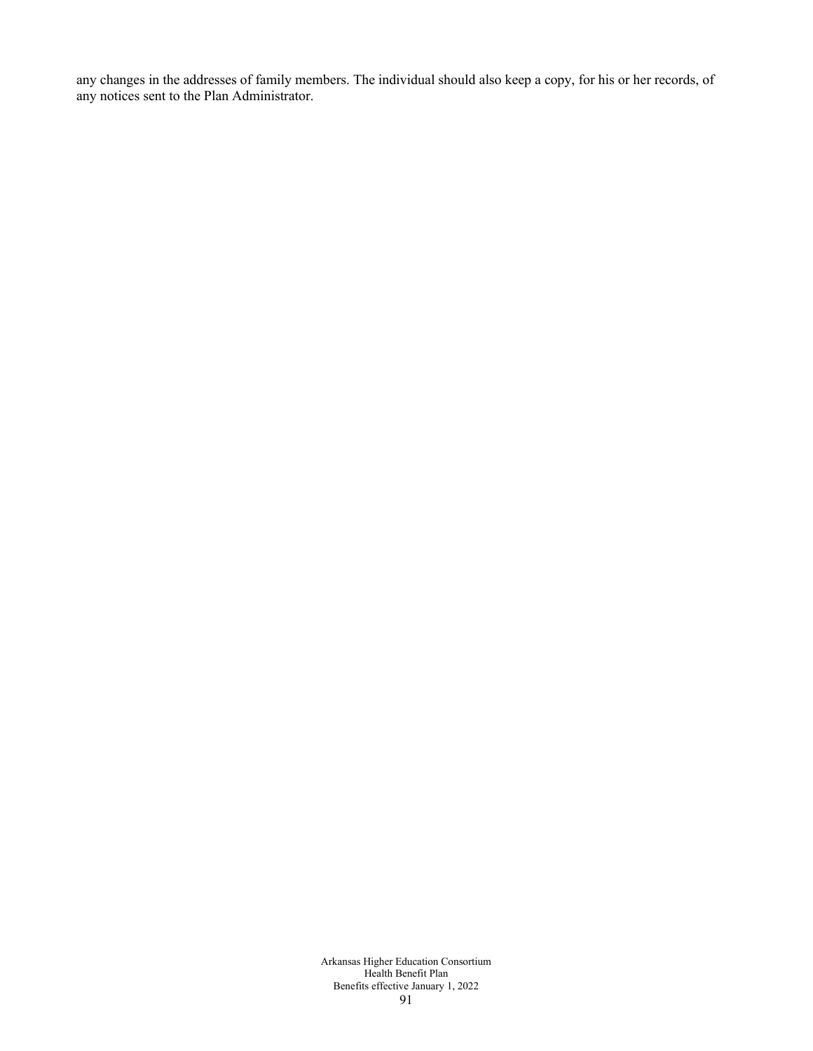any changes in the addresses of family members. The individual should also keep a copy, for his or her records, of any notices sent to the Plan Administrator.

> Arkansas Higher Education Consortium Health Benefit Plan Benefits effective January 1, 2022 91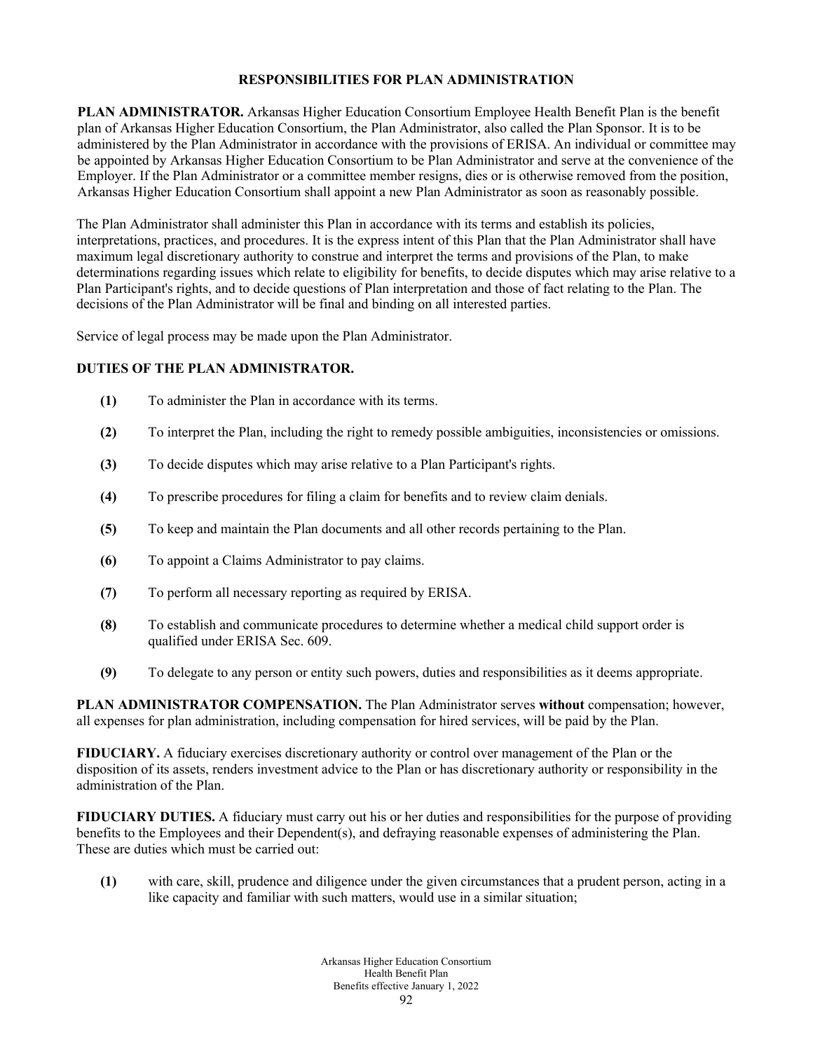# **RESPONSIBILITIES FOR PLAN ADMINISTRATION**

**PLAN ADMINISTRATOR.** Arkansas Higher Education Consortium Employee Health Benefit Plan is the benefit plan of Arkansas Higher Education Consortium, the Plan Administrator, also called the Plan Sponsor. It is to be administered by the Plan Administrator in accordance with the provisions of ERISA. An individual or committee may be appointed by Arkansas Higher Education Consortium to be Plan Administrator and serve at the convenience of the Employer. If the Plan Administrator or a committee member resigns, dies or is otherwise removed from the position, Arkansas Higher Education Consortium shall appoint a new Plan Administrator as soon as reasonably possible.

The Plan Administrator shall administer this Plan in accordance with its terms and establish its policies, interpretations, practices, and procedures. It is the express intent of this Plan that the Plan Administrator shall have maximum legal discretionary authority to construe and interpret the terms and provisions of the Plan, to make determinations regarding issues which relate to eligibility for benefits, to decide disputes which may arise relative to a Plan Participant's rights, and to decide questions of Plan interpretation and those of fact relating to the Plan. The decisions of the Plan Administrator will be final and binding on all interested parties.

Service of legal process may be made upon the Plan Administrator.

# **DUTIES OF THE PLAN ADMINISTRATOR.**

- **(1)** To administer the Plan in accordance with its terms.
- **(2)** To interpret the Plan, including the right to remedy possible ambiguities, inconsistencies or omissions.
- **(3)** To decide disputes which may arise relative to a Plan Participant's rights.
- **(4)** To prescribe procedures for filing a claim for benefits and to review claim denials.
- **(5)** To keep and maintain the Plan documents and all other records pertaining to the Plan.
- **(6)** To appoint a Claims Administrator to pay claims.
- **(7)** To perform all necessary reporting as required by ERISA.
- **(8)** To establish and communicate procedures to determine whether a medical child support order is qualified under ERISA Sec. 609.
- **(9)** To delegate to any person or entity such powers, duties and responsibilities as it deems appropriate.

**PLAN ADMINISTRATOR COMPENSATION.** The Plan Administrator serves **without** compensation; however, all expenses for plan administration, including compensation for hired services, will be paid by the Plan.

**FIDUCIARY.** A fiduciary exercises discretionary authority or control over management of the Plan or the disposition of its assets, renders investment advice to the Plan or has discretionary authority or responsibility in the administration of the Plan.

**FIDUCIARY DUTIES.** A fiduciary must carry out his or her duties and responsibilities for the purpose of providing benefits to the Employees and their Dependent(s), and defraying reasonable expenses of administering the Plan. These are duties which must be carried out:

**(1)** with care, skill, prudence and diligence under the given circumstances that a prudent person, acting in a like capacity and familiar with such matters, would use in a similar situation;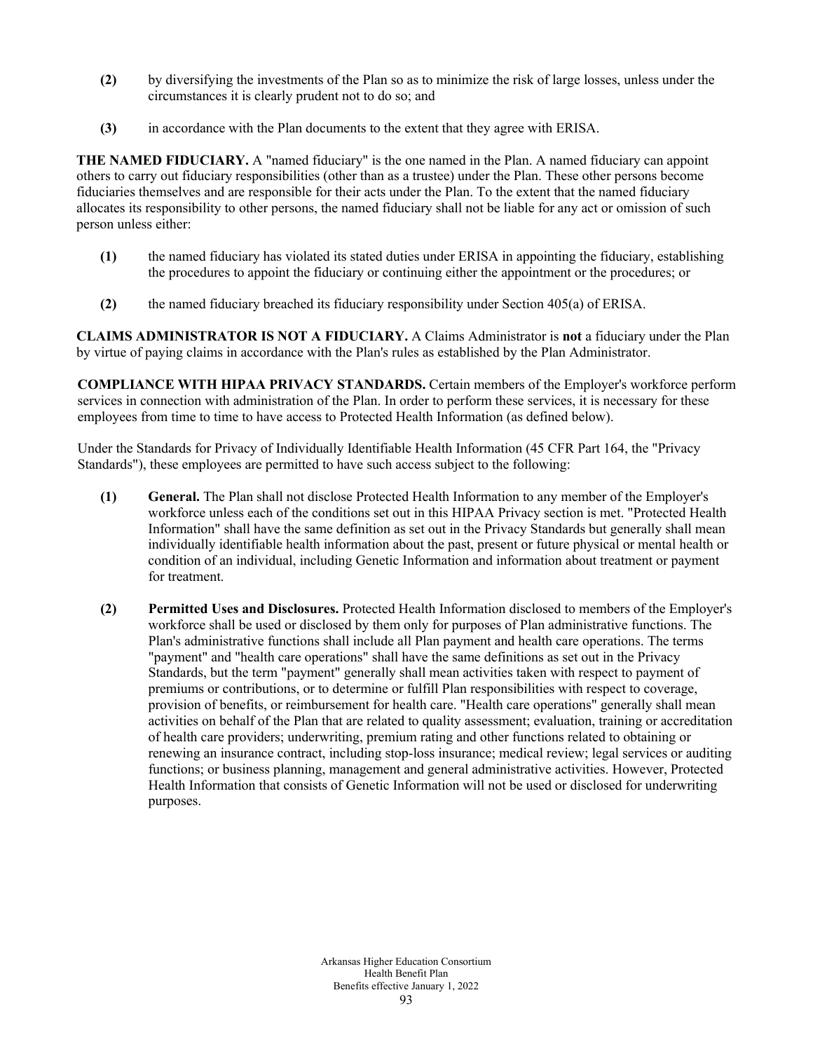- **(2)** by diversifying the investments of the Plan so as to minimize the risk of large losses, unless under the circumstances it is clearly prudent not to do so; and
- **(3)** in accordance with the Plan documents to the extent that they agree with ERISA.

**THE NAMED FIDUCIARY.** A "named fiduciary" is the one named in the Plan. A named fiduciary can appoint others to carry out fiduciary responsibilities (other than as a trustee) under the Plan. These other persons become fiduciaries themselves and are responsible for their acts under the Plan. To the extent that the named fiduciary allocates its responsibility to other persons, the named fiduciary shall not be liable for any act or omission of such person unless either:

- **(1)** the named fiduciary has violated its stated duties under ERISA in appointing the fiduciary, establishing the procedures to appoint the fiduciary or continuing either the appointment or the procedures; or
- **(2)** the named fiduciary breached its fiduciary responsibility under Section 405(a) of ERISA.

**CLAIMS ADMINISTRATOR IS NOT A FIDUCIARY.** A Claims Administrator is **not** a fiduciary under the Plan by virtue of paying claims in accordance with the Plan's rules as established by the Plan Administrator.

**COMPLIANCE WITH HIPAA PRIVACY STANDARDS.** Certain members of the Employer's workforce perform services in connection with administration of the Plan. In order to perform these services, it is necessary for these employees from time to time to have access to Protected Health Information (as defined below).

Under the Standards for Privacy of Individually Identifiable Health Information (45 CFR Part 164, the "Privacy Standards"), these employees are permitted to have such access subject to the following:

- **(1) General.** The Plan shall not disclose Protected Health Information to any member of the Employer's workforce unless each of the conditions set out in this HIPAA Privacy section is met. "Protected Health Information" shall have the same definition as set out in the Privacy Standards but generally shall mean individually identifiable health information about the past, present or future physical or mental health or condition of an individual, including Genetic Information and information about treatment or payment for treatment.
- **(2) Permitted Uses and Disclosures.** Protected Health Information disclosed to members of the Employer's workforce shall be used or disclosed by them only for purposes of Plan administrative functions. The Plan's administrative functions shall include all Plan payment and health care operations. The terms "payment" and "health care operations" shall have the same definitions as set out in the Privacy Standards, but the term "payment" generally shall mean activities taken with respect to payment of premiums or contributions, or to determine or fulfill Plan responsibilities with respect to coverage, provision of benefits, or reimbursement for health care. "Health care operations" generally shall mean activities on behalf of the Plan that are related to quality assessment; evaluation, training or accreditation of health care providers; underwriting, premium rating and other functions related to obtaining or renewing an insurance contract, including stop-loss insurance; medical review; legal services or auditing functions; or business planning, management and general administrative activities. However, Protected Health Information that consists of Genetic Information will not be used or disclosed for underwriting purposes.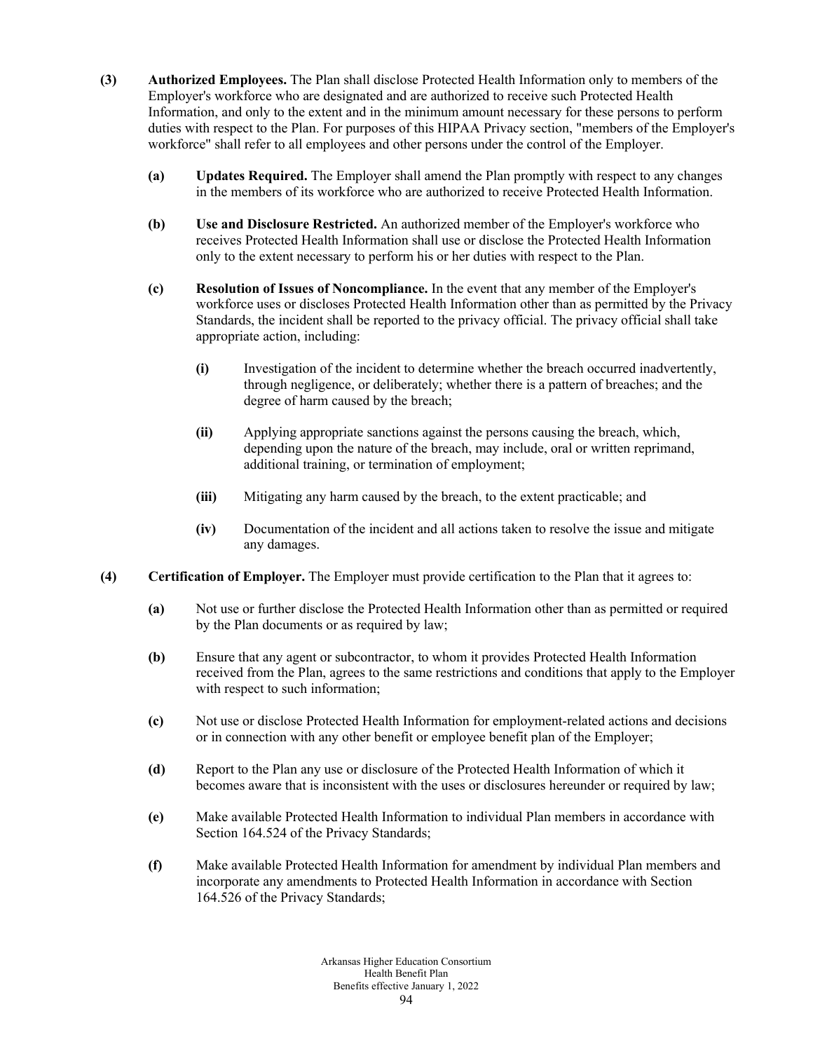- **(3) Authorized Employees.** The Plan shall disclose Protected Health Information only to members of the Employer's workforce who are designated and are authorized to receive such Protected Health Information, and only to the extent and in the minimum amount necessary for these persons to perform duties with respect to the Plan. For purposes of this HIPAA Privacy section, "members of the Employer's workforce" shall refer to all employees and other persons under the control of the Employer.
	- **(a) Updates Required.** The Employer shall amend the Plan promptly with respect to any changes in the members of its workforce who are authorized to receive Protected Health Information.
	- **(b) Use and Disclosure Restricted.** An authorized member of the Employer's workforce who receives Protected Health Information shall use or disclose the Protected Health Information only to the extent necessary to perform his or her duties with respect to the Plan.
	- **(c) Resolution of Issues of Noncompliance.** In the event that any member of the Employer's workforce uses or discloses Protected Health Information other than as permitted by the Privacy Standards, the incident shall be reported to the privacy official. The privacy official shall take appropriate action, including:
		- **(i)** Investigation of the incident to determine whether the breach occurred inadvertently, through negligence, or deliberately; whether there is a pattern of breaches; and the degree of harm caused by the breach;
		- **(ii)** Applying appropriate sanctions against the persons causing the breach, which, depending upon the nature of the breach, may include, oral or written reprimand, additional training, or termination of employment;
		- **(iii)** Mitigating any harm caused by the breach, to the extent practicable; and
		- **(iv)** Documentation of the incident and all actions taken to resolve the issue and mitigate any damages.
- **(4) Certification of Employer.** The Employer must provide certification to the Plan that it agrees to:
	- **(a)** Not use or further disclose the Protected Health Information other than as permitted or required by the Plan documents or as required by law;
	- **(b)** Ensure that any agent or subcontractor, to whom it provides Protected Health Information received from the Plan, agrees to the same restrictions and conditions that apply to the Employer with respect to such information;
	- **(c)** Not use or disclose Protected Health Information for employment-related actions and decisions or in connection with any other benefit or employee benefit plan of the Employer;
	- **(d)** Report to the Plan any use or disclosure of the Protected Health Information of which it becomes aware that is inconsistent with the uses or disclosures hereunder or required by law;
	- **(e)** Make available Protected Health Information to individual Plan members in accordance with Section 164.524 of the Privacy Standards;
	- **(f)** Make available Protected Health Information for amendment by individual Plan members and incorporate any amendments to Protected Health Information in accordance with Section 164.526 of the Privacy Standards;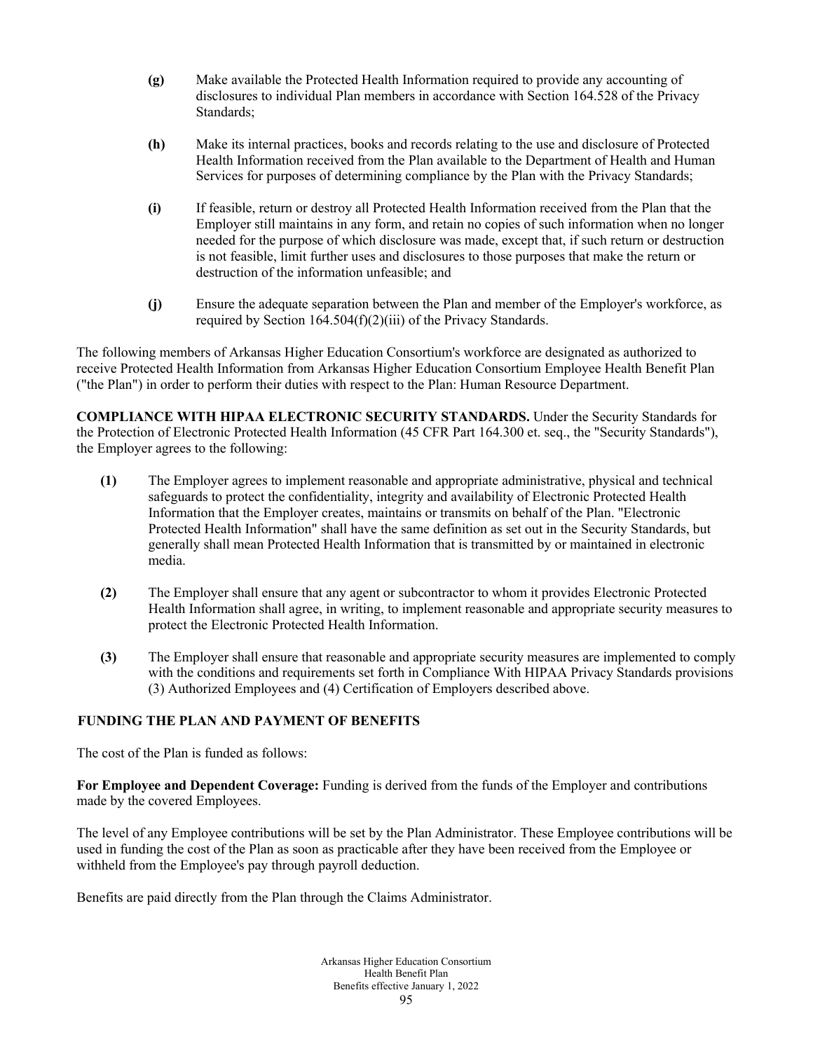- **(g)** Make available the Protected Health Information required to provide any accounting of disclosures to individual Plan members in accordance with Section 164.528 of the Privacy Standards;
- **(h)** Make its internal practices, books and records relating to the use and disclosure of Protected Health Information received from the Plan available to the Department of Health and Human Services for purposes of determining compliance by the Plan with the Privacy Standards;
- **(i)** If feasible, return or destroy all Protected Health Information received from the Plan that the Employer still maintains in any form, and retain no copies of such information when no longer needed for the purpose of which disclosure was made, except that, if such return or destruction is not feasible, limit further uses and disclosures to those purposes that make the return or destruction of the information unfeasible; and
- **(j)** Ensure the adequate separation between the Plan and member of the Employer's workforce, as required by Section 164.504(f)(2)(iii) of the Privacy Standards.

The following members of Arkansas Higher Education Consortium's workforce are designated as authorized to receive Protected Health Information from Arkansas Higher Education Consortium Employee Health Benefit Plan ("the Plan") in order to perform their duties with respect to the Plan: Human Resource Department.

**COMPLIANCE WITH HIPAA ELECTRONIC SECURITY STANDARDS.** Under the Security Standards for the Protection of Electronic Protected Health Information (45 CFR Part 164.300 et. seq., the "Security Standards"), the Employer agrees to the following:

- **(1)** The Employer agrees to implement reasonable and appropriate administrative, physical and technical safeguards to protect the confidentiality, integrity and availability of Electronic Protected Health Information that the Employer creates, maintains or transmits on behalf of the Plan. "Electronic Protected Health Information" shall have the same definition as set out in the Security Standards, but generally shall mean Protected Health Information that is transmitted by or maintained in electronic media.
- **(2)** The Employer shall ensure that any agent or subcontractor to whom it provides Electronic Protected Health Information shall agree, in writing, to implement reasonable and appropriate security measures to protect the Electronic Protected Health Information.
- **(3)** The Employer shall ensure that reasonable and appropriate security measures are implemented to comply with the conditions and requirements set forth in Compliance With HIPAA Privacy Standards provisions (3) Authorized Employees and (4) Certification of Employers described above.

# **FUNDING THE PLAN AND PAYMENT OF BENEFITS**

The cost of the Plan is funded as follows:

**For Employee and Dependent Coverage:** Funding is derived from the funds of the Employer and contributions made by the covered Employees.

The level of any Employee contributions will be set by the Plan Administrator. These Employee contributions will be used in funding the cost of the Plan as soon as practicable after they have been received from the Employee or withheld from the Employee's pay through payroll deduction.

Benefits are paid directly from the Plan through the Claims Administrator.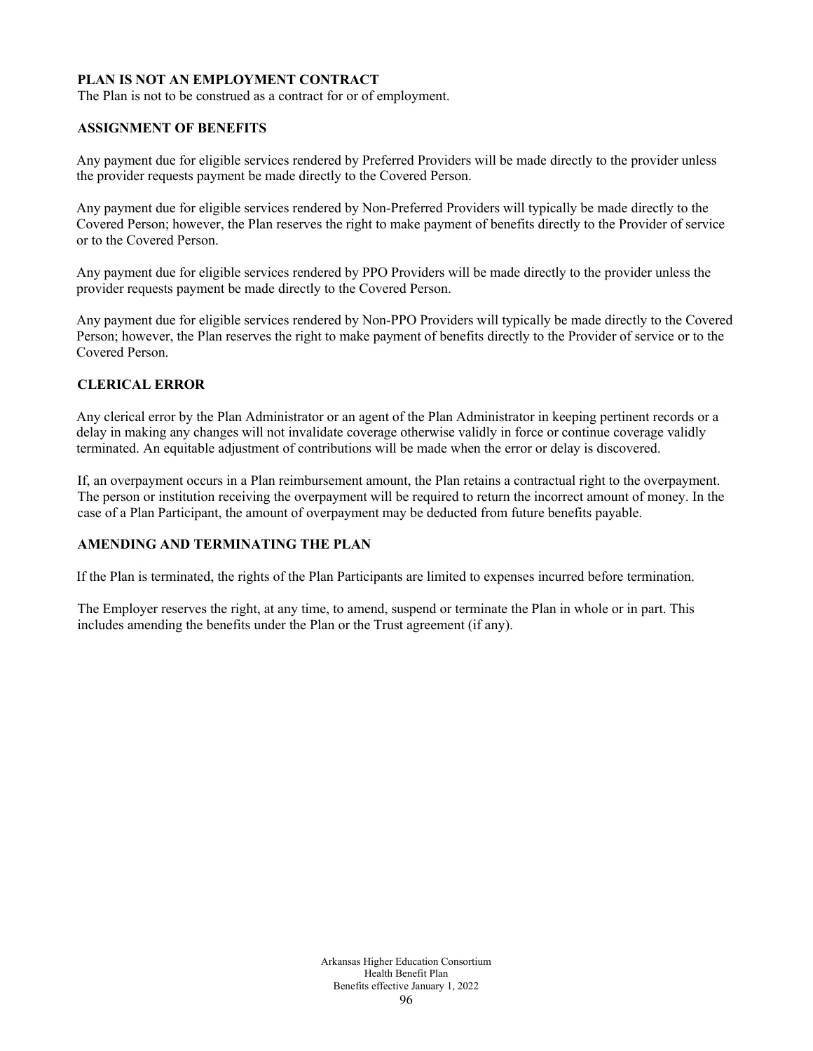# **PLAN IS NOT AN EMPLOYMENT CONTRACT**

The Plan is not to be construed as a contract for or of employment.

# **ASSIGNMENT OF BENEFITS**

Any payment due for eligible services rendered by Preferred Providers will be made directly to the provider unless the provider requests payment be made directly to the Covered Person.

Any payment due for eligible services rendered by Non-Preferred Providers will typically be made directly to the Covered Person; however, the Plan reserves the right to make payment of benefits directly to the Provider of service or to the Covered Person.

Any payment due for eligible services rendered by PPO Providers will be made directly to the provider unless the provider requests payment be made directly to the Covered Person.

Any payment due for eligible services rendered by Non-PPO Providers will typically be made directly to the Covered Person; however, the Plan reserves the right to make payment of benefits directly to the Provider of service or to the Covered Person.

# **CLERICAL ERROR**

Any clerical error by the Plan Administrator or an agent of the Plan Administrator in keeping pertinent records or a delay in making any changes will not invalidate coverage otherwise validly in force or continue coverage validly terminated. An equitable adjustment of contributions will be made when the error or delay is discovered.

If, an overpayment occurs in a Plan reimbursement amount, the Plan retains a contractual right to the overpayment. The person or institution receiving the overpayment will be required to return the incorrect amount of money. In the case of a Plan Participant, the amount of overpayment may be deducted from future benefits payable.

# **AMENDING AND TERMINATING THE PLAN**

If the Plan is terminated, the rights of the Plan Participants are limited to expenses incurred before termination.

The Employer reserves the right, at any time, to amend, suspend or terminate the Plan in whole or in part. This includes amending the benefits under the Plan or the Trust agreement (if any).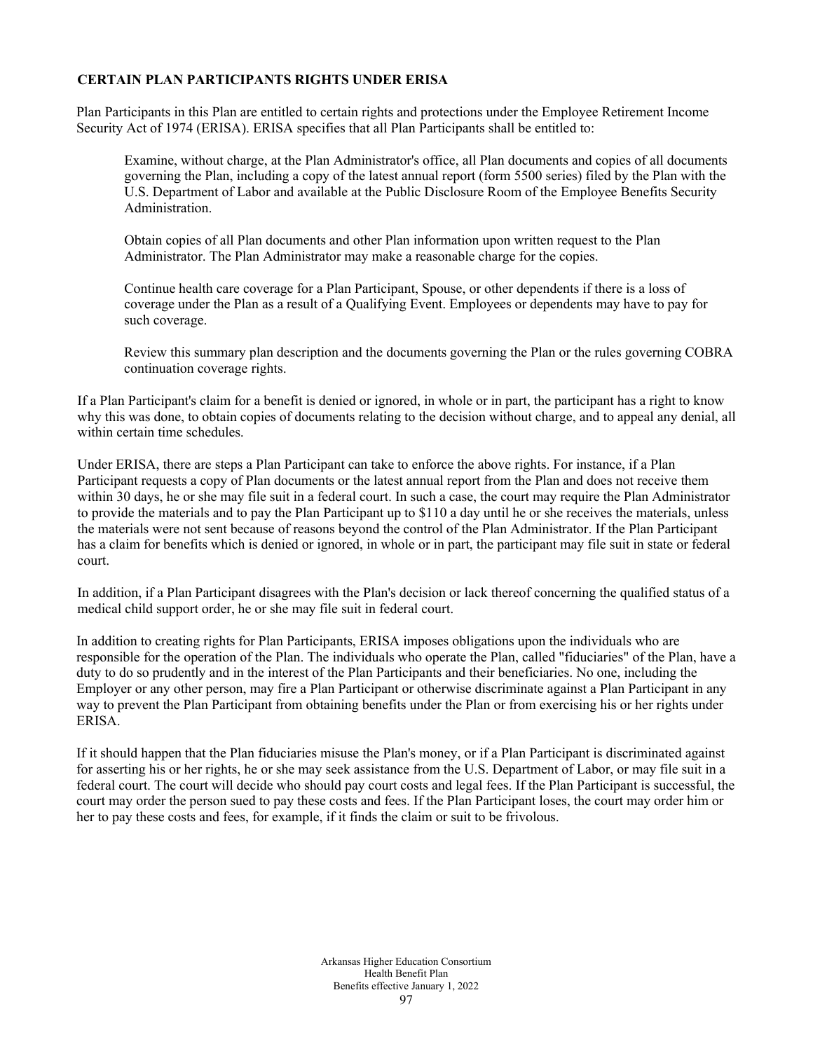# **CERTAIN PLAN PARTICIPANTS RIGHTS UNDER ERISA**

Plan Participants in this Plan are entitled to certain rights and protections under the Employee Retirement Income Security Act of 1974 (ERISA). ERISA specifies that all Plan Participants shall be entitled to:

Examine, without charge, at the Plan Administrator's office, all Plan documents and copies of all documents governing the Plan, including a copy of the latest annual report (form 5500 series) filed by the Plan with the U.S. Department of Labor and available at the Public Disclosure Room of the Employee Benefits Security Administration.

Obtain copies of all Plan documents and other Plan information upon written request to the Plan Administrator. The Plan Administrator may make a reasonable charge for the copies.

Continue health care coverage for a Plan Participant, Spouse, or other dependents if there is a loss of coverage under the Plan as a result of a Qualifying Event. Employees or dependents may have to pay for such coverage.

Review this summary plan description and the documents governing the Plan or the rules governing COBRA continuation coverage rights.

If a Plan Participant's claim for a benefit is denied or ignored, in whole or in part, the participant has a right to know why this was done, to obtain copies of documents relating to the decision without charge, and to appeal any denial, all within certain time schedules.

Under ERISA, there are steps a Plan Participant can take to enforce the above rights. For instance, if a Plan Participant requests a copy of Plan documents or the latest annual report from the Plan and does not receive them within 30 days, he or she may file suit in a federal court. In such a case, the court may require the Plan Administrator to provide the materials and to pay the Plan Participant up to \$110 a day until he or she receives the materials, unless the materials were not sent because of reasons beyond the control of the Plan Administrator. If the Plan Participant has a claim for benefits which is denied or ignored, in whole or in part, the participant may file suit in state or federal court.

In addition, if a Plan Participant disagrees with the Plan's decision or lack thereof concerning the qualified status of a medical child support order, he or she may file suit in federal court.

In addition to creating rights for Plan Participants, ERISA imposes obligations upon the individuals who are responsible for the operation of the Plan. The individuals who operate the Plan, called "fiduciaries" of the Plan, have a duty to do so prudently and in the interest of the Plan Participants and their beneficiaries. No one, including the Employer or any other person, may fire a Plan Participant or otherwise discriminate against a Plan Participant in any way to prevent the Plan Participant from obtaining benefits under the Plan or from exercising his or her rights under ERISA.

If it should happen that the Plan fiduciaries misuse the Plan's money, or if a Plan Participant is discriminated against for asserting his or her rights, he or she may seek assistance from the U.S. Department of Labor, or may file suit in a federal court. The court will decide who should pay court costs and legal fees. If the Plan Participant is successful, the court may order the person sued to pay these costs and fees. If the Plan Participant loses, the court may order him or her to pay these costs and fees, for example, if it finds the claim or suit to be frivolous.

> Arkansas Higher Education Consortium Health Benefit Plan Benefits effective January 1, 2022 97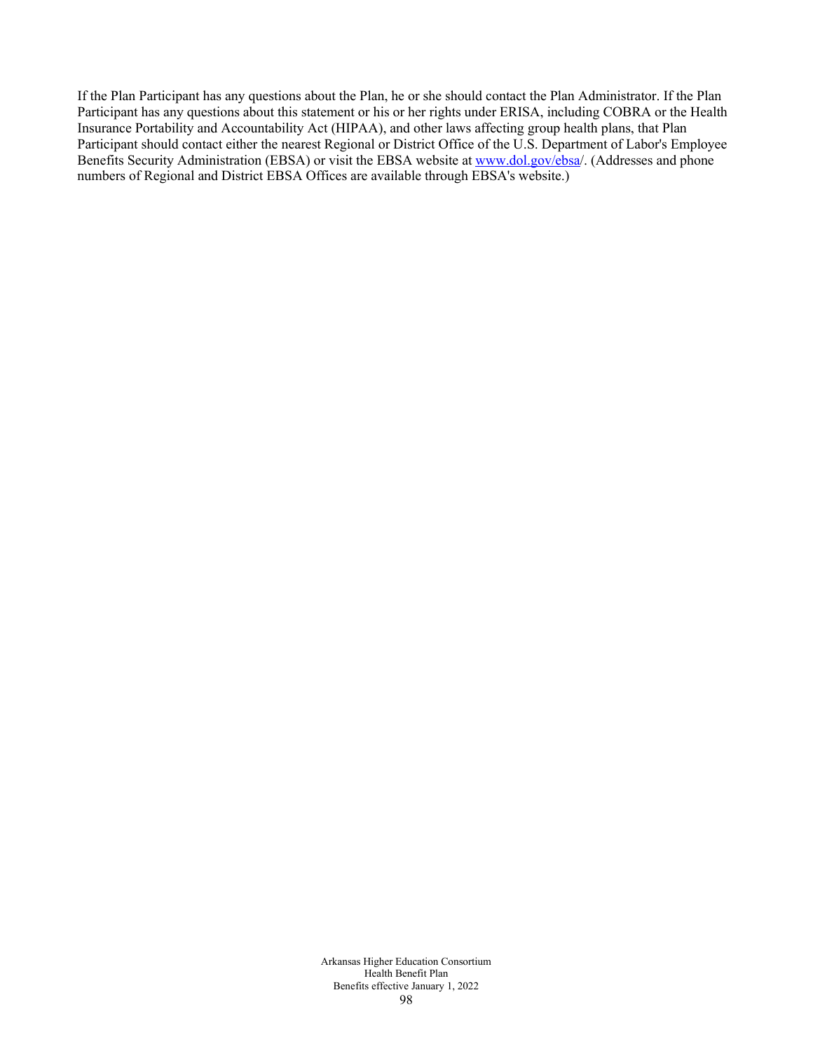If the Plan Participant has any questions about the Plan, he or she should contact the Plan Administrator. If the Plan Participant has any questions about this statement or his or her rights under ERISA, including COBRA or the Health Insurance Portability and Accountability Act (HIPAA), and other laws affecting group health plans, that Plan Participant should contact either the nearest Regional or District Office of the U.S. Department of Labor's Employee Benefits Security Administration (EBSA) or visit the EBSA website at [www.dol.gov/ebsa/](http://www.dol.gov/ebsa). (Addresses and phone numbers of Regional and District EBSA Offices are available through EBSA's website.)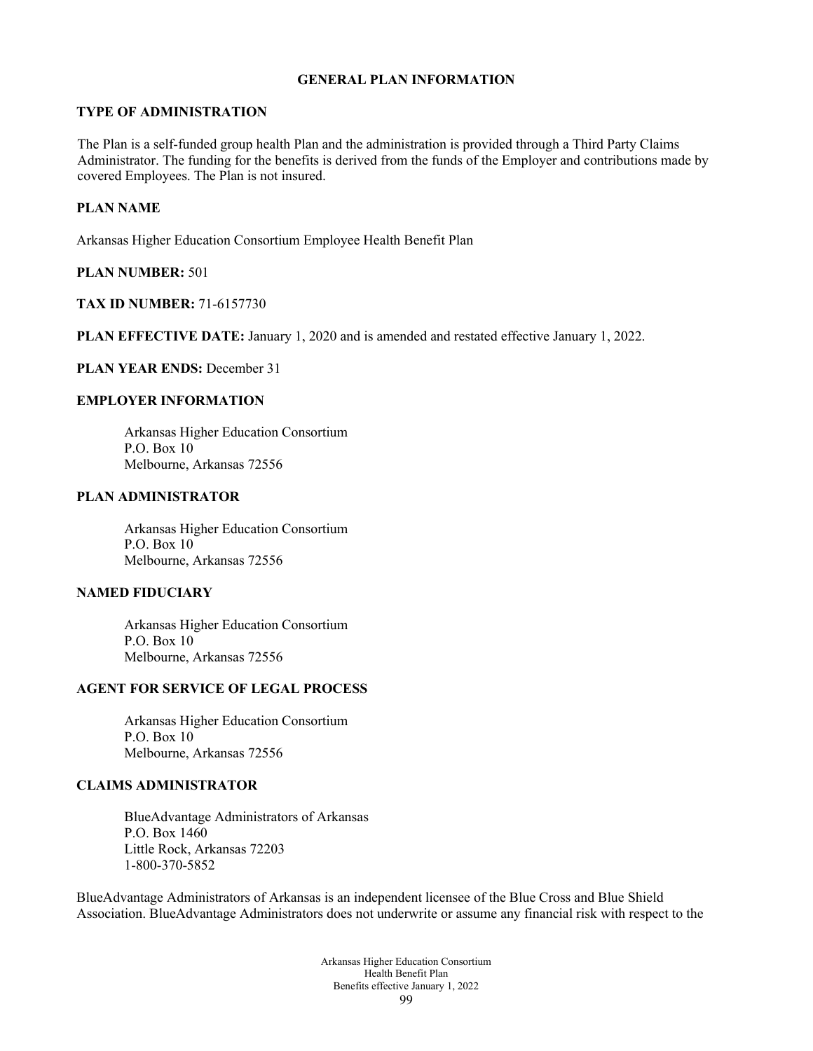#### **GENERAL PLAN INFORMATION**

#### **TYPE OF ADMINISTRATION**

The Plan is a self-funded group health Plan and the administration is provided through a Third Party Claims Administrator. The funding for the benefits is derived from the funds of the Employer and contributions made by covered Employees. The Plan is not insured.

# **PLAN NAME**

Arkansas Higher Education Consortium Employee Health Benefit Plan

#### **PLAN NUMBER:** 501

#### **TAX ID NUMBER:** 71-6157730

**PLAN EFFECTIVE DATE:** January 1, 2020 and is amended and restated effective January 1, 2022.

#### **PLAN YEAR ENDS:** December 31

#### **EMPLOYER INFORMATION**

Arkansas Higher Education Consortium  $P$  O. Box 10 Melbourne, Arkansas 72556

#### **PLAN ADMINISTRATOR**

Arkansas Higher Education Consortium P.O. Box 10 Melbourne, Arkansas 72556

#### **NAMED FIDUCIARY**

Arkansas Higher Education Consortium P.O. Box 10 Melbourne, Arkansas 72556

#### **AGENT FOR SERVICE OF LEGAL PROCESS**

Arkansas Higher Education Consortium P.O. Box 10 Melbourne, Arkansas 72556

#### **CLAIMS ADMINISTRATOR**

BlueAdvantage Administrators of Arkansas P.O. Box 1460 Little Rock, Arkansas 72203 1-800-370-5852

BlueAdvantage Administrators of Arkansas is an independent licensee of the Blue Cross and Blue Shield Association. BlueAdvantage Administrators does not underwrite or assume any financial risk with respect to the

> Arkansas Higher Education Consortium Health Benefit Plan Benefits effective January 1, 2022 99